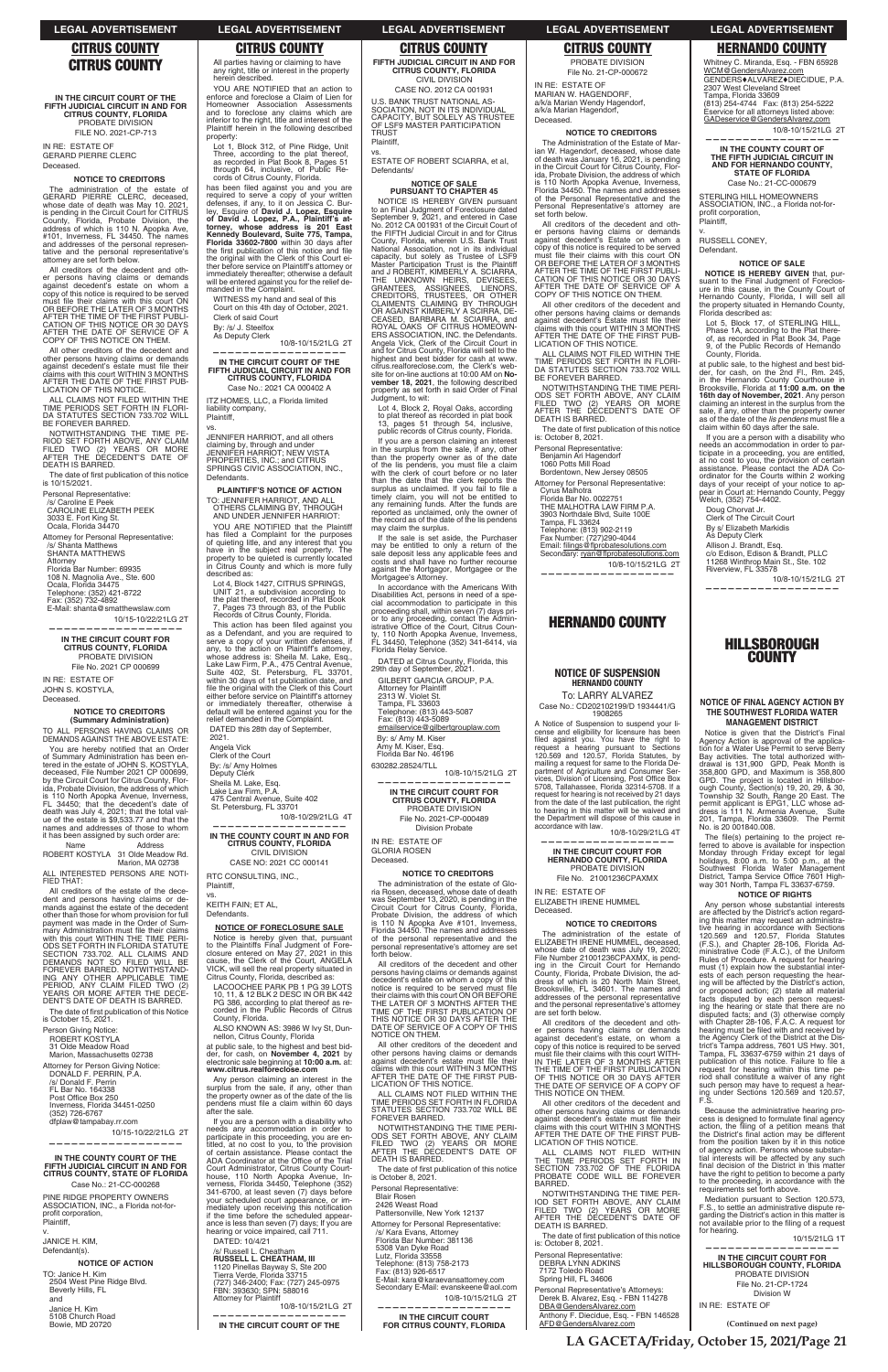**IN THE CIRCUIT COURT OF THE FIFTH JUDICIAL CIRCUIT IN AND FOR CITRUS COUNTY, FLORIDA** PROBATE DIVISION FILE NO. 2021-CP-713

IN RE: ESTATE OF GERARD PIERRE CLERC Deceased.

## **NOTICE TO CREDITORS**

The administration of the estate of<br>GEBARD PIEBBE CLEBC deceased GERARD PIERRE CLERC, deceased, whose date of death was May 10. 2021, is pending in the Circuit Court for CITRUS County, Florida, Probate Division, the address of which is 110 N. Apopka Ave, #101, Inverness, FL 34450. The names and addresses of the personal represen-tative and the personal representative's attorney are set forth below.

ALL CLAIMS NOT FILED WITHIN THE TIME PERIODS SET FORTH IN FLORI-DA STATUTES SECTION 733.702 WILL BE FOREVER BARRED.

The date of first publication of this notice is 10/15/2021.

All creditors of the decedent and other persons having claims or demands against decedent's estate on whom a copy of this notice is required to be served must file their claims with this court ON<br>OR BEFORE THE LATER OF 3 MONTHS<br>AFTER THE TIME OF THE FIRST PUBLI-CATION OF THIS NOTICE OR 30 DAYS AFTER THE DATE OF SERVICE OF A COPY OF THIS NOTICE ON THEM.

TO ALL PERSONS HAVING CLAIMS OR DEMANDS AGAINST THE ABOVE ESTATE:

All other creditors of the decedent and other persons having claims or demands<br>against decedent's estate must file their claims with this court WITHIN 3 MONTHS AFTER THE DATE OF THE FIRST PUB-LICATION OF THIS NOTICE.

You are hereby notified that an Order of Summary Administration has been en-tered in the estate of JOHN S. KOSTYLA, deceased, File Number 2021 CP 000699, by the Circuit Court for Citrus County, Flor-ida, Probate Division, the address of which is 110 North Apopka Avenue, Inverness, FL 34450; that the decedent's date of death was July 4, 2021; that the total val-ue of the estate is \$9,533.77 and that the names and addresses of those to whom it has been assigned by such order are:

NOTWITHSTANDING THE TIME PE-RIOD SET FORTH ABOVE, ANY CLAIM FILED TWO (2) YEARS OR MORE AFTER THE DECEDENT'S DATE OF DEATH IS BARRED.

Personal Representative: /s/ Caroline E Peek CAROLINE ELIZABETH PEEK 3033 E. Fort King St. Ocala, Florida 34470

Attorney for Personal Representative: /s/ Shanta Matthews SHANTA MATTHEWS

Attorney Florida Bar Number: 69935 108 N. Magnolia Ave., Ste. 600 Ocala, Florida 34475 Telephone: (352) 421-8722 Fax: (352) 732-4892 E-Mail: shanta@smatthewslaw.com

 10/15-10/22/21LG 2T **——————————————————**

**IN THE CIRCUIT COURT FOR CITRUS COUNTY, FLORIDA** PROBATE DIVISION File No. 2021 CP 000699

IN RE: ESTATE OF JOHN S. KOSTYLA, Deceased.

## **NOTICE TO CREDITORS (Summary Administration)**

YOU ARE NOTIFIED that an action to enforce and foreclose a Claim of Lien for Homeowner Association Assessments and to foreclose any claims which are inferior to the right, title and interest of the Plaintiff herein in the following described property:

Name Address ROBERT KOSTYLA 31 Olde Meadow Rd. Marion, MA 02738

ALL INTERESTED PERSONS ARE NOTI-FIED THAT: All creditors of the estate of the dece-

vs. JENNIFER HARRlOT, and all others claiming by, through and under JENNIFER HARRlOT; NEW VISTA PROPERTIES, INC.; and CITRUS SPRINGS CIVIC ASSOCIATION, INC., **Defendants** 

dent and persons having claims or de-mands against the estate of the decedent other than those for whom provision for full payment was made in the Order of Summary Administration must file their claims<br>with this court WITHIN THE TIME PERI-<br>ODS SET FORTH IN FLORIDA STATUTE SECTION 733.702. ALL CLAIMS AND DEMANDS NOT SO FILED WILL BE FOREVER BARRED. NOTWITHSTAND-ING ANY OTHER APPLICABLE TIME PERIOD, ANY CLAIM FILED TWO (2) YEARS OR MORE AFTER THE DECE-DENT'S DATE OF DEATH IS BARRED.

YOU ARE NOTIFIED that the Plaintiff has filed a Complaint for the purposes<br>of quieting litle, and any interest that you<br>have in the subject real property. The<br>property to be quieted is currently located filed a Complaint for the purposes in Citrus County and which is more fully described as:

Lot 4, Block 1427, CITRUS SPRINGS  $21$ , a subdivision according to the plat thereof, recorded in Plat Book 7, Pages 73 through 83, of the Public Records of Citrus County, Florida.

Person Giving Notice: ROBERT KOSTYLA 31 Olde Meadow Road Marion, Massachusetts 02738

This action has been filed against you as a Defendant, and you are required to serve a copy of your written defenses, if any, to the action on Plaintiff's attorney, whose address is: Sheila M. Lake, Esq.,<br>Lake Law Firm, P.A., 475 Central Avenue,<br>Suite 402, St. Petersburg, FL. 33701,<br>within 30 days of 1st publication date, and file the original with the Clerk of this Court<br>either before service on Plaintiff's attorney or immediately thereafter, otherwise a default will be entered against you for the relief demanded in the Complaint. DATED this 28th day of September,

Attorney for Person Giving Notice: DONALD F. PERRIN, P.A. /s/ Donald F. Perrin FL Bar No. 164338 Post Office Box 250 Inverness, Florida 34451-0250 (352) 726-6767 dfplaw@tampabay.rr.com

KEITH FAIN; ET AL, **Defendants** 

10/15-10/22/21LG 2T

Notice is hereby given that, pursuant to the Plaintiffs Final Judgment of Fore-closure entered on May 27, 2021 in this cause, the Clerk of the Court, ANGELA VICK, will sell the real property situated in Citrus County, Florida, described as:

**——————————————————**

# **IN THE COUNTY COURT OF THE FIFTH JUDICIAL CIRCUIT IN AND FOR CITRUS COUNTY, STATE OF FLORIDA**

Case No.: 21-CC-000268

PINE RIDGE PROPERTY OWNERS ASSOCIATION, INC., a Florida not-forprofit corporation, Plaintiff,

at public sale, to the highest and best bid-der, for cash, on **November 4, 2021** by electronic sale beginning at **10:00 a.m.** at:<br>**www.citrus.realforeclose.com** 

v. JANICE H. KIM, Defendant(s).

# **NOTICE OF ACTION**

TO: Janice H. Kim 2504 West Pine Ridge Blvd. Beverly Hills, FL and Janice H. Kim 5108 Church Road Bowie, MD 20720

 All parties having or claiming to have any right, title or interest in the property herein described.

If you are a person with a disability who<br>needs any accommodation in order to<br>participate in this proceeding, you are en-<br>titled, at no cost to you, to the provision<br>of certain assistance. Please contact the<br>ADA Coordinato house, 110 North Apopka Avenue, In-verness, Florida 34450, Telephone (352) 341-6700, at least seven (7) days before<br>your scheduled court appearance, or im-<br>mediately upon receiving this notification<br>if the time before the scheduled appearance is less than seven (7) days; If you are hearing or voice impaired, call 711.

# /s/ Russell L. Cheatham<br>**RUSSELL L. CHEATHAM, III** 1120 Pinellas Bayway S, Ste 200 Tierra Verde, Florida 33715 (727) 346-2400; Fax: (727) 245-0975 FBN: 393630; SPN: 588016 Attorney for Plaintiff

 $10/8 - 10/15/21$ LG 2T **——————————————————**

Lot 1, Block 312, of Pine Ridge, Unit Three, according to the plat thereof, as recorded in Plat Book 8, Pages 51 through 64, inclusive, of Public Re-

cords of Citrus County, Florida. has been filed against you and you are required to serve a copy of your written defenses, if any, to it on Jessica C. Burley, Esquire of **David J. Lopez, Esquire of David J. Lopez, P.A., Plaintiff's at-torney, whose address is 201 East Kennedy Boulevard, Suite 775, Tampa, Florida 33602-7800** within 30 days after the first publication of this notice and file the original with the Clerk of this Court ei-ther before service on Plaintiff's attorney or

immediately thereafter; otherwise a default

will be entered against you for the relief de-manded in the Complaint. WITNESS my hand and seal of this Court on this 4th day of October, 2021.

Clerk of said Court

By: /s/ J. Steelfox As Deputy Clerk

10/8-10/15/21LG 2T

**—————————————————— IN THE CIRCUIT COURT OF THE FIFTH JUDICIAL CIRCUIT IN AND FOR CITRUS COUNTY, FLORIDA**

Case No.: 2021 CA 000402 A

ITZ HOMES, LLC, a Florida limited liability company, Plaintiff,

> In accordance with the Americans With Disabilities Act, persons in need of a special accommodation to participate in this proceeding shall, within seven (7) days pri-<br>or to any proceeding, contact the Administrative Office of the Court, Citrus County, 110 North Apopka Avenue, Inverness, FL 34450, Telephone (352) 341-6414, via Florida Relay Service.

**PLAINTIFF'S NOTICE OF ACTION** TO: JENNIFER HARRIOT, AND ALL OTHERS CLAIMING BY, THROUGH AND UNDER JENNIFER HARRIOT:

2021. Angela Vick Clerk of the Court By: /s/ Amy Holmes Deputy Clerk

Sheila M. Lake, Esq. Lake Law Firm, P.A. 475 Central Avenue, Suite 402 St. Petersburg, FL 33701

The Administration of the Estate of Mar-ian W. Hagendorf, deceased, whose date of death was January 16, 2021, is pending in the Circuit Court for Citrus County, Flor-ida, Probate Division, the address of which is 110 North Apopka Avenue, Inverness, Florida 34450. The names and addresses of the Personal Representative and the Personal Representative's attorney are set forth below

10/8-10/29/21LG 4T **—————————————————— IN THE COUNTY COURT IN AND FOR CITRUS COUNTY, FLORIDA**

CIVIL DIVISION CASE NO: 2021 CC 000141 RTC CONSULTING, INC.,

Plaintiff, vs.

# **NOTICE OF FORECLOSURE SALE**

All other creditors of the decedent and<br>other persons having claims or demands<br>against decedent's Estate must file their claims with this court WITHIN 3 MONTHS AFTER THE DATE OF THE FIRST PUB-LICATION OF THIS NOTICE.

LACOOCHEE PARK PB 1 PG 39 LOTS 10, 11, & 12 BLK 2 DESC IN OR BK 442 PG 386, according to plat thereof as re-corded in the Public Records of Citrus County, Florida.

ALSO KNOWN AS: 3986 W Ivy St, Dunnellon, Citrus County, Florida

Any person claiming an interest in the surplus from the sale, if any, other than the property owner as of the date of the lis<br>pendens must file a claim within 60 days after the sale.

whose date of death was July 19, 2020; File Number 21001236CPAXMX, is pend-ing in the Circuit Court for Hernando County, Florida, Probate Division, the address of which is 20 North Main Street, Brooksville, FL 34601. The names and

The date of first publication of this Notice<br>is October 15, 2021.

DATED: 10/4/21

**IN THE CIRCUIT COURT OF THE**

The date of first publication of this notice is: October 8, 2021.

**FIFTH JUDICIAL CIRCUIT IN AND FOR CITRUS COUNTY, FLORIDA** CIVIL DIVISION CASE NO. 2012 CA 001931

U.S. BANK TRUST NATIONAL AS-SOCIATION, NOT IN ITS INDIVIDUAL<br>CAPACITY, BUT SOLELY AS TRUSTEE OF LSF9 MASTER PARTICIPATION TRUST

Whitney C. Miranda, Esq. - FBN 65928<br><u>WCM@GendersAlvarez.com</u> GENDERS<sup>+</sup>ALVAREZ<sup>+</sup>DIECIDUE, P.A. 2307 West Cleveland Street Tampa, Florida 33609

Plaintiff, vs.

ESTATE OF ROBERT SCIARRA, et aI, Defendants/

## **NOTICE OF SALE PURSUANT TO CHAPTER 45**

profit corporation, Plaintiff, v.

NOTICE IS HEREBY GIVEN pursuant to an Final Judgment of Foreclosure dated September 9, 2021, and entered in Case No. 2012 CA 001931 of the Circuit Court of the FIFTH Judicial Circuit in and for Citrus County, Florida, wherein U.S. Bank Trust National Association, not in its individual capacity, but solely as Trustee of LSF9 Master Participation Trust is the Plaintiff and J ROBERT, KIMBERLY A. SCIARRA, THE UNKNOWN HEIRS, DEVISEES,<br>GRANTEES, ASSIGNEES, LIENORS,<br>CRADITORS, TRUSTEES, OR OTHER<br>CLAIMENTS CLAIMING BY THROUGH<br>OR AGAINST KIMBERLY A SCIRRA, DE-<br>CEASED, BARBARA M. SCIARRA, and<br>ROYAL OAKS OF CITRUS HOMEOWN-ERS ASSOCIATION, INC. the Defendants. Angela Vick, Clerk of the Circuit Court in and for Citrus County, Florida will sell to the highest and best bidder for cash at www. citrus.realforeclose.com, the Clerk's website for on-line auctions at 10:00 AM on **November 18, 2021**, the following described property as set forth in said Order of Final Judgment, to wit:

Lot 4, Block 2, Royal Oaks, according to plat thereof as recorded in plat book 13, pages 51 through 54, inclusive, public records of Citrus county, Florida.

If you are a person claiming an interest in the surplus from the sale, if any, other than the property owner as of the date of the lis pendens, you must file a claim<br>with the clerk of court before or no later<br>than the date that the clerk reports the surplus as unclaimed. If you fail to file a<br>timely claim, you will not be entitled to<br>any remaining funds. After the funds are reported as unclaimed, only the owner of the record as of the date of the lis pendens may claim the surplus.

> ing the hearing or state that there disputed facts; and (3) otherwise comply with Chapter 28-106, F.A.C. A request for hearing must be filed with and received by the Agency Clerk of the District at the Dis-trict's Tampa address, 7601 US Hwy. 301, Tampa, FL 33637-6759 within 21 days of publication of this notice. Failure to file a<br>request for hearing within this time period shall constitute a waiver of any right such person may have to request a hear-ing under Sections 120.569 and 120.57, F.S.

If the sale is set aside, the Purchaser may be entitled to only a return of the sale deposit less any applicable fees and costs and shall have no further recourse against the Mortgagor, Mortgagee or the Mortgagee's Attorney.

> Mediation pursuant to Section 120.573, F.S., to settle an administrative dispute regarding the District's action in this matter is not available prior to the filing of a request for hearing.

# **CITRUS COUNTY CITRUS COUNTY CITRUS COUNTY CITRUS COUNTY CITRUS COUNTY HERNANDO COUNTY**

DATED at Citrus County, Florida, this 29th day of September, 2021.

GILBERT GARCIA GROUP, P.A. Attorney for Plaintiff 2313 W. Violet St. Tampa, FL 33603 Telephone: (813) 443-5087 Fax: (813) 443-5089 emailservice@gilbertgrouplaw.com

By: s/ Amy M. Kiser Amy M. Kiser, Esq. Florida Bar No. 46196

630282.28524/TLL 10/8-10/15/21LG 2T **—————————————————— IN THE CIRCUIT COURT FOR** 

**CITRUS COUNTY, FLORIDA** PROBATE DIVISION File No. 2021-CP-000489

Division Probate IN RE: ESTATE OF GLORIA ROSEN

# Deceased

# **NOTICE TO CREDITORS** The administration of the estate of Gloria Rosen, deceased, whose date of death was September 13, 2020, is pending in the

Circuit Court for Citrus County, Florida, Probate Division, the address of which is 110 N Apopka Ave #101, Inverness, Florida 34450. The names and addresses of the personal representative and the personal representative's attorney are set forth below.

All creditors of the decedent and other persons having claims or demands against decedent's estate on whom a copy of this notice is required to be served must file<br>their claims with this court ON OR BEFORE<br>THE LATER OF 3 MONTHS AFTER THE

TIME OF THE FIRST PUBLICATION OF THIS NOTICE OR 30 DAYS AFTER THE DATE OF SERVICE OF A COPY OF THIS NOTICE ON THEM.

All other creditors of the decedent and other persons having claims or demands<br>against decedent's estate must file their claims with this court WITHIN 3 MONTHS AFTER THE DATE OF THE FIRST PUB-LICATION OF THIS NOTICE.

ALL CLAIMS NOT FILED WITHIN THE TIME PERIODS SET FORTH IN FLORIDA STATUTES SECTION 733.702 WILL BE FOREVER BARRED.

NOTWITHSTANDING THE TIME PERI-ODS SET FORTH ABOVE, ANY CLAIM FILED TWO (2) YEARS OR MORE AFTER THE DECEDENT'S DATE OF DEATH IS BARRED.

The date of first publication of this notice<br>is October 8, 2021.

Personal Representative: Blair Rosen 2426 Weast Road Pattersonville, New York 12137

Attorney for Personal Representative: /s/ Kara Evans, Attorney Florida Bar Number: 381136 5308 Van Dyke Road Lutz, Florida 33558 Telephone: (813) 758-2173 Fax: (813) 926-6517 Fax: (813) 926-65 i *r*<br>F-Mail: kara@karaevansattorney.com Secondary E-Mail: evanskeene@aol.com

10/8-10/15/21LG 2T **——————————————————**

**IN THE CIRCUIT COURT FOR CITRUS COUNTY, FLORIDA**

PROBATE DIVISION File No. 21-CP-000672

IN RE: ESTATE OF MARIAN W. HAGENDORF, a/k/a Marian Wendy Hagendorf, a/k/a Marian Hagendorf, Deceased.

## **NOTICE TO CREDITORS**

All creditors of the decedent and oth-er persons having claims or demands against decedent's Estate on whom a copy of this notice is required to be served<br>must\_file\_their\_claims\_with\_this\_court\_ON<br>OR BEFORE THE LATER OF 3 MONTHS AFTER THE TIME OF THE FIRST PUBLI-CATION OF THIS NOTICE OR 30 DAYS AFTER THE DATE OF SERVICE OF A COPY OF THIS NOTICE ON THEM.

ALL CLAIMS NOT FILED WITHIN THE TIME PERIODS SET FORTH IN FLORI-DA STATUTES SECTION 733.702 WILL BE FOREVER BARRED.

NOTWITHSTANDING THE TIME PERI-ODS SET FORTH ABOVE, ANY CLAIM FILED TWO (2) YEARS OR MORE AFTER THE DECEDENT'S DATE OF DEATH IS BARRED.

The date of first publication of this notice<br>is: October 8, 2021.

Personal Representative: Benjamin Ari Hagendorf 1060 Potts Mill Road

Bordentown, New Jersey 08505 Attorney for Personal Representative:

Cyrus Malhotra Florida Bar No. 0022751

THE MALHOTRA LAW FIRM P.A. 3903 Northdale Blvd, Suite 100E

Tampa, FL 33624

Telephone: (813) 902-2119 Fax Number: (727)290-4044

Email: filings @flprobatesolutions.com<br>Secondary: <u>ryan @flprobatesolutions.com</u>

10/8-10/15/21LG 2T **——————————————————**

# **HERNANDO COUNTY**

# **NOTICE OF SUSPENSION HERNANDO COUNTY**

To: LARRY ALVAREZ Case No.: CD202102199/D 1934441/G 1908265

A Notice of Suspension to suspend your license and eligibility for licensure has been<br>filed against you. You have the right to request a hearing pursuant to Sections<br>120.569 and 120.57, Florida Statutes, by<br>mailing a request for same to the Florida Department of Agriculture and Consumer Ser-.<br>vices, Division of Licensing, Post Office Box<br>5708, Tallahassee, Florida 32314-5708. If a request for hearing is not received by 21 days from the date of the last publication, the right<br>to hearing in this matter will be waived and the Department will dispose of this cause in accordance with law.

 10/8-10/29/21LG 4T **——————————————————**

## **IN THE CIRCUIT COURT FOR HERNANDO COUNTY, FLORIDA** PROBATE DIVISION File No. 21001236CPAXMX

IN RE: ESTATE OF ELIZABETH IRENE HUMMEL Deceased.

# **NOTICE TO CREDITORS** The administration of the estate of ELIZABETH IRENE HUMMEL, deceased,

addresses of the personal representative and the personal representative's attorney are set forth below.

All creditors of the decedent and other persons having claims or demands against decedent's estate, on whom a copy of this notice is required to be served must file their claims with this court WITH-IN THE LATER OF 3 MONTHS AFTER THE TIME OF THE FIRST PUBLICATION OF THIS NOTICE OR 30 DAYS AFTER THE DATE OF SERVICE OF A COPY OF THIS NOTICE ON THEM.

All other creditors of the decedent and other persons having claims or demands<br>against decedent's estate must file their<br>claims with this court WITHIN 3 MONTHS<br>AFTER THE DATE OF THE FIRST PUB-LICATION OF THIS NOTICE.

ALL CLAIMS NOT FILED WITHIN THE TIME PERIODS SET FORTH IN SECTION 733.702 OF THE FLORIDA PROBATE CODE WILL BE FOREVER BARRED.

NOTWITHSTANDING THE TIME PER-IOD SET FORTH ABOVE, ANY CLAIM FILED TWO (2) YEARS OR MORE AF TER THE DECEDENT'S DATE OF DEATH IS BARRED.

Personal Representative: DEBRA LYNN ADKINS 7172 Toledo Road Spring Hill, FL 34606

Personal Representative's Attorneys: Derek B. Alvarez, Esq. - FBN 114278 DBA@GendersAlvarez.com

Anthony F. Diecidue, Esq. - FBN 146528 AFD@GendersAlvarez.com

(813) 254-4744 Fax: (813) 254-5222 Eservice for all attorneys listed above: GADeservice@GendersAlvarez,com

10/8-10/15/21LG 2T

**—————————————————— IN THE COUNTY COURT OF THE FIFTH JUDICIAL CIRCUIT IN AND FOR HERNANDO COUNTY, STATE OF FLORIDA** Case No.: 21-CC-000679 STERLING HILL HOMEOWNERS ASSOCIATION, INC., a Florida not-for-

RUSSELL CONEY, Defendant.

**NOTICE OF SALE NOTICE IS HEREBY GIVEN** that, pur-

suant to the Final Judgment of Foreclos-ure in this cause, in the County Court of Hernando County, Florida, I will sell all the property situated in Hernando County, Florida described as:

Lot 5, Block 17, of STERLING HILL, Phase 1A, according to the Plat there-of, as recorded in Plat Book 34, Page 9, of the Public Records of Hernando

County, Florida.

at public sale, to the highest and best bid-der, for cash, on the 2nd Fl., Rm. 245, in the Hernando County Courthouse in Brooksville, Florida at **11:00 a.m. on the** 

**16th day of November, 2021**. Any person claiming an interest in the surplus from the sale, if any, other than the property owner<br>as of the date of the *lis pendens* must file a<br>claim within 60 days after the sale. If you are a person with a disability who needs an accommodation in order to participate in a proceeding, you are entitled, at no cost to you, the provision of certain assistance. Please contact the ADA Co-

ordinator for the Courts within 2 working days of your receipt of your notice to ap-pear in Court at: Hernando County, Peggy Welch, (352) 754-4402.

Doug Chorvat Jr. Clerk of The Circuit Court By s/ Elizabeth Markidis As Deputy Clerk

Allison J. Brandt, Esq. c/o Edison, Edison & Brandt, PLLC 11268 Winthrop Main St., Ste. 102

Riverview, FL 33578

10/8-10/15/21LG 2T

**——————————————————**

**HILLSBOROUGH COUNTY**

**NOTICE OF FINAL AGENCY ACTION BY THE SOUTHWEST FLORIDA WATER MANAGEMENT DISTRICT** Notice is given that the District's Final Agency Action is approval of the applica-tion for a Water Use Permit to serve Berry Bay activities. The total authorized withdrawal is 131,900 GPD, Peak Month is 358,800 GPD, and Maximum is 358,800 GPD. The project is located in Hillsbor-

ough County, Section(s) 19, 20, 29, & 30, Township 32 South, Range 20 East. The permit applicant is EPG1, LLC whose ad-dress is 111 N. Armenia Avenue, Suite

201, Tampa, Florida 33609. The Permit No. is 20 001840.008. The file(s) pertaining to the project referred to above is available for inspection

Monday through Friday except for legal<br>holidays, 8:00 a.m. to 5:00 p.m., at the<br>Southwest Florida Water Management<br>District, Tampa Service Office 7601 High-<br>way 301 North, Tampa FL 33637-6759.

**NOTICE OF RIGHTS** Any person whose substantial interests are affected by the District's action regarding this matter may request an administra-tive hearing in accordance with Sections 120.569 and 120.57, Florida Statutes (F.S.), and Chapter 28-106, Florida Ad-ministrative Code (F.A.C.), of the Uniform Rules of Procedure. A request for hearing must (1) explain how the substantial inter-ests of each person requesting the hearing will be affected by the District's action, or proposed action; (2) state all material facts disputed by each person request-

Because the administrative hearing process is designed to formulate final agency<br>action, the filing of a petition means that the District's final action may be different from the position taken by it in this notice of agency action. Persons whose substantial interests will be affected by any such final decision of the District in this matter<br>have the right to petition to become a party to the proceeding, in accordance with the requirements set forth above.

10/15/21LG 1T

**——————————————————**

**IN THE CIRCUIT COURT FOR HILLSBOROUGH COUNTY, FLORIDA** PROBATE DIVISION File No. 21-CP-1724 Division W

IN RE: ESTATE OF

**(Continued on next page)**

**LEGAL ADVERTISEMENT LEGAL ADVERTISEMENT LEGAL ADVERTISEMENT LEGAL ADVERTISEMENT LEGAL ADVERTISEMENT**

**LA GACETA/Friday, October 15, 2021/Page 21**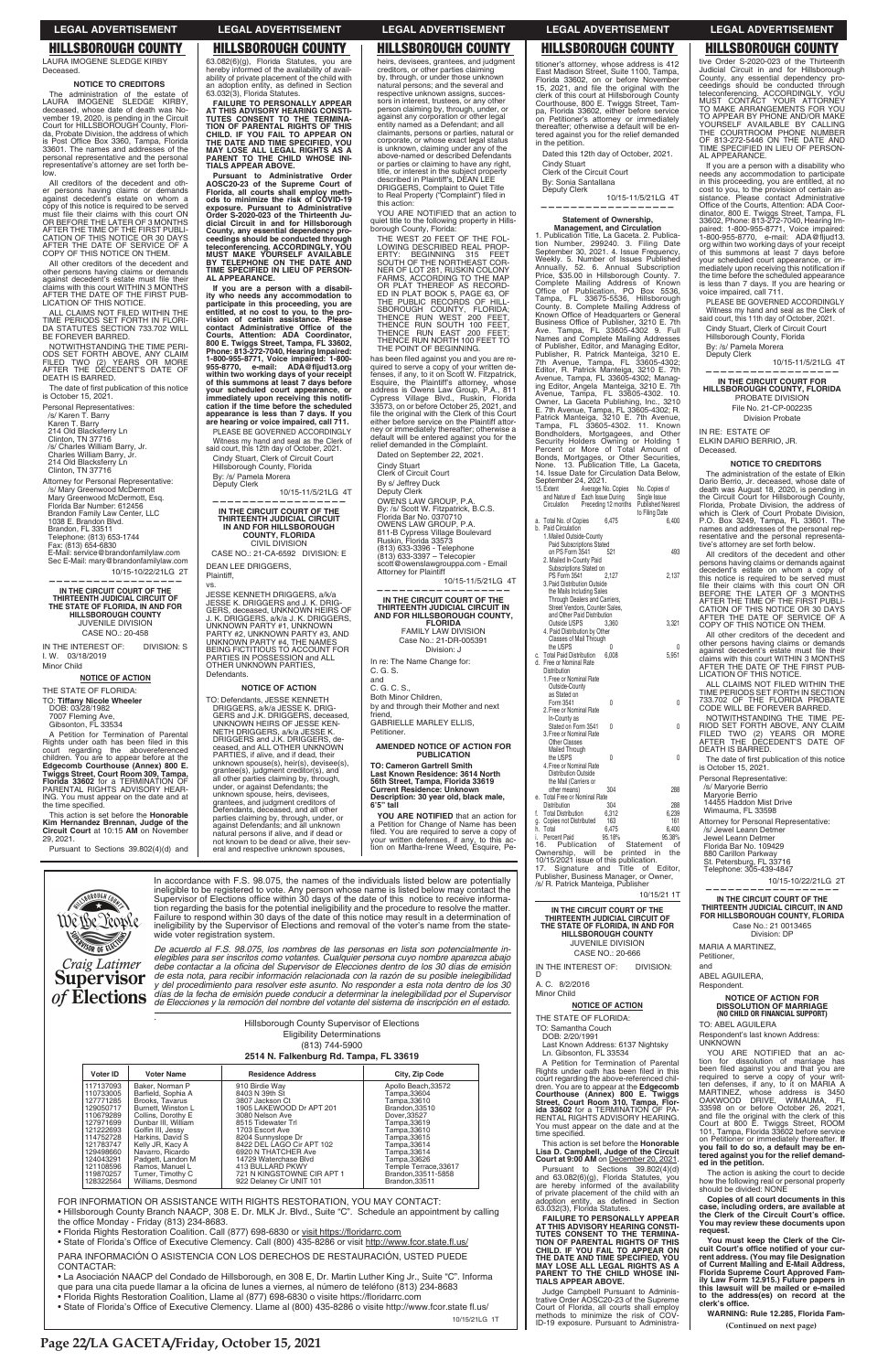YOU ARE NOTIFIED that an action to quiet title to the following property in Hills-borough County, Florida:

THE WEST 20 FEET OF THE FOLLOWING DESCRIBED REAL PROP-<br>ERTY: BEGINNING 315 FEET<br>SOUTH OF THE NORTHEAST CORNER OF LOT 281, RUSKIN COLONY<br>FARIMS, ACCORDING TO THE MAP<br>CAR PLAT THEREOF AS RECORD-<br>ED IN PLAT BOOK 5, PAGE 63, O

THE PUBLIC RECORDS OF HILL-<br>SBOROUGH COUNTY, FLORIDA;<br>THENCE RUN WEST 200 FEET,<br>THENCE RUN SOUTH 100 FEET,<br>THENCE RUN NORTH 100 FEET TO<br>THENCE RUN NORTH 100 FEET TO

quired to serve a copy of your written de-<br>fenses, if any, to it on Scott W. Fitzpatrick,<br>Esquire, the Plaintiff's attorney, whose<br>address is Owens Law Group, P.A., 811<br>Cypress Village Blvd., Ruskin, Florida<br>33573, on or b

THE POINT OF BEGINNING. has been filed against you and you are re-

this action:

file the original with the Clerk of this Court either before service on the Plaintiff attorney or immediately thereafter; otherwise a default will be entered against you for the relief demanded in the Complaint. Dated on September 22, 2021. Cindy Stuart Clerk of Circuit Court By s/ Jeffrey Duck Deputy Clerk

**TO: Cameron Gartrell Smith Last Known Residence: 3614 North 56th Street, Tampa, Florida 33619 Current Residence: Unknown Description: 30 year old, black male, 6'5" tall YOU ARE NOTIFIED** that an action for a Petition for Change of Name has been filed. You are required to serve a copy of<br>your written defenses, if any, to this ac-<br>tion on Martha-Irene Weed, Esquire, Pe-

All creditors of the decedent and other persons having claims or demands against decedent's estate on whom a copy of this notice is required to be served<br>must file their claims with this court ON<br>OR BEFORE THE LATER OF 3 MONTHS<br>AFTER THE TIME OF THE FIRST PUBLI-<br>CATION OF THIS NOTICE OR 30 DAYS<br>AFTER THE DATE OF SERVICE OF A<br>COPY

OWENS LAW GROUP, P.A. By: /s/ Scott W. Fitzpatrick, B.C.S. Florida Bar No. 0370710 OWENS LAW GROUP, P.A.

All other creditors of the decedent and<br>
other persons having claims or demands<br>
against decedent's estate must file their<br>
claims with this court WITHIN 3 MONTHS<br>
AFTER THE DATE OF THE FIRST PUB-LICATION OF THIS NOTICE.

ALL CLAIMS NOT FILED WITHIN THE TIME PERIODS SET FORTH IN FLORI-DA STATUTES SECTION 733.702 WILL BE FOREVER BARRED.

> 811-B Cypress Village Boulevard Ruskin, Florida 33573 (813) 633-3396 - Telephone (813) 633-3397 – Telecopier scott@owenslawgrouppa.com - Email

Attorney for Plaintiff

10/15-11/5/21LG 4T

The date of first publication of this notice is October 15, 2021.

> **—————————————————— IN THE CIRCUIT COURT OF THE THIRTEENTH JUDICIAL CIRCUIT IN AND FOR HILLSBOROUGH COUNTY, FLORIDA** FAMILY LAW DIVISION Case No.: 21-DR-005391 Division: J

GABRIELLE MARLEY ELLIS,

Petitioner.

**AMENDED NOTICE OF ACTION FOR PUBLICATION**

### Voter ID *.*  Hillsborough County Supervisor of Elections Eligibility Determinations (813) 744-5900 **2514 N. Falkenburg Rd. Tampa, FL 33619** Voter Name **Residence Address** City, Zip Code 17137093 Baker, Norman P 910 Birdie Way<br>8403 N 39th St Apollo Beach, 33572 110733005<br>127771285 Barfield, Sophia A<br>Brooks, Tavarus Tampa,33604<br>Tampa,33610 3807 Jackson Ct 3807 Jackson Ct<br>1905 LAKEWOOD Dr APT 201 129050717 Burnett, Winston L Brandon 33510 110679289<br>127971699 Collins, Dorothy E<br>Dunbar III, William 3080 Nelson Ave<br>8515 Tidewater Trl Dover,33527<br>Tampa,33619 21222693 Golfin III, Jessy 1703 Escort Ave 1703 Escort Ave<br>8204 Sunnyslope Dr<br>8422 DEL LAGO Cir APT 102<br>6920 N THATCHER Ave Tampa,33610 114752728<br>121783747 Harkins, David S<br>Kelly JR, Kacy A Tampa,33615<br>Tampa,33614 129498660 Navarro, Ricardo Tampa.33614 124043291 Padgett, Landon M<br>Ramos, Manuel L<br>Turner, Timothy C 14729 Waterchase Blvd 14729 Waterchase Blvd<br>413 BULLARD PKWY<br>721 N KINGSTOWNE CIR APT 1<br>922 Delaney Cir UNIT 101  $I$ ampa, $33626$ 121108596<br>119870257<br>128322564 Temple Terrace,33617<br>Brandon,33511-5858 Williams, Desmond Brandon, 33511

A Petition for Termination of Parental Rights under oath has been filed in this<br>court regarding the abovereferenced<br>children. You are to appear before at the **Edgecomb Courthouse (Annex) 800 E. Twiggs Street, Court Room 309, Tampa, Florida 33602** for a TERMINATION OF PARENTAL RIGHTS ADVISORY HEAR-ING. You must appear on the date and at the time specified.

**(Continued on next page)**

LAURA IMOGENE SLEDGE KIRBY Deceased.

# **NOTICE TO CREDITORS**

The administration of the estate of LAURA IMOGENE SLEDGE KIRBY, deceased, whose date of death was No-vember 19, 2020, is pending in the Circuit Court for HILLSBOROUGH County, Florida, Probate Division, the address of which<br>is Post Office Box 3360, Tampa, Florida 33601. The names and addresses of the personal representative and the personal representative's attorney are set forth below.

Pursuant to Administrative Order<br>AOSC20-23 of the Supreme Court of<br>Florida, all courts shall employ meth-<br>ods to minimize the risk of COVID-19<br>exposure. Pursuant to Administrative<br>Order S-2020-023 of the Thirteenth Ju**dicial Circuit in and for Hillsborough County, any essential dependency proceedings should be conducted through teleconferencing. ACCORDINGLY, YOU MUST MAKE YOURSELF AVAILABLE BY TELEPHONE ON THE DATE AND TIME SPECIFIED IN LIEU OF PERSON-AL APPEARANCE.**

NOTWITHSTANDING THE TIME PERI-ODS SET FORTH ABOVE, ANY CLAIM FILED TWO (2) YEARS OR MORE AFTER THE DECEDENT'S DATE OF DEATH IS BARRED.

Personal Representatives: /s/ Karen T. Barry Karen T. Barry 214 Old Blacksferry Ln Clinton, TN 37716 /s/ Charles William Barry, Jr. Charles William Barry, Jr. 214 Old Blacksferry Ln Clinton, TN 37716

Attorney for Personal Representative: /s/ Mary Greenwood McDermott Mary Greenwood McDermott, Esq. Florida Bar Number: 612456 Brandon Family Law Center, LLC 1038 E. Brandon Blvd. Brandon, FL 33511 Telephone: (813) 653-1744 Fax: (813) 654-6830 E-Mail: service@brandonfamilylaw.com

Sec E-Mail: mary@brandonfamilylaw.com 10/15-10/22/21LG 2T

**——————————————————**

**IN THE CIRCUIT COURT OF THE THIRTEENTH JUDICIAL CIRCUIT OF THE STATE OF FLORIDA, IN AND FOR HILLSBOROUGH COUNTY** JUVENILE DIVISION CASE NO.: 20-458

IN THE INTEREST OF: DIVISION: S I. W. 03/18/2019 Minor Child

**NOTICE OF ACTION** THE STATE OF FLORIDA:

TO: **Tiffany Nicole Wheeler** DOB: 03/28/1982

7007 Fleming Ave, Gibsonton, FL 33534

In re: The Name Change for: C. G. S. and C. G. C. S. Both Minor Children, by and through their Mother and next friend, **NOTICE OF ACTION**

This action is set before the **Honorable Kim Hernandez Brennan, Judge of the Circuit Court** at 10:15 **AM** on November 29, 2021.

Pursuant to Sections 39.802(4)(d) and

63.082(6)(g), Florida Statutes, you are hereby informed of the availability of avail-ability of private placement of the child with an adoption entity, as defined in Section 63.032(3), Florida Statutes.

> If you are a person with a disability who<br>needs any accommodation to participate<br>in this proceeding, you are entitled, at no<br>cost to you, to the provision of certain as-<br>sistance. Please contact Administrative<br>Office of th mediately upon receiving this notification if<br>the time before the scheduled appearance is less than 7 days. If you are hearing or voice impaired, call 711.

**FAILURE TO PERSONALLY APPEAR AT THIS ADVISORY HEARING CONSTI-TUTES CONSENT TO THE TERMINA-TION OF PARENTAL RIGHTS OF THIS CHILD. IF YOU FAIL TO APPEAR ON THE DATE AND TIME SPECIFIED, YOU MAY LOSE ALL LEGAL RIGHTS AS A PARENT TO THE CHILD WHOSE INI-TIALS APPEAR ABOVE.**

**If you are a person with a disability who needs any accommodation to participate in this proceeding, you are entitled, at no cost to you, to the pro**vision of certain assistance. Please<br>contact Administrative Office of the<br>Courts, Attention: ADA Coordinator,<br>800 E. Twiggs Street, Tampa, FL 33602,<br>Phone: 813-272-7040, Hearing Impaired:<br>1-800-955-8771, Voice impaired: 1**your scheduled court appearance, or**  immediately upon receiving this notifi-<br>cation if the time before the scheduled **appearance is less than 7 days. If you are hearing or voice impaired, call 711.**

PLEASE BE GOVERNED ACCORDINGLY Witness my hand and seal as the Clerk of said court, this 12th day of October, 2021. Cindy Stuart, Clerk of Circuit Court

> YOU ARE NOTIFIED that an action for dissolution of marriage has been filed against you and that you are required to serve a copy of your writ-ten defenses, if any, to it on MARIA A MARTINEZ, whose address is 3450 OAKWOOD DRIVE, WIMAUMA, FL 33598 on or before October 26, 2021, and file the original with the clerk of this<br>Court at 800 E. Twiggs Street, ROOM<br>101, Tampa, Florida 33602 before service on Petitioner or immediately thereafter. **If you fail to do so, a default may be entered against you for the relief demanded in the petition.**

Hillsborough County, Florida By: /s/ Pamela Morera Deputy Clerk

# 10/15-11/5/21LG 4T **——————————————————**

**You must keep the Clerk of the Cir**cuit Court's office notified of your cur-<br>rent address. (You may file Designation<br>of Current Mailing and E-Mail Address,<br>Florida Supreme Court Approved Fam-<br>ily Law Form 12.915.) Future papers in **this lawsuit will be mailed or e-mailed to the address(es) on record at the**  clerk's office.

**IN THE CIRCUIT COURT OF THE THIRTEENTH JUDICIAL CIRCUIT IN AND FOR HILLSBOROUGH COUNTY, FLORIDA** CIVIL DIVISION

CASE NO.: 21-CA-6592 DIVISION: E DEAN LEE DRIGGERS, Plaintiff,

vs.

JESSE KENNETH DRIGGERS, a/k/a JESSE K. DRIGGERS and J. K. DRIG-GERS, deceased, UNKNOWN HEIRS OF J. K. DRIGGERS, a/k/a J. K. DRIGGERS, UNKNOWN PARTY #1, UNKNOWN PARTY #2, UNKNOWN PARTY #3, AND UNKNOWN PARTY #4, THE NAMES BEING FICTITIOUS TO ACCOUNT FOR PARTIES IN POSSESSION and ALL OTHER UNKNOWN PARTIES, Defendants.

TO: Defendants, JESSE KENNETH

*De acuerdo al F.S. 98.075, los nombres de las personas en lista son potencialmente inelegibles para ser inscritos como votantes. Cualquier persona cuyo nombre aparezca abajo*  debe contactar a la oficina del Supervisor de Elecciones dentro de los 30 días de emisión de esta nota, para recibir información relacionada con la razón de su posible inelegibilidad y del procedimiento para resolver este asunto. No responder a esta nota dentro de los 30 días de la fecha de emisión puede conducir a determinar la inelegibilidad por el Supervisor de Elecciones y la remoción del nombre del votante del sistema de inscripción en el estado.

DRIGGERS, a/k/a JESSE K. DRIG-GERS and J.K. DRIGGERS, deceased, UNKNOWN HEIRS OF JESSE KEN-NETH DRIGGERS, a/k/a JESSE K. DRIGGERS and J.K. DRIGGERS, de-ceased, and ALL OTHER UNKNOWN PARTIES, if alive, and if dead, their unknown spouse(s), heir(s), devisee(s), grantee(s), judgment creditor(s), and all other parties claiming by, through, under, or against Defendants; the unknown spouse, heirs, devisees, grantees, and judgment creditors of Defendants, deceased, and all other parties claiming by, through, under, or against Defendants; and all unknown natural persons if alive, and if dead or not known to be dead or alive, their sev-

heirs, devisees, grantees, and judgment creditors, or other parties claiming by, through, or under those unknown natural persons; and the several and respective unknown assigns, succes-sors in interest, trustees, or any other person claiming by, through, under, or against any corporation or other legal entity named as a Defendant; and all claimants, persons or parties, natural or corporate, or whose exact legal status is unknown, claiming under any of the above-named or described Defendants or parties or claiming to have any right, title, or interest in the subject property described in Plaintiff's, DEAN LEE DRIGGERS, Complaint to Quiet Title to Real Property ("Complaint") filed in

PARA INFORMACIÓN O ASISTENCIA CON LOS DERECHOS DE RESTAURACIÓN, USTED PUEDE CONTACTAR:

• La Asociación NAACP del Condado de Hillsborough, en 308 E, Dr. Martin Luther King Jr., Suite "C". Informa que para una cita puede llamar a la oficina de lunes a viernes, al número de teléfono (813) 234-8683

- · Florida Rights Restoration Coalition, Llame al (877) 698-6830 o visite https://floridarrc.com
- State of Florida's Office of Executive Clemency. Llame al (800) 435-8286 o visite http://www.fcor.state fl.us/

10/15/21LG 1T

eral and respective unknown spouses,

titioner's attorney, whose address is 412 East Madison Street, Suite 1100, Tampa, Florida 33602, on or before November<br>15, 2021, and file the original with the<br>clerk of this court at Hillsborough Counthouse,<br>Courthouse, 800 E. Twiggs Street, Tam-<br>pa, Florida 33602, either before service on Petitioner's attorney or immediately thereafter; otherwise a default will be entered against you for the relief demanded in the petition.

Dated this 12th day of October, 2021. Cindy Stuart Clerk of the Circuit Court By: Sonia Santallana

Deputy Clerk 10/15-11/5/21LG 4T

**——————————————————**

**IN THE CIRCUIT COURT OF THE THIRTEENTH JUDICIAL CIRCUIT OF THE STATE OF FLORIDA, IN AND FOR HILLSBOROUGH COUNTY** JUVENILE DIVISION CASE NO.: 20-666 IN THE INTEREST OF: DIVISION:

tive Order S-2020-023 of the Thirteenth<br>Judicial Circuit in and for Hillsborough<br>County, any essential dependency pro-<br>ceedings should be conducted through<br>teleconferencing. ACCORDINGLY, YOU<br>MUST CONTACT YOUR ATTORNEY<br>TO M

**Management, and Circulation** 1. Publication Title, La Gaceta. 2. Publication Number, 299240. 3. Filing Date September 30, 2021. 4. Issue Frequency, Weekly. 5. Number of Issues Published Annually, 52. 6. Annual Subscription Price, \$35.00 in Hillsborough County. 7. Complete Mailing Address of Known Office of Publication, PO Box 5536, Tampa, FL 33675-5536, Hillsborough County. 8. Complete Mailing Address of Known Office of Headquarters or General<br>Business Office of Publisher, 3210 E. 7th<br>Ave. Tampa, FL 33605-4302 9. Full<br>Names and Complete Mailing Addresses<br>of Publisher, Editor, and Managing Editor,<br>Publisher, R. Patrick Mant ing Editor, Angela Manteiga, 3210 E. 7th<br>Avenue, Tampa, FL 33605-4302. 10.<br>Owner, La Gaceta Publishing, Inc., 3210<br>E. 7th Avenue, Tampa, FL 33605-4302; R.<br>Patrick Manteiga, 3210 E. 7th Avenue,<br>Tampa, FL 33605-4302. 11. Kno Percent or More of Total Amount of Bonds, Mortgages, or Other Securities, None. 13. Publication Title, La Gaceta, 14. Issue Date for Circulation Data Below, September 24, 2021.<br>15. Extent Average No. Copies No. Copies of and Nature of Each Issue During Single Issue Circulation Preceding 12 months Published Nearest to Filing Date a.<br>b.

D

A. C. 8/2/2016 Minor Child

**NOTICE OF ACTION** THE STATE OF FLORIDA: TO: Samantha Couch DOB: 2/20/1991 Last Known Address: 6137 Nightsky Ln. Gibsonton, FL 33534 A Petition for Termination of Parental Rights under oath has been filed in this court regarding the above-referenced children. You are to appear at the **Edgecomb Courthouse (Annex) 800 E. Twiggs Street, Court Room 310, Tampa, Flor-ida 33602** for a TERMINATION OF PA-RENTAL RIGHTS ADVISORY HEARING. You must appear on the date and at the time specified. This action is set before the **Honorable Lisa D. Campbell, Judge of the Circuit Court at 9:00 AM** on December 20, 2021. Pursuant to Sections 39.802(4)(d) and 63.082(6)(g), Florida Statutes, you are hereby informed of the availability of private placement of the child with an adoption entity, as defined in Section<br>63.032(3), Florida Statutes. **FAILURE TO PERSONALLY APPEAR AT THIS ADVISORY HEARING CONSTI-TUTES CONSENT TO THE TERMINA-TION OF PARENTAL RIGHTS OF THIS CHILD. IF YOU FAIL TO APPEAR ON THE DATE AND TIME SPECIFIED, YOU MAY LOSE ALL LEGAL RIGHTS AS A PARENT TO THE CHILD WHOSE INI-TIALS APPEAR ABOVE.** Judge Campbell Pursuant to Adminis-trative Order AOSC20-23 of the Supreme Court of Florida, all courts shall employ methods to minimize the risk of COV-ID-19 exposure. Pursuant to Administra-

PLEASE BE GOVERNED ACCORDINGLY Witness my hand and seal as the Clerk of said court, this 11th day of October, 2021. Cindy Stuart, Clerk of Circuit Court Hillsborough County, Florida By: /s/ Pamela Morera Deputy Clerk

 10/15-11/5/21LG 4T **——————————————————**

# **IN THE CIRCUIT COURT FOR HILLSBOROUGH COUNTY, FLORIDA**

PROBATE DIVISION File No. 21-CP-002235 Division Probate

IN RE: ESTATE OF ELKIN DARIO BERRIO, JR. Deceased.

# **NOTICE TO CREDITORS**

The administration of the estate of Elkin Dario Berrio, Jr. deceased, whose date of death was August 18, 2020, is pending in the Circuit Court for Hillsborough County, Florida, Probate Division, the address of which is Clerk of Court Probate Division, P.O. Box 3249, Tampa, FL 33601. The names and addresses of the personal representative and the personal representa-tive's attorney are set forth below.

All creditors of the decedent and other persons having claims or demands against decedent's estate on whom a copy of<br>this notice is required to be served must<br>file their claims with this court ON OR<br>BEFORE THE LATER OF 3 MONTHS<br>AFTER THE TIME OF THE FIRST PUBLI-<br>CATION OF THIS NOTICE OR 30 DAYS AFTER THE DATE OF SERVICE OF A COPY OF THIS NOTICE ON THEM.

All other creditors of the decedent and other persons having claims or demands against decedent's estate must file their<br>claims with this court WITHIN 3 MONTHS<br>AFTER THE DATE OF THE FIRST PUB-LICATION OF THIS NOTICE.

ALL CLAIMS NOT FILED WITHIN THE TIME PERIODS SET FORTH IN SECTION 733.702 OF THE FLORIDA PROBATE CODE WILL BE FOREVER BARRED.

NOTWITHSTANDING THE TIME PE-RIOD SET FORTH ABOVE, ANY CLAIM FILED TWO (2) YEARS OR MORE AFTER THE DECEDENT'S DATE OF DEATH IS BARRED.

The date of first publication of this notice<br>is October 15, 2021.

Personal Representative:

/s/ Maryorie Berrio Maryorie Berrio 14455 Haddon Mist Drive

Wimauma, FL 33598

Attorney for Personal Representative:

/s/ Jewel Leann Detmer Jewel Leann Detmer

Florida Bar No. 109429 880 Carillon Parkway St. Petersburg, FL 33716

Telephone: 305-439-4847

10/15-10/22/21LG 2T

**—————————————————— IN THE CIRCUIT COURT OF THE THIRTEENTH JUDICIAL CIRCUIT, IN AND FOR HILLSBOROUGH COUNTY, FLORIDA** Case No.: 21 0013465 Division: DP

MARIA A MARTINEZ, Petitioner,

and ABEL AGUILERA,

Respondent.

**NOTICE OF ACTION FOR DISSOLUTION OF MARRIAGE**

# **(NO CHILD OR FINANCIAL SUPPORT)**

TO: ABEL AGUILERA

Respondent's last known Address: UNKNOWN

The action is asking the court to decide how the following real or personal property should be divided: NONE

**Copies of all court documents in this**   $\overline{\phantom{a}}$  case, including orders, are available at the Clerk of the Circuit Court's office. **You may review these documents upon request.**

**WARNING: Rule 12.285, Florida Fam-**

# **HILLSBOROUGH COUNTY HILLSBOROUGH COUNTY HILLSBOROUGH COUNTY HILLSBOROUGH COUNTY HILLSBOROUGH COUNTY**

**Page 22/LA GACETA/Friday, October 15, 2021**



 $\overline{a}$ 

In accordance with F.S. 98.075, the names of the individuals listed below are potentially ineligible to be registered to vote. Any person whose name is listed below may contact the Supervisor of Elections office within 30 days of the date of this notice to receive information regarding the basis for the potential ineligibility and the procedure to resolve the matter. Failure to respond within 30 days of the date of this notice may result in a determination of ineligibility by the Supervisor of Elections and removal of the voter's name from the statewide voter registration system.

FOR INFORMATION OR ASSISTANCE WITH RIGHTS RESTORATION, YOU MAY CONTACT:

• Hillsborough County Branch NAACP, 308 E. Dr. MLK Jr. Blvd., Suite "C". Schedule an appointment by calling the office Monday - Friday (813) 234-8683.

- the office Monday Friday (813) 234-8683.<br>• Florida Rights Restoration Coalition. Call (877) 698-6830 or <u>visit https://floridarrc.com</u>
- State of Florida's Office of Executive Clemency. Call (800) 435-8286 or visit http://www.fcor.state.fl.us/

# **Statement of Ownership,**

|                             | and Nature of Each Issue During<br>Circulation Preceding 12 months                                                     |                                              |                     | Single Issue<br><b>Published Nearest</b><br>to Filing Date     |   |
|-----------------------------|------------------------------------------------------------------------------------------------------------------------|----------------------------------------------|---------------------|----------------------------------------------------------------|---|
| a.<br>b.                    | Total No. of Copies<br><b>Paid Circulation</b><br>1. Mailed Outside-County                                             | 6.475                                        |                     | 6,400                                                          |   |
|                             | Paid Subscriptions Stated<br>on PS Form 3541<br>2. Mailed In-County Paid<br>Subscriptions Stated on                    | 521                                          |                     | 493                                                            |   |
|                             | <b>PS Form 3541</b><br>3. Paid Distribution Outside<br>the Mails Including Sales<br>Through Dealers and Carriers,      | 2,127                                        |                     | 2,137                                                          |   |
|                             | Street Vendors, Counter Sales,<br>and Other Paid Distribution<br>Outside USPS                                          | 3,360                                        |                     | 3,321                                                          |   |
|                             | 4. Paid Distribution by Other<br>Classes of Mail Through<br>the USPS                                                   | 0                                            |                     |                                                                | Λ |
| C.<br>d.                    | <b>Total Paid Distribution</b><br>Free or Nominal Rate<br><b>Distribution</b>                                          | 6,008                                        |                     | 5,951                                                          |   |
|                             | 1. Free or Nominal Rate<br>Outside-County<br>as Stated on                                                              |                                              |                     |                                                                |   |
|                             | Form 3541<br>2. Free or Nominal Rate<br>In-County as                                                                   | 0                                            |                     |                                                                | 0 |
|                             | Stated on Form 3541<br>3. Free or Nominal Rate<br><b>Other Classes</b><br>Mailed Through                               | 0                                            |                     |                                                                | 0 |
|                             | the USPS<br>4. Free or Nominal Rate<br><b>Distribution Outside</b><br>the Mail (Carriers or                            | 0                                            |                     |                                                                | 0 |
| e.                          | other means)<br><b>Total Free or Nominal Rate</b>                                                                      | 304                                          |                     | 288                                                            |   |
| f.<br>g.<br>h.<br>i.<br>16. | <b>Distribution</b><br><b>Total Distribution</b><br>Copies not Distributed<br>Total<br>Percent Paid<br>Publication     | 304<br>6,312<br>163<br>6,475<br>95.18%<br>of |                     | 288<br>6,239<br>161<br>6,400<br>95.38%<br>Statement<br>of      |   |
|                             | Ownership, will<br>10/15/2021 issue of this publication.<br>17.<br>Signature and<br>/s/ R. Patrick Manteiga, Publisher | be                                           | printed<br>Title of | in<br>the<br>Editor,<br>Publisher, Business Manager, or Owner, |   |
|                             |                                                                                                                        |                                              |                     | 10/15/21 1T                                                    |   |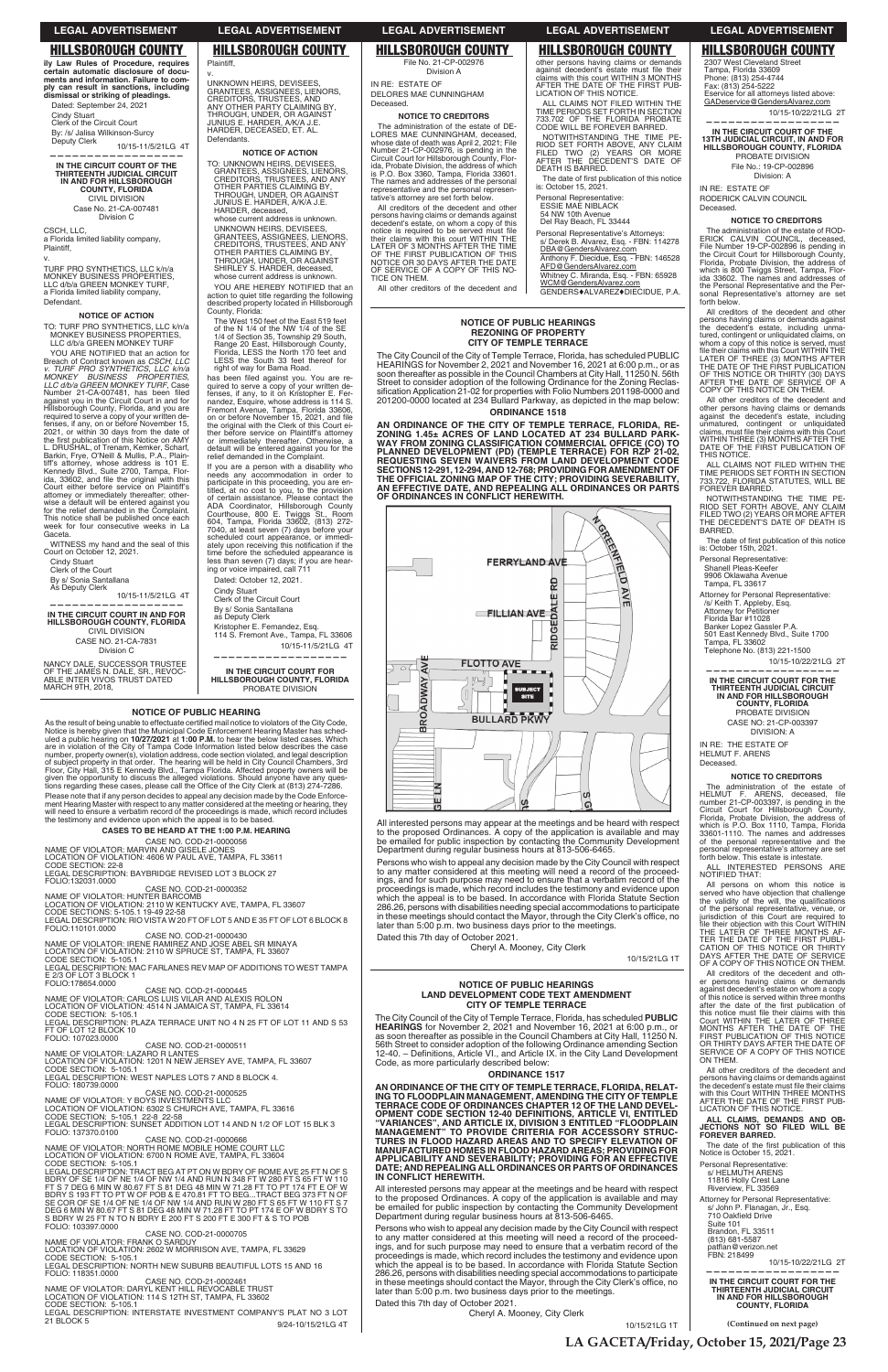**NOTICE OF PUBLIC HEARINGS REZONING OF PROPERTY CITY OF TEMPLE TERRACE** The City Council of the City of Temple Terrace, Florida, has scheduled PUBLIC

HEARINGS for November 2, 2021 and November 16, 2021 at 6:00 p.m., or as soon thereafter as possible in the Council Chambers at City Hall, 11250 N. 56th Street to consider adoption of the following Ordinance for the Zoning Reclassification Application 21-02 for properties with Folio Numbers 201198-0000 and<br>201200-0000 located at 234 Bullard Parkway, as depicted in the map below: **ORDINANCE 1518 AN ORDINANCE OF THE CITY OF TEMPLE TERRACE, FLORIDA, RE-ZONING 1.45± ACRES OF LAND LOCATED AT 234 BULLARD PARK-**

Persons who wish to appeal any decision made by the City Council with respect to any matter considered at this meeting will need a record of the proceedings, and for such purpose may need to ensure that a verbatim record of the proceedings is made, which record includes the testimony and evidence upon which the appeal is to be based. In accordance with Florida Statute Section 286.26, persons with disabilities needing special accommodations to participate in these meetings should contact the Mayor, through the City Clerk's office, no<br>later than 5:00 p.m. two business days prior to the meetings.

**WAY FROM ZONING CLASSIFICATION COMMERCIAL OFFICE (CO) TO PLANNED DEVELOPMENT (PD) (TEMPLE TERRACE) FOR RZP 21-02, REQUESTING SEVEN WAIVERS FROM LAND DEVELOPMENT CODE SECTIONS 12-291, 12-294, AND 12-768; PROVIDING FOR AMENDMENT OF THE OFFICIAL ZONING MAP OF THE CITY; PROVIDING SEVERABILITY, AN EFFECTIVE DATE, AND REPEALING ALL ORDINANCES OR PARTS OF ORDINANCES IN CONFLICT HEREWITH.**

**FERRYLAND AVE** 

RD

뱹

# FILLIAN AVE AT



Department during regular business hours at 813-506-6465.

to the proposed Ordinances. A copy of the application is available and may be emailed for public inspection by contacting the Community Development

Dated this 7th day of October 2021. Cheryl A. Mooney, City Clerk

other persons having claims or demands<br>against decedent's estate must file their<br>claims with this court WITHIN 3 MONTHS<br>AFTER THE DATE OF THE FIRST PUB-

10/15/21LG 1T

FOLIO: 107023.0000<br>CASE NO. COD-21-0000511<br>NAME OF VIOLATOR: LAZARO R LANTES LOCATION OF VIOLATION: 1201 N NEW JERSEY AVE, TAMPA, FL 33607<br>CODE SECTION: 5-105.1<br>LEGAL DESCRIPTION: WEST NAPLES LOTS 7 AND 8 BLOCK 4.

FOLIO: 180739.0000

CASE NO. COD-21-0000525<br>NAME OF VIOLATOR: Y BOYS INVESTMENTS LLC LOCATION OF VIOLATION: 6302 S CHURCH AVE, TAMPA, FL 33616<br>CODE SECTION: 5-105.1 22-8 22-58<br>LEGAL DESCRIPTION: SUNSET ADDITION LOT 14 AND N 1/2 OF LOT 15 BLK 3

FOLIO: 137370.0100<br>
NAME OF VIOLATOR: NORTH ROME MOBILE HOME COURT LLC<br>
LOCATION OF VIOLATION: 6700 N ROME AVE, TAMPA, FL 33604<br>
CODE SECTION: 5-105.1<br>
LEGAL DESCRIPTION: TRACT BEG AT PT ON W BDRY OF ROME AVE 25 FT N OF S<br>

CASE NO. COD-21-0000705<br>NAME OF VIOLATOR: FRANK O SARDUY

LOCATION OF VIOLATION: 2602 W MORRISON AVE, TAMPA, FL 33629<br>CODE SECTION: 5-105.1<br>LEGAL DESCRIPTION: NORTH NEW SUBURB BEAUTIFUL LOTS 15 AND 16 FOLIO: 118351.0000

CASE NO. COD-21-0002461<br>NAME OF VIOLATOR: DARYL KENT HILL REVOCABLE TRUST LOCATION OF VIOLATION: 114 S 12TH ST, TAMPA, FL 33602<br>CODE SECTION: 5-105.1<br>LEGAL DESCRIPTION: INTERSTATE INVESTMENT COMPANY'S PLAT NO 3 LOT 21 BLOCK

9/24-10/15/21LG 4T

**NOTICE OF PUBLIC HEARING**

As the result of being unable to effectuate certified mail notice to violators of the City Code,<br>Notice is hereby given that the Municipal Code Enforcement Hearing Master has sched-<br>uled a public hearing on **10/27/2021** at number, property owner(s), violation address, code section violated, and legal description<br>of subject property in that order. The hearing will be held in City Council Chambers, 3rd<br>Floor, City Hall, 315 E Kennedy Blvd., Ta

Please note that if any person decides to appeal any decision made by the Code Enforce-<br>ment Hearing Master with respect to any matter considered at the meeting or hearing, they<br>will need to ensure a verbatim record of the

ANY OTHER PARTY CLAIMING BY,<br>THROUGH, UNDER, OR AGAINST<br>JUNIUS E. HARDER, A/K/A J.E. HARDER, DECEASED, ET. AL.

OTHER PARTIES CLAIMING BY, THROUGH, UNDER, OR AGAINST JUNIUS E. HARDER, A/K/A J.E. HARDER, deceased,<br>whose current address is unknown.

UNKNOWN HEIRS, DEVISEES,<br>GRANTEES, ASSIGNEES, LIENORS,<br>CRANTEES, TRUSTEES, AND ANY<br>OTHER PARTIES CLAIMING BY,<br>OTHER PARTIES CLAIMING BY,<br>THROUGH, UNDER, OR AGAINST

The West 150 feet of the East 519 feet<br>of the N 1/4 of the NW 1/4 of the SE<br>1/4 of Section 35, Township 29 South,<br>Range 20 East, Hillsborough County,<br>Florida, LESS the North 170 feet and<br>LESS the South 33 feet thereof for

quired to serve a copy of your written de-<br>fenses, if any, to it on Kristopher E. Fer-<br>nandez, Esquire, whose address is 114 S.<br>Fremont Avenue, Tampa, Florida 33606,<br>on or before November 15, 2021, and file<br>the original wi

# **CASES TO BE HEARD AT THE 1:00 P.M. HEARING**

CASE NO. COD-21-0000056<br>LOCATION OF VIOLATION: 4606 W PAUL AVE, TAMPA, FL 33611<br>CODE SECTION: 22-8<br>CODE SECTION: 22-8 LEGAL DESCRIPTION: BAYBRIDGE REVISED LOT 3 BLOCK 27

FOLIO:132031.0000 CASE NO. COD-21-0000352

NAME OF VIOLATOR: HUNTER BARCOMB<br>LOCATION OF VIOLATION: 2110 W KENTUCKY AVE, TAMPA, FL 33607<br>CODE SECTIONS: 5-105.1 19-49 22-58 LEGAL DESCRIPTION: RIO VISTA W 20 FT OF LOT 5 AND E 35 FT OF LOT 6 BLOCK 8 FOLIO:110101.0000

CASE NO. COD-21-0000430<br>LOCATION OF VIOLATION: 2110 W SPRUCE ST, TAMPA, FL 33607<br>CODE SECTION: 5-105.1<br>LEGAL DESCRIPTION: MAC FARLANES REV MAP OF ADDITIONS TO WEST TAMPA<br>LEGAL DESCRIPTION: MAC FARLANES REV MAP OF ADDITIONS

E 2/3 OF LOT 3 BLC<br>FOLIO:178654.0000 2/3 OF LOT 3 BLOCK 1

CASE NO. COD-21-0000445 NAME OF VIOLATOR: CARLOS LUIS VILAR AND ALEXIS ROLON<br>LOCATION OF VIOLATION: 4514 N JAMAICA ST, TAMPA, FL 33614 CODE SECTION: 5-105.1<br>LEGAL DESCRIPTION: PLAZA TERRACE UNIT NO 4 N 25 FT OF LOT 11 AND S 53<br>FT OF LOT 12 BLOCK 10

SHIRLEY S. HARDER, deceased, whose current address is unknown. YOU ARE HEREBY NOTIFIED that an action to quiet title regarding the following described property located in Hillsborough County, Florida:<br>The West 150 feet of the East 519 feet

right of way for Bama Road. has been filed against you. You are re-

Dated: September 24, 2021 Cindy Stuart Clerk of the Circuit Court By: /s/ Jalisa Wilkinson-Surcy<br>Deputy Clerk<br>10/15 11/5

TO: TURF PRO SYNTHETICS, LLC k/n/a MONKEY BUSINESS PROPERTIES LLC d/b/a GREEN MONKEY TURF

YOU ARE NOTIFIED that an action for Breach of Contract known as *CSCH, LLC v. TURF PRO SYNTHETICS, LLC k/n/a MONKEY BUSINESS PROPERTIES, LLC d/b/a GREEN MONKEY TURF*, Case Number 21-CA-007481, has been filed<br>against you in the Circuit Court in and for<br>Hillsborough County, Florida, and you are<br>required to serve a copy of your written de-<br>fenses, if any, on or before November 15,<br>2021, or with the first publication of this Notice on AMY<br>L. DRUSHAL, of Trenam, Kemker, Scharf,<br>Barkin, Frye, O'Neill & Mullis, P.A., Plain-<br>Birkin, Frye, O'Neill & Mullis, P.A., Plain-<br>tiff's attorney, whose address is 101 E.<br>Kennedy wise a default will be entered against you for the relief demanded in the Complaint. This notice shall be published once each week for four consecutive weeks in La Gaceta.

The administration of the estate of DE-<br>LORES MAE CUNNINGHAM, deceased,<br>whose date of death was April 2, 2021; File<br>Number 21-CP-002976, is pending in the<br>Circuit Court for Hillsborough County, Flor-<br>ida, Probate Division, representative and the personal represen-tative's attorney are set forth below.

6 **(Continued on next page)**

Plaintiff, v.

> The date of first publication of this notice is: October 15, 2021.

UNKNOWN HEIRS, DEVISEES, GRANTEES, ASSIGNEES, LIENORS, CREDITORS, TRUSTEES, AND

Personal Representative's Attorneys: s/ Derek B. Alvarez, Esq. - FBN: 114278 DBA@GendersAlvarez.com Anthony F. Diecidue, Esq. - FBN: 146528 AFD@GendersAlvarez.com Whitney C. Miranda, Esq. - FBN: 65928 WCM@GendersAlvarez.com GENDERS $*$ ALVAREZ $*$ DIECIDUE, P.A.

AGREEMED A

**AVE** 

Defendants.

**NOTICE OF ACTION** TO: UNKNOWN HEIRS, DEVISEES, GRANTEES, ASSIGNEES, LIENORS, CREDITORS, TRUSTEES, AND ANY

> NOTWITHSTANDING THE TIME PE-RIOD SET FORTH ABOVE, ANY CLAIM FILED TWO (2) YEARS OR MORE AFTER THE DECEDENT'S DATE OF DEATH IS **BARRED**

The date of first publication of this notice<br>is: October 15th, 2021.

PROBATE DIVISION CASE NO: 21-CP-003397 DIVISION: A

ther before service on Plaintiff's attorney or immediately thereafter. Otherwise, a default will be entered against you for the relief demanded in the Complaint. If you are a person with a disability who

needs any accommodation in order to<br>participate in this proceeding, you are en-<br>titled, at no cost to you, to the provision<br>of certain assistance. Please contact the<br>ADA Coordinator, Hillsborough County<br>Court Tampa, Florid

The administration of the estate of<br>HELMUT F. ARENS, deceased, file<br>number 21-CP-003397, is pending in the<br>Circuit Court for Hillsborough County,<br>Florida, Probate Division, the address of which is P.O. Box 1110, Tampa, Florida 33601-1110. The names and addresses of the personal representative and the personal representative's attorney are set forth below. This estate is intestate.

time before the scheduled appearance is less than seven (7) days; if you are hear-ing or voice impaired, call 711

Dated: October 12, 2021. Cindy Stuart Clerk of the Circuit Court By s/ Sonia Santallana as Deputy Clerk

Kristopher E. Fernandez, Esq. 114 S. Fremont Ave., Tampa, FL 33606

10/15-11/5/21LG 4T

Attorney for Personal Representative: s/ John P. Flanagan, Jr., Esq. 710 Oakfield Drive Suite 101 Brandon, FL 33511 (813) 681-5587<br>patflan@verizon.net<br>FBN: 218499

**—————————————————— IN THE CIRCUIT COURT FOR HILLSBOROUGH COUNTY, FLORIDA** PROBATE DIVISION

**ily Law Rules of Procedure, requires certain automatic disclosure of documents and information. Failure to com-ply can result in sanctions, including dismissal or striking of pleadings.**

Deputy Clerk 10/15-11/5/21LG 4T **——————————————————**

**IN THE CIRCUIT COURT OF THE THIRTEENTH JUDICIAL CIRCUIT IN AND FOR HILLSBOROUGH COUNTY, FLORIDA** CIVIL DIVISION Case No. 21-CA-007481 Division C

CSCH, LLC, a Florida limited liability company, Plaintiff, v.

TURF PRO SYNTHETICS, LLC k/n/a MONKEY BUSINESS PROPERTIES, LLC d/b/a GREEN MONKEY TURF, a Florida limited liability company, Defendant.

## **NOTICE OF ACTION**

All interested persons may appear at the meetings and be heard with respect<br>to the proposed Ordinances. A copy of the application is available and may<br>be emailed for public inspection by contacting the Community Developmen Department during regular business hours at 813-506-6465.

WITNESS my hand and the seal of this Court on October 12, 2021.

Cindy Stuart Clerk of the Court

By s/ Sonia Santallana

As Deputy Clerk

10/15-11/5/21LG 4T

**—————————————————— IN THE CIRCUIT COURT IN AND FOR HILLSBOROUGH COUNTY, FLORIDA** CIVIL DIVISION CASE NO. 21-CA-7831 Division C NANCY DALE, SUCCESSOR TRUSTEE

OF THE JAMES N. DALE, SR., REVOC-ABLE INTER VIVOS TRUST DATED MARCH 9TH, 2018,

File No. 21-CP-002976 Division A

IN RE: ESTATE OF DELORES MAE CUNNINGHAM Deceased.

# **NOTICE TO CREDITORS**

All creditors of the decedent and other

persons having claims or demands against decedent's estate, on whom a copy of this<br>notice is required to be served must file<br>their claims with this court WITHIN THE<br>LATER OF 3 MONTHS AFTER THE TIME<br>OF THE FIRST PUBLICATION OF THIS<br>NOTICE OR 30 DAYS AFTER THE DATE TICE ON THEM.

All other creditors of the decedent and

LICATION OF THIS NOTICE.

ALL CLAIMS NOT FILED WITHIN THE TIME PERIODS SET FORTH IN SECTION 733.702 OF THE FLORIDA PROBATE CODE WILL BE FOREVER BARRED.

NOTWITHSTANDING THE TIME PE-RIOD SET FORTH ABOVE, ANY CLAIM FILED TWO (2) YEARS OR MORE AFTER THE DECEDENT'S DATE OF DEATH IS BARRED.

Personal Representative: ESSIE MAE NIBLACK

54 NW 10th Avenue Del Ray Beach, FL 33444

2307 West Cleveland Street Tampa, Florida 33609 Phone: (813) 254-4744 Fax: (813) 254-5222 Eservice for all attorneys listed above: GADeservice@GendersAlvarez,com

10/15-10/22/21LG 2T

**—————————————————— IN THE CIRCUIT COURT OF THE 13TH JUDICIAL CIRCUIT, IN AND FOR HILLSBOROUGH COUNTY, FLORIDA** PROBATE DIVISION File No.: 19-CP-002896

Division: A

IN RE: ESTATE OF RODERICK CALVIN COUNCIL Deceased.

**NOTICE TO CREDITORS**

The administration of the estate of ROD-ERICK CALVIN COUNCIL, deceased, File Number 19-CP-002896 is pending in the Circuit Court for Hillsborough County,<br>
Florida, Probate Division, the address of<br>
which is 800 Twiggs Street, Tampa, Flor-<br>
ida 33602. The names and addresses of<br>
the Personal Representative and the Personal Representative's attorney are set forth below.

All creditors of the decedent and other persons having claims or demands against the decedent's estate, including unma-<br>tured, contingent or unliquidated claims, on<br>whom a copy of this notice is served, must<br>file their claims with this Court WITHIN THE<br>LATER OF THREE (3) MONTHS AFTER<br>OF THIS NOTICE OR COPY OF THIS NOTICE ON THEM.

All other creditors of the decedent and other persons having claims or demands<br>against the decedent's estate, including<br>unmatured, contingent or unliquidated<br>claims, must file their claims with this Court<br>WITHIN THREE (3) MONTHS AFTER THE<br>DATE OF THE FIRST PUBLI THIS NOTICE.

ALL CLAIMS NOT FILED WITHIN THE TIME PERIODS SET FORTH IN SECTION 733.722, FLORIDA STATUTES, WILL BE FOREVER BARRED.

Personal Representative:

Shanell Pleas-Keefer 9906 Oklawaha Avenue

Tampa, FL 33617

Attorney for Personal Representative:

/s/ Keith T. Appleby, Esq. Attorney for Petitioner Florida Bar #11028

Banker Lopez Gassler P.A. 501 East Kennedy Blvd., Suite 1700 Tampa, FL 33602

Telephone No. (813) 221-1500

 10/15-10/22/21LG 2T **——————————————————**

**IN THE CIRCUIT COURT FOR THE THIRTEENTH JUDICIAL CIRCUIT IN AND FOR HILLSBOROUGH COUNTY, FLORIDA**

IN RE: THE ESTATE OF HELMUT F. ARENS Deceased.

# **NOTICE TO CREDITORS**

ALL INTERESTED PERSONS ARE NOTIFIED THAT:

All persons on whom this notice is served who have objection that challenge<br>the validity of the will, the qualifications<br>of the personal representative, venue, or jurisdiction of this Court are required to<br>file their objection with this Court WITHIN<br>THE LATER OF THREE MONTHS AF-TER THE DATE OF THE FIRST PUBLI-CATION OF THlS NOTICE OR THIRTY DAYS AFTER THE DATE OF SERVICE OF A COPY OF THIS NOTICE ON THEM.

All creditors of the decedent and other persons having claims or demands against decedent's estate on whom a copy of this notice is served within three months<br>after the date of the first publication of<br>this notice must file their claims with this Court WITHIN THE LATER OF THREE MONTHS AFTER THE DATE OF THE FIRST PUBLICATION OF THIS NOTICE OR THIRTY DAYS AFTER THE DATE OF SERVICE OF A COPY OF THIS NOTICE ON THEM. All other creditors of the decedent and persons having claims or demands against<br>the decedent's estate must file their claims<br>with this Court WITHIN THREE MONTHS AFTER THE DATE OF THE FIRST PUB-LICATION OF THIS NOTICE.

**ALL CLAIMS, DEMANDS AND OB-JECTIONS NOT SO FILED WILL BE FOREVER BARRED.**

The date of the first publication of this<br>Notice is October 15, 2021.

Personal Representative: s/ HELMUTH ARENS 11816 Holly Crest Lane Riverview, FL 33569

 10/15-10/22/21LG 2T **——————————————————**

**IN THE CIRCUIT COURT FOR THE THIRTEENTH JUDICIAL CIRCUIT IN AND FOR HILLSBOROUGH COUNTY, FLORIDA**

# **LEGAL ADVERTISEMENT LEGAL ADVERTISEMENT LEGAL ADVERTISEMENT LEGAL ADVERTISEMENT LEGAL ADVERTISEMENT**

**LA GACETA/Friday, October 15, 2021/Page 23**

10/15/21LG 1T

# **HILLSBOROUGH COUNTY HILLSBOROUGH COUNTY HILLSBOROUGH COUNTY HILLSBOROUGH COUNTY HILLSBOROUGH COUNTY**

**NOTICE OF PUBLIC HEARINGS**

**LAND DEVELOPMENT CODE TEXT AMENDMENT CITY OF TEMPLE TERRACE**

The City Council of the City of Temple Terrace, Florida, has scheduled **PUBLIC HEARINGS** for November 2, 2021 and November 16, 2021 at 6:00 p.m., or as soon thereafter as possible in the Council Chambers at City Hall, 11250 N. 56th Street to consider adoption of the following Ordinance amending Section<br>12-40. – Definitions, Article VI., and Article IX. in the City Land Development Code, as more particularly described below:

# **ORDINANCE 1517**

**AN ORDINANCE OF THE CITY OF TEMPLE TERRACE, FLORIDA, RELAT- ING TO FLOODPLAIN MANAGEMENT, AMENDING THE CITY OF TEMPLE TERRACE CODE OF ORDINANCES CHAPTER 12 OF THE LAND DEVEL-OPMENT CODE SECTION 12-40 DEFINITIONS, ARTICLE VI, ENTITLED "VARIANCES", AND ARTICLE IX, DIVISION 3 ENTITLED "FLOODPLAIN MANAGEMENT" TO PROVIDE CRITERIA FOR ACCESSORY STRUC-TURES IN FLOOD HAZARD AREAS AND TO SPECIFY ELEVATION OF MANUFACTURED HOMES IN FLOOD HAZARD AREAS; PROVIDING FOR APPLICABILITY AND SEVERABILITY; PROVIDING FOR AN EFFECTIVE DATE; AND REPEALING ALL ORDINANCES OR PARTS OF ORDINANCES IN CONFLICT HEREWITH.**

Persons who wish to appeal any decision made by the City Council with respect to any matter considered at this meeting will need a record of the proceedings, and for such purpose may need to ensure that a verbatim record of the proceedings is made, which record includes the testimony and evidence upon which the appeal is to be based. In accordance with Florida Statute Section 286.26, persons with disabilities needing special accommodations to participate in these meetings should contact the Mayor, through the City Clerk's office, no later than 5:00 p.m. two business days prior to the meetings.

Dated this 7th day of October 2021.

Cheryl A. Mooney, City Clerk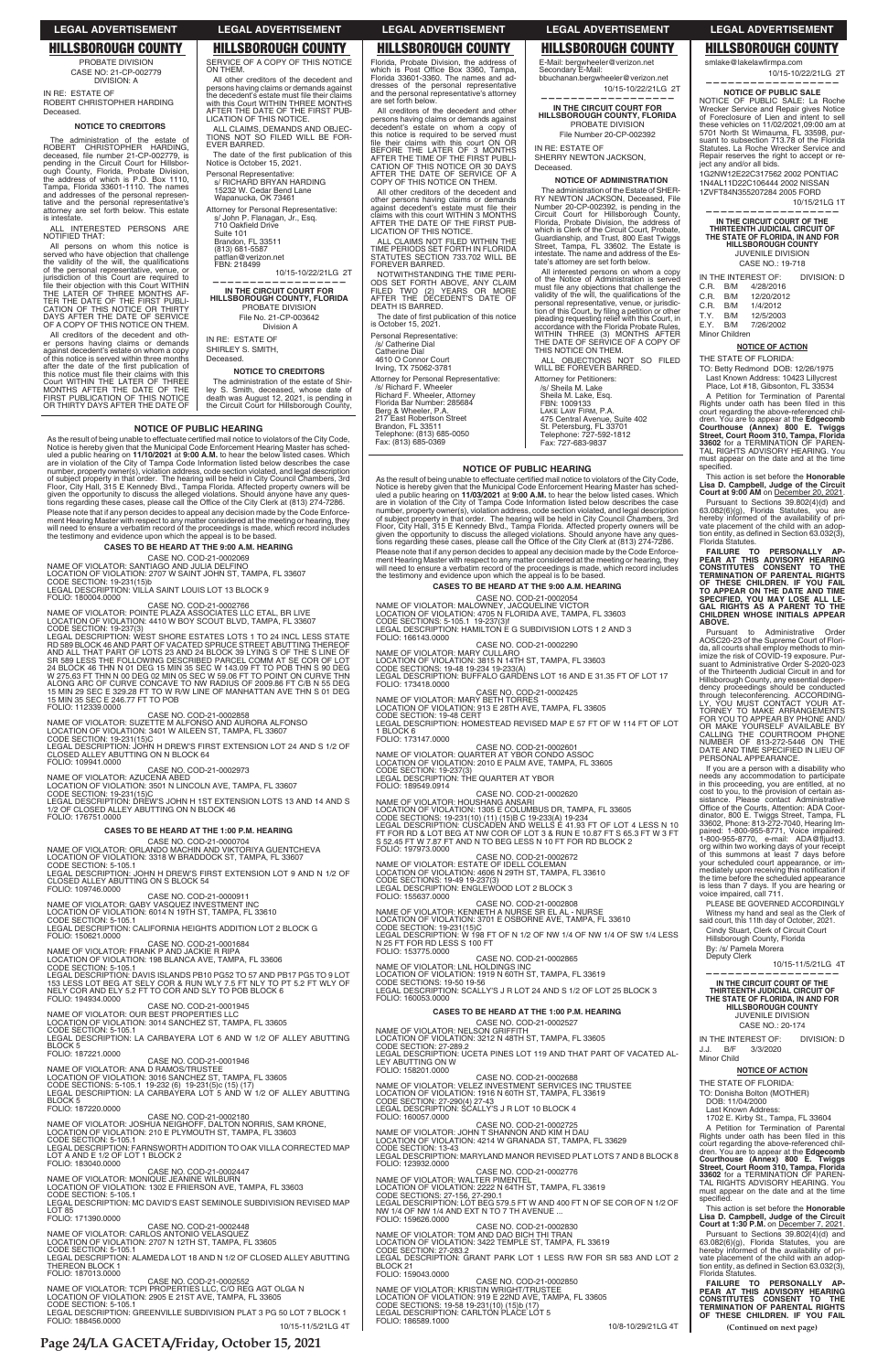# **NOTICE OF PUBLIC HEARING**

As the result of being unable to effectuate certified mail notice to violators of the City Code,<br>Notice is hereby given that the Municipal Code Enforcement Hearing Master has sched<br>and a public hearing on 11/10/2021 at 9:0 Please note that if any person decides to appeal any decision made by the Code Please note that if any person decides to appeal any decision made by the Code Enforce-<br>ment Hearing Master with respect to any matter considered at the meeting or hearing, they<br>will need to ensure a verbatim record of the

# **CASES TO BE HEARD AT THE 9:00 A.M. HEARING**

CASE NO. COD-21-0002069<br>NAME OF VIOLATOR: SANTIAGO AND JULIA DELFINO<br>LOCATION OF VIOLATION: 2707 W SAINT JOHN ST, TAMPA, FL 33607<br>CODE SECTION: 19-231(15)b<br>LEGAL DESCRIPTION: VILLA SAINT LOUIS LOT 13 BLOCK 9

FOLIO: 180004.0000

CASE NO. COD-21-0002766<br>NAME OF VIOLATOR: POINTE PLAZA ASSOCIATES LLC ETAL, BR LIVE<br>LOCATION OF VIOLATION: 4410 W BOY SCOUT BLVD, TAMPA, FL 33607

CODE SECTION: 19-237(3)<br>LEGAL DESCRIPTION: WEST SHORE ESTATES LOTS 1 TO 24 INCL LESS STATE<br>RD 589 BLOCK 46 AND PART OF VACATED SPRUCE STREET ABUTTING THEREOF<br>AND ALL THAT PART OF LOTS 23 AND 24 BLOCK 39 LYING S OF THE S LI

CASE NO. COD-21-0002858<br>LOCATION OF VIOLATION: 3401 W AIFONSO AND AURORA ALFONSO<br>LOCATION OF VIOLATION: 3401 W AILEEN ST, TAMPA, FL 33607<br>CODE SECTION: 19-231(15)C<br>CLOSED ALLEY ABUTTING ON N BLOCK 64<br>CLOSED ALLEY ABUTTING

# FOLIO: 109941.0000

المستحدث CASE NO. COD-21-0002973<br>NAME OF VIOLATOR: AZUCENA ABED

LOCATION OF VIOLATION: 3501 N LINCOLN AVE, TAMPA, FL 33607<br>CODE SECTION: 19-231(15)C<br>LEGAL DESCRIPTION: DREW'S JOHN H 1ST EXTENSION LOTS 13 AND 14 AND S 1/2 OF CLOSED ALLEY ABUTTING ON N BLOCK 46

# FOLIO: 176751.0000

FOLIO: 194934.0000

# **CASES TO BE HEARD AT THE 1:00 P.M. HEARING**

CASE NO. COD-21-0000704 NAME OF VIOLATOR: ORLANDO MACHIN AND VIKTORIYA GUENTCHEVA<br>LOCATION OF VIOLATION: 3318 W BRADDOCK ST, TAMPA, FL 33607<br>CODE SECTION: 5-105.1

LEGAL DESCRIPTION: JOHN H DREW'S FIF<br>CLOSED ALLEY ABUTTING ON S BLOCK 54<br>FOLIO: 109746.0000 FIRST EXTENSION LOT 9 AND N 1/2 OF

CASE NO. COD-21-0000911

NAME OF VIOLATOR: GABY VASQUEZ INVESTMENT INC<br>LOCATION OF VIOLATION: 6014 N 19TH ST, TAMPA, FL 33610<br>CODE SECTION: 5-105.1 LEGAL DESCRIPTION: CALIFORNIA HEIGHTS ADDITION LOT 2 BLOCK G FOLIO: 150621.0000

CASE NO. COD-21-0001684<br>NAME OF VIOLATOR: FRANK P AND JACKIE R RIPA<br>LOCATION OF VIOLATION: 198 BLANCA AVE, TAMPA, FL 33606<br>CODE SECTION: 5-105.1

LEGAL DESCRIPTION: DAVIS ISLANDS PB10 PG52 TO 57 AND PB17 PG5 TO 9 LOT 153 LESS LOT BEG AT SELY COR & RUN WLY 7.5 FT NLY TO PT 5.2 FT WLY OF<br>NELY COR AND ELY 5.2 FT TO COR AND SLY TO POB BLOCK 6

CASE NO. COD-21-0001945

The administration of the estate of<br>ROBERT CHRISTOPHER HARDING,<br>deceased, file number 21-CP-002779, is<br>pending in the Circuit Court for Hillsbor-<br>ough County, Florida, Probate Division,<br>the address of which is P.O. Box 111 tative and the personal representative's attorney are set forth below. This estate is intestate.

All creditors of the decedent and oth-er persons having claims or demands against decedent's estate on whom a copy of this notice is served within three months<br>after the date of the first publication of<br>this notice must file their claims with this<br>Court WITHIN THE LATER OF THREE<br>MONTHS AFTER THE DATE OF THE<br>FIRST PUBLICATION OF THIS NO

All other creditors of the decedent and persons having claims or demands against<br>the decedent's estate must file their claims with this Court WITHIN THREE MONTHS AFTER THE DATE OF THE FIRST PUB-LICATION OF THIS NOTICE. ALL CLAIMS, DEMANDS AND OBJEC-TIONS NOT SO FILED WILL BE FOR-EVER BARRED. The date of the first publication of this<br>Notice is October 15, 2021.

Personal Representative: s/ RICHARD BRYAN HARDING 15232 W. Cedar Bend Lane Wapanucka, OK 73461 Attorney for Personal Representative: s/ John P. Flanagan, Jr., Esq.<br>710 Oakfield Drive

> The date of first publication of this notice is October 15, 2021. Personal Representative:

PROBATE DIVISION CASE NO: 21-CP-002779 DIVISION: A

IN RE: ESTATE OF ROBERT CHRISTOPHER HARDING Deceased.

## **NOTICE TO CREDITORS**

- C.R. B/M<br>C.R. B/M
- C.R. B/M 12/20/2012
- B/M 1/4/2012<br>B/M 12/5/2003 T.Y. B/M 12/5/2003<br>EX B/M 7/26/2002
- $E.Y.$  B/M Minor Children
	- **NOTICE OF ACTION**

ALL INTERESTED PERSONS ARE NOTIFIED THAT:

> Pursuant to Sections 39.802(4)(d) and 63.082(6)(g), Florida Statutes, you are hereby informed of the availability of private placement of the child with an adoption entity, as defined in Section 63.032(3),<br>Florida Statutes.

All persons on whom this notice is served who have objection that challenge<br>the validity of the will, the qualifications of the personal representative, venue, or<br>jurisdiction of this Court are required to<br>file their objection with this Court WITHIN<br>THE LATER OF THREE MONTHS AF-<br>TER THE DATE OF THE FIRST PUBLI-<br>CATION OF THIS NOTICE OR THIRT OF A COPY OF THIS NOTICE ON THEM.

> FAILURE TO PERSONALLY AP-<br>PEAR AT THIS ADVISORY HEARING<br>CONSTITUTES CONSENT TO THE<br>TERMINATION OF PARENTAL RIGHTS<br>OF THESE CHILDREN. IF YOU FAIL **TO APPEAR ON THE DATE AND TIME SPECIFIED, YOU MAY LOSE ALL LE-GAL RIGHTS AS A PARENT TO THE CHILDREN WHOSE INITIALS APPEAR ABOVE.**

> Pursuant to Administrative Order AOSC20-23 of the Supreme Court of Florida, all courts shall employ methods to min-imize the risk of COVID-19 exposure. Pursuant to Administrative Order S-2020-023 of the Thirteenth Judicial Circuit in and for Hillsborough County, any essential depen-dency proceedings should be conducted through teleconferencing. ACCORDING-LY, YOU MUST CONTACT YOUR AT-TORNEY TO MAKE ARRANGEMENTS FOR YOU TO APPEAR BY PHONE AND/<br>OR MAKE YOURSELF AVAILABLE BY<br>CALLING THE COURTROOM PHONE<br>NUMBER OF 813-272-5446 ON THE<br>DATE AND TIME SPECIFIED IN LIEU OF<br>PERSONAL APPEARANCE.

SERVICE OF A COPY OF THIS NOTICE

ON THEM.

If you are a person with a disability who<br>needs any accommodation to participate<br>in this proceeding, you are entitled, at no<br>cost to you, to the provision of certain as-<br>sistance. Please contact Administrative<br>Office of th org within two working days of your receipt of this summons at least 7 days before your scheduled court appearance, or immediately upon receiving this notification if<br>the time before the scheduled appearance is less than 7 days. If you are hearing or voice impaired, call 711.

Suite 101 Brandon, FL 33511 (813) 681-5587 natflan@verizon.net FBN: 218499

10/15-10/22/21LG 2T

**—————————————————— IN THE CIRCUIT COURT FOR HILLSBOROUGH COUNTY, FLORIDA** PROBATE DIVISION File No. 21-CP-003642 Division A

IN RE: ESTATE OF SHIRLEY S. SMITH, Deceased.

**NOTICE TO CREDITORS** The administration of the estate of Shir-ley S. Smith, deceased, whose date of death was August 12, 2021, is pending in the Circuit Court for Hillsborough County,

Florida, Probate Division, the address of which is Post Office Box 3360, Tampa,<br>Florida 33601-3360. The names and addresses of the personal representative and the personal representative's attorney are set forth below.

All creditors of the decedent and other persons having claims or demands against decedent's estate on whom a copy of this notice is required to be served must file their claims with this court ON OR<br>BEFORE THE LATER OF 3 MONTHS<br>AFTER THE TIME OF THE FIRST PUBLI-<br>CATION OF THIS NOTICE OR 30 DAYS AFTER THE DATE OF SERVICE OF A COPY OF THIS NOTICE ON THEM.

All other creditors of the decedent and other persons having claims or demands<br>against decedent's estate must file their<br>claims with this court WITHIN 3 MONTHS<br>AFTER THE DATE OF THE FIRST PUB-LICATION OF THIS NOTICE.

ALL CLAIMS NOT FILED WITHIN THE TIME PERIODS SET FORTH IN FLORIDA STATUTES SECTION 733.702 WILL BE FOREVER BARRED.

NOTWITHSTANDING THE TIME PERI-ODS SET FORTH ABOVE, ANY CLAIM FILED TWO (2) YEARS OR MORE AFTER THE DECEDENT'S DATE OF DEATH IS BARRED.

/s/ Catherine Dial

Catherine Dial 4610 O Connor Court Irving, TX 75062-3781

Attorney for Personal Representative: /s/ Richard F. Wheeler Richard F. Wheeler, Attorney Florida Bar Number: 285684 Berg & Wheeler, P.A. 217 East Robertson Street

Brandon, FL 33511 Telephone: (813) 685-0050 Fax: (813) 685-0369

E-Mail: bergwheeler@verizon.net Secondary E-Mail: bbuchanan.bergwheeler@verizon.net 10/15-10/22/21LG 2T

**—————————————————— IN THE CIRCUIT COURT FOR HILLSBOROUGH COUNTY, FLORIDA** PROBATE DIVISION

File Number 20-CP-002392 IN RE: ESTATE OF

SHERRY NEWTON JACKSON, Deceased.

# **NOTICE OF ADMINISTRATION**

The administration of the Estate of SHER-RY NEWTON JACKSON, Deceased, File Number 20-CP-002392, is pending in the Circuit Court for Hillsborough County, Florida, Probate Division, the address of which is Clerk of the Circuit Court, Probate, Guardianship, and Trust, 800 East Twiggs Street, Tampa, FL 33602. The Estate is intestate. The name and address of the Estate's attorney are set forth below.

All interested persons on whom a copy of the Notice of Administration is served must file any objections that challenge the<br>validity of the will, the qualifications of the personal representative, venue, or jurisdiction of this Court, by filing a petition or other<br>pleading requesting relief with this Court, in<br>accordance with the Florida Probate Rules,<br>accordance with the Florida Probate Rul THE DATE OF SERVICE OF A COPY OF THIS NOTICE ON THEM.

ALL OBJECTIONS NOT SO FILED WILL BE FOREVER BARRED.

Attorney for Petitioners: /s/ Sheila M. Lake Sheila M. Lake, Esq. FBN: 1009133 LAKE LAW FIRM, P.A. 475 Central Avenue, Suite 402 St. Petersburg, FL 33701 Telephone: 727-592-1812 Fax: 727-683-9837

10/15-10/22/21LG 2T

**—————————————————— NOTICE OF PUBLIC SALE**  NOTICE OF PUBLIC SALE: La Roche Wrecker Service and Repair gives Notice of Foreclosure of Lien and intent to sell these vehicles on 11/02/2021,09:00 am at 5701 North St Wimauma, FL 33598, pursuant to subsection 713.78 of the Florida Statutes. La Roche Wrecker Service and Repair reserves the right to accept or re-

ject any and/or all bids. 1G2NW12E22C317562 2002 PONTIAC 1N4AL11D22C106444 2002 NISSAN 1ZVFT84N355207284 2005 FORD 10/15/21LG 1T **—————————————————— IN THE CIRCUIT COURT OF THE THIRTEENTH JUDICIAL CIRCUIT OF THE STATE OF FLORIDA, IN AND FOR** 

smlake@lakelawfirmna.com

**HILLSBOROUGH COUNTY** JUVENILE DIVISION CASE NO.: 19-718

IN THE INTEREST OF: DIVISION: D<br>C.R. B/M 4/28/2016

# THE STATE OF FLORIDA:

TO: Betty Redmond DOB: 12/26/1975 Last Known Address: 10423 Lillycrest Place, Lot #18, Gibsonton, FL 33534

A Petition for Termination of Parental<br>Rights under oath has been filed in this court regarding the above-referenced children. You are to appear at the **Edgecomb Courthouse (Annex) 800 E. Twiggs**<br>**Street, Court Room 310, Tampa, Floriday Street, Courthouse (Annex) 33602 for a TERMINATION OF PAREN-TAL R** must appear on the date and at the time specified.

This action is set before the **Honorable Lisa D. Campbell, Judge of the Circuit Court at 9:00 AM** on December 20, 2021.

| 0, 10L 110. 000 LI 000 IU 10<br>NAME OF VIOLATOR: OUR BEST PROPERTIES LLC       | <b>CASES TO BE HEARD AT THE 1:00 P.M. HEARING</b>                                           | <b>JUVENILE DIVISION</b>                                                                 |
|---------------------------------------------------------------------------------|---------------------------------------------------------------------------------------------|------------------------------------------------------------------------------------------|
| LOCATION OF VIOLATION: 3014 SANCHEZ ST, TAMPA, FL 33605                         | CASE NO. COD-21-0002527                                                                     | CASE NO.: 20-174                                                                         |
| CODE SECTION: 5-105.1                                                           | NAME OF VIOLATOR: NELSON GRIFFITH                                                           |                                                                                          |
| LEGAL DESCRIPTION: LA CARBAYERA LOT 6 AND W 1/2 OF ALLEY ABUTTING               | LOCATION OF VIOLATION: 3212 N 48TH ST, TAMPA, FL 33605                                      | IN THE INTEREST OF:<br><b>DIVISION: D</b>                                                |
| <b>BLOCK5</b>                                                                   | CODE SECTION: 27-289.2                                                                      | B/F<br>3/3/2020<br>J.J.                                                                  |
| FOLIO: 187221.0000                                                              | LEGAL DESCRIPTION: UCETA PINES LOT 119 AND THAT PART OF VACATED AL-                         | <b>Minor Child</b>                                                                       |
| CASE NO. COD-21-0001946                                                         | LEY ABUTTING ON W                                                                           |                                                                                          |
| NAME OF VIOLATOR: ANA D RAMOS/TRUSTEE                                           | FOLIO: 158201.0000                                                                          | <b>NOTICE OF ACTION</b>                                                                  |
| LOCATION OF VIOLATION: 3016 SANCHEZ ST. TAMPA, FL 33605                         | CASE NO. COD-21-0002688                                                                     | THE STATE OF FLORIDA:                                                                    |
| CODE SECTIONS: 5-105.1 19-232 (6) 19-231(5)c (15) (17)                          | NAME OF VIOLATOR: VELEZ INVESTMENT SERVICES INC TRUSTEE                                     |                                                                                          |
| LEGAL DESCRIPTION: LA CARBAYERA LOT 5 AND W 1/2 OF ALLEY ABUTTING               | LOCATION OF VIOLATION: 1916 N 60TH ST, TAMPA, FL 33619                                      | TO: Donisha Bolton (MOTHER)                                                              |
| BLOCK 5<br>FOLIO: 187220.0000                                                   | CODE SECTION: 27-290(4) 27-43                                                               | DOB: 11/04/2000                                                                          |
| CASE NO. COD-21-0002180                                                         | LEGAL DESCRIPTION: SCALLY'S J R LOT 10 BLOCK 4                                              | Last Known Address:                                                                      |
| NAME OF VIOLATOR: JOSHUA NEIGHOFF, DALTON NORRIS, SAM KRONE.                    | FOLIO: 160057.0000<br>CASE NO. COD-21-0002725                                               | 1702 E. Kirby St., Tampa, FL 33604                                                       |
| LOCATION OF VIOLATION: 210 E PLYMOUTH ST, TAMPA, FL 33603                       | NAME OF VIOLATOR: JOHN T SHANNON AND KIM H DAU                                              | A Petition for Termination of Parental                                                   |
| CODE SECTION: 5-105.1                                                           | LOCATION OF VIOLATION: 4214 W GRANADA ST. TAMPA, FL 33629                                   | Rights under oath has been filed in this                                                 |
| LEGAL DESCRIPTION: FARNSWORTH ADDITION TO OAK VILLA CORRECTED MAP               | CODE SECTION: 13-43                                                                         | court regarding the above-referenced chil-                                               |
| LOT A AND E 1/2 OF LOT 1 BLOCK 2                                                | LEGAL DESCRIPTION: MARYLAND MANOR REVISED PLAT LOTS 7 AND 8 BLOCK 8                         | dren. You are to appear at the Edgecomb                                                  |
| FOLIO: 183040.0000                                                              | FOLIO: 123932.0000                                                                          | Courthouse (Annex) 800 E. Twiggs                                                         |
| CASE NO. COD-21-0002447                                                         | CASE NO. COD-21-0002776                                                                     | Street, Court Room 310, Tampa, Florida<br>33602 for a TERMINATION OF PAREN-              |
| NAME OF VIOLATOR: MONIQUE JEANINE WILBURN                                       | NAME OF VIOLATOR: WALTER PIMENTEL                                                           | TAL RIGHTS ADVISORY HEARING. You                                                         |
| LOCATION OF VIOLATION: 1302 E FRIERSON AVE, TAMPA, FL 33603                     | LOCATION OF VIOLATION: 2222 N 64TH ST. TAMPA, FL 33619                                      | must appear on the date and at the time                                                  |
| CODE SECTION: 5-105.1                                                           | CODE SECTIONS: 27-156, 27-290.1                                                             | specified.                                                                               |
| LEGAL DESCRIPTION: MC DAVID'S EAST SEMINOLE SUBDIVISION REVISED MAP             | LEGAL DESCRIPTION: LOT BEG 579.5 FT W AND 400 FT N OF SE COR OF N 1/2 OF                    |                                                                                          |
| <b>LOT 85</b>                                                                   | NW 1/4 OF NW 1/4 AND EXT N TO 7 TH AVENUE                                                   | This action is set before the <b>Honorable</b>                                           |
| FOLIO: 171390.0000                                                              | FOLIO: 159626.0000                                                                          | Lisa D. Campbell, Judge of the Circuit<br><b>Court at 1:30 P.M. on December 7, 2021.</b> |
| CASE NO. COD-21-0002448                                                         | CASE NO. COD-21-0002830                                                                     |                                                                                          |
| NAME OF VIOLATOR: CARLOS ANTONIO VELASQUEZ                                      | NAME OF VIOLATOR: TOM AND DAO BICH THI TRAN                                                 | Pursuant to Sections 39.802(4)(d) and                                                    |
| LOCATION OF VIOLATION: 2707 N 12TH ST, TAMPA, FL 33605<br>CODE SECTION: 5-105.1 | LOCATION OF VIOLATION: 3422 TEMPLE ST. TAMPA, FL 33619                                      | 63.082(6)(g), Florida Statutes, you are<br>hereby informed of the availability of pri-   |
| LEGAL DESCRIPTION: ALAMEDA LOT 18 AND N 1/2 OF CLOSED ALLEY ABUTTING            | CODE SECTION: 27-283.2<br>LEGAL DESCRIPTION: GRANT PARK LOT 1 LESS R/W FOR SR 583 AND LOT 2 | vate placement of the child with an adop-                                                |
| THEREON BLOCK 1                                                                 | BLOCK 21                                                                                    | tion entity, as defined in Section 63.032(3),                                            |
| FOLIO: 187013.0000                                                              | FOLIO: 159043.0000                                                                          | Florida Statutes.                                                                        |
| CASE NO. COD-21-0002552                                                         | CASE NO. COD-21-0002850                                                                     |                                                                                          |
| NAME OF VIOLATOR: TCPI PROPERTIES LLC, C/O REG AGT OLGA N                       | NAME OF VIOLATOR: KRISTIN WRIGHT/TRUSTEE                                                    | FAILURE TO PERSONALLY AP-<br>PEAR AT THIS ADVISORY HEARING                               |
| LOCATION OF VIOLATION: 2905 E 21ST AVE, TAMPA, FL 33605                         | LOCATION OF VIOLATION: 919 E 22ND AVE, TAMPA, FL 33605                                      | CONSTITUTES CONSENT TO THE                                                               |
| CODE SECTION: 5-105.1                                                           | CODE SECTIONS: 19-58 19-231(10) (15)b (17)                                                  | <b>TERMINATION OF PARENTAL RIGHTS</b>                                                    |
| LEGAL DESCRIPTION: GREENVILLE SUBDIVISION PLAT 3 PG 50 LOT 7 BLOCK 1            | LEGAL DESCRIPTION: CARLTON PLACE LOT 5                                                      | OF THESE CHILDREN. IF YOU FAIL                                                           |
| FOLIO: 188456.0000                                                              | FOLIO: 186589.1000                                                                          |                                                                                          |
| 10/15-11/5/21LG 4T                                                              | 10/8-10/29/21LG 4T                                                                          | (Continued on next page)                                                                 |

PLEASE BE GOVERNED ACCORDINGLY Witness my hand and seal as the Clerk of said court, this 11th day of October, 2021. Cindy Stuart, Clerk of Circuit Court Hillsborough County, Florida By: /s/ Pamela Morera Deputy Clerk

 10/15-11/5/21LG 4T **——————————————————**

**THIRTEENTH JUDICIAL CIRCUIT OF THE STATE OF FLORIDA, IN AND FOR HILLSBOROUGH COUNTY**

# **LEGAL ADVERTISEMENT LEGAL ADVERTISEMENT LEGAL ADVERTISEMENT LEGAL ADVERTISEMENT LEGAL ADVERTISEMENT**

# **HILLSBOROUGH COUNTY HILLSBOROUGH COUNTY HILLSBOROUGH COUNTY HILLSBOROUGH COUNTY HILLSBOROUGH COUNTY**

**Page 24/LA GACETA/Friday, October 15, 2021**

# **NOTICE OF PUBLIC HEARING**

As the result of being unable to effectuate certified mail notice to violators of the City Code,<br>Notice is hereby given that the Municipal Code Enforcement Hearing Master has sched-<br>uled a public hearing on **11/03/2021** at are in violation of the City of Tampa Code Information listed below describes the case<br>number, property owner(s), violation address, code section violated, and legal description<br>of subject property in that order. The hear Floor, City Hall, 315 E Kennedy Blvd., Tampa Florida. Affected property owners will be<br>given the opportunity to discuss the alleged violations. Should anyone have any ques-<br>tions regarding these cases, please call the Offi Please note that if any person decides to appeal any decision made by the Code Enforcement Hearing Master with respect to any matter considered at the meeting or hearing, they<br>will need to ensure a verbatim record of the proceedings is made, which record includes<br>the testimony and evidence upon which the ap

# **CASES TO BE HEARD AT THE 9:00 A.M. HEARING**

CASE NO. COD-21-0002054<br>LOCATION OF VIOLATION: MALOWNEY, JACQUELINE VICTOR<br>LOCATION OF VIOLATION: 4705 N FLORIDA AVE, TAMPA, FL 33603<br>CODE SECTIONS: 5-105.1\_19-237(3)f<br>LEGAL DESCRIPTION: HAMILTON E G SUBDIVISION LOTS 1 2 A FOLIO: 166143.0000

CASE NO. COD-21-0002290<br>NAME OF VIOLATOR: MARY CULLARO

LOCATION OF VIOLATION: 3815 N 14TH ST, TAMPA, FL 33603<br>CODE SECTIONS: 19-48 19-234 19-233(A)<br>LEGAL DESCRIPTION: BUFFALO GARDENS LOT 16 AND E 31.35 FT OF LOT 17 FOLIO: 173418.0000

CASE NO. COD-21-0002425<br>NAME OF VIOLATOR: MARY BETH TORRES

LOCATION OF VIOLATION: 913 E 28TH AVE, TAMPA, FL 33605<br>CODE SECTION: 19-48 CERT<br>LEGAL DESCRIPTION: HOMESTEAD REVISED MAP E 57 FT OF W 114 FT OF LOT 1 BLOCK 6

FOLIO: 173147.0000 CASE NO. COD-21-0002601 NAME OF VIOLATOR: QUARTER AT YBOR CONDO ASSOC<br>LOCATION OF VIOLATION: 2010 E PALM AVE, TAMPA, FL 33605<br>CODE SECTION: 19-237(3) LEGAL DESCRIPTION: THE QUARTER AT YBOR FOLIO: 189549.0914

CASE NO. COD-21-0002620 NAME OF VIOLATOR: HOUSHANG ANSARI<br>LOCATION OF VIOLATION: 1305 E COLUMBUS DR, TAMPA, FL 33605<br>CODE SECTIONS: 19-231(10) (11) (15)B C 19-233(A) 19-234<br>LEGAL DESCRIPTION: CUSCADEN AND WELLS E 41.93 FT OF LOT 4 LESS N 10<br>FT FO

FOLIO: 197973.0000 CASE NO. COD-21-0002672<br>NAME OF VIOLATOR: ESTATE OF IDELL COLEMAN LOCATION OF VIOLATION: 4606 N 29TH ST, TAMPA, FL 33610<br>CODE SECTIONS: 19-49 19-237(3)<br>LEGAL DESCRIPTION: ENGLEWOOD LOT 2 BLOCK 3 FOLIO: 155637.0000

CASE NO. COD-21-0002808<br>NAME OF VIOLATOR: KENNETH A NURSE SR EL AL - NURSE LOCATION OF VIOLATION: 3701 E OSBORNE AVE, TAMPA, FL 33610<br>CODE SECTION: 19-231(15)C<br>LEGAL DESCRIPTION: W 198 FT OF N 1/2 OF NW 1/4 OF NW 1/4 OF SW 1/4 LESS N 25 FT FOR RD LESS S 100 FT FOLIO: 153775.0000

CASE NO. COD-21-0002865 NAME OF VIOLATOR: LNL HOLDINGS INC

LOCATION OF VIOLATION: 1919 N 60TH ST, TAMPA, FL 33619<br>CODE SECTIONS: 19-50 19-56 LEGAL DESCRIPTION: SCALLY'S J R LOT 24 AND S 1/2 OF LOT 25 BLOCK 3 FOLIO: 160053.0000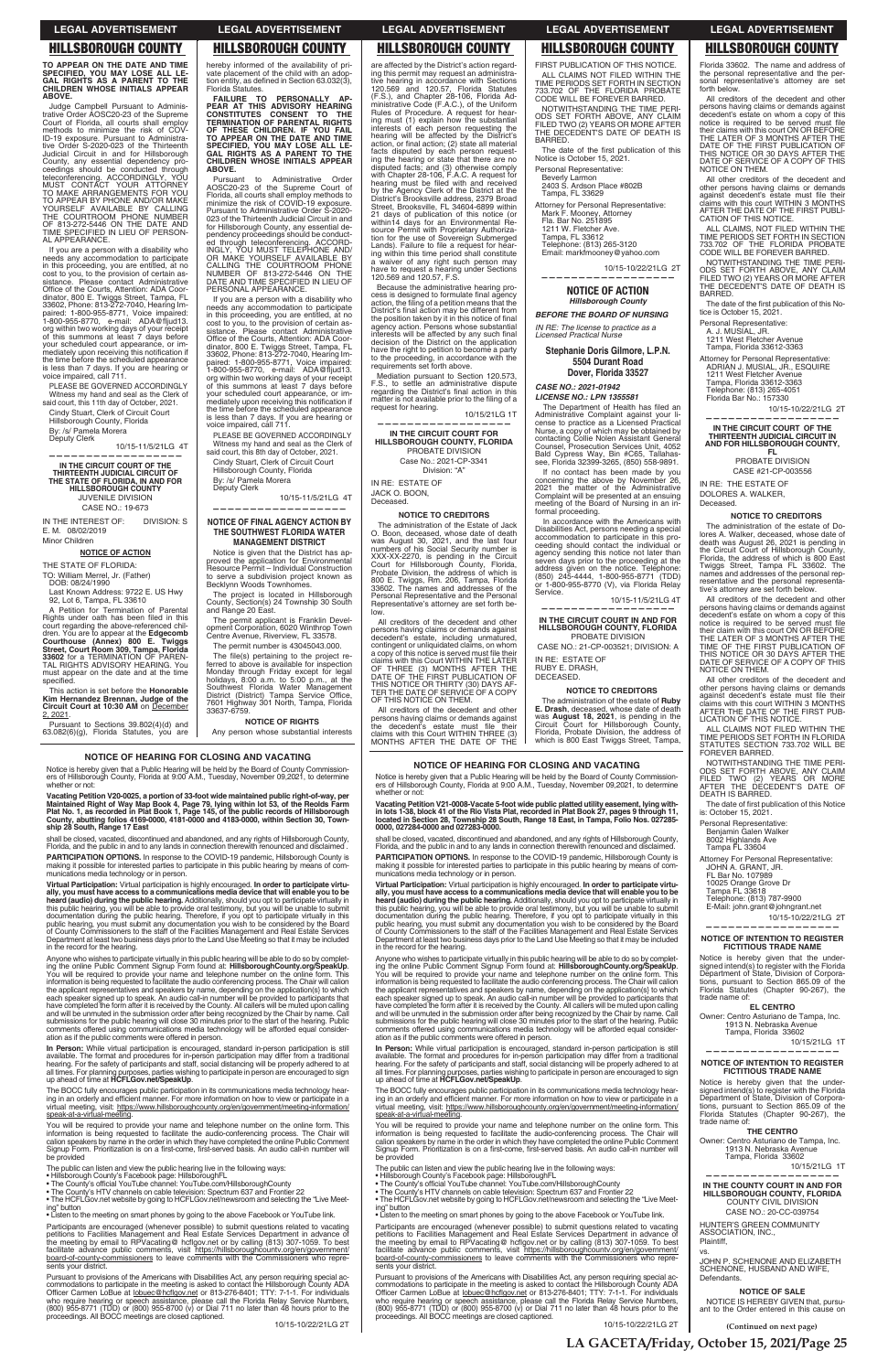**(Continued on next page)**

**TO APPEAR ON THE DATE AND TIME SPECIFIED, YOU MAY LOSE ALL LE-GAL RIGHTS AS A PARENT TO THE CHILDREN WHOSE INITIALS APPEAR ABOVE.**

Judge Campbell Pursuant to Administrative Order AOSC20-23 of the Supreme Court of Florida, all courts shall employ methods to minimize the risk of COV-ID-19 exposure. Pursuant to Administrative Order S-2020-023 of the Thirteenth<br>Judicial Circuit in and for Hillsborough<br>County, any essential dependency pro-<br>ceedings should be conducted through<br>teleconferencing. ACCORDINGLY, YOU<br>MUST CONTACT YOUR ATTORNEY<br>TO M TIME SPECIFIED IN LIEU OF PERSON-AL APPEARANCE.

If you are a person with a disability who<br>needs any accommodation to participate<br>in this proceeding, you are entitled, at no<br>cost to you, to the provision of certain as-<br>sistance. Please contact Administrative<br>Office of th org within two working days of your receipt of this summons at least 7 days before your scheduled court appearance, or immediately upon receiving this notification if<br>the time before the scheduled appearance is less than 7 days. If you are hearing or voice impaired, call 711.

PLEASE BE GOVERNED ACCORDINGLY Witness my hand and seal as the Clerk of said court, this 11th day of October, 2021.

A Petition for Termination of Parental Rights under oath has been filed in this court regarding the above-referenced children. You are to appear at the **Edgecomb<br><b>Courthouse (Annex) 800 E. Twiggs<br><b>Street, Court Room 309, Tampa, Florida**<br>**33602** for a TERMINATION OF PAREN-TAL RIGHTS ADVISORY HEARING. You must appear on the date and at the time specified.

Cindy Stuart, Clerk of Circuit Court Hillsborough County, Florida By: /s/ Pamela Morera

Deputy Clerk 10/15-11/5/21LG 4T **——————————————————**

**IN THE CIRCUIT COURT OF THE THIRTEENTH JUDICIAL CIRCUIT OF THE STATE OF FLORIDA, IN AND FOR HILLSBOROUGH COUNTY** JUVENILE DIVISION CASE NO.: 19-673

IN THE INTEREST OF: DIVISION: S E. M. 08/02/2019 Minor Children

## **NOTICE OF ACTION**

THE STATE OF FLORIDA: TO: William Merrel, Jr. (Father)

DOB: 08/24/1990 Last Known Address: 9722 E. US Hwy 92, Lot 6, Tampa, FL 33610

paired: 1-800-955-8771, Voice impaired:<br>1-800-955-8770, e-mail: ADA@fljud13.<br>org within two working days of your receipt<br>of this summons at least 7 days before your scheduled court appearance, or immediately upon receiving this notification if<br>the time before the scheduled appearance is less than 7 days. If you are hearing or voice impaired, call 711. PLEASE BE GOVERNED ACCORDINGLY Witness my hand and seal as the Clerk of said court, this 8th day of October, 2021. Cindy Stuart, Clerk of Circuit Court Hillsborough County, Florida By: /s/ Pamela Morera Deputy Clerk

This action is set before the **Honorable Kim Hernandez Brennan, Judge of the Circuit Court at 10:30 AM** on December 2, 2021.

Pursuant to Sections 39.802(4)(d) and 63.082(6)(g), Florida Statutes, you are District (District) Tampa Service Office,<br>7601 Highway 301 North, Tampa, Florida<br>33637-6759. **NOTICE OF RIGHTS**

**ABOVE.**

source Permit with Proprietary Authorization for the use of Sovereign Submerged Lands). Failure to file a request for hearing within this time period shall constitute waiver of any right such person may have to request a hearing under Sections 120.569 and 120.57, F.S.

Because the administrative hearing process is designed to formulate final agency<br>action, the filing of a petition means that the District's final action may be different from the position taken by it in this notice of final<br>agency action. Persons whose substantial interests will be affected by any such final decision of the District on the application have the right to petition to become a party to the proceeding, in accordance with the requirements set forth above.

PERSONAL APPEARANCE.

If you are a person with a disability who needs any accommodation to participate in this proceeding, you are entitled, at no cost to you, to the provision of certain assistance. Please contact Administrative Office of the Courts, Attention: ADA Coordinator, 800 E. Twiggs Street, Tampa, FL 33602, Phone: 813-272-7040, Hearing Im-

> All creditors of the decedent and other persons having claims or demands against<br>the decedent's estate must file their<br>claims with this Court WITHIN THREE (3)<br>MONTHS AFTER THE DATE OF THE

hereby informed of the availability of private placement of the child with an adop-<br>tion entity, as defined in Section 63.032(3),<br>Florida Statutes. **FAILURE TO PERSONALLY AP-**PEAR AT THIS ADVISORY HEARING<br>CONSTITUTES CONSENT TO THE<br>TERMINATION OF PARENTAL RIGHTS **OF THESE CHILDREN. IF YOU FAIL TO APPEAR ON THE DATE AND TIME SPECIFIED, YOU MAY LOSE ALL LE-GAL RIGHTS AS A PARENT TO THE CHILDREN WHOSE INITIALS APPEAR**  Pursuant to Administrative Order<br>AOSC20-23 of the Supreme Court of<br>Florida, all courts shall employ methods to<br>minimize the risk of COVID-19 exposure.<br>Pursuant to Administrative Order S-2020-<br>023 of the Thirteenth Judicial for Hillsborough County, any essential dependency proceedings should be conduct-ed through teleconferencing. ACCORD-INGLY, YOU MUST TELEPHONE AND/ are affected by the District's action regarding this permit may request an administra-tive hearing in accordance with Sections 120.569 and 120.57, Florida Statutes (F.S.), and Chapter 28-106, Florida Ad-ministrative Code (F.A.C.), of the Uniform Rules of Procedure. A request for hearing must (1) explain how the substantial interests of each person requesting the<br>hearing will be affected by the District's<br>action, or final action; (2) state all material<br>facts disputed by each person request-<br>ing the hearing or state that there are no<br>disputed hearing must be filed with and received<br>by the Agency Clerk of the District at the<br>District's Brooksville address, 2379 Broad<br>Street, Brooksville, FL 34604-6899 within 21 days of publication of this notice (or within14 days for an Environmental Re-

10/15-11/5/21LG 4T

**—————————————————— NOTICE OF FINAL AGENCY ACTION BY THE SOUTHWEST FLORIDA WATER MANAGEMENT DISTRICT** Notice is given that the District has approved the application for Environmental Resource Permit – Individual Construction to serve a subdivision project known as

Becklynn Woods Townhomes.

The project is located in Hillsborough County, Section(s) 24 Township 30 South

and Range 20 East.

The permit applicant is Franklin Development Corporation, 6020 Winthrop Town Centre Avenue, Riverview, FL 33578. The permit number is 43045043.000. The file(s) pertaining to the project referred to above is available for inspection Monday through Friday except for legal holidays, 8:00 a.m. to 5:00 p.m., at the Southwest Florida Water Management

All other creditors of the decedent and other persons having claims or demands<br>against decedent's estate must file their<br>claims with this court WITHIN 3 MONTHS<br>AFTER THE DATE OF THE FIRST PUBLI-CATION OF THIS NOTICE.

The date of the first publication of this Notice is October 15, 2021.

The date of first publication of this Notice is: October 15, 2021.

Mediation pursuant to Section 120.573, F.S., to settle an administrative dispute regarding the District's final action in this matter is not available prior to the filing of a request for hearing. 10/15/21LG 1T

**——————————————————**

**IN THE CIRCUIT COURT FOR HILLSBOROUGH COUNTY, FLORIDA** PROBATE DIVISION

Case No.: 2021-CP-3341 Division: "A"

IN RE: ESTATE OF

JACK O. BOON,

Deceased.

# **NOTICE TO CREDITORS**

The administration of the Estate of Jack O. Boon, deceased, whose date of death was August 30, 2021, and the last four numbers of his Social Security number is XXX-XX-2270, is pending in the Circuit Court for Hillsborough County, Florida, Probate Division, the address of which is 800 E. Twiggs, Rm. 206, Tampa, Florida 33602. The names and addresses of the Personal Representative and the Personal Representative's attorney are set forth be-low.

All creditors of the decedent and other persons having claims or demands against decedent's estate, including unmatured,<br>contingent or unliquidated claims, on whom<br>a copy of this notice is served must file their claims with this Court WITHIN THE LATER OF THREE (3) MONTHS AFTER THE DATE OF THE FIRST PUBLICATION OF THIS NOTICE OR THIRTY (30) DAYS AF-TER THE DATE OF SERVICE OF A COPY OF THIS NOTICE ON THEM. FIRST PUBLICATION OF THIS NOTICE. ALL CLAIMS NOT FILED WITHIN THE

TIME PERIODS SET FORTH IN SECTION 733.702 OF THE FLORIDA PROBATE CODE WILL BE FOREVER BARRED. NOTWITHSTANDING THE TIME PERI-ODS SET FORTH ABOVE, ANY CLAIM FILED TWO (2) YEARS OR MORE AFTER THE DECEDENT'S DATE OF DEATH IS BARRED.

The date of the first publication of this<br>Notice is October 15, 2021.

Personal Representative: Beverly Larmon 2403 S. Ardson Place #802B

Tampa, FL 33629

Attorney for Personal Representative:

Mark F. Mooney, Attorney Fla. Bar No. 251895 1211 W. Fletcher Ave.

Tampa, FL 33612 Telephone: (813) 265-3120

Email: markfmooney@yahoo.com

10/15-10/22/21LG 2T

**——————————————————**

# **NOTICE OF ACTION** *Hillsborough County*

*BEFORE THE BOARD OF NURSING*

*IN RE: The license to practice as a Licensed Practical Nurse*

# **Stephanie Doris Gilmore, L.P.N. 5504 Durant Road Dover, Florida 33527**

*CASE NO.: 2021-01942 LICENSE NO.: LPN 1355581*

The Department of Health has filed an Administrative Complaint against your li-<br>cense to practice as a Licensed Practical<br>Nurse, a copy of which may be obtained by<br>contacting Collie Nolen Assistant General<br>Counsel, Prosecution Services Unit, 4052<br>Bald Cypress

If no contact has been made by you concerning the above by November 26, 2021 the matter of the Administrative Complaint will be presented at an ensuing meeting of the Board of Nursing in an informal proceeding.

Participants are encouraged (whenever possible) to submit questions related to vacating<br>petitions to Facilities Management and Real Estate Services Department in advance of<br>the meeting by email to RPVacating@ hcflgov.net o board-of-county-commissioners to leave comments with the Commissioners who represents your district.

Pursuant to provisions of the Americans with Disabilities Act, any person requiring special ac-<br>commodations to participate in the meeting is asked to contact the Hillsborough County ADA<br>Officer Carmen LoBue at <u>lobuec@hcf</u>

10/15-10/22/21LG 2T

In accordance with the Americans with Disabilities Act, persons needing a special accommodation to participate in this proceeding should contact the individual or agency sending this notice not later than seven days prior to the proceeding at the address given on the notice. Telephone: (850) 245-4444, 1-800-955-8771 (TDD) or 1-800-955-8770 (V), via Florida Relay Service.

Notice is hereby given that a Public Hearing will be held by the Board of County Commission-ers of Hillsborough County, Florida at 9:00 A.M., Tuesday, November 09,2021, to determine whether or not:

 10/15-11/5/21LG 4T **——————————————————**

**IN THE CIRCUIT COURT IN AND FOR HILLSBOROUGH COUNTY, FLORIDA** PROBATE DIVISION

Any person whose substantial interests Notice is hereby given that a Public Hearing will be held by the Board of County Commission-ers of Hillsborough County, Florida at 9:00 A.M., Tuesday, November 09,2021, to determine

CASE NO.: 21-CP-003521; DIVISION: A IN RE: ESTATE OF

RUBY E. DRASH, DECEASED.

# **NOTICE TO CREDITORS**

The administration of the estate of **Ruby E. Drash**, deceased, whose date of death was **August 18, 2021**, is pending in the Circuit Court for Hillsborough County, Florida, Probate Division, the address of which is 800 East Twiggs Street, Tampa, Florida 33602. The name and address of the personal representative and the per-sonal representative's attorney are set forth below.

All creditors of the decedent and other persons having claims or demands against decedent's estate on whom a copy of this notice is required to be served must file<br>their claims with this court ON OR BEFORE<br>THE LATER OF 3 MONTHS AFTER THE<br>DATE OF THE FIRST PUBLICATION OF THIS NOTICE OR 30 DAYS AFTER THE DATE OF SERVICE OF A COPY OF THIS NOTICE ON THEM.

ALL CLAIMS, NOT FILED WITHIN THE TIME PERIODS SET FORTH IN SECTION 733.702 OF THE FLORIDA PROBATE CODE WILL BE FOREVER BARRED.

Anyone who wishes to participate virtually in this public hearing will be able to do so by complet-<br>ing the online Public Comment Signup Form found at: H**illsboroughCounty.org/SpeakUp.**<br>You will be required to provide your information is being requested to facilitate the audio conferencing process. The Chair will calion the applicant representatives and speakers by name, depending on the application(s} to which each speaker signed up to speak. An audio call-in number will be provided to participants that have completed the form after it is received by the County. All callers will be muted upon calling and will be unmuted in the submission order after being recognized by the Chair by name. Call submissions for the public hearing will close 30 minutes prior to the start of the hearing. Public comments offered using communications media technology will be afforded equal consideration as if the public comments were offered in person.

NOTWITHSTANDING THE TIME PERI-ODS SET FORTH ABOVE, ANY CLAIM FILED TWO (2) YEARS OR MORE AFTER THE DECEDENT'S DATE OF DEATH IS BARRED.

Personal Representative: A. J. MUSIAL, JR. 1211 West Fletcher Avenue Tampa, Florida 33612-3363

The BOCC fully encourages public participation in its communications media technology hear-<br>ing in an orderly and efficient manner. For more information on how to view or participate in a virtual meeting, visit: https://www.hillsboroughcounty.org/en/government/meeting-information/ speak-at-a-virtual-meeting.

Attorney for Personal Representative: ADRIAN J. MUSIAL, JR., ESQUIRE 1211 West Fletcher Avenue Tampa, Florida 33612-3363 Telephone: (813) 265-4051 Florida Bar No.: 157330

 10/15-10/22/21LG 2T **——————————————————**

You will be required to provide your name and telephone number on the online form. This<br>information is being requested to facilitate the audio-conferencing process. The Chair will<br>calion speakers by name in the order in wh Sianup Form. Prioritization is on a first-come, first-served basis. An audio call-in number will be provided

## **IN THE CIRCUIT COURT OF THE THIRTEENTH JUDICIAL CIRCUIT IN AND FOR HILLSBOROUGH COUNTY, FL**

PROBATE DIVISION CASE #21-CP-003556

IN RE: THE ESTATE OF DOLORES A. WALKER, Deceased.

• The HCFLGov.net website by going to HCFLGov.net/newsroom and selecting the "Live Meeting" button

• Listen to the meeting on smart phones by going to the above Facebook or YouTube link.

## **NOTICE TO CREDITORS**

The administration of the estate of Do-lores A. Walker, deceased, whose date of death was August 26, 2021 is pending in the Circuit Court of Hillsborough County, Florida, the address of which is 800 East Twiggs Street, Tampa FL 33602. The names and addresses of the personal rep-resentative and the personal representa-tive's attorney are set forth below.

Participants are encouraged (whenever possible) to submit questions related to vacating<br>petitions to Facilities Management and Real Estate Services Department in advance of<br>the meeting by email to RPVacating@ hcflgov.net o board-of-county-commissioners to leave comments with the Commissioners who represents your district.

Pursuant to provisions of the Americans with Disabilities Act, any person requiring special ac-<br>commodations to participate in the meeting is asked to contact the Hillsborough County ADA<br>Officer Carmen LoBue at lobuec@hcfl

All creditors of the decedent and other persons having claims or demands against<br>decedent's estate on whom a copy of this<br>notice is required to be served must file their claim with this court ON OR BEFORE THE LATER OF 3 MONTHS AFTER THE TIME OF THE FIRST PUBLICATION OF THIS NOTICE OR 30 DAYS AFTER THE DATE OF SERVICE OF A COPY OF THIS NOTICE ON THEM.

All other creditors of the decedent and other persons having claims or demands<br>against decedent's estate must file their<br>claims with this court WITHIN 3 MONTHS AFTER THE DATE OF THE FIRST PUB-LICATION OF THIS NOTICE.

ALL CLAIMS NOT FILED WITHIN THE TIME PERIODS SET FORTH IN FLORIDA STATUTES SECTION 733.702 WILL BE FOREVER BARRED.

NOTWITHSTANDING THE TIME PERI-ODS SET FORTH ABOVE, ANY CLAIM FILED TWO (2) YEARS OR MORE AFTER THE DECEDENT'S DATE OF DEATH IS BARRED.

Personal Representative: Benjamin Galen Walker 8002 Highlands Ave Tampa FL 33604

Attorney For Personal Representative:

JOHN A. GRANT, JR. FL Bar No. 107989

10025 Orange Grove Dr Tampa FL 33618 Telephone: (813) 787-9900

E-Mail: john.grant@johngrant.net 10/15-10/22/21LG 2T

**—————————————————— NOTICE OF INTENTION TO REGISTER** 

# **FICTITIOUS TRADE NAME**

Notice is hereby given that the undersigned intend(s) to register with the Florida Department of State, Division of Corpora-tions, pursuant to Section 865.09 of the Florida Statutes (Chapter 90-267), the trade name of:

Owner: Centro Asturiano de Tampa, Inc. 1913 N. Nebraska Avenue Tampa, Florida 33602 10/15/21LG 1T

# **—————————————————— NOTICE OF INTENTION TO REGISTER FICTITIOUS TRADE NAME**

Notice is hereby given that the undersigned intend(s) to register with the Florida Department of State, Division of Corpora-tions, pursuant to Section 865.09 of the Florida Statutes (Chapter 90-267), the trade name of:

# **THE CENTRO**

Owner: Centro Asturiano de Tampa, Inc. 1913 N. Nebraska Avenue Tampa, Florida 33602

10/15/21LG 1T **——————————————————**

# **IN THE COUNTY COURT IN AND FOR HILLSBOROUGH COUNTY, FLORIDA**

COUNTY CIVIL DIVISION CASE NO.: 20-CC-039754

HUNTER'S GREEN COMMUNITY ASSOCIATION, INC., Plaintiff,

vs.

JOHN P. SCHENONE AND ELIZABETH SCHENONE, HUSBAND AND WIFE, Defendants.

# **NOTICE OF SALE**

NOTICE IS HEREBY GIVEN that, pursuant to the Order entered in this cause on

10/15-10/22/21LG 2T

**LA GACETA/Friday, October 15, 2021/Page 25**

# **LEGAL ADVERTISEMENT LEGAL ADVERTISEMENT LEGAL ADVERTISEMENT LEGAL ADVERTISEMENT LEGAL ADVERTISEMENT**

# **HILLSBOROUGH COUNTY HILLSBOROUGH COUNTY HILLSBOROUGH COUNTY HILLSBOROUGH COUNTY HILLSBOROUGH COUNTY**

**NOTICE OF HEARING FOR CLOSING AND VACATING**

Vacating Petition V20-0025, a portion of 33-foot wide maintained public right-of-way, per<br>Maintained Right of Way Map Book 4, Page 79, Iying within lot 53, of the Reolds Farm<br>Plat No. 1, as recorded in Plat Book 1, Page 14

whether or not:

**ship 28 South, Range 17 East**

shall be closed, vacated, discontinued and abandoned, and any rights of Hillsborough County, Florida, and the public in and to any lands in connection therewith renounced and disclaimed . PARTICIPATION OPTIONS. In response to the COVID-19 pandemic, Hillsborough County is making it possible for interested parties to participate in this public hearing by means of com-

Virtual Participation: Virtual participation is highly encouraged. In order to participate virtu-<br>ally, you must have access to a communications media device that will enable you to be<br>heard (audio) during the public heari

documentation during the public hearing. Therefore, if you opt to participate virtually in this<br>public hearing, you must submit any documentation you wish to be considered by the Board<br>of County Commissioners to the staff

Anyone who wishes to participate virtually in this public hearing will be able to do so by complet-<br>ing the online Public Comment Signup Form found at: **HillsboroughCounty.org/SpeakUp.**<br>You will be required to provide your

munications media technology or in person.

OR MAKE YOURSELF AVAILABLE BY<br>CALLING THE COURTROOM PHONE<br>NUMBER OF 813-272-5446 ON THE<br>DATE AND TIME SPECIFIED IN LIEU OF

in the record for the hearing.

the applicant representatives and speakers by name, depending on the application(s} to which each speaker signed up to speak. An audio call-in number will be provided to participants that

have completed the form after it is received by the County. All callers will be muted upon calling and will be unmuted in the submission order after being recognized by the Chair by name. Call submissions for the public hearing will close 30 minutes prior to the start of the hearing. Public comments offered using communications media technology will be afforded equal consideration as if the public comments were offered in person.

**In Person:** While virtual participation is encouraged, standard in-person participation is still available. The format and procedures for in-person participation may differ from a traditional hearing. For the safety of participants and staff, social distancing will be properly adhered to at all times. For planning purposes, parties wishing to participate in person are encouraged to sign up ahead of time at **HCFLGov.net/SpeakUp**.

The BOCC fully encourages public participation in its communications media technology hear-<br>ing in an orderly and efficient manner. For more information on how to view or participate in a virtual meeting, visit: https://www.hillsboroughcounty.org/en/government/meeting-information/ speak-at-a-virtual-meeting.

You will be required to provide your name and telephone number on the online form. This<br>information is being requested to facilitate the audio-conferencing process. The Chair will<br>calion speakers by name in the order in wh Signup Forr<br>be provided Form. Prioritization is on a first-come, first-served basis. An audio call-in number will

The public can listen and view the public hearing live in the following ways:

• Hillsborough County's Facebook page: HillsboroughFL<br>• The County's official YouTube channel: YouTube.com/HillsboroughCounty

• The County's HTV channels on cable television: Spectrum 637 and Frontier 22

• The HCFLGov.net website by going to HCFLGov.net/newsroom and selecting the "Live Meet-

ing" button<br>• Listen to the meeting on smart phones by going to the above Facebook or YouTube link.

# **NOTICE OF HEARING FOR CLOSING AND VACATING**

**Vacating Petition V21-0008-Vacate 5-foot wide public platted utility easement, lying within lots 1-38, block 41 of the Rio Vista Plat, recorded in Plat Book 27, pages 9 through 11, located in Section 28, Township 28 South, Range 18 East, in Tampa, Folio Nos. 027285- 0000, 027284-0000 and 027283-0000.**

shall be closed, vacated, discontinued and abandoned, and any rights of Hillsborough County, Florida, and the public in and to any lands in connection therewith renounced and disclaimed.

PARTICIPATION OPTIONS. In response to the COVID-19 pandemic, Hillsborough County is making it possible for interested parties to participate in this public hearing by means of communications media technology or in person.

**Virtual Participation:** Virtual participation is highly encouraged. **In order to participate virtu**ally, you must have access to a communications media device that will enable you to be<br>heard (audio) during the public hearing. Additionally, should you opt to participate virtually in<br>this public hearing, you will be able documentation during the public hearing. Therefore, if you opt to participate virtually in this<br>public hearing, you must submit any documentation you wish to be considered by the Board<br>of County Commissioners to the staff in the record for the hearing.

**In Person:** While virtual participation is encouraged, standard in-person participation is still available. The format and procedures for in-person participation may differ from a traditional hearing. For the safety of participants and staff, social distancing will be properly adhered to at all times. For planning purposes, parties wishing to participate in person are encouraged to sign up ahead of time at **HCFLGov.net/SpeakUp**.

The public can listen and view the public hearing live in the following ways:

- 
- Hillsborough County's Facebook page: HillsboroughFL<br>• The County's official YouTube channel: YouTube.com/HillsboroughCounty
- The County's HTV channels on cable television: Spectrum 637 and Frontier 22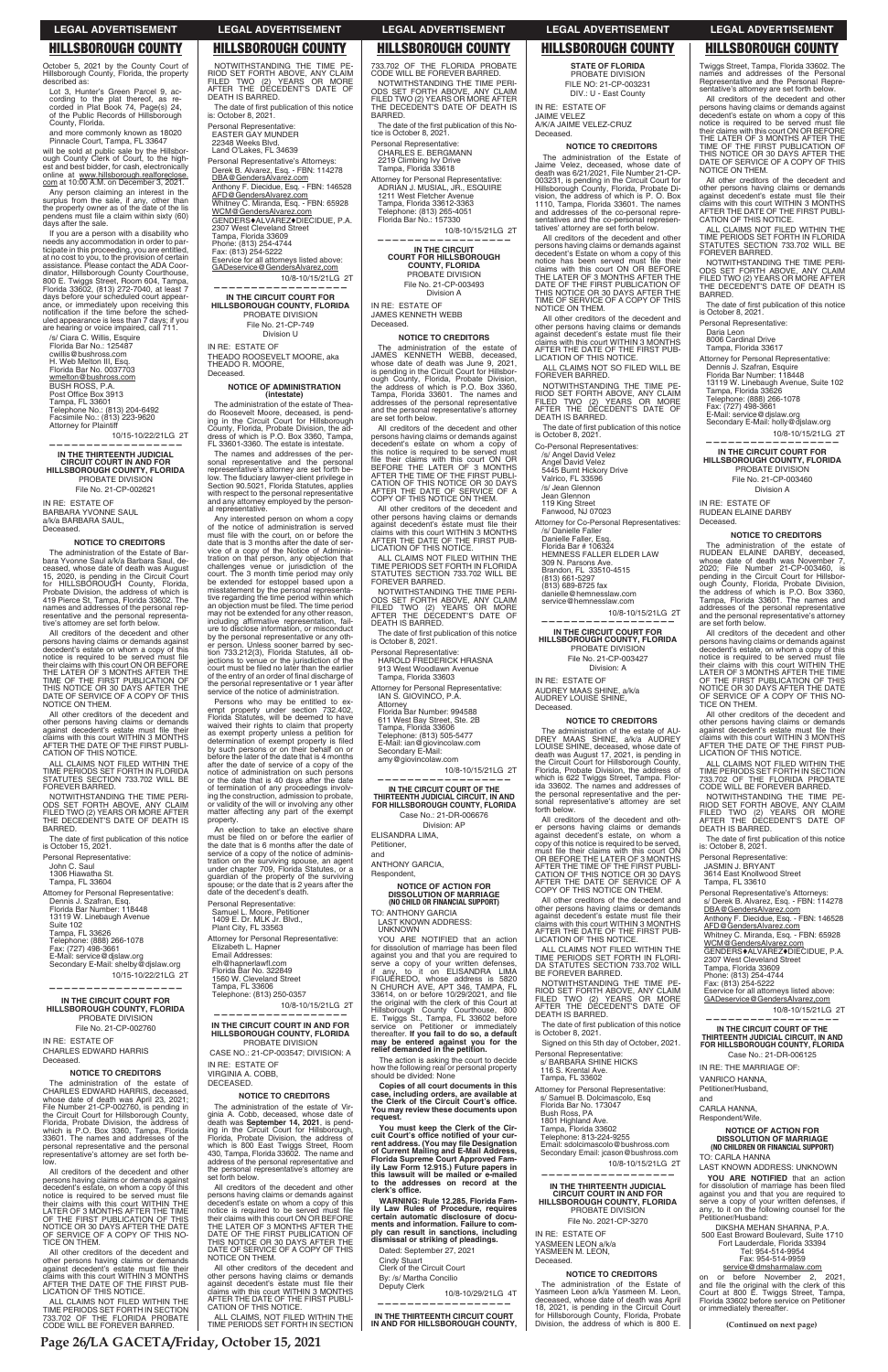**Page 26/LA GACETA/Friday, October 15, 2021**

**(Continued on next page)**

Twiggs Street, Tampa, Florida 33602. The names and addresses of the Personal Representative and the Personal Representative's attorney are set forth below.

All creditors of the decedent and other persons having claims or demands against decedent's estate on whom a copy of this notice is required to be served must file<br>their claims with this court ON OR BEFORE<br>THE LATER OF 3 MONTHS AFTER THE TIME OF THE FIRST PUBLICATION OF THIS NOTICE OR 30 DAYS AFTER THE DATE OF SERVICE OF A COPY OF THIS NOTICE ON THEM.

All other creditors of the decedent and other persons having claims or demands against decedent's estate must file their

Telephone: (888) 266-1078 Fax: (727) 498-3661 E-Mail: service@djslaw.org Secondary E-Mail: holly@djslaw.org

claims with this court WITHIN 3 MONTHS AFTER THE DATE OF THE FIRST PUBLI-CATION OF THIS NOTICE. ALL CLAIMS NOT FILED WITHIN THE TIME PERIODS SET FORTH IN FLORIDA STATUTES SECTION 733.702 WILL BE FOREVER BARRED. NOTWITHSTANDING THE TIME PERI-ODS SET FORTH ABOVE, ANY CLAIM FILED TWO (2) YEARS OR MORE AFTER THE DECEDENT'S DATE OF DEATH IS

The date of first publication of this notice<br>is October 8, 2021.

All creditors of the decedent and other persons having claims or demands against decedent's estate, on whom a copy of this notice is required to be served must file their claims with this court WITHIN THE<br>LATER OF 3 MONTHS AFTER THE TIME<br>OF THE FIRST PUBLICATION OF THIS<br>NOTICE OR 30 DAYS AFTER THE DATE

BARRED.

Personal Representative: Daria Leon 8006 Cardinal Drive Tampa, Florida 33617

Attorney for Personal Representative: Dennis J. Szafran, Esquire

Florida Bar Number: 118448 13119 W. Linebaugh Avenue, Suite 102 Tampa, Florida 33626

10/8-10/15/21LG 2T

**—————————————————— IN THE CIRCUIT COURT FOR HILLSBOROUGH COUNTY, FLORIDA** PROBATE DIVISION File No. 21-CP-003460 Division A

IN RE: ESTATE OF RUDEAN ELAINE DARBY

Deceased.

**NOTICE TO CREDITORS**

The administration of the estate of RUDEAN ELAINE DARBY, deceased, whose date of death was November 7, 2020; File Number 21-CP-003460, is

pending in the Circuit Court for Hillsbor-ough County, Florida, Probate Division, the address of which is P.O. Box 3360, Tampa, Florida 33601. The names and addresses of the personal representative and the personal representative's attorney

are set forth below.

will be sold at public sale by the Hillsbor-ough County Clerk of Court, to the highest and best bidder, for cash, electronically<br>online at <u>www.hillsborough.realforeclose.</u><br><u>com</u> at 10:00 A.M. on December 3, 2021.

> OF SERVICE OF A COPY OF THIS NO-TICE ON THEM. All other creditors of the decedent and other persons having claims or demands<br>against decedent's estate must file their claims with this court WITHIN 3 MONTHS AFTER THE DATE OF THE FIRST PUB-

LICATION OF THIS NOTICE.

ALL CLAIMS NOT FILED WITHIN THE TIME PERIODS SET FORTH IN SECTION 733.702 OF THE FLORIDA PROBATE CODE WILL BE FOREVER BARRED.

NOTWITHSTANDING THE TIME PE-RIOD SET FORTH ABOVE, ANY CLAIM FILED TWO (2) YEARS OR MORE AFTER THE DECEDENT'S DATE OF

The date of first publication of this notice

DEATH IS BARRED.

is: October 8, 2021. Personal Representative: JASMIN J. BRYANT 3614 East Knollwood Street Tampa, FL 33610 Personal Representative's Attorneys: s/ Derek B. Alvarez, Esq. - FBN: 114278

DBA@GendersAlvarez.com

Anthony F. Diecidue, Esq. - FBN: 146528

AFD@GendersAlvarez.com

Whitney C. Miranda, Esq. - FBN: 65928 WCM@GendersAlvarez.com GENDERS<sup>+</sup>ALVAREZ<sup>+</sup>DIECIDUE, P.A. 2307 West Cleveland Street

Tampa, Florida 33609 Phone: (813) 254-4744 Fax: (813) 254-5222 Eservice for all attorneys listed above: GADeservice@GendersAlvarez,com

All other creditors of the decedent and other persons having claims or demands<br>against decedent's estate must file their claims with this court WITHIN 3 MONTHS AFTER THE DATE OF THE FIRST PUBLI-CATION OF THIS NOTICE.

> 10/8-10/15/21LG 2T **——————————————————**

**IN THE CIRCUIT COURT OF THE THIRTEENTH JUDICIAL CIRCUIT, IN AND FOR HILLSBOROUGH COUNTY, FLORIDA**

Case No.: 21-DR-006125

IN RE: THE MARRIAGE OF:

VANRICO HANNA, Petitioner/Husband,

and

CARLA HANNA, Respondent/Wife.

The date of first publication of this notice is October 15, 2021.

# **NOTICE OF ACTION FOR DISSOLUTION OF MARRIAGE (NO CHILDREN OR FINANCIAL SUPPORT)**

TO: CARLA HANNA

LAST KNOWN ADDRESS: UNKNOWN

**YOU ARE NOTIFIED** that an action for dissolution of marriage has been filed<br>against you and that you are required to serve a copy of your written defenses, if any, to it on the following counsel for the Petitioner/Husband:

DIKSHA MEHAN SHARNA, P.A. 500 East Broward Boulevard, Suite 1710 Fort Lauderdale, Florida 33394 Tel: 954-514-9954 Fax: 954-514-9959 service@dmsharmalaw.com

on or before November 2, 2021, and file the original with the clerk of this Court at 800 E. Twiggs Street, Tampa, Florida 33602 before service on Petitioner or immediately thereafter.

October 5, 2021 by the County Court of Hillsborough County, Florida, the property described as:

All other creditors of the decedent and<br>other persons having claims or demands<br>against decedent's estate must file their claims with this court WITHIN 3 MONTHS AFTER THE DATE OF THE FIRST PUB-LICATION OF THIS NOTICE.

Lot 3, Hunter's Green Parcel 9, according to the plat thereof, as re-corded in Plat Book 74, Page(s) 24, of the Public Records of Hillsborough County, Florida.

The date of first publication of this notice is: October 8, 2021.

and more commonly known as 18020 Pinnacle Court, Tampa, FL 33647

Land O'Lakes, FL 34639 Personal Representative's Attorneys: Derek B. Alvarez, Esq. - FBN: 114278 DBA@GendersAlvarez.com Anthony F. Diecidue, Esq. - FBN: 146528 AFD@GendersAlvarez.com

Whitney C. Miranda, Esq. - FBN: 65928<br><u>WCM@GendersAlvarez.com</u> GENDERS♦ALVAREZ♦DIECIDUE, P.A.<br>2307 West Cleveland Street<br>Tampa, Florida 33609

Any person claiming an interest in the surplus from the sale, if any, other than<br>the property owner as of the date of the lis<br>pendens must file a claim within sixty (60) days after the sale.

> The names and addresses of the personal representative and the personal<br>representative's attorney are set forth be-<br>low. The fiduciary lawyer-client privilege in<br>Section 90.5021, Florida Statutes, applies with respect to the personal representative and any attorney employed by the personal representative.

If you are a person with a disability who needs any accommodation in order to par-ticipate in this proceeding, you are entitled, at no cost to you, to the provision of certain<br>assistance. Please contact the ADA Coor-<br>dinator, Hillsborough County Courthouse, 800 E. Twiggs Street, Room 604, Tampa, Florida 33602, (813) 272-7040, at least 7 days before your scheduled court appearance, or immediately upon receiving this<br>notification if the time before the sched-<br>uled appearance is less than 7 days; if you are hearing or voice impaired, call 711.

/s/ Ciara C. Willis, Esquire Florida Bar No.: 125487 cwillis@bushross.com H. Web Melton III, Esq. Florida Bar No. 0037703

wmelton@bushross.com BUSH ROSS, P.A.<br>Post Office Box 3913 Tampa, FL 33601 Telephone No.: (813) 204-6492 Facsimile No.: (813) 223-9620 Attorney for Plaintiff

10/15-10/22/21LG 2T **——————————————————**

**IN THE THIRTEENTH JUDICIAL CIRCUIT COURT IN AND FOR HILLSBOROUGH COUNTY, FLORIDA** PROBATE DIVISION

File No. 21-CP-002621

IN RE: ESTATE OF BARBARA YVONNE SAUL a/k/a BARBARA SAUL, Deceased.

## **NOTICE TO CREDITORS**

The administration of the Estate of Barbara Yvonne Saul a/k/a Barbara Saul, deceased, whose date of death was August 15, 2020, is pending in the Circuit Court<br>for HILLSBOROUGH County, Florida,<br>Probate Division, the address of which is<br>419 Pierce St, Tampa, Florida 33602. The<br>names and addresses of the personal representative and the personal representa-tive's attorney are set forth below.

> elh@hapnerlawfl.com<br>Florida Bar No. 322849 1560 W. Cleveland Street Tampa, FL 33606 Telephone: (813) 250-0357

All creditors of the decedent and other persons having claims or demands against decedent's estate on whom a copy of this notice is required to be served must file their claims with this court ON OR BEFORE<br>THE LATER OF 3 MONTHS AFTER THE<br>TIME OF THE FIRST PUBLICATION OF<br>THIS NOTICE OR 30 DAYS AFTER THE<br>DATE OF SERVICE OF A COPY OF THIS NOTICE ON THEM.

> All other creditors of the decedent and other persons having claims or demands<br>against decedent's estate must file their<br>claims with this court WITHIN 3 MONTHS<br>AFTER THE DATE OF THE FIRST PUBLI-<br>CATION OF THIS NOTICE.

The date of the first publication of this Notice is October 8, 2021.

ALL CLAIMS NOT FILED WITHIN THE TIME PERIODS SET FORTH IN FLORIDA STATUTES SECTION 733.702 WILL BE FOREVER BARRED.

NOTWITHSTANDING THE TIME PERI-ODS SET FORTH ABOVE, ANY CLAIM FILED TWO (2) YEARS OR MORE AFTER DECEDENT'S DATE OF DEATH IS BARRED.

Personal Representative:

John C. Saul 1306 Hiawatha St. Tampa, FL 33604

Attorney for Personal Representative: Dennis J. Szafran, Esq. Florida Bar Number: 118448 13119 W. Linebaugh Avenue Suite 102 Tampa, FL 33626 Telephone: (888) 266-1078 Fax: (727) 498-3661 E-Mail: service@djslaw.org Secondary E-Mail: shelby@djslaw.org 10/15-10/22/21LG 2T

**——————————————————**

**IN THE CIRCUIT COURT FOR** 

## **HILLSBOROUGH COUNTY, FLORIDA** PROBATE DIVISION File No. 21-CP-002760

## IN RE: ESTATE OF CHARLES EDWARD HARRIS Deceased.

# **NOTICE TO CREDITORS**

The date of first publication of this notice is October 8, 2021.

Attorney for Personal Representative: IAN S. GIOVINCO, P.A. **Attorney** 

The administration of the estate of CHARLES EDWARD HARRIS, deceased, whose date of death was April 23, 2021; File Number 21-CP-002760, is pending in the Circuit Court for Hillsborough County, Florida, Probate Division, the address of which is P.O. Box 3360, Tampa, Florida 33601. The names and addresses of the personal representative and the personal representative's attorney are set forth below.

All creditors of the decedent and other persons having claims or demands against decedent's estate, on whom a copy of this notice is required to be served must file<br>their claims with this court WITHIN THE<br>LATER OF 3 MONTHS AFTER THE TIME OF THE FIRST PUBLICATION OF THIS NOTICE OR 30 DAYS AFTER THE DATE OF SERVICE OF A COPY OF THIS NO-TICE ON THEM.

ALL CLAIMS NOT FILED WITHIN THE TIME PERIODS SET FORTH IN SECTION 733.702 OF THE FLORIDA PROBATE CODE WILL BE FOREVER BARRED.

# NOTWITHSTANDING THE TIME PE-RIOD SET FORTH ABOVE, ANY CLAIM FILED TWO (2) YEARS OR MORE AFTER THE DECEDENT'S DATE OF DEATH IS BARRED.

Personal Representative: EASTER GAY MUNDER 22348 Weeks Blvd.

Phone: (813) 254-4744 Fax: (813) 254-5222 Eservice for all attorneys listed above: GADeservice@GendersAlvarez,com

## 10/8-10/15/21LG 2T **——————————————————**

The date of first publication of this notice is October 8, 2021.

**IN THE CIRCUIT COURT FOR HILLSBOROUGH COUNTY, FLORIDA** PROBATE DIVISION File No. 21-CP-749 Division U

IN RE: ESTATE OF THEADO ROOSEVELT MOORE, aka THEADO R. MOORE, Deceased.

## **NOTICE OF ADMINISTRATION (intestate)**

The administration of the estate of Theado Roosevelt Moore, deceased, is pend-ing in the Circuit Court for Hillsborough County, Florida, Probate Division, the ad-dress of which is P.O. Box 3360, Tampa, FL 33601-3360. The estate is intestate.

> All other creditors of the decedent and other persons having claims or demands against decedent's estate must file their<br>claims with this court WITHIN 3 MONTHS<br>AFTER THE DATE OF THE FIRST PUB-<br>LICATION OF THIS NOTICE.

The date of first publication of this notice is October 8, 2021.

Any interested person on whom a copy of the notice of administration is served<br>must file with the court, on or before the<br>date that is 3 months after the date of service of a copy of the Notice of Administration on that person, any objection that challenges venue or jurisdiction of the court. The 3 month time period may only be extended for estoppel based upon a misstatement by the personal representative regarding the time period within which<br>an objection must be filed. The time period may not be extended for any other reason,<br>including affirmative representation, failure to disclose information, or misconduct by the personal representative or any other person. Unless sooner barred by sec-tion 733.212(3), Florida Statutes, all objections to venue or the jurisdiction of the<br>court must be filed no later than the earlier of the entry of an order of final discharge of the personal representative or 1 year after service of the notice of administration.

Persons who may be entitled to ex-empt property under section 732.402, Florida Statutes, will be deemed to have waived their rights to claim that property as exempt property unless a petition for determination of exempt property is filed<br>by such persons or on their behalf on or<br>before the later of the date that is 4 months after the date of service of a copy of the notice of administration on such persons or the date that is 40 days after the date of termination of any proceedings involv-ing the construction, admission to probate, or validity of the will or involving any other matter affecting any part of the exempt property.

An election to take an elective share must be filed on or before the earlier of the date that is 6 months after the date of service of a copy of the notice of adminis-tration on the surviving spouse, an agent under chapter 709, Florida Statutes, or a guardian of the property of the surviving spouse; or the date that is 2 years after the date of the decedent's death.

Personal Representative: Samuel L. Moore, Petitioner 1409 E. Dr. MLK Jr. Blvd., Plant City, FL 33563 Attorney for Personal Representative: Elizabeth L. Hapner Email Addresses:

10/8-10/15/21LG 2T

**—————————————————— IN THE CIRCUIT COURT IN AND FOR HILLSBOROUGH COUNTY, FLORIDA** PROBATE DIVISION CASE NO.: 21-CP-003547; DIVISION: A IN RE: ESTATE OF VIRGINIA A. COBB, DECEASED.

# **NOTICE TO CREDITORS**

The administration of the estate of Virginia A. Cobb, deceased, whose date of death was **September 14, 2021**, is pending in the Circuit Court for Hillsborough, Florida, Probate Division, the address of which is 800 East Twiggs Street, Room 430, Tampa, Florida 33602. The name and address of the personal representative and the personal representative's attorney are set forth below.

All creditors of the decedent and other persons having claims or demands against decedent's estate on whom a copy of this notice is required to be served must file<br>their claims with this court ON OR BEFORE<br>THE LATER OF 3 MONTHS AFTER THE DATE OF THE FIRST PUBLICATION OF THIS NOTICE OR 30 DAYS AFTER THE DATE OF SERVICE OF A COPY OF THIS NOTICE ON THEM.

ALL CLAIMS, NOT FILED WITHIN THE TIME PERIODS SET FORTH IN SECTION

733.702 OF THE FLORIDA PROBATE CODE WILL BE FOREVER BARRED. NOTWITHSTANDING THE TIME PERI-ODS SET FORTH ABOVE, ANY CLAIM FILED TWO (2) YEARS OR MORE AFTER THE DECEDENT'S DATE OF DEATH IS BARRED.

Personal Representative: CHARLES E. BERGMANN 2219 Climbing Ivy Drive Tampa, Florida 33618

Attorney for Personal Representative: ADRIAN J. MUSIAL, JR., ESQUIRE 1211 West Fletcher Avenue Tampa, Florida 33612-3363 Telephone: (813) 265-4051 Florida Bar No.: 157330

 10/8-10/15/21LG 2T **——————————————————**

**IN THE CIRCUIT COURT FOR HILLSBOROUGH COUNTY, FLORIDA** PROBATE DIVISION File No. 21-CP-003493 Division A

IN RE: ESTATE OF JAMES KENNETH WEBB Deceased.

# **NOTICE TO CREDITORS**

The administration of the estate of JAMES KENNETH WEBB, deceased, whose date of death was June 9, 2021, is pending in the Circuit Court for Hillsbor-<br>ough County, Florida, Probate Division,<br>the address of which is P.O. Box 3360,<br>Tampa, Florida 33601. The names and addresses of the personal representative and the personal representative's attorney are set forth below.

All creditors of the decedent and other<br>persons having claims or demands against<br>decedent's estate on whom a copy of<br>this notice is required to be served must<br>file their claims with this court ON OR<br>BEFORE THE LATER OF 3 M

All other creditors of the decedent and other persons having claims or demands<br>against decedent's estate must file their<br>claims with this court WITHIN 3 MONTHS<br>AFTER THE DATE OF THE FIRST PUB-LICATION OF THIS NOTICE.

ALL CLAIMS NOT FILED WITHIN THE TIME PERIODS SET FORTH IN FLORIDA STATUTES SECTION 733.702 WILL BE FOREVER BARRED.

NOTWITHSTANDING THE TIME PERI-ODS SET FORTH ABOVE, ANY CLAIM FILED TWO (2) YEARS OR MORE AFTER THE DECEDENT'S DATE OF DEATH IS BARRED.

Personal Representative: HAROLD FREDERICK HRASNA 913 West Woodlawn Avenue Tampa, Florida 33603

Florida Bar Number: 994588 611 West Bay Street, Ste. 2B Tampa, Florida 33606 Telephone: (813) 505-5477

E-Mail: ian@giovincolaw.com Secondary E-Mail: amy@giovincolaw.com 10/8-10/15/21LG 2T

**—————————————————— IN THE CIRCUIT COURT OF THE THIRTEENTH JUDICIAL CIRCUIT, IN AND FOR HILLSBOROUGH COUNTY, FLORIDA**

Case No.: 21-DR-006676 Division: AP

ELISANDRA LIMA,

Petitioner, and

ANTHONY GARCIA, Respondent,

**NOTICE OF ACTION FOR DISSOLUTION OF MARRIAGE (NO CHILD OR FINANCIAL SUPPORT)** TO: ANTHONY GARCIA LAST KNOWN ADDRESS: UNKNOWN

YOU ARE NOTIFIED that an action for dissolution of marriage has been filed<br>against you and that you are required to serve a copy of your written defenses,<br>if any, to it on ELISANDRA LIMA<br>FIGUEREDO, whose address is 5820<br>N CHURCH AVE, APT 346, TAMPA, FL 33614, on or before 10/29/2021, and file<br>the original with the clerk of this Court at Hillsborough County Courthouse, 800 E. Twiggs St., Tampa, FL 33602 before service on Petitioner or im mediately thereafter. **If you fail to do so, a default may be entered against you for the relief demanded in the petition.** The action is asking the court to decide how the following real or personal property should be divided: None **Copies of all court documents in this**  case, including orders, are available at<br>the Clerk of the Circuit Court's office.<br>You may review these documents upon **request. You must keep the Clerk of the Cir**cuit Court's office notified of your cur-<br>rent address. (You may file Designation<br>of Current Mailing and E-Mail Address,<br>Florida Supreme Court Approved Fam-<br>ily Law Form 12.915.) Future papers in **this lawsuit will be mailed or e-mailed to the addresses on record at the**  clerk's office.

**WARNING: Rule 12.285, Florida Fam-ily Law Rules of Procedure, requires certain automatic disclosure of documents and information. Failure to comply can result in sanctions, including dismissal or striking of pleadings.**

Dated: September 27, 2021

Cindy Stuart Clerk of the Circuit Court

By: /s/ Martha Concilio

Deputy Clerk

10/8-10/29/21LG 4T

**——————————————————**

**IN THE THIRTEENTH CIRCUIT COURT IN AND FOR HILLSBOROUGH COUNTY,**  **STATE OF FLORIDA** PROBATE DIVISION

FILE NO: 21-CP-003231 DIV.: U - East County

IN RE: ESTATE OF JAIME VELEZ A/K/A JAIME VELEZ-CRUZ Deceased.

# **NOTICE TO CREDITORS**

The administration of the Estate of Jaime Velez, deceased, whose date of death was 6/21/2021, File Number 21-CP-003231, is pending in the Circuit Court for Hillsborough County, Florida, Probate Di-vision, the address of which is P. O. Box 1110, Tampa, Florida 33601. The names and addresses of the co-personal representatives and the co-personal representatives' attorney are set forth below.

All creditors of the decedent and other persons having claims or demands against decedent's Estate on whom a copy of this<br>notice has been served must file their<br>claims with this court ON OR BEFORE<br>THE LATER OF 3 MONTHS AFTER THE<br>DATE OF THE FIRST PUBLICATION OF THIS NOTICE OR 30 DAYS AFTER THE TIME OF SERVICE OF A COPY OF THIS NOTICE ON THEM.

All other creditors of the decedent and other persons having claims or demands against decedent's estate must file their claims with this court WITHIN 3 MONTHS AFTER THE DATE OF THE FIRST PUB-LICATION OF THIS NOTICE.

ALL CLAIMS NOT SO FILED WILL BE FOREVER BARRED.

NOTWITHSTANDING THE TIME PE-RIOD SET FORTH ABOVE, ANY CLAIM FILED TWO (2) YEARS OR MORE AFTER THE DECEDENT'S DATE OF DEATH IS BARRED.

Co-Personal Representatives: /s/ Angel David Velez

Angel David Velez 5445 Burnt Hickory Drive Valrico, FL 33596

/s/ Jean Glennon

Jean Glennon 119 King Street

Fanwood, NJ 07023 Attorney for Co-Personal Representatives: /s/ Danielle Faller Danielle Faller, Esq. Florida Bar # 106324 HEMNESS FALLER ELDER LAW 309 N. Parsons Ave. Brandon, FL 33510-4515 (813) 661-5297 (813) 689-8725 fax

danielle@hemnesslaw.com service@hemnesslaw.com

10/8-10/15/21LG 2T **——————————————————**

**IN THE CIRCUIT COURT FOR HILLSBOROUGH COUNTY, FLORIDA** PROBATE DIVISION File No. 21-CP-003427 Division: A IN RE: ESTATE OF AUDREY MAAS SHINE, a/k/a

AUDREY LOUISE SHINE, Deceased.

**NOTICE TO CREDITORS** The administration of the estate of AU-<br>DREY MAAS SHINE, a/k/a AUDREY<br>LOUISE SHINE, deceased, whose date of<br>death was August 17, 2021, is pending in<br>the Circuit Court for Hillsborough County,<br>Florida, Probate Division, the the personal representative and the personal representative's attorney are set forth below.

All creditors of the decedent and other persons having claims or demands against decedent's estate, on whom a copy of this notice is required to be served,<br>must file their claims with this court ON<br>OR BEFORE THE LATER OF 3 MONTHS<br>AFTER THE TIME OF THE FIRST PUBLI-CATION OF THIS NOTICE OR 30 DAYS AFTER THE DATE OF SERVICE OF A COPY OF THIS NOTICE ON THEM.

ALL CLAIMS NOT FILED WITHIN THE TIME PERIODS SET FORTH IN FLORI-DA STATUTES SECTION 733.702 WILL BE FOREVER BARRED.

NOTWITHSTANDING THE TIME PE-RIOD SET FORTH ABOVE, ANY CLAIM FILED TWO (2) YEARS OR MORE AFTER THE DECEDENT'S DATE OF DEATH IS BARRED.

Signed on this 5th day of October, 2021.

Personal Representative: s/ BARBARA SHINE HICKS 116 S. Krental Ave. Tampa, FL 33602

Attorney for Personal Representative: s/ Samuel B. Dolcimascolo, Esq Florida Bar No. 173047 Bush Ross, PA 1801 Highland Ave. Tampa, Florida 33602 Telephone: 813-224-9255 Email: sdolcimascolo@bushross.com Secondary Email: jcason@bushross.com

10/8-10/15/21LG 2T

**——————————————————**

**IN THE THIRTEENTH JUDICIAL CIRCUIT COURT IN AND FOR HILLSBOROUGH COUNTY, FLORIDA** PROBATE DIVISION File No. 2021-CP-3270

IN RE: ESTATE OF YASMEEN LEON a/k/a YASMEEN M. LEON, Deceased.

# **NOTICE TO CREDITORS**

The administration of the Estate of Yasmeen Leon a/k/a Yasmeen M. Leon, deceased, whose date of death was April 18, 2021, is pending in the Circuit Court for Hillsborough County, Florida, Probate Division, the address of which is 800 E.

# **LEGAL ADVERTISEMENT LEGAL ADVERTISEMENT LEGAL ADVERTISEMENT LEGAL ADVERTISEMENT LEGAL ADVERTISEMENT**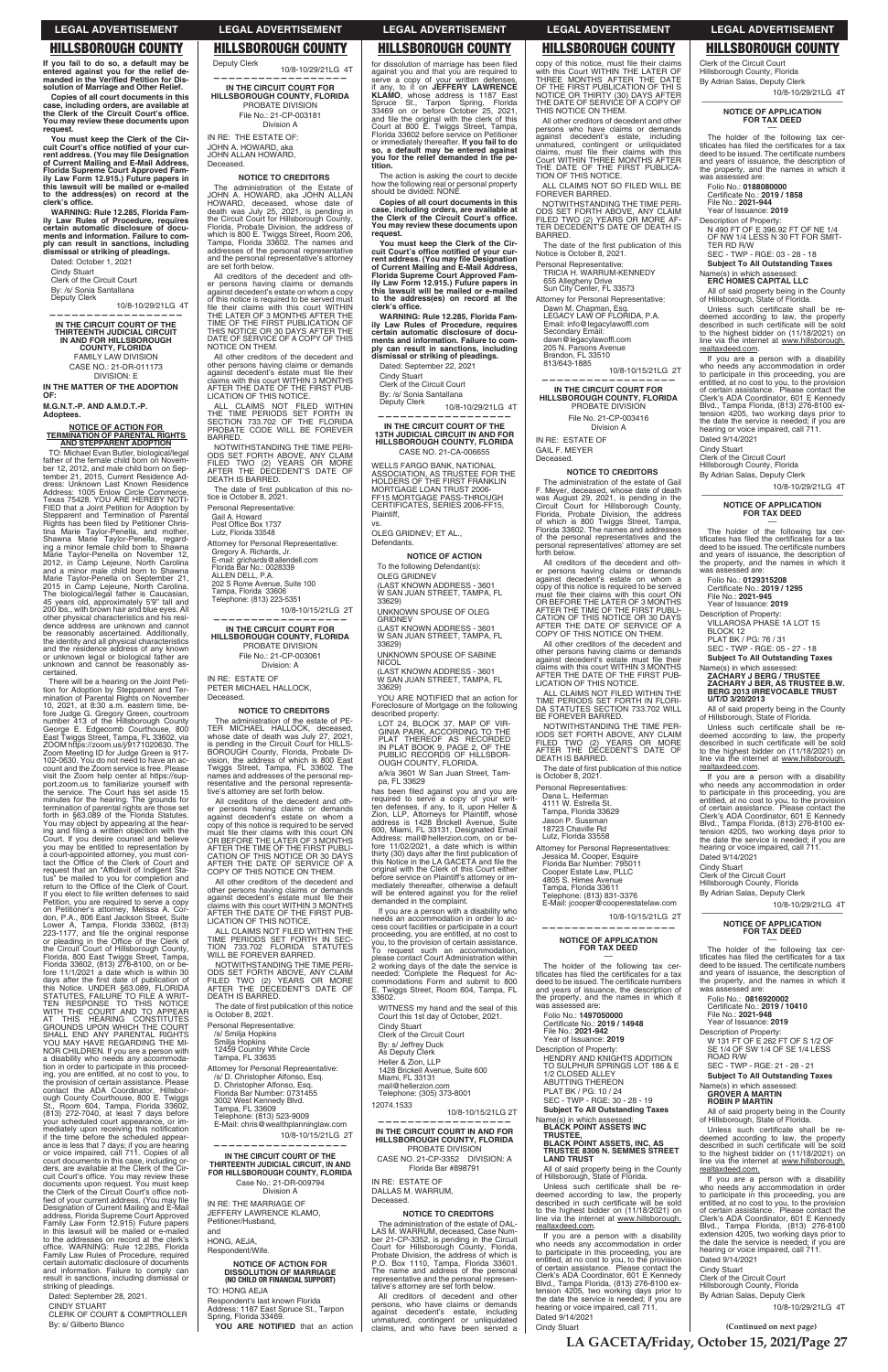**(Continued on next page)**

**If you fail to do so, a default may be entered against you for the relief de-<br>manded in the Verified Petition for Dis-&KU- solution of Marriage and Other Relief.**

**You must keep the Clerk of the Cir**cuit Court's office notified of your cur-<br>rent address. (You may file Designation<br>of Current Mailing and E-Mail Address,<br>Florida Supreme Court Approved Fam-<br>ily Law Form 12.915.) Future papers in **this lawsuit will be mailed or e-mailed**  to the address(es) on record at the<br>clerk's office.

**Copies of all court documents in this zase, including orders, are available at the Clerk of the Circuit Court's office. You may review these documents upon request.**

**WARNING: Rule 12.285, Florida Family Law Rules of Procedure, requires certain automatic disclosure of docu-ments and information. Failure to comply can result in sanctions, including dismissal or striking of pleadings.**

Dated: October 1, 2021

Cindy Stuart Clerk of the Circuit Court

By: /s/ Sonia Santallana Deputy Clerk

10/8-10/29/21LG 4T

**—————————————————— IN THE CIRCUIT COURT OF THE THIRTEENTH JUDICIAL CIRCUIT IN AND FOR HILLSBOROUGH COUNTY, FLORIDA** FAMILY LAW DIVISION CASE NO.: 21-DR-011173

DIVISION: E **IN THE MATTER OF THE ADOPTION** 

**OF:** 

**M.G.N.T.-P. AND A.M.D.T.-P. Adoptees.**

# **NOTICE OF ACTION FOR TERMINATION OF PARENTAL RIGHTS AND STEPPARENT ADOPTION**

TO: Michael Evan Butler, biological/legal father of the female child born on November 12, 2012, and male child born on September 21, 2015, Current Residence Ad-dress: Unknown Last Known Residence Address: 1005 Enlow Circle Commerce, Texas 75428. YOU ARE HEREBY NOTI-FIED that a Joint Petition for Adoption by Stepparent and Termination of Parental Rights has been filed by Petitioner Christina Marie Taylor-Penella, and mother, Shawna Marie Taylor-Penella, regarding a minor female child born to Shawna<br>Marie Taylor-Penella on November 12,<br>2012, in Camp Lejeune, North Carolina<br>and a minor male child born to Shawna<br>Marie Taylor-Penella on September 21,<br>2015 in Carolina.<br>The biologica 45 years old, approximately 5'9" tall and 200 lbs., with brown hair and blue eyes. All other physical characteristics and his residence address are unknown and cannot be reasonably ascertained. Additionally, the identity and all physical characteristics and the residence address of any known or unknown legal or biological father are unknown and cannot be reasonably ascertained.

All creditors of the decedent and other persons having claims or demands against decedent's estate on whom a copy of this notice is required to be served must file their claims with this court WITHIN THE LATER OF 3 MONTHS AFTER THE TIME OF THE FIRST PUBLICATION OF THIS NOTICE OR 30 DAYS AFTER THE DATE OF SERVICE OF A COPY OF THIS NOTICE ON THEM. All other creditors of the decedent and other persons having claims or demands<br>against decedent's estate must file their<br>claims with this court WITHIN 3 MONTHS<br>AFTER THE DATE OF THE FIRST PUB-

NOTWITHSTANDING THE TIME PERI-ODS SET FORTH ABOVE, ANY CLAIM FILED TWO (2) YEARS OR MORE AFTER THE DECEDENT'S DATE OF DEATH IS BARRED. The date of first publication of this no-

There will be a hearing on the Joint Peti-tion for Adoption by Stepparent and Termination of Parental Rights on November<br>10, 2021, at 8:30 a.m. eastern time, be-<br>fore Judge G. Gregory Green, courtroom<br>number 413 of the Hillsborough County<br>George E. Edgecomb Courthouse, 800<br>East Twiggs Street, Tampa, FL ZOOM https://zoom.us/j/9171020630. The Zoom Meeting ID for Judge Green is 917- 102-0630. You do not need to have an account and the Zoom service is free. Please visit the Zoom help center at https://sup-port.zoom.us to familiarize yourself with the service. The Court has set aside 15 minutes for the hearing. The grounds for termination of parental rights are those set forth in §63.089 of the Florida Statutes.<br>You may object by appearing at the hear-<br>ing and filing a written objection with the Court. If you desire counsel and believe<br>you may be entitled to representation by<br>a court-appointed attorney, you must con-<br>tact the Office of the Clerk of Court and<br>request that an "Affidavit of Indigent Sta-<br>tus" be mail return to the Office of the Clerk of Court.<br>If you elect to file written defenses to said Petition, you are required to serve a copy on Petitioner's attorney, Melissa A. Cor-don, P.A., 806 East Jackson Street, Suite Lower A, Tampa, Florida 33602, (813) 223-1177, and file the original response<br>or pleading in the Office of the Clerk of<br>the Circuit Court of Hillsborough County, Florida, 800 East Twiggs Street, Tampa, Florida 33602, (813) 276-8100, on or be-fore 11/1/2021 a date which is within 30 days after the first date of publication of<br>this Notice. UNDER §63.089, FLORIDA<br>STATUTES, FAILURE TO FILE A WRIT-TEN RESPONSE TO THIS NOTICE<br>WITH THE COURT AND TO APPEAR<br>AT THIS HEARING CONSTITUTES<br>GROUNDS UPON WHICH THE COURT SHALL END ANY PARENTAL RIGHTS YOU MAY HAVE REGARDING THE MI-NOR CHILDREN. If you are a person with a disability who needs any accommoda-tion in order to participate in this proceeding, you are entitled, at no cost to you, to<br>the provision of certain assistance. Please<br>contact the ADA Coordinator, Hillsbor-<br>ough County Courthouse, 800 E. Twiggs<br>St., Room 604, Tampa, Florida 33602,<br>(813) 272-7040, at your scheduled court appearance, or im-<br>mediately upon receiving this notification<br>if the time before the scheduled appearance is less that 7 days; if you are hearing or voice impaired, call 711. Copies of all court documents in this case, including orders, are available at the Clerk of the Cir-<br>cuit Court's office. You may review these<br>documents upon request. You must keep the Clerk of the Circuit Court's office noti-<br>fied of your current address. (You may file<br>Designation of Current Mailing and E-Mail address, Florida Supreme Court Approved Family Law Form 12.915) Future papers in this lawsuit will be mailed or e-mailed to the addresses on record at the clerk's<br>office. WARNING: Rule 12.285, Florida<br>Family Law Rules of Procedure, required certain automatic disclosure of documents and information. Failure to comply can result in sanctions, including dismissal or striking of pleadings.

ALL CLAIMS NOT FILED WITHIN THE TIME PERIODS SET FORTH IN SEC-TION 733.702 FLORIDA STATUTES WILL BE FOREVER BARRED.

for dissolution of marriage has been filed against you and that you are required to serve a copy of your written defenses, if any, to it on **JEFFERY LAWRENCE KLAMO**, whose address is 1187 East Spruce St., Tarpon Spring, Florida 33469 on or before October 25, 2021, and file the original with the clerk of this<br>Court at 800 E. Twiggs Street, Tampa,<br>Florida 33602 before service on Petitioner or immediately thereafter. **If you fail to do so, a default may be entered against you for the relief demanded in the petition.**

Dated: September 28, 2021.

CINDY STUART CLERK OF COURT & COMPTROLLER By: s/ Gilberto Blanco

Deputy Clerk 10/8-10/29/21LG 4T **—————————————————— IN THE CIRCUIT COURT FOR HILLSBOROUGH COUNTY, FLORIDA** PROBATE DIVISION File No.: 21-CP-003181 Division A

> WELLS FARGO BANK, NATIONAL ASSOCIATION, AS TRUSTEE FOR THE HOLDERS OF THE FIRST FRANKLIN HULDERS OF THE LIBRARY 2006-<br>MORTGAGE LOAN TRUST 2006-<br>EE15 MORTGAGE PASS-THROUGH FF15 MORTGAGE PASS-THROUGH CERTIFICATES, SERIES 2006-FF15, Plaintiff, vs.

OLEG GRIDNEV: ET AL. Defendants.

IN RE: THE ESTATE OF: JOHN A. HOWARD, aka JOHN ALLAN HOWARD,

Deceased.

UNKNOWN SPOUSE OF SABINE **NICOL** 

**NOTICE TO CREDITORS** The administration of the Estate of JOHN A. HOWARD, aka JOHN ALLAN HOWARD, deceased, whose date of

> YOU ARE NOTIFIED that an action for Foreclosure of Mortgage on the following described property:

LOT 24, BLOCK 37, MAP OF VIR-GINIA PARK, ACCORDING TO THE PLAT THEREOF AS RECORDED IN PLAT BOOK 9, PAGE 2, OF THE PUBLIC RECORDS OF HILLSBOR-<br>OUGH COUNTY, FLORIDA.

death was July 25, 2021, is pending in the Circuit Court for Hillsborough County, Florida, Probate Division, the address of which is 800 E. Twiggs Street, Room 206, Tampa, Florida 33602. The names and addresses of the personal representative and the personal representative's attorney

are set forth below.

has been filed against you and you are required to serve a copy of your writ-ten defenses, if any, to it, upon Heller & Zion, LLP, Attorneys for Plaintiff, whose address is 1428 Brickell Avenue, Suite 600, Miami, FL 33131, Designated Email Address: mail@hellerzion.com, on or before 11/02/2021, a date which is within<br>thirty (30) days after the first publication of<br>this Notice in the LA GACETA and file the original with the Clerk of this Court either before service on Plaintiff's attorney or im-mediately thereafter, otherwise a default will be entered against you for the relief demanded in the complaint.

LICATION OF THIS NOTICE.

ALL CLAIMS NOT FILED WITHIN THE TIME PERIODS SET FORTH IN SECTION 733.702 OF THE FLORIDA PROBATE CODE WILL BE FOREVER

tice is October 8, 2021. Personal Representative: Gail A. Howard Post Office Box 1737 Lutz, Florida 33548

All other creditors of decedent and other persons who have claims or demands against decedent's estate, including unmatured, contingent or unliquidated claims, must file their claims with this<br>Court WITHIN THREE MONTHS AFTER<br>THE DATE OF THE FIRST PUBLICA-<br>TION OF THIS NOTICE.

Attorney for Personal Representative: Gregory A. Richards, Jr.<br>E-mail: grichards@allendell.com<br>Florida Bar No.: 0028339<br>ALLEN DELL, P.A. 202 S Rome Avenue, Suite 100 Tampa, Florida 33606 Telephone: (813) 223-5351

10/8-10/15/21LG 2T

The date of the first publication of this Notice is October 8, 2021.

**—————————————————— IN THE CIRCUIT COURT FOR HILLSBOROUGH COUNTY, FLORIDA** PROBATE DIVISION File No.: 21-CP-003061 Division: A

IN RE: ESTATE OF PETER MICHAEL HALLOCK,

Deceased.

**BARRED** 

**NOTICE TO CREDITORS** The administration of the estate of PE-TER MICHAEL HALLOCK, deceased, whose date of death was July 27, 2021, is pending in the Circuit Court for HILLS-BOROUGH County, Florida, Probate Di-vision, the address of which is 800 East

Twiggs Street, Tampa, FL 33602. The names and addresses of the personal rep-resentative and the personal representa-

must file their claims with this court ON<br>OR BEFORE THE LATER OF 3 MONTHS<br>AFTER THE TIME OF THE FIRST PUBLI-<br>CATION OF THIS NOTICE OR 30 DAYS<br>AFTER THE DATE OF SERVICE OF A<br>COPY OF THIS NOTICE ON THEM.

tive's attorney are set forth below. All creditors of the decedent and other persons having claims or demands against decedent's estate on whom a copy of this notice is required to be served

The date of first publication of this notice is October 8, 2021.

All other creditors of the decedent and other persons having claims or demands<br>against decedent's estate must file their claims with this court WITHIN 3 MONTHS AFTER THE DATE OF THE FIRST PUB-

LICATION OF THIS NOTICE.

NOTWITHSTANDING THE TIME PERI-ODS SET FORTH ABOVE, ANY CLAIM FILED TWO (2) YEARS OR MORE AFTER THE DECEDENT'S DATE OF

> If you are a person with a disability who needs any accommodation in order to participate in this proceeding, you are entitled, at no cost to you, to the provision of certain assistance. Please contact the Clerk's ADA Coordinator, 601 E Kennedy Blvd., Tampa Florida, (813) 276-8100 ex-tension 4205, two working days prior to the date the service is needed; if you are hearing or voice impaired, call 711

DEATH IS BARRED. The date of first publication of this notice is October 8, 2021. Personal Representative: /s/ Smilja Hopkins Smilja Hopkins 12459 Country White Circle Tampa, FL 33635 Attorney for Personal Representative: /s/ D. Christopher Alfonso, Esq. D. Christopher Alfonso, Esq. Florida Bar Number: 0731455 3002 West Kennedy Blvd. Tampa, FL 33609 Telephone: (813) 523-9009 E-MaiI: chris@wealthplanninglaw.com 10/8-10/15/21LG 2T **—————————————————— IN THE CIRCUIT COURT OF THE THIRTEENTH JUDICIAL CIRCUIT, IN AND FOR HILLSBOROUGH COUNTY, FLORIDA** Case No.: 21-DR-009794 Division A IN RE: THE MARRIAGE OF JEFFERY LAWRENCE KLAMO, Petitioner/Husband, and HONG, AEJA, Respondent/Wife. **NOTICE OF ACTION FOR DISSOLUTION OF MARRIAGE (NO CHILD OR FINANCIAL SUPPORT)**

The holder of the following tax certificates has filed the certificates for a tax deed to be issued. The certificate numbers<br>and years of issuance, the description of the property, and the names in which it was assessed are:

Folio No.: **0188080000** Certificate No.: **2019 / 1858**<br>File No.: **2021-944** 

SEC - TWP - RGE: 03 - 28 - 18 **Subject To All Outstanding Taxes** 

TO: HONG AEJA

Respondent's last known Florida Address: 1187 East Spruce St., Tarpon

Spring, Florida 33469.

**YOU ARE NOTIFIED** that an action

Unless such certificate shall be redeemed according to law, the property<br>described in such certificate will be sold<br>to the highest bidder on (11/18/2021) on line via the internet at www.hillsborough. realtaxdeed.com.

The holder of the following tax certificates has filed the certificates for a tax deed to be issued. The certificate numbers<br>and years of issuance, the description of the property, and the names in which it assessed are:

The action is asking the court to decide how the following real or personal property should be divided: NONE

**Copies of all court documents in this the Clerk of the Circuit Court's office. You may review these documents upon request.**

You must keep the Clerk of the Cir-<br>cuit Court's office notified of your cur-<br>rent address. (You may file Designation **of Current Mailing and E-Mail Address, Florida Supreme Court Approved Fam-ily Law Form 12.915.) Future papers in this lawsuit will be mailed or e-mailed to the address(es) on record at the**  clerk's office.

> Unless such certificate shall be redeemed according to law, the property<br>described in such certificate will be sold<br>to the highest bidder on (11/18/2021) on line via the internet at www.hillsborough. realtaxdeed.com. If you are a person with a disability

> —————————————————— **NOTICE OF APPLICATION FOR TAX DEED** –– The holder of the following tax cer-<br>tificates has filed the certificates for a tax<br>deed to be issued. The certificate numbers and years of issuance, the description of property, and the names in which it

**WARNING: Rule 12.285, Florida Family Law Rules of Procedure, requires certain automatic disclosure of docu-ments and information. Failure to comply can result in sanctions, including dismissal or striking of pleadings.**

Dated: September 22, 2021

Cindy Stuart Clerk of the Circuit Court

By: /s/ Sonia Santallana<br>Deputy Clerk 10/8-10/29/21LG 4T

**——————————————————**

If you are a person with a disability who needs any accommodation in order to participate in this proceeding, you are entitled, at no cost to you, to the provision<br>of certain assistance. Please contact the<br>Clerk's ADA Coordinator, 601 E Kennedy<br>Blvd., Tampa Florida, (813) 276-8100<br>extension 4205, two working days prior to<br>the date the ser hearing or voice impaired, call 711

**IN THE CIRCUIT COURT OF THE 13TH JUDICIAL CIRCUIT IN AND FOR HILLSBOROUGH COUNTY, FLORIDA** CASE NO. 21-CA-006655

# **NOTICE OF ACTION**

To the following Defendant(s):

OLEG GRIDNEV (LAST KNOWN ADDRESS - 3601 W SAN JUAN STREET, TAMPA, FL 33629)

UNKNOWN SPOUSE OF OLEG GRIDNEV

(LAST KNOWN ADDRESS - 3601 W SAN JUAN STREET, TAMPA, FL 33629)

(LAST KNOWN ADDRESS - 3601 W SAN JUAN STREET, TAMPA, FL 33629)

a/k/a 3601 W San Juan Street, Tampa, FL 33629

If you are a person with a disability who needs an accommodation in order to access court facilities or participate in a court proceeding, you are entitled, at no cost to you, to the provision of certain assistance. To request such an accommodation, please contact Court Administration within 2 working days of the date the service is needed: Complete the Request for Ac-commodations Form and submit to 800 E. Twiggs Street, Room 604, Tampa, FL 33602. WITNESS my hand and the seal of this Court this 1st day of October, 2021. Cindy Stuart Clerk of the Circuit Court By: s/ Jeffrey Duck As Deputy Clerk Heller & Zion, LLP 1428 Brickell Avenue, Suite 600 Miami, FL 33131 mail@hellerzion.com Telephone: (305) 373-8001 12074.1533 10/8-10/15/21LG 2T **—————————————————— IN THE CIRCUIT COURT IN AND FOR HILLSBOROUGH COUNTY, FLORIDA** PROBATE DIVISION CASE NO. 21-CP-3352 DIVISION: A Florida Bar #898791 IN RE: ESTATE OF DALLAS M. WARRUM, Deceased. **NOTICE TO CREDITORS** The administration of the estate of DAL-LAS M. WARRUM, deceased, Case Number 21-CP-3352, is pending in the Circuit<br>Court for Hillsborough County, Florida,<br>Probate Division, the address of which is<br>P.O. Box 1110, Tampa, Florida 33601.<br>The name and address of the personal<br>representative and the p tative's attorney are set forth below. All creditors of decedent and other persons, who have claims or demands against decedent's estate, including unmatured, contingent or unliquidated claims, and who have been served a

ALL CLAIMS NOT SO FILED WILL BE FOREVER BARRED.

NOTWITHSTANDING THE TIME PERI-ODS SET FORTH ABOVE, ANY CLAIM FILED TWO (2) YEARS OR MORE AF-TER DECEDENT'S DATE OF DEATH IS BARRED.

Personal Representative: TRlCIA H. WARRUM-KENNEDY 655 Allegheny Drive Sun City Center, FL 33573

Attorney for Personal Representative: Dawn M. Chapman, Esq. LEGACY LAW OF FLORIDA, P.A. Email: info@legacylawoffl.com Secondary Email:<br>dawn@legacylawoffl.com 205 N. Parsons Avenue Brandon, FL 33510

813/643-1885 10/8-10/15/21LG 2T

**—————————————————— IN THE CIRCUIT COURT FOR HILLSBOROUGH COUNTY, FLORIDA** PROBATE DIVISION File No. 21-CP-003416

Division A

IN RE: ESTATE OF GAIL F. MEYER

# Deceased.

# **NOTICE TO CREDITORS**

The administration of the estate of Gail F. Meyer, deceased, whose date of death<br>was August 29, 2021, is pending in the<br>Circuit Court for Hillsborough County,<br>Florida, Probate Division, the address<br>of which is 800 Twiggs Street, Tampa,<br>Florida 33602. The names an of the personal representatives and the personal representatives' attorney are set forth below.

All creditors of the decedent and other persons having claims or demands against decedent's estate on whom a copy of this notice is required to be served<br>must file their claims with this court ON<br>OR BEFORE THE LATER OF 3 MONTHS<br>AFTER THE TIME OF THE FIRST PUBLI-CATION OF THIS NOTICE OR 30 DAYS AFTER THE DATE OF SERVICE OF A COPY OF THIS NOTICE ON THEM.

All other creditors of the decedent and other persons having claims or demands against decedent's estate must file their<br>claims with this court WITHIN 3 MONTHS AFTER THE DATE OF THE FIRST PUB-LICATION OF THIS NOTICE.

ALL CLAIMS NOT FILED WITHIN THE TIME PERIODS SET FORTH IN FLORI-DA STATUTES SECTION 733.702 WILL BE FOREVER BARRED.

NOTWITHSTANDING THE TIME PER-IODS SET FORTH ABOVE, ANY CLAIM FILED TWO (2) YEARS OR MORE AFTER THE DECEDENT'S DATE OF DEATH IS BARRED.

Personal Representatives:

Dana L. Heiferman 4111 W. Estrella St. Tampa, Florida 33629

Jason P. Sussman 18723 Chaville Rd

Lutz, Florida 33558 Attorney for Personal Representatives: Jessica M. Cooper, Esquire Florida Bar Number: 795011

Cooper Estate Law, PLLC 4805 S. Himes Avenue Tampa, Florida 33611 Telephone: (813) 831-3376

E-Mail: jcooper@cooperestatelaw.com 10/8-10/15/21LG 2T

**—————————————————— NOTICE OF APPLICATION FOR TAX DEED** ––

The holder of the following tax certificates has filed the certificates for a tax<br>deed to be issued. The certificate numbers and years of issuance, the description of the property, and the names in which it was assessed are:

Folio No.: **1497050000** Certificate No.: 2019 / 14948 File No.: **2021-942** Year of Issuance: **2019** Description of Property: HENDRY AND KNIGHTS ADDITION TO SULPHUR SPRINGS LOT 186 & E 1/2 CLOSED ALLEY ABUTTING THEREON PLAT BK / PG: 10 / 24 SEC - TWP - RGE: 30 - 28 - 19 **Subject To All Outstanding Taxes** Name(s) in which assessed: **BLACK POINT ASSETS INC TRUSTEE, BLACK POINT ASSETS, INC, AS TRUSTEE 8306 N. SEMMES STREET LAND TRUST**

All of said property being in the County of Hillsborough, State of Florida.

Unless such certificate shall be redeemed according to law, the property<br>described in such certificate will be sold<br>to the highest bidder on (11/18/2021) on line via the internet at www.hillsborough. realtaxdeed.com.

Dated 9/14/2021

Cindy Stuart

Certificate No.: **20<sup>.</sup>**<br>File No.: **2021-948** 0Q-**2019 / 10410** Year of Issuance: **2019** Description of Property: W 131 FT OF E 262 FT OF S 1/2 OF SE 1/4 OF SW 1/4 OF SE 1/4 LESS ROAD R/W SEC - TWP - RGE: 21 - 28 - 21 **Subject To All Outstanding Taxes** 

Clerk of the Circuit Court Hillsborough County, Florida By Adrian Salas, Deputy Clerk 10/8-10/29/21LG 4T

—————————————————— **NOTICE OF APPLICATION FOR TAX DEED** ––

Year of Issuance: **2019**

Description of Property: N 490 FT OF E 396.92 FT OF NE 1/4 OF NW 1/4 LESS N 30 FT FOR SMIT-TER RD R/W

Name(s) in which assessed: **ERC HOMES CAPITAL LLC**

All of said property being in the County of Hillsborough, State of Florida.

If you are a person with a disability who needs any accommodation in order to participate in this proceeding, you are entitled, at no cost to you, to the provision of certain assistance. Please contact the Clerk's ADA Coordinator, 601 E Kennedy Blvd., Tampa Florida, (813) 276-8100 ex-tension 4205, two working days prior to the date the service is needed; if you are hearing or voice impaired, call 711 Dated 9/14/2021

Cindy Stuart Clerk of the Circuit Court

Hillsborough County, Florida

By Adrian Salas, Deputy Clerk

10/8-10/29/21LG 4T

## —————————————————— **NOTICE OF APPLICATION FOR TAX DEED** ––

Folio No.: **0129315208** Certificate No.: 2019 / 1295 File No.: **2021-945** Year of Issuance: **2019**

Description of Property: VILLAROSA PHASE 1A LOT 15 BLOCK 12

PLAT BK / PG: 76 / 31 SEC - TWP - RGE: 05 - 27 - 18

**Subject To All Outstanding Taxes** 

Name(s) in which assessed: **ZACHARY J BERG / TRUSTEE ZACHARY J BER, AS TRUSTEE B.W. BERG 2013 IRREVOCABLE TRUST U/T/D 3/20/2013**

All of said property being in the County of Hillsborough, State of Florida.

who needs any accommodation in order to participate in this proceeding, you are entitled, at no cost to you, to the provision of certain assistance. Please contact the Clerk's ADA Coordinator, 601 E Kennedy Blvd., Tampa Florida, (813) 276-8100 extension 4205, two working days prior to the date the service is needed; if you are hearing or voice impaired, call 711.

Dated 9/14/2021 Cindy Stuart Clerk of the Circuit Court Hillsborough County, Florida By Adrian Salas, Deputy Clerk

10/8-10/29/21LG 4T

was assessed are: Folio No.: **0816920002** 

Name(s) in which assessed: **GROVER A MARTIN ROBIN P MARTIN**

All of said property being in the County of Hillsborough, State of Florida.

Unless such certificate shall be redeemed according to law, the property<br>described in such certificate will be sold<br>to the highest bidder on (11/18/2021) on line via the internet at www.hillsborough. realtaxdeed.com.

Dated 9/14/2021

Cindy Stuart Clerk of the Circuit Court Hillsborough County, Florida By Adrian Salas, Deputy Clerk

10/8-10/29/21LG 4T

# **LEGAL ADVERTISEMENT LEGAL ADVERTISEMENT LEGAL ADVERTISEMENT LEGAL ADVERTISEMENT LEGAL ADVERTISEMENT**

copy of this notice, must file their claims with this Court WITHIN THE LATER OF<br>THREE MONTHS AFTER THE DATE THREE MONTHS AFTER THE DATE<br>OF THE FIRST PUBLICATION OF THI S<br>NOTICE OR THIRTY (30) DAYS AFTER<br>THE DATE OF SERVICE OF A COPY OF<br>THIS NOTICE ON THEM.

# **HILLSBOROUGH COUNTY HILLSBOROUGH COUNTY HILLSBOROUGH COUNTY HILLSBOROUGH COUNTY HILLSBOROUGH COUNTY**

**LA GACETA/Friday, October 15, 2021/Page 27**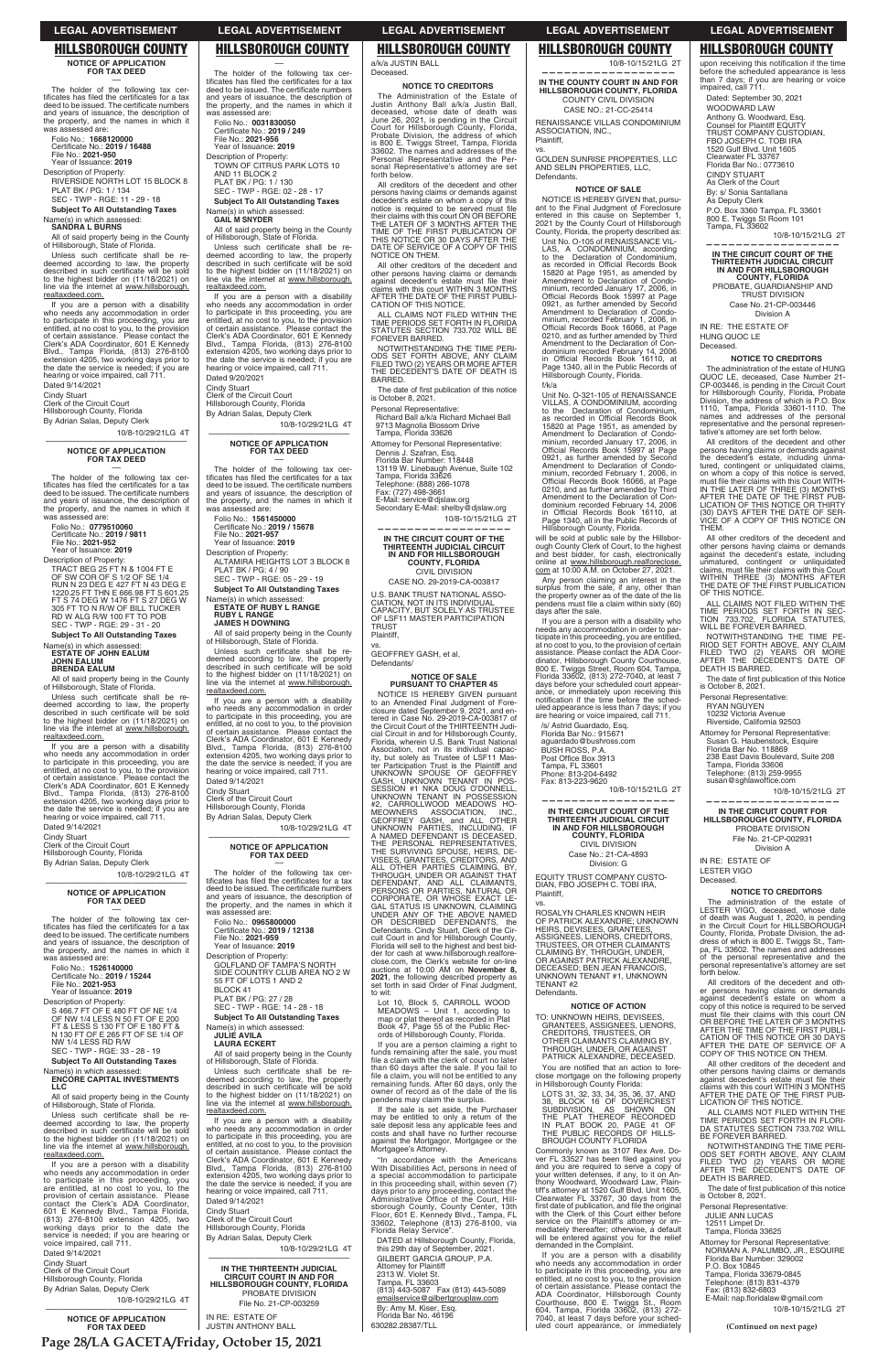# **NOTICE OF APPLICATION FOR TAX DEED**

–– The holder of the following tax cer-<br>tificates has filed the certificates for a tax deed to be issued. The certificate numbers and years of issuance, the description of the property, and the names in which it was assessed are:

RIVERSIDE NORTH LOT 15 BLOCK 8 PLAT BK / PG: 1 / 134 SEC - TWP - RGE: 11 - 29 - 18

**Subject To All Outstanding Taxes** Name(s) in which assessed:

Folio No.: **1668120000**  Certificate No.: **2019 / 16488**<br>File No.: **2021-950** Year of Issuance: **2019**

Description of Property:

Unless such certificate shall be redeemed according to law, the property<br>described in such certificate will be sold<br>to the highest bidder on (11/18/2021) on line via the internet at www.hillsborough. realtaxdeed.com.

# **SANDRA L BURNS**

All of said property being in the County of Hillsborough, State of Florida.

Folio No.: **0779510060**<br>Certificate No.: **2019 / 9811**<br>File No.: **2021-952** Year of Issuance: **2019**

If you are a person with a disability who needs any accommodation in order to participate in this proceeding, you are entitled, at no cost to you, to the provision of certain assistance. Please contact the Clerk's ADA Coordinator, 601 E Kennedy Blvd., Tampa Florida, (813) 276-8100 extension 4205, two working days prior to the date the service is needed; if you are hearing or voice impaired, call 711. Dated 9/14/2021

Unless such certificate shall be re-<br>deemed according to law, the property<br>described in such certificate will be sold to the highest bidder on (11/18/2021) on<br>line via the internet at <u>www.hillsborough.</u> realtaxdeed.com.

Cindy Stuart Clerk of the Circuit Court

Hillsborough County, Florida By Adrian Salas, Deputy Clerk

10/8-10/29/21LG 4T

# —————————————————— **NOTICE OF APPLICATION FOR TAX DEED** ––

The holder of the following tax certificates has filed the certificates for a tax<br>deed to be issued. The certificate numbers<br>and years of issuance, the description of the property, and the names in which it was assessed are:

The holder of the following tax cer-<br>tificates has filed the certificates for a tax<br>deed to be issued. The certificate numbers and years of issuance, the description of the property, and the names in which it was assessed are:

Folio No.: **1526140000**  Certificate No.: **2019 / 15244**<br>File No.: **2021-953**<br>Year of Issuance: **2019** 

Description of Property: TRACT BEG 25 FT N & 1004 FT E OF SW COR OF S 1/2 OF SE 1/4 RUN N 23 DEG E 427 FT N 43 DEG E 1220.25 FT THN E 666.98 FT S 601.25 FT S 74 DEG W 1476 FT S 27 DEG W 305 FT TO N R/W OF BILL TUCKER RD W ALG R/W 100 FT TO POB SEC - TWP - RGE: 29 - 31 - 20

**Subject To All Outstanding Taxes** 

Unless such certificate shall be re-<br>deemed according to law, the property described in such certificate will be sold to the highest bidder on (11/18/2021) on line via the internet at www.hillsborough. realtaxdeed.com.

Name(s) in which assessed: **ESTATE OF JOHN EALUM JOHN EALUM BRENDA EALUM**

All of said property being in the County of Hillsborough, State of Florida.

–– The holder of the following tax certificates has filed the certificates for a tax<br>deed to be issued. The certificate numbers<br>and years of issuance, the description of the property, and the names in which it assessed are

SEC - TWP - RGE: 02 - 28 - 17 **Subject To All Outstanding Taxes** 

If you are a person with a disability who needs any accommodation in order<br>to participate in this proceeding, you are<br>entitled, at no cost to you, to the provision<br>of certain assistance. Please contact the Clerk's ADA Coordinator, 601 E Kennedy Blvd., Tampa Florida, (813) 276-8100 extension 4205, two working days prior to the date the service is needed; if you are hearing or voice impaired, call 711.

Unless such certificate shall be re-<br>deemed according to law, the property described in such certificate will be sold to the highest bidder on (11/18/2021) on line via the internet at www.hillsborough. realtaxdeed.com.

Dated 9/14/2021

Cindy Stuart Clerk of the Circuit Court

Hillsborough County, Florida By Adrian Salas, Deputy Clerk

10/8-10/29/21LG 4T ——————————————————

# **NOTICE OF APPLICATION FOR TAX DEED** ––

The holder of the following tax cer-<br>tificates has filed the certificates for a tax deed to be issued. The certificate numbers and years of issuance, the description of the property, and the names in which it was assessed are: Folio No.: **1561450000** 

Certificate No.: **2019 / 15678**<br>File No.: **2021-957** Year of Issuance: **2019**

Unless such certificate shall be re-<br>deemed according to law, the property described in such certificate will be sold to the highest bidder on (11/18/2021) on<br>line via the internet at <u>www.hillsborough.</u> realtaxdeed.com.

Name(s) in which assessed: **ENCORE CAPITAL INVESTMENTS** 

## **LLC**

All of said property being in the County of Hillsborough, State of Florida.

Folio No.: **0965800000**  Certificate No.: **2019 / 12138**<br>File No.: **2021-959** 

**Subject To All Outstanding Taxes** Name(s) in which assessed: **JULIE AVILA**

Unless such certificate shall be re-<br>deemed according to law, the property described in such certificate will be sold to the highest bidder on (11/18/2021) on line via the internet at www.hillsborough. realtaxdeed.com.

If you are a person with a disability who needs any accommodation in order<br>to participate in this proceeding, you<br>are entitled, at no cost to you, to the<br>provision of certain assistance. Please<br>contact the Clerk's ADA Coordinator, 601 E Kennedy Blvd., Tampa Florida, (813) 276-8100 extension 4205, two working days prior to the date the service is needed; if you are hearing or voice impaired, call 711.

If you are a person with a disability who needs any accommodation in order to participate in this proceeding, you are entitled, at no cost to you, to the provision of certain assistance. Please contact the Clerk's ADA Coordinator, 601 E Kennedy Blvd., Tampa Florida, (813) 276-8100 extension 4205, two working days prior to the date the service is needed; if you are hearing or voice impaired, call 711. Dated 9/14/2021

Dated 9/14/2021

Cindy Stuart Clerk of the Circuit Court Hillsborough County, Florida By Adrian Salas, Deputy Clerk

10/8-10/29/21LG 4T

# —————————————————— **NOTICE OF APPLICATION FOR TAX DEED**

All creditors of the decedent and other persons having claims or demands against<br>decedent's estate on whom a copy of this<br>notice is required to be served must file

Folio No.: **0031830050**  Certificate No.: 2019 / 249 File No.: **2021-956**

Year of Issuance: **2019** Description of Property: TOWN OF CITRUS PARK LOTS 10

> their claims with this court ON OR BEFORE<br>THE LATER OF 3 MONTHS AFTER THE<br>TIME OF THE FIRST PUBLICATION OF<br>THIS NOTICE OR 30 DAYS AFTER THE DATE OF SERVICE OF A COPY OF THIS

AND 11 BLOCK 2 PLAT BK / PG: 1 / 130

Name(s) in which assessed: **GAIL M SNYDER**

All of said property being in the County of Hillsborough, State of Florida.

**—————————————————— IN THE CIRCUIT COURT OF THE THIRTEENTH JUDICIAL CIRCUIT IN AND FOR HILLSBOROUGH COUNTY, FLORIDA** CIVIL DIVISION CASE NO. 29-2019-CA-003817 U.S. BANK TRUST NATIONAL ASSO-CIATION, NOT IN ITS INDIVIDUAL<br>CAPACITY, BUT SOLELY AS TRUSTEE<br>OF LSF11 MASTER PARTICIPATION

**TRUST** Plaintiff, vs.

If you are a person with a disability who needs any accommodation in order to participate in this proceeding, you are entitled, at no cost to you, to the provision of certain assistance. Please contact the Clerk's ADA Coordinator, 601 E Kennedy Blvd., Tampa Florida, (813) 276-8100 extension 4205, two working days prior to the date the service is needed; if you are hearing or voice impaired, call 711.

Description of Property: S 466.7 FT OF E 480 FT OF NE 1/4 OF NW 1/4 LESS N 50 FT OF E 200 FT & LESS S 130 FT OF E 180 FT & N 130 FT OF E 265 FT OF SE 1/4 OF NW 1/4 LESS RD R/W SEC - TWP - RGE: 33 - 28 - 19 PLAT BK / PG: 27 / 28 SEC - TWP - RGE: 14 - 28 - 18

Dated 9/20/2021 Cindy Stuart

Clerk of the Circuit Court Hillsborough County, Florida

By Adrian Salas, Deputy Clerk

10/8-10/29/21LG 4T ——————————————————

**NOTICE OF APPLICATION FOR TAX DEED** ––

Description of Property: ALTAMIRA HEIGHTS LOT 3 BLOCK 8

PLAT BK / PG: 4 / 90 SEC - TWP - RGE: 05 - 29 - 19

**Subject To All Outstanding Taxes** 

Name(s) in which assessed: **ESTATE OF RUBY L RANGE RUBY L RANGE JAMES H DOWNING**

All of said property being in the County of Hillsborough, State of Florida.

"In accordance with the Americans With Disabilities Act, persons in need of a special accommodation to participate<br>in this proceeding shall, within seven (7) days prior to any proceeding, contact the<br>Administrative Office of the Court, Hill-<br>sborough County, County Center, 13th Floor, 601 E. Kennedy Blvd., Tampa, FL<br>33602, Telephone (813) 276-8100, via<br>Florida Relay Service".

DATED at Hillsborough County, Florida, this 29th day of September, 2021. GILBERT GARCIA GROUP, P.A. Attorney for Plaintiff 2313 W. Violet St. Tampa, FL 33603<br>(813) 443-5087 Fax (813) 443-5089<br><u>emailservice@gilbertgrouplaw.com</u>

If you are a person with a disability who needs any accommodation in order to participate in this proceeding, you are entitled, at no cost to you, to the provision of certain assistance. Please contact the Clerk's ADA Coordinator, 601 E Kennedy Blvd., Tampa Florida, (813) 276-8100 extension 4205, two working days prior to the date the service is needed; if you are hearing or voice impaired, call 711. Dated 9/14/2021

Cindy Stuart

Clerk of the Circuit Court

Hillsborough County, Florida By Adrian Salas, Deputy Clerk

10/8-10/29/21LG 4T ——————————————————

## **NOTICE OF APPLICATION FOR TAX DEED** ––

The holder of the following tax cer-<br>tificates has filed the certificates for a tax<br>deed to be issued. The certificate numbers and years of issuance, the description of the property, and the names in which it was assessed are:

Year of Issuance: **2019**

Description of Property: GOLFLAND OF TAMPA'S NORTH SIDE COUNTRY CLUB AREA NO 2 W 55 FT OF LOTS 1 AND 2 BLOCK 41

# **LAURA ECKERT**

All of said property being in the County of Hillsborough, State of Florida.

Any person claiming an interest in the surplus from the sale, if any, other than the property owner as of the date of the lis pendens must file a claim within sixty (60) days after the sale.

/s/ Astrid Guardado, Esq. Florida Bar No.: 915671 aguardado@bushross.com BUSH ROSS, P.A.<br>Post Office Box 3913

Cindy Stuart Clerk of the Circuit Court Hillsborough County, Florida By Adrian Salas, Deputy Clerk

10/8-10/29/21LG 4T

You are notified that an action to foreclose mortgage on the following property in Hillsborough County Florida:

——————————————————

**IN THE THIRTEENTH JUDICIAL CIRCUIT COURT IN AND FOR HILLSBOROUGH COUNTY, FLORIDA** PROBATE DIVISION File No. 21-CP-003259

LOTS 31, 32, 33, 34, 35, 36, 37, AND<br>38, BLOCK 16 OF DOVERCREST<br>SUBDIVISION, AS SHOWN ON<br>THE PLAT THEREOF RECORDED<br>IN PLAT BOOK 20, PAGE 41 OF<br>THE PUBLIC RECORDS OF HILLS-BROUGH COUNTY FLORIDA

IN RE: ESTATE OF JUSTIN ANTHONY BALL a/k/a JUSTIN BALL Deceased.

Commonly known as 3107 Rex Ave. Do-<br>ver FL 33527 has been filed against you<br>and you are required to serve a copy of your written defenses, if any, to it on Anthony Woodward, Woodward Law, Plain-<br>tiff's attorney at 1520 Gulf Blvd. Unit 1605,<br>Clearwater FL 33767, 30 days from the<br>first date of publication, and file the original<br>with the Clerk of this Court either before service on the Plaintiff's attorney or immediately thereafter; otherwise, a default will be entered against you for the relief demanded in the Complaint.

**NOTICE TO CREDITORS** The Administration of the Estate of Justin Anthony Ball a/k/a Justin Ball, deceased, whose date of death was June 26, 2021, is pending in the Circuit Court for Hillsborough County, Florida, Probate Division, the address of which is 800 E. Twiggs Street, Tampa, Florida 33602. The names and addresses of the Personal Representative and the Personal Representative's attorney are set

forth below.

upon receiving this notification if the time before the scheduled appearance is less than 7 days; if you are hearing or voice impaired, call 711.

The administration of the estate of HUNG QUOC LE, deceased, Case Number 21-<br>CP-003446, is pending in the Circuit Court<br>for Hillsborough County, Florida, Probate<br>Division, the address of which is P.O. Box<br>1110, Tampa, Florida 33601-1110. The<br>names and addresses of representative and the personal represen-<br>tative's attorney are set forth below.

NOTICE ON THEM.

All other creditors of the decedent and other persons having claims or demands<br>against decedent's estate must file their<br>claims with this court WITHIN 3 MONTHS AFTER THE DATE OF THE FIRST PUBLI-CATION OF THIS NOTICE. ALL CLAIMS NOT FILED WITHIN THE TIME PERIODS SET FORTH IN FLORIDA STATUTES SECTION 733.702 WILL BE

FOREVER BARRED.

All other creditors of the decedent and other persons having claims or demands<br>against the decedent's estate, including<br>unmatured, contingent or unliquidated<br>claims, must file their claims with this Court

NOTWITHSTANDING THE TIME PERI-ODS SET FORTH ABOVE, ANY CLAIM FILED TWO (2) YEARS OR MORE AFTER THE DECEDENT'S DATE OF DEATH IS

The date of first publication of this notice

BARRED.

is October 8, 2021. Personal Representative:

Richard Ball a/k/a Richard Michael Ball 9713 Magnolia Blossom Drive Tampa, Florida 33626 Attorney for Personal Representative: Dennis J. Szafran, Esq. Florida Bar Number: 118448

> Tampa, Florida 33606 Telephone: (813) 259-9955<br>susan@sghlawoffice.com

13119 W. Linebaugh Avenue, Suite 102 Tampa, Florida 33626 Telephone: (888) 266-1078

Fax: (727) 498-3661 E-Mail: service@djslaw.org Secondary E-Mail: shelby@djslaw.org

10/8-10/15/21LG 2T

All creditors of the decedent and other persons having claims or demands against decedent's estate on whom a copy of this notice is required to be serve

GEOFFREY GASH, et al,

must file their claims with this court ON<br>OR BEFORE THE LATER OF 3 MONTHS<br>AFTER THE TIME OF THE FIRST PUBLI-<br>CATION OF THIS NOTICE OR 30 DAYS<br>AFTER THE DATE OF SERVICE OF A COPY OF THIS NOTICE ON THEM.

Defendants/

ALL CLAIMS NOT FILED WITHIN THE TIME PERIODS SET FORTH IN FLORI-DA STATUTES SECTION 733.702 WILL BE FOREVER BARRED.

**NOTICE OF SALE PURSUANT TO CHAPTER 45** NOTICE IS HEREBY GIVEN pursuant to an Amended Final Judgment of Foreclosure dated September 9, 2021, and en-tered in Case No. 29-2019-CA-003817 of the Circuit Court of the THIRTEENTH Judicial Circuit in and for Hillsborough County,

Florida, wherein U.S. Bank Trust National<br>Association, not in its individual capac-<br>ity, but solely as Trustee of LSF11 Mas-<br>ter Participation Trust is the Plaintiff and<br>UNKNOWN SPOUSE OF GEOFFREY<br>GASH, UNKNOWN TENANT IN P

MEOWNERS<br>
GEOFFREY GASH, and ALL OTHER<br>
GROFFREY GASH, and ALL OTHER<br>
UNKNOWN PARTIES, INCLUDING, IF<br>
A NAMED DEFENDANT IS DECEASED,<br>
THE PERSONAL REPRESENTATIVES,<br>
THE SURVIVING SPOUSE, HEIRS, DE-<br>
THE SURVIVING SPOUSE, H

The date of first publication of this notice is October 8, 2021.

Attorney for Personal Representative: NORMAN A. PALUMBO, JR., ESQUIRE Florida Bar Number: 329002 P.O. Box 10845 Tampa, Florida 33679-0845 Telephone: (813) 831-4379 Fax: (813) 832-6803 E-Mail: nap.floridalaw@gmail.com

der for cash at www.hillsborough.realfore-close.com, the Clerk's website for on-line auctions at 10:00 AM on **November 8, 2021**, the following described property as set forth in said Order of Final Judgment,

to wit:

Lot 10, Block 5, CARROLL WOOD

MEADOWS – Unit 1, according to map or plat thereof as recorded in Plat Book 47, Page 55 of the Public Records of Hillsborough County, Florida.

If you are a person claiming a right to funds remaining after the sale, you must file a claim with the clerk of court no later than 60 days after the sale. If you fail to<br>file a claim, you will not be entitled to any remaining funds. After 60 days, only the owner of record as of the date of the lis pendens may claim the surplus.

If the sale is set aside, the Purchaser may be entitled to only a return of the sale deposit less any applicable fees and costs and shall have no further recourse against the Mortgagor, Mortgagee or the Mortgagee's Attorney.

By: Amy M. Kiser, Esq. Florida Bar No. 46196 630282.28387/TLL

10/8-10/15/21LG 2T

**—————————————————— IN THE COUNTY COURT IN AND FOR HILLSBOROUGH COUNTY, FLORIDA** COUNTY CIVIL DIVISION

CASE NO.: 21-CC-25414 RENAISSANCE VILLAS CONDOMINIUM ASSOCIATION, INC.,

## Plaintiff, vs.

GOLDEN SUNRISE PROPERTIES, LLC AND SELIN PROPERTIES, LLC, Defendants.

# **NOTICE OF SALE**

NOTICE IS HEREBY GIVEN that, pursuant to the Final Judgment of Foreclosure entered in this cause on September 1, 2021 by the County Court of Hillsborough County, Florida, the property described as:

Unit No. O-105 of RENAISSANCE VIL-LAS, A CONDOMINIUM, according to the Declaration of Condominium, as recorded in Official Records Book<br>15820 at Page 1951, as amended by<br>Amendment to Declaration of Condominium, recorded January 17, 2006, in<br>Official Records Book 15997 at Page 0921, as further amended by Second Amendment to Declaration of Condo-<br>minium, recorded February 1, 2006, in<br>Official Records Book 16066, at Page 0210, and as further amended by Third Amendment to the Declaration of Condominium recorded February 14, 2006<br>in Official Records Book 16110, at<br>Page 1340, all in the Public Records of Hillsborough County, Florida.

f/k/a Unit No. O-321-105 of RENAISSANCE VILLAS, A CONDOMINIUM, according<br>to the Declaration of Condominium,<br>as recorded in Official Records Book 15820 at Page 1951, as amended by Amendment to Declaration of Condo-minium, recorded January 17, 2006, in Official Records Book 15997 at Page 0921, as further amended by Second Amendment to Declaration of Condominium, recorded February 1, 2006, in<br>Official Records Book 16066, at Page 0210, and as further amended by Third Amendment to the Declaration of Con-<br>dominium recorded February 14, 2006<br>in Official Records Book 16110, at Page 1340, all in the Public Records of Hillsborough County, Florida.

will be sold at public sale by the Hillsborough County Clerk of Court, to the highest and best bidder, for cash, electronically online at www.hillsborough.realforeclose.com at 10:00 A.M. on October 27, 2021.

If you are a person with a disability who needs any accommodation in order to participate in this proceeding, you are entitled,<br>at no cost to you, to the provision of certain<br>assistance. Please contact the ADA Coor-<br>dinator, Hillsborough County Courthouse, 800 E. Twiggs Street, Room 604, Tampa, Florida 33602, (813) 272-7040, at least 7 days before your scheduled court appear-<br>ance, or immediately upon receiving this<br>notification if the time before the sched-<br>uled appearance is less than 7 days; if you are hearing or voice impaired, call 711.

Tampa, FL 33601 Phone: 813-204-6492 Fax: 813-223-9620

10/8-10/15/21LG 2T **——————————————————**

**IN THE CIRCUIT COURT OF THE THIRTEENTH JUDICIAL CIRCUIT IN AND FOR HILLSBOROUGH COUNTY, FLORIDA** CIVIL DIVISION Case No.: 21-CA-4893 Division: G

EQUITY TRUST COMPANY CUSTO-DIAN, FBO JOSEPH C. TOBI IRA,

## Plaintiff, vs.

ROSALYN CHARLES KNOWN HEIR OF PATRICK ALEXANDRE; UNKNOWN HEIRS, DEVISEES, GRANTEES, ASSIGNEES, LIENORS, CREDITORS,<br>TRUSTEES, OR OTHER CLAIMANTS<br>CLAIMING BY, THROUGH, UNDER,<br>OR AGAINST PATRICK ALEXANDRE,<br>DECEASED; BEN JEAN FRANCOIS, UNKNOWN TENANT #1, UNKNOWN TENANT #2 Defendants.

**NOTICE OF ACTION**

TO: UNKNOWN HEIRS, DEVISEES, GRANTEES, ASSIGNEES, LIENORS, CREDITORS, TRUSTEES, OR OTHER CLAIMANTS CLAIMING BY, THROUGH, UNDER, OR AGAINST PATRICK ALEXANDRE, DECEASED.

If you are a person with a disability who needs any accommodation in order to participate in this proceeding, you are entitled, at no cost to you, to the provision<br>of certain assistance. Please contact the<br>ADA Coordinator, Hillsborough County<br>Courthouse, 800 E. Twiggs St., Room<br>604, Tampa, Florida 33602, (813) 272-<br>7040, at least 7 days b uled court appearance, or immediately Dated: September 30, 2021 WOODWARD LAW Anthony G. Woodward, Esq. Counsel for Plaintiff EQUITY TRUST COMPANY CUSTODIAN, FBO JOSEPH C. TOBI IRA 1520 Gulf Blvd. Unit 1605 Clearwater FL 33767 Florida Bar No.: 0773610 CINDY STUART As Clerk of the Court By: s/ Sonia Santallana As Deputy Clerk P.O. Box 3360 Tampa, FL 33601 800 E. Twiggs St Room 101 Tampa, FL 33602

10/8-10/15/21LG 2T

**—————————————————— IN THE CIRCUIT COURT OF THE THIRTEENTH JUDICIAL CIRCUIT IN AND FOR HILLSBOROUGH COUNTY, FLORIDA** PROBATE, GUARDIANSHIP AND TRUST DIVISION Case No. 21-CP-003446

Division A

IN RE: THE ESTATE OF HUNG QUOC LE Deceased.

# **NOTICE TO CREDITORS**

All creditors of the decedent and other persons having claims or demands against the decedent's estate, including unma-<br>tured, contingent or unliquidated claims,<br>on whom a copy of this notice is served,<br>must file their claims with this Court WITH-<br>IN THE LATER OF THREE (3) MONTHS AFTER THE DATE OF THE FIRST PUB-LICATION OF THIS NOTICE OR THIRTY (30) DAYS AFTER THE DATE OF SER-VICE OF A COPY OF THIS NOTICE ON THEM.

WITHIN THREE (3) MONTHS AFTER THE DATE OF THE FIRST PUBLICATION OF THIS NOTICE. ALL CLAIMS NOT FILED WITHIN THE TIME PERIODS SET FORTH IN SEC-TION 733.702, FLORIDA STATUTES, WILL BE FOREVER BARRED. NOTWITHSTANDING THE TIME PE-RIOD SET FORTH ABOVE, ANY CLAIM FILED TWO (2) YEARS OR MORE AFTER THE DECEDENT'S DATE OF

The date of first publication of this Notice<br>is October 8, 2021.

DEATH IS BARRED.

Personal Representative: RYAN NGUYEN 10232 Victoria Avenue Riverside, California 92503 Attorney for Personal Representative: Susan G. Haubenstock, Esquire Florida Bar No. 118869 238 East Davis Boulevard, Suite 208

10/8-10/15/21LG 2T

**—————————————————— IN THE CIRCUIT COURT FOR HILLSBOROUGH COUNTY, FLORIDA**  PROBATE DIVISION File No. 21-CP-002931 Division A

IN RE: ESTATE OF LESTER VIGO Deceased.

**NOTICE TO CREDITORS** The administration of the estate of LESTER VIGO, deceased, whose date of death was August 1, 2020, is pending in the Circuit Court for HILLSBOROUGH County, Florida, Probate Division, the ad-dress of which is 800 E. Twiggs St., Tampa, FL 33602. The names and addresses of the personal representative and the personal representative's attorney are set

forth below.

**Subject To All Outstanding Taxes** 

All other creditors of the decedent and other persons having claims or demands<br>against decedent's estate must file their claims with this court WITHIN 3 MONTHS AFTER THE DATE OF THE FIRST PUB-LICATION OF THIS NOTICE.

NOTWITHSTANDING THE TIME PERI-ODS SET FORTH ABOVE, ANY CLAIM FILED TWO (2) YEARS OR MORE AFTER THE DECEDENT'S DATE OF DEATH IS BARRED.

Personal Representative: JULIE ANN LUCAS 12511 Limpet Dr. Tampa, Florida 33625

10/8-10/15/21LG 2T

**(Continued on next page)**

**Page 28/LA GACETA/Friday, October 15, 2021**

# **LEGAL ADVERTISEMENT LEGAL ADVERTISEMENT LEGAL ADVERTISEMENT LEGAL ADVERTISEMENT LEGAL ADVERTISEMENT**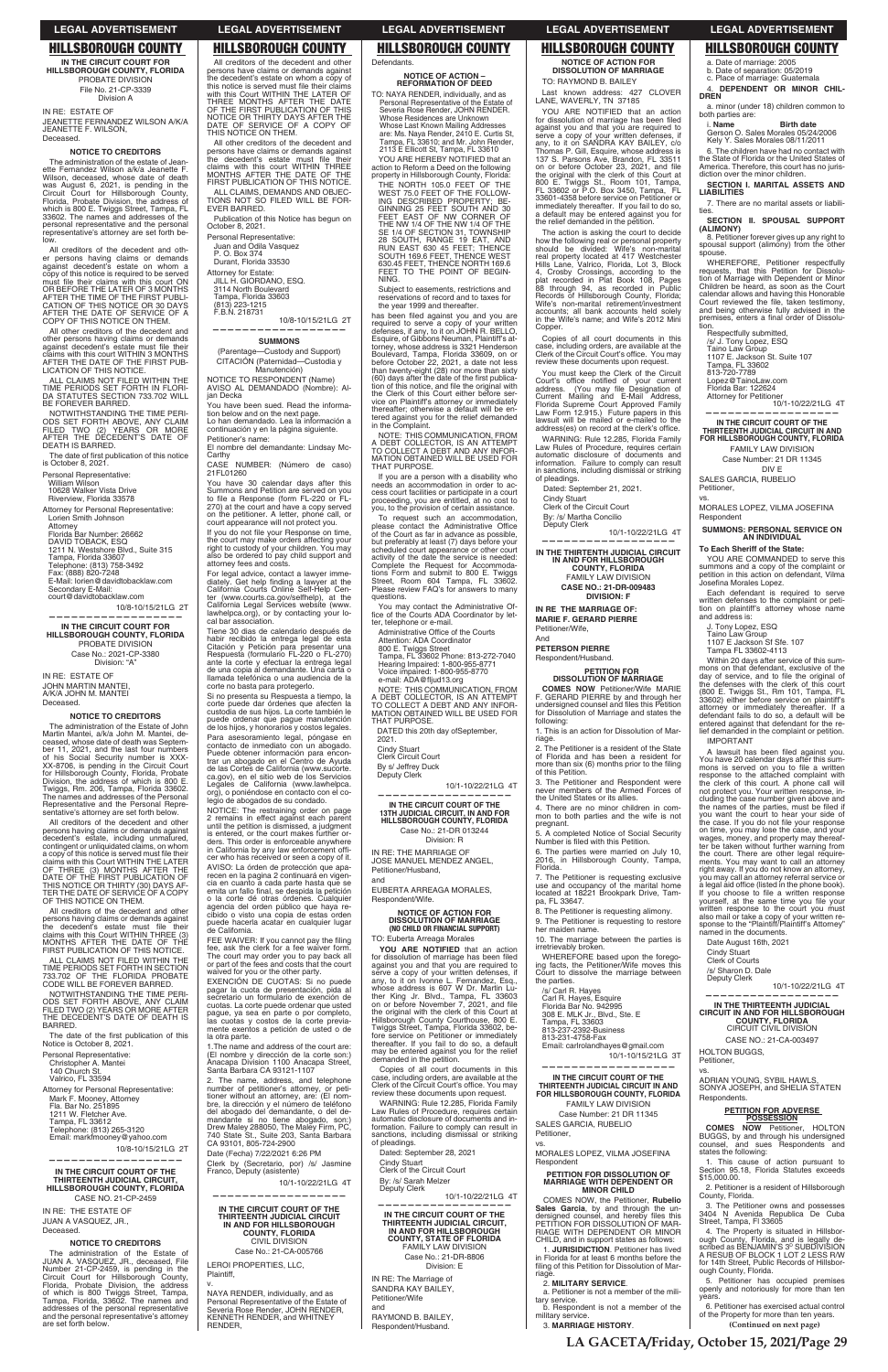**IN THE CIRCUIT COURT FOR HILLSBOROUGH COUNTY, FLORIDA** PROBATE DIVISION File No. 21-CP-3339 Division A

IN RE: ESTATE OF JEANETTE FERNANDEZ WILSON A/K/A JEANETTE F. WILSON,

Deceased.

# **NOTICE TO CREDITORS**

The administration of the estate of Jeanette Fernandez Wilson a/k/a Jeanette F. Wilson, deceased, whose date of death was August 6, 2021, is pending in the Circuit Court for Hillsborough County, Florida, Probate Division, the address of which is 800 E. Twiggs Street, Tampa, FL 33602. The names and addresses of the personal representative and the personal representative's attorney are set forth below.

The date of first publication of this notice is October 8, 2021.

All creditors of the decedent and other persons having claims or demands against decedent's estate on whom a copy of this notice is required to be served<br>must file their claims with this court ON<br>OR BEFORE THE LATER OF 3 MONTHS<br>AFTER THE TIME OF THE FIRST PUBLI-CATION OF THIS NOTICE OR 30 DAYS AFTER THE DATE OF SERVICE OF A COPY OF THIS NOTICE ON THEM.

All other creditors of the decedent and other persons having claims or demands against decedent's estate must file their<br>claims with this court WITHIN 3 MONTHS AFTER THE DATE OF THE FIRST PUB-LICATION OF THIS NOTICE.

ALL CLAIMS NOT FILED WITHIN THE TIME PERIODS SET FORTH IN FLORI-DA STATUTES SECTION 733.702 WILL BE FOREVER BARRED.

All creditors of the decedent and other persons having claims or demands against decedent's estate, including unmatured,<br>contingent or unliquidated claims, on whom<br>a copy of this notice is served must file their<br>claims with this Court WITHIN THE LATER OF THREE (3) MONTHS AFTER THE<br>DATE OF THE FIRST PUBLICATION OF<br>THIS NOTICE OR THIRTY (30) DAYS AF-<br>TER THE DATE OF SERVICE OF A COPY<br>OF THIS NOTICE ON THEM.

NOTWITHSTANDING THE TIME PERI-ODS SET FORTH ABOVE, ANY CLAIM FILED TWO (2) YEARS OR MORE AFTER THE DECEDENT'S DATE OF DEATH IS BARRED.

Personal Representative:

William Wilson 10628 Walker Vista Drive

Riverview, Florida 33578

ALL CLAIMS NOT FILED WITHIN THE TIME PERIODS SET FORTH IN SECTION 733.702 OF THE FLORIDA PROBATE CODE WILL BE FOREVER BARRED.

Attorney for Personal Representative: Lorien Smith Johnson

Attorney

Florida Bar Number: 26662 DAVID TOBACK, ESQ 1211 N. Westshore Blvd., Suite 315

Tampa, Florida 33607

Telephone: (813) 758-3492 Fax: (888) 820-7248

E-Mail: lorien@davidtobacklaw.com Secondary E-Mail:

court@davidtobacklaw.com 10/8-10/15/21LG 2T

**——————————————————**

**IN THE CIRCUIT COURT FOR HILLSBOROUGH COUNTY, FLORIDA** PROBATE DIVISION Case No.: 2021-CP-3380

Division: "A"

IN RE: ESTATE OF JOHN MARTIN MANTEI, A/K/A JOHN M. MANTEI Deceased.

# **NOTICE TO CREDITORS**

The administration of the Estate of John Martin Mantei, a/k/a John M. Mantei, deceased, whose date of death was Septem-ber 11, 2021, and the last four numbers of his Social Security number is XXX-XX-8706, is pending in the Circuit Court for Hillsborough County, Florida, Probate Division, the address of which is 800 E. Twiggs, Rm. 206, Tampa, Florida 33602. The names and addresses of the Personal Representative and the Personal Representative's attorney are set forth below.

JILL H. GIORDANO, ESQ. 3114 North Boulevard Tampa, Florida 33603 (813) 223-1215 F.B.N. 218731

(Parentage—Custody and Support) CITACIÓN (Paternidad—Custodia y Manutención)

NOTICE TO RESPONDENT (Name) AVISO AL DEMANDADO (Nombre): Alian Decka

You have 30 calendar days after this<br>Summons and Petition are served on you<br>to file a Response (form FL-220 or FL-<br>270) at the court and have a copy served<br>on the petitioner. A letter, phone call, or court appearance will not protect you.

If you do not file your Response on time,<br>the court may make orders affecting your<br>right to custody of your children. You may also be ordered to pay child support and attorney fees and costs.

All creditors of the decedent and other persons having claims or demands against<br>the decedent's estate must file their<br>claims with this Court WITHIN THREE (3) MONTHS AFTER THE DATE OF THE FIRST PUBLICATION OF THIS NOTICE. For legal advice, contact a lawyer imme-<br>diately. Get help finding a lawyer at the<br>California Courts Online Self-Help Center (www.courts.ca.gov/selfhelp), at the California Legal Services website (www. lawhelpca.org), or by contacting your lo-cal bar association.

FEE WAIVER: If you cannot pay the filing<br>fee, ask the clerk for a fee waiver form. The court may order you to pay back all or part of the fees and costs that the court waived for you or the other party. EXENCIÓN DE CUOTAS: Si no puede

All creditors of the decedent and other persons have claims or demands against the decedent's estate on whom a copy of<br>this notice is served must file their claims<br>with this Court WITHIN THE LATER OF THREE MONTHS AFTER THE DATE OF THE FIRST PUBLICATION OF THIS NOTICE OR THIRTY DAYS AFTER THE DATE OF SERVICE OF A COPY OF THIS NOTICE ON THEM.

TO: NAYA RENDER, individually, and as Personal Representative of the Estate of Severia Rose Render, JOHN RENDER. Whose Residences are Unknown Whose Last Known Mailing Addresses are: Ms. Naya Render, 2410 E. Curtis St, Tampa, FL 33610; and Mr. John Render, 2113 E Ellicott St, Tampa, FL 33610 YOU ARE HEREBY NOTIFIED that an

All other creditors of the decedent and persons have claims or demands against the decedent's estate must file their<br>claims with this court WITHIN THREE<br>MONTHS AFTER THE DATE OF THE<br>FIRST PUBLICATION OF THIS NOTICE. ALL CLAIMS, DEMANDS AND OBJEC-TIONS NOT SO FILED WILL BE FOR-

EVER BARRED. Publication of this Notice has begun on October 8, 2021.

Personal Representative: Juan and Odila Vasquez P. O. Box 374 Durant, Florida 33530

Attorney for Estate:

10/8-10/15/21LG 2T **——————————————————**

## **SUMMONS**

has been filed against you and you are required to serve a copy of your written defenses, if any, to it on JOHN R. BELLO, Esquire, of Gibbons Neuman, Plaintiff's at-torney, whose address is 3321 Henderson Boulevard, Tampa, Florida 33609, on or<br>before October 22, 2021, a date not less<br>than twenty-eight (28) nor more than sixty<br>(60) days after the date of the first publication of this notice, and file the original with<br>the Clerk of this Court either before service on Plaintiff's attorney or immediately thereafter; otherwise a default will be entered against you for the relief demanded in the Complaint.

You have been sued. Read the informa-tion below and on the next page. Lo han demandado. Lea la información a continuación y en la página siguiente.

Petitioner's name: El nombre del demandante: Lindsay Mc-Carthy

CASE NUMBER: (Número de caso) 21FL01260

> **YOU ARE NOTIFIED** that an action for dissolution of marriage has been filed<br>against you and that you are required to serve a copy of your written defenses, if any, to it on Ivonne L. Fernandez, Esq., whose address is 607 W Dr. Martin Luther King Jr. Blvd., Tampa, FL 33603<br>on or before November 7, 2021, and file<br>the original with the clerk of this Court at

Tiene 30 dias de calendario después de habir recibido la entrega legal de esta Citación y Petición para presentar una Respuesta (formulario FL-220 o FL-270) ante la corte y efectuar la entrega legal de una copia al demandante. Una carta o llamada telefónica o una audiencia de la corte no basta para protegerlo.

Si no presenta su Respuesta a tiempo, la corte puede dar órdenes que afecten la custodia de sus hijos. La corte también le puede ordenar que pague manutención de los hijos, y honorarios y costos legales. Para asesoramiento legal, póngase en contacto de inmediato con un abogado. Puede obtener información para encontrar un abogado en el Centro de Ayuda de las Cortes de California (www.sucorte. ca.gov), en el sitio web de los Servicios Legales de California (www.lawhelpca. org), o poniéndose en contacto con el co-legio de abogados de su condado.

NOTICE: The restraining order on page 2 remains in effect against each parent until the petition is dismissed, a judgment is entered, or the court makes further orders. This order is enforceable anywhere in California by any law enforcement offi-<br>cer who has received or seen a copy of it. AVISO: La órden de protección que aparecen en la pagina 2 continuará en vigen-<br>cia en cuanto a cada parte hasta que se<br>emita un fallo final, se despida la petición o la corte dé otras órdenes. Cualquier agencia del orden público que haya re-cibido o visto una copia de estas orden puede hacerla acatar en cualquier lugar de California.

**PETITION FOR DISSOLUTION OF MARRIAGE COMES NOW** Petitioner/Wife MARIE F. GERARD PIERRE by and through her undersigned counsel and files this Petition<br>for Dissolution of Marriage and states the

pagar la cuota de presentación, pida al secretario un formulario de exención de cuotas. La corte puede ordenar que usted pague, ya sea en parte o por completo,

**Defendants** 

2. The Petitioner is a resident of the State of Florida and has been a resident for more than six (6) months prior to the filing

i. **Name**<br>Gerson O. Sales Morales 05/24/2006 Kely Y. Sales Morales 08/11/2011

**NOTICE OF ACTION – REFORMATION OF DEED** 

WHEREFORE, Petitioner respectfully requests, that this Petition for Dissolution of Marriage with Dependent or Minor Children be heard, as soon as the Court calendar allows and having this Honorable Court reviewed the file, taken testimony,<br>and being otherwise fully advised in the premises, enters a final order of Dissolu-<br>tion.

Respectfully submitted, /s/ J. Tony Lopez, ESQ Taino Law Group 1107 E. Jackson St. Suite 107 Tampa, FL 33602 813-720-7789 Lopez@TainoLaw.com Florida Bar: 122624 Attorney for Petitione

action to Reform a Deed on the following property in Hillsborough County, Florida: THE NORTH 105.0 FEET OF THE WEST 75.0 FEET OF THE FOLLOW-ING DESCRIBED PROPERTY; BE-GINNING 25 FEET SOUTH AND 30 FEET EAST OF NW CORNER OF THE NW 1/4 OF THE NW 1/4 OF THE SE 1/4 OF SECTION 31, TOWNSHIP 28 SOUTH, RANGE 19 EAT, AND RUN EAST 630 45 FEET; THENCE SOUTH 169.6 FEET, THENCE WEST 630.45 FEET, THENCE NORTH 169.6 FEET TO THE POINT OF BEGIN-NING.

> YOU ARE COMMANDED to serve this summons and a copy of the complaint or<br>petition in this action on defendant, Vilma<br>Josefina Morales Lopez. Each defendant is required to serve written defenses to the complaint or peti-tion on plaintiff's attorney whose name

Subject to easements, restrictions and reservations of record and to taxes for the year 1999 and thereafter.

> cluding the case number given above and<br>the names of the parties, must be filed if<br>you want the court to hear your side of the case. If you do not file your response<br>on time, you may lose the case, and your wages, money, and property may thereafter be taken without further warning from the court. There are other legal require-ments. You may want to call an attorney

right away. If you do not know an attorney,<br>you may call an attorney referral service or<br>a legal aid office (listed in the phone book).

If you choose to file a written response<br>yourself, at the same time you file your<br>written response to the court you must

Date August 16th, 2021 Cindy Stuart Clerk of Courts /s/ Sharon D. Dale Deputy Clerk

NOTE: THIS COMMUNICATION, FROM A DEBT COLLECTOR, IS AN ATTEMPT TO COLLECT A DEBT AND ANY INFOR-MATION OBTAINED WILL BE USED FOR THAT PURPOSE.

If you are a person with a disability who needs an accommodation in order to access court facilities or participate in a court proceeding, you are entitled, at no cost to you, to the provision of certain assistance.

To request such an accommodation, please contact the Administrative Office of the Court as far in advance as possible, but preferably at least (7) days before your scheduled court appearance or other court activity of the date the service is needed: Complete the Request for Accommoda-tions Form and submit to 800 E. Twiggs Street, Room 604 Tampa, FL 33602. Please review FAQ's for answers to many questions.

You may contact the Administrative Office of the Courts ADA Coordinator by letter, telephone or e-mail.

Administrative Office of the Courts<br>Attention: ADA Coordinator

800 E. Twiggs Street<br>Tampa, FL 33602 Phone: 813-272-7040<br>Hearing Impaired: 1-800-955-8771<br>Voice impaired: 1-800-955-8770<br>e-mail: ADA@fljud13.org

NOTE: THIS COMMUNICATION, FROM A DEBT COLLECTOR, IS AN ATTEMPT TO COLLECT A DEBT AND ANY INFOR-MATION OBTAINED WILL BE USED FOR THAT PURPOSE.

DATED this 20th day ofSeptember,

2021.

Cindy Stuart Clerk Circuit Court

By s/ Jeffrey Duck Deputy Clerk

10/1-10/22/21LG 4T

# **—————————————————— IN THE CIRCUIT COURT OF THE 13TH JUDICIAL CIRCUIT, IN AND FOR HILLSBOROUGH COUNTY, FLORIDA**

Case No.: 21-DR 013244 Division: R

IN RE: THE MARRIAGE OF JOSE MANUEL MENDEZ ANGEL, Petitioner/Husband,

and EUBERTA ARREAGA MORALES, Respondent/Wife.

# **NOTICE OF ACTION FOR DISSOLUTION OF MARRIAGE (NO CHILD OR FINANCIAL SUPPORT)**

TO: Euberta Arreaga Morales

| NOTWITHSTANDING THE TIME PERI-             | pagar la cuota de presentación, pida al                              | whose address is 607 W Dr. Martin Lu-        | /s/ Carl R. Haves                               |                                                  |
|--------------------------------------------|----------------------------------------------------------------------|----------------------------------------------|-------------------------------------------------|--------------------------------------------------|
| ODS SET FORTH ABOVE. ANY CLAIM             | secretario un formulario de exención de                              | ther King Jr. Blvd., Tampa, FL 33603         | Carl R. Hayes, Esquire                          |                                                  |
|                                            | cuotas. La corte puede ordenar que usted                             | on or before November 7, 2021, and file      | Florida Bar No. 942995                          | IN THE THIRTEENTH JUDICIAL                       |
| FILED TWO (2) YEARS OR MORE AFTER          | pague, ya sea en parte o por completo,                               | the original with the clerk of this Court at | 308 E. MLK Jr., Blvd., Ste. E                   | <b>CIRCUIT IN AND FOR HILLSBOROUGH</b>           |
| THE DECEDENT'S DATE OF DEATH IS            | las cuotas y costos de la corte previa-                              | Hillsborough County Courthouse, 800 E.       |                                                 | <b>COUNTY, FLORIDA</b>                           |
| BARRED.                                    | mente exentos a petición de usted o de                               | Twiggs Street, Tampa, Florida 33602, be-     | Tampa, FL 33603<br>813-237-2392-Business        | <b>CIRCUIT CIVIL DIVISION</b>                    |
| The date of the first publication of this  | la otra parte.                                                       | fore service on Petitioner or immediately    | 813-231-4758-Fax                                |                                                  |
| Notice is October 8, 2021.                 | 1. The name and address of the court are:                            | thereafter. If you fail to do so, a default  | Email: carlrolandhayes@gmail.com                | CASE NO.: 21-CA-003497                           |
|                                            |                                                                      | may be entered against you for the relief    |                                                 | <b>HOLTON BUGGS.</b>                             |
| Personal Representative:                   | (El nombre y dirección de la corte son:)                             | demanded in the petition.                    | 10/1-10/15/21LG 3T                              | Petitioner.                                      |
| Christopher A. Mantei                      | Anacapa Division 1100 Anacapa Street.<br>Santa Barbara CA 93121-1107 | Copies of all court documents in this        |                                                 |                                                  |
| 140 Church St.                             |                                                                      | case, including orders, are available at the |                                                 | VS.                                              |
| Valrico. FL 33594                          | 2. The name, address, and telephone                                  |                                              | IN THE CIRCUIT COURT OF THE                     | ADRIAN YOUNG, SYBIL HAWLS,                       |
| Attorney for Personal Representative:      | number of petitioner's attorney, or peti-                            | Clerk of the Circuit Court's office. You may | THIRTEENTH JUDICIAL CIRCUIT IN AND              | SONYA JOSEPH, and SHELIA STATEN                  |
| Mark F. Mooney, Attorney                   | tioner without an attorney, are: (El nom-                            | review these documents upon request.         | FOR HILLSBOROUGH COUNTY, FLORIDA                | Respondents.                                     |
| Fla. Bar No. 251895                        | bre, la dirección y el número de teléfono                            | WARNING: Rule 12.285, Florida Family         | <b>FAMILY LAW DIVISION</b>                      |                                                  |
| 1211 W. Fletcher Ave.                      | del abogado del demandante, o del de-                                | Law Rules of Procedure, requires certain     | Case Number: 21 DR 11345                        | <b>PETITION FOR ADVERSE</b>                      |
| Tampa, FL 33612                            | mandante si no tiene abogado, son:)                                  | automatic disclosure of documents and in-    | <b>SALES GARCIA, RUBELIO</b>                    | <b>POSSESSION</b>                                |
| Telephone: (813) 265-3120                  | Drew Maley 288050, The Maley Firm, PC,                               | formation. Failure to comply can result in   |                                                 | <b>COMES NOW Petitioner, HOLTON</b>              |
| Email: markfmooney@yahoo.com               | 740 State St., Suite 203, Santa Barbara                              | sanctions, including dismissal or striking   | Petitioner,                                     | BUGGS, by and through his undersigned            |
|                                            | CA 93101, 805-724-2900                                               | of pleadings.                                | VS.                                             | counsel, and sues Respondents and                |
| 10/8-10/15/21LG 2T                         | Date (Fecha) 7/22/2021 6:26 PM                                       | Dated: September 28, 2021                    | MORALES LOPEZ. VILMA JOSEFINA                   | states the following:                            |
|                                            |                                                                      | <b>Cindy Stuart</b>                          | Respondent                                      | 1. This cause of action pursuant to              |
|                                            | Clerk by (Secretario, por) /s/ Jasmine                               | Clerk of the Circuit Court                   |                                                 | Section 95.18. Florida Statutes exceeds          |
| IN THE CIRCUIT COURT OF THE                | Franco, Deputy (asistente)                                           |                                              | PETITION FOR DISSOLUTION OF                     | \$15,000.00.                                     |
| THIRTEENTH JUDICIAL CIRCUIT.               | 10/1-10/22/21LG 4T                                                   | By: /s/ Sarah Melzer                         | <b>MARRIAGE WITH DEPENDENT OR</b>               |                                                  |
| HILLSBOROUGH COUNTY, FLORIDA               |                                                                      | Deputy Clerk                                 | <b>MINOR CHILD</b>                              | 2. Petitioner is a resident of Hillsborough      |
| CASE NO. 21-CP-2459                        |                                                                      | 10/1-10/22/21LG 4T                           | COMES NOW, the Petitioner, Rubelio              | County, Florida.                                 |
|                                            | IN THE CIRCUIT COURT OF THE                                          |                                              | Sales Garcia, by and through the un-            | 3. The Petitioner owns and possesses             |
| IN RE: THE ESTATE OF                       | <b>THIRTEENTH JUDICIAL CIRCUIT</b>                                   | IN THE CIRCUIT COURT OF THE                  | dersigned counsel, and hereby files this        | 3404 N Avenida Republica De Cuba                 |
| JUAN A VASQUEZ. JR                         | IN AND FOR HILLSBOROUGH                                              | THIRTEENTH JUDICIAL CIRCUIT.                 | PETITION FOR DISSOLUTION OF MAR-                | Street, Tampa, FI 33605                          |
| Deceased.                                  | <b>COUNTY, FLORIDA</b>                                               | IN AND FOR HILLSBOROUGH                      | RIAGE WITH DEPENDENT OR MINOR                   | 4. The Property is situated in Hillsbor-         |
|                                            | <b>CIVIL DIVISION</b>                                                | <b>COUNTY, STATE OF FLORIDA</b>              | CHILD, and in support states as follows:        | ough County, Florida, and is legally de-         |
| <b>NOTICE TO CREDITORS</b>                 |                                                                      | <b>FAMILY LAW DIVISION</b>                   | 1. JURISIDICTION. Petitioner has lived          | scribed as BENJAMIN'S 3 <sup>D</sup> SUBDIVISION |
| The administration of the Estate of        | Case No.: 21-CA-005766                                               | Case No.: 21-DR-8806                         | in Florida for at least 6 months before the     | A RESUB OF BLOCK 1 LOT 2 LESS R/W                |
| JUAN A. VASQUEZ, JR., deceased, File       | LEROI PROPERTIES, LLC,                                               | Division: E                                  |                                                 | for 14th Street, Public Records of Hillsbor-     |
| Number 21-CP-2459, is pending in the       |                                                                      |                                              | filing of this Petition for Dissolution of Mar- | ough County, Florida.                            |
| Circuit Court for Hillsborough County,     | Plaintiff.                                                           | IN RE: The Marriage of                       | riage.                                          | 5. Petitioner has occupied premises              |
| Florida. Probate Division, the address     | v.                                                                   | SANDRA KAY BAILEY.                           | 2. MILITARY SERVICE.                            | openly and notoriously for more than ten         |
| of which is 800 Twiggs Street, Tampa,      | NAYA RENDER, individually, and as                                    |                                              | a. Petitioner is not a member of the mili-      |                                                  |
| Tampa, Florida, 33602. The names and       | Personal Representative of the Estate of                             | Petitioner/Wife                              | tary service.                                   | years.                                           |
| addresses of the personal representative   | Severia Rose Render, JOHN RENDER.                                    | and                                          | b. Respondent is not a member of the            | 6. Petitioner has exercised actual control       |
| and the personal representative's attorney | KENNETH RENDER, and WHITNEY                                          | RAYMOND B. BAILEY.                           | military service.                               | of the Property for more than ten years.         |
| are set forth below.                       | RENDER,                                                              | Respondent/Husband.                          | <b>3. MARRIAGE HISTORY.</b>                     | (Continued on next page)                         |
|                                            |                                                                      |                                              |                                                 |                                                  |
|                                            |                                                                      |                                              |                                                 | LA GACETA/Friday, October 15, 2021/Page 29       |
|                                            |                                                                      |                                              |                                                 |                                                  |

**NOTICE OF ACTION FOR DISSOLUTION OF MARRIAGE**

TO: RAYMOND B. BAILEY

Last known address: 427 CLOVER LANE, WAVERLY, TN 37185 YOU ARE NOTIFIED that an action for dissolution of marriage has been filed<br>against you and that you are required to serve a copy of your written defenses, if any, to it on SANDRA KAY BAILEY, c/o Thomas P. Gill, Esquire, whose address is 137 S. Parsons Ave, Brandon, FL 33511 on or before October 23, 2021, and file<br>the original with the clerk of this Court at 800 E. Twiggs St., Room 101, Tampa, FL 33602 or P.O. Box 3450, Tampa, FL 33601-4358 before service on Petitioner or immediately thereafter. If you fail to do so, a default may be entered against you for the relief demanded in the petition. The action is asking the court to decide how the following real or personal property should be divided: Wife's non-marital

real property located at 417 Westchester<br>Hills Lane, Valrico, Florida, Lot 3, Block<br>4, Crosby Crossings, according to the<br>plat recorded in Plat Book 108, Pages<br>88 through 94, as recorded in Public<br>Records of Hillsborough C

Wife's non-marital retirement/investment accounts; all bank accounts held solely in the Wife's name; and Wife's 2012 Mini

Copper.

Copies of all court documents in this case, including orders, are available at the Clerk of the Circuit Court's office. You may review these documents upon request. You must keep the Clerk of the Circuit Court's office notified of your current address. (You may file Designation of<br>Current Mailing and E-Mail Address,<br>Florida Supreme Court Approved Family Law Form 12.915.) Future papers in this lawsuit will be mailed or e-mailed to the address(es) on record at the clerk's office. WARNING: Rule 12.285, Florida Family Law Rules of Procedure, requires certain automatic disclosure of documents and information. Failure to comply can result in sanctions, including dismissal or striking

of pleadings.

Dated: September 21, 2021.

Cindy Stuart Clerk of the Circuit Court By: /s/ Martha Concilio Deputy Clerk

10/1-10/22/21LG 4T

**—————————————————— IN THE THIRTENTH JUDICIAL CIRCUIT IN AND FOR HILLSBOROUGH COUNTY, FLORIDA** FAMILY LAW DIVISION **CASE NO.: 21-DR-009483 DIVISION: F**

**IN RE THE MARRIAGE OF: MARIE F. GERARD PIERRE**

Petitioner/Wife, And

**PETERSON PIERRE** Respondent/Husband.

following:

1. This is an action for Dissolution of Mar-

riage.

of this Petition.

pregnant.

3. The Petitioner and Respondent were never members of the Armed Forces of

the United States or its allies.

4. There are no minor children in common to both parties and the wife is not

.<br>5. A completed Notice of Social Security Number is filed with this Petition. 6. The parties were married on July 10,<br>2016, in Hillsborough County, Tampa in Hillsborough County, Tampa,

Florida.

7. The Petitioner is requesting exclusive use and occupancy of the marital home located at 18221 Brookpark Drive, Tam-

pa, FL 33647.

8. The Petitioner is requesting alimony. 9. The Petitioner is requesting to restore

her maiden name.

10. The marriage between the parties is irretrievably broken. WHEREFORE based upon the forego-ing facts, the Petitioner/Wife moves this Court to dissolve the marriage between

the parties.

a. Date of marriage: 2005 b. Date of separation: 05/2019

c. Place of marriage: Guatemala

4. **DEPENDENT OR MINOR CHIL-DREN**

a. minor (under 18) children common to both parties are:

6. The children have had no contact with the State of Florida or the United States of America. Therefore, this court has no juris-diction over the minor children.

**SECTION I. MARITAL ASSETS AND LIABILITIES**

7. There are no marital assets or liabilities.

**SECTION II. SPOUSAL SUPPORT (ALIMONY)**

8. Petitioner forever gives up any right to spousal support (alimony) from the other spouse.

10/1-10/22/21LG 4T **——————————————————**

**IN THE CIRCUIT COURT OF THE THIRTEENTH JUDICIAL CIRCUIT IN AND FOR HILLSBOROUGH COUNTY, FLORIDA** FAMILY LAW DIVISION Case Number: 21 DR 11345 DIV E

SALES GARCIA, RUBELIO

Petitioner, vs.

MORALES LOPEZ, VILMA JOSEFINA

Respondent

**SUMMONS: PERSONAL SERVICE ON AN INDIVIDUAL**

**To Each Sheriff of the State:** 

and address is:

J. Tony Lopez, ESQ Taino Law Group 1107 E Jackson Sf Sfe. 107 Tampa FL 33602-4113

Within 20 days after service of this summons on that defendant, exclusive of the<br>day of service, and to file the original of the defenses with the clerk of this court

(800 E. Twiggs St., Rm 101, Tampa, FL 33602) either before service on plaintiff's attorney or immediately thereafter. If a defendant fails to do so, a default will be entered against that defendant for the re-

lief demanded in the complaint or petition.

A lawsuit has been filed against you.<br>You have 20 calendar days after this sum-<br>mons is served on you to file a written

IMPORTANT

response to the attached complaint with the clerk of this court. A phone call will not protect you. Your written response, in-

also mail or take a copy of your written re-sponse to the "Plaintiff/Plaintiff's Attorney" named in the documents.

10/1-10/22/21LG 4T

# **LEGAL ADVERTISEMENT LEGAL ADVERTISEMENT LEGAL ADVERTISEMENT LEGAL ADVERTISEMENT LEGAL ADVERTISEMENT**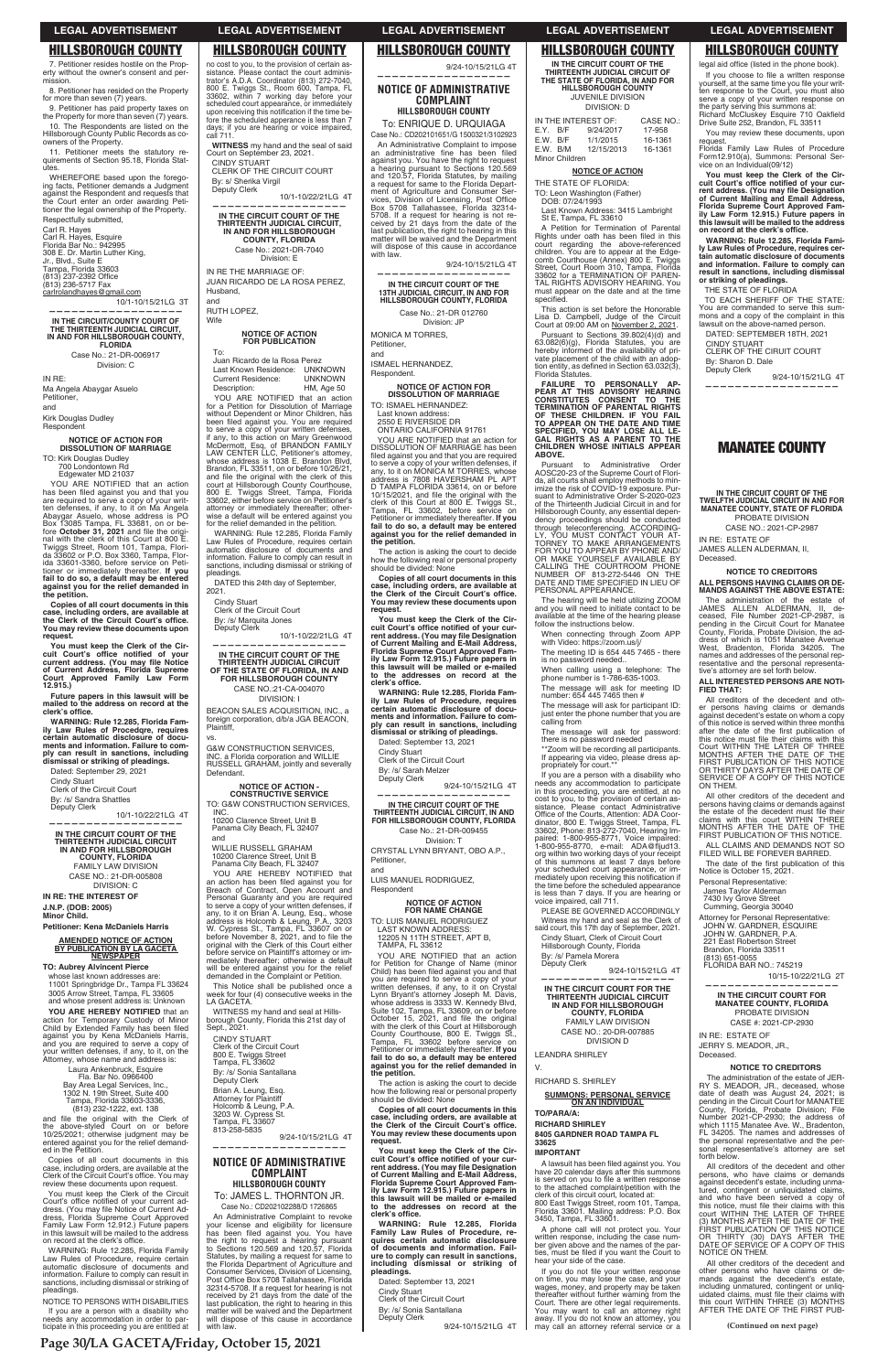7. Petitioner resides hostile on the Property without the owner's consent and permission.

8. Petitioner has resided on the Property for more than seven (7) years.

9. Petitioner has paid property taxes on the Property for more than seven (7) years. 10. The Respondents are listed on the Hillsborough County Public Records as co-owners of the Property.

11. Petitioner meets the statutory requirements of Section 95.18, Florida Statutes.

WHEREFORE based upon the forego-ing facts, Petitioner demands a Judgment against the Respondent and requests that the Court enter an order awarding Peti-tioner the legal ownership of the Property. Respectfully submitted,

TO: Kirk Douglas Dudley 700 Londontown Rd Edgewater MD 21037

Carl R. Hayes Carl R. Hayes, Esquire Florida Bar No.: 942995 308 E. Dr. Martin Luther King, Jr., Blvd., Suite E<br>Tampa, Florida 33603<br>(813) 237-2392 Office (813) 236-5717 Fax carlrolandhayes@gmail.com

10/1-10/15/21LG 3T **——————————————————**

YOU ARE NOTIFIED that an action has been filed against you and that you<br>are required to serve a copy of your written defenses, if any, to it on Ma Angela<br>Abaygar Asuelo, whose address is PO<br>Box 13085 Tampa, FL 33681, on or be-<br>fore **October 31, 2021** and file the origi-<br>nal with the clerk of this Court at 800 E. Twiggs Street, Room 101, Tampa, Flori-da 33602 or P.O. Box 3360, Tampa, Flor-ida 33601-3360, before service on Petitioner or immediately thereafter. **If you fail to do so, a default may be entered against you for the relief demanded in the petition.**

# **IN THE CIRCUIT/COUNTY COURT OF THE THIRTEENTH JUDICIAL CIRCUIT, IN AND FOR HILLSBOROUGH COUNTY, FLORIDA**

**Copies of all court documents in this case, including orders, are available at the Clerk of the Circuit Court's office. You may review these documents upon request.**

Case No.: 21-DR-006917 Division: C

IN RE:

Ma Angela Abaygar Asuelo Petitioner, and Kirk Douglas Dudley

**Future papers in this lawsuit will be**  mailed to the address on record at the<br>clerk's office.

Respondent

# **NOTICE OF ACTION FOR DISSOLUTION OF MARRIAGE**

**TO: Aubrey Alvincent Pierce**  whose last known addresses are: 11001 Springbridge Dr., Tampa FL 33624 3005 Arrow Street, Tampa, FL 33605 and whose present address is: Unknown

no cost to you, to the provision of certain assistance. Please contact the court adminis-<br>trator's A.D.A. Coordinator (813) 272-7040,<br>800 E. Twiggs St., Room 600, Tampa, FL 33602, within 7 working day before your<br>scheduled court appearance, or immediately<br>upon receiving this notification if the time before the scheduled apperance is less than 7<br>days; if you are hearing or voice impaired,<br>call 711.

You must keep the Clerk of the Circuit Court's office notified of your current ad-<br>dress. (You may file Notice of Current Ad-<br>dress, Florida Supreme Court Approved<br>Family Law Form 12.912.) Future papers in this lawsuit will be mailed to the address<br>on record at the clerk's office.

**You must keep the Clerk of the Cir**cuit Court's office notified of your<br>current\_address. (You may file\_Notice<br>of Current Address, Florida Supreme **Court Approved Family Law Form 12.915.)**

NOTICE TO PERSONS WITH DISABILITIES If you are a person with a disability who needs any accommodation in order to participate in this proceeding you are entitled at

**WARNING: Rule 12.285, Florida Family Law Rules of Procedqre, requires certain automatic disclosure of documents and information. Failure to com-ply can result in sanctions, including dismissal or striking of pleadings.**

Dated: September 29, 2021 Cindy Stuart Clerk of the Circuit Court By: /s/ Sandra Shattles Deputy Clerk

10/1-10/22/21LG 4T **—————————————————— IN THE CIRCUIT COURT OF THE THIRTEENTH JUDICIAL CIRCUIT IN AND FOR HILLSBOROUGH COUNTY, FLORIDA** FAMILY LAW DIVISION CASE NO.: 21-DR-005808 DIVISION: C

To: Juan Ricardo de la Rosa Perez Last Known Residence: UNKNOWN<br>Current Residence: UNKNOWN Current Residence: Description: HM, Age 50 YOU ARE NOTIFIED that an action

**IN RE: THE INTEREST OF J.N.P. (DOB: 2005) Minor Child.**

# **Petitioner: Kena McDaniels Harris**

**AMENDED NOTICE OF ACTION BY PUBLICATION BY LA GACETA NEWSPAPER**

**YOU ARE HEREBY NOTIFIED** that an action for Temporary Custody of Minor<br>Child by Extended Family has been filed against you by Kena McDaniels Harris, and you are required to serve a copy of your written defenses, if any, to it, on the Attorney, whose name and address is:

DATED this 24th day of September. 2021.

Clerk of the Circuit Court By: /s/ Marquita Jones Deputy Clerk

vs. **G&W CONSTRUCTION SERVICES** INC. a Florida corporation and WILLIE RUSSELL GRAHAM, jointly and severally **Defendant** 

Laura Ankenbruck, Esquire Fla. Bar No. 0966400 Bay Area Legal Services, Inc., 1302 N. 19th Street, Suite 400 Tampa, Florida 33603-3336, (813) 232-1222, ext. 138

and file the original with the Clerk of<br>the above-styled Court on or before<br>10/25/2021; otherwise judgment may be<br>entered against you for the relief demanded in the Petition.

10200 Clarence Street, Unit B Panama City Beach, FL 32407 YOU ARE HEREBY NOTIFIED that

Copies of all court documents in this case, including orders, are available at the<br>Clerk of the Circuit Court's office. You may review these documents upon request.

an action has been filed against you for<br>Breach of Contract, Open Account and<br>Personal Guaranty and you are required to serve a copy of your written defenses, if<br>any, to it on Brian A. Leung, Esq., whose<br>address is Holcomb & Leung, P.A., 3203<br>W. Cypress St., Tampa, FL 33607 on or<br>before November 8, 2021, and to file the<br>original with the before service on Plaintiff's attorney or immediately thereafter; otherwise a default will be entered against you for the relief demanded in the Complaint or Petition.

This Notice shall be published once a week for four (4) consecutive weeks in the LA GACETA.

Case No.: CD202102288/D 1726865 An Administrative Complaint to revoke your license and eligibility for licensure<br>has been filed against you. You have<br>the right to request a hearing pursuant<br>to Sections 120.569 and 120.57, Florida Statutes, by mailing a request for same to the Florida Department of Agriculture and Consumer Services, Division of Licensing,<br>Post Office Box 5708 Tallahassee, Florida<br>32314-5708. If a request for hearing is not received by 21 days from the date of the last publication, the right to hearing in this matter will be waived and the Department will dispose of this cause in accordance with law

WARNING: Rule 12.285, Florida Family Law Rules of Procedure, require certain automatic disclosure of documents and information. Failure to comply can result in sanctions, including dismissal or striking of pleadings.

To: ENRIQUE D. URQUIAGA Case No.: CD202101651/G 1500321/3102923

**WITNESS** my hand and the seal of said Court on September 23, 2021. CINDY STUART

CLERK OF THE CIRCUIT COURT By: s/ Sherika Virgil Deputy Clerk

10/1-10/22/21LG 4T

**—————————————————— IN THE CIRCUIT COURT OF THE THIRTEENTH JUDICIAL CIRCUIT, IN AND FOR HILLSBOROUGH COUNTY, FLORIDA** Case No.: 2021-DR-7040

> YOU ARE NOTIFIED that an action for<br>DISSOLUTION OF MARRIAGE has been filed against you and that you are required<br>to serve a copy of your written defenses, if<br>any, to it on MONICA M TORRES, whose<br>address is 7808 HAVERSHAM PL APT D TAMPA FLORIDA 33614, on or before 10/15/2021, and file the original with the<br>clerk of this Court at 800 E. Twiggs St., Tampa, FL 33602, before service on Petitioner or im mediately thereafter. **If you fail to do so, a default may be entered against you for the relief demanded in the petition.**

Division: E IN RE THE MARRIAGE OF: JUAN RICARDO DE LA ROSA PEREZ, Husband,

and RUTH LOPEZ,

Wife

# **NOTICE OF ACTION FOR PUBLICATION**

LUIS MANUEL RODRIGUEZ, **Respondent** 

for a Petition for Dissolution of Marriage without Dependent or Minor Children, has been filed against you. You are required to serve a copy of your written defenses,<br>if any, to this action on Mary Greenwood<br>McDermott, Esq, of BRANDON FAMILY<br>LAW CENTER LLC, Pettitoner's attomey,<br>whose address is 1038 E. Brandon Blvd,<br>Brandon, FL 33511, on or bef and file the original with the clerk of this court at Hillsborough County Courthouse, 800 E. Twiggs Street, Tampa, Florida 33602, either before service on Petitioner's attorney or immediately thereafter; otherwise a default will be entered against you for the relief demanded in the petition.

WARNING: Rule 12.285, Florida Family Law Rules of Procedure, requires certain automatic disclosure of documents and information. Failure to comply can result in sanctions, including dismissal or striking of pleadings.

Cindy Stuart

10/1-10/22/21LG 4T **——————————————————**

> YOU ARE NOTIFIED that an action for Petition for Change of Name (minor<br>Child) has been filed against you and that you are required to serve a copy of your written defenses, if any, to it on Crystal Lynn Bryant's attorney Joseph M. Davis, whose address is 3333 W. Kennedy Blvd, Suite 102, Tampa, FL 33609, on or before<br>October 15, 2021, and file the original<br>with the clerk of this Court at Hillsborough County Courthouse, 800 E. Twiggs St., Tampa, FL 33602 before service on Petitioner or im mediately thereafter. **If you fail to do so, a default may be entered against you for the relief demanded in the petition.** The action is asking the court to decide how the following real or personal property should be divided: None **Copies of all court documents in this**  case, including orders, are available at<br>the Clerk of the Circuit Court's office.<br>You may review these documents upon **request.** You must keep the Clerk of the Circuit Court's office notified of your cur-<br>rent address. (You may file Designation<br>of Current Mailing and E-Mail Address,<br>Florida Supreme Court Approved Fam-<br>ily Law Form 12.915.) Future pa **this lawsuit will be mailed or e-mailed to the addresses on record at the**  clerk's office. **WARNING: Rule 12.285, Florida Family Law Rules of Procedure, re-quires certain automatic disclosure of documents and information. Failure to comply can result in sanctions, including dismissal or striking of pleadings.**

**IN THE CIRCUIT COURT OF THE THIRTEENTH JUDICIAL CIRCUIT OF THE STATE OF FLORIDA, IN AND FOR HILLSBOROUGH COUNTY** CASE NO.:21-CA-004070

> Deputy Clerk 9/24-10/15/21LG 4T

DIVISION: I BEACON SALES ACQUISITION, INC., a foreign corporation, d/b/a JGA BEACON, Plaintiff,

**NOTICE OF ACTION - CONSTRUCTIVE SERVICE** TO: G&W CONSTRUCTION SERVICES,

INC. 10200 Clarence Street, Unit B Panama City Beach, FL 32407

and WILLIE RUSSELL GRAHAM

This action is set before the Honorable Lisa D. Campbell, Judge of the Circuit Court at 09:00 AM on November 2, 2021. Pursuant to Sections 39.802(4)(d) and 63.082(6)(g), Florida Statutes, you are hereby informed of the availability of private placement of the child with an adop-<br>tion entity, as defined in Section 63.032(3),<br>Florida Statutes.

WITNESS my hand and seal at Hillsborough County, Florida this 21st day of Sept., 2021.

CINDY STUART Clerk of the Circuit Court 800 E. Twiggs Street Tampa, FL 33602

By: /s/ Sonia Santallana Deputy Clerk

Brian A. Leung, Esq. Attorney for Plaintiff Holcomb & Leung, P.A. 3203 W. Cypress St. Tampa, FL 33607 813-258-5835

9/24-10/15/21LG 4T **——————————————————**

# **NOTICE OF ADMINISTRATIVE COMPLAINT HILLSBOROUGH COUNTY** To: JAMES L. THORNTON JR.

A lawsuit has been filed against you. You have 20 calendar days after this summons<br>is served on you to file a written response<br>to the attached complaint/petition with the clerk of this circuit court, located at: 800 East Twiggs Street, room 101, Tampa, Florida 33601. Mailing address: P.O. Box 3450, Tampa, FL 33601.

A phone call will not protect you. Your written response, including the case num-ber given above and the names of the parties, must be filed if you want the Court to<br>hear your side of the case.

 9/24-10/15/21LG 4T **——————————————————**

**NOTICE OF ADMINISTRATIVE COMPLAINT HILLSBOROUGH COUNTY**

> If you do not file your written response on time, you may lose the case, and your wages, money, and property may be taken thereafter without further warning from the Court. There are other legal requirements. You may want to call an attorney right away. If you do not know an attorney, you may call an attorney referral service or a

legal aid office (listed in the phone book). If you choose to file a written response yourself, at the same time you file your writ-<br>ten response to the Court, you must also serve a copy of your written response on<br>the party serving this summons at:<br>Richard McCluskey Esquire 710 Oakfield Drive Suite 252, Brandon, FL 33511 You may review these documents, upon request. Florida Family Law Rules of Procedure Form12.910(a), Summons: Personal Ser-vice on an Individual(09/12) **You must keep the Clerk of the Cir-**

cuit Court's office notified of your cur-<br>rent address. (You may file Designation<br>of Current Maliling and Email Address,<br>Florida Supreme Court Approved Fam-<br>ily Law Form 12.915.) Future papers in<br>this lawsuit will be maile

An Administrative Complaint to impose an administrative fine has been filed against you. You have the right to request a hearing pursuant to Sections 120.569 and 120.57, Florida Statutes, by mailing a request for same to the Florida Department of Agriculture and Consumer Services, Division of Licensing, Post Office<br>Box 5708 Tallahassee, Florida 32314-5708. If a request for hearing is not received by 21 days from the d matter will be waived and the Department will dispose of this cause in accordance with law.

**on record at the clerk's office. WARNING: Rule 12.285, Florida Family Law Rules of Procedure, requires cer-tain automatic disclosure of documents and information. Failure to comply can result in sanctions, including dismissal or striking of pleadings.**

9/24-10/15/21LG 4T

**—————————————————— IN THE CIRCUIT COURT OF THE 13TH JUDICIAL CIRCUIT, IN AND FOR HILLSBOROUGH COUNTY, FLORIDA**

Case No.: 21-DR 012760

Division: JP MONICA M TORRES,

Petitioner, and

ISMAEL HERNANDEZ, Respondent.

**NOTICE OF ACTION FOR DISSOLUTION OF MARRIAGE**

TO: ISMAEL HERNANDEZ: Last known address: 2550 E RIVERSIDE DR

ONTARIO CALIFORNIA 91761

claims with this court WITHIN THREE MONTHS AFTER THE DATE OF THE FIRST PUBLICATION OF THIS NOTICE. ALL CLAIMS AND DEMANDS NOT SO FILED WILL BE FOREVER BARRED. The date of the first publication of this<br>Notice is October 15, 2021.

The action is asking the court to decide how the following real or personal property should be divided: None

**Copies of all court documents in this**  case, including orders, are available at<br>the Clerk of the Circuit Court's office.<br>You may review these documents upon **request.**

You must keep the Clerk of the Circuit Court's office notified of your cur-<br>rent address. (You may file Designation<br>of Current Mailing and E-Mail Address,<br>Florida Supreme Court Approved Fam-<br>ily Law Form 12.915.) Future pa **this lawsuit will be mailed or e-mailed to the addresses on record at the**  clerk's office.

> All other creditors of the decedent and other persons who have claims or de-mands against the decedent's estate, including unmatured, contingent or unliq-<br>uidated claims, must file their claims with<br>this court WITHIN THREE (3) MONTHS AFTER THE DATE OF THE FIRST PUB-

**WARNING: Rule 12.285, Florida Family Law Rules of Procedure, requires certain automatic disclosure of documents and information. Failure to comply can result in sanctions, including dismissal or striking of pleadings.**

Dated: September 13, 2021

Cindy Stuart Clerk of the Circuit Court

By: /s/ Sarah Melzer Deputy Clerk

9/24-10/15/21LG 4T **——————————————————**

**IN THE CIRCUIT COURT OF THE THIRTEENTH JUDICIAL CIRCUIT, IN AND FOR HILLSBOROUGH COUNTY, FLORIDA** Case No.: 21-DR-009455 Division: T

CRYSTAL LYNN BRYANT, OBO A.P., Petitioner, and

# **NOTICE OF ACTION FOR NAME CHANGE**

TO: LUIS MANUEL RODRIGUEZ LAST KNOWN ADDRESS: 12205 N 11TH STREET, APT B, TAMPA, FL 33612

Dated: September 13, 2021

Cindy Stuart Clerk of the Circuit Court

By: /s/ Sonia Santallana

# **IN THE CIRCUIT COURT OF THE THIRTEENTH JUDICIAL CIRCUIT OF THE STATE OF FLORIDA, IN AND FOR HILLSBOROUGH COUNTY** JUVENILE DIVISION DIVISION: D

|          |                | IN THE INTEREST OF: | <b>CASE NO.:</b> |
|----------|----------------|---------------------|------------------|
| E.Y. B/F |                | 9/24/2017           | 17-958           |
| E.W. B/F |                | 1/1/2015            | 16-1361          |
| E.W. B/M |                | 12/15/2013          | 16-1361          |
|          | Minor Children |                     |                  |

**NOTICE OF ACTION**

THE STATE OF FLORIDA:

TO: Leon Washington (Father) DOB: 07/24/1993

Last Known Address: 3415 Lambright St E, Tampa, FL 33610

A Petition for Termination of Parental<br>Rights under oath has been filed in this court regarding the above-referenced<br>children. You are to appear at the Edge-<br>comb Courthouse (Annex) 800 E. Twiggs<br>Street, Court Room 310, Tampa, Florida<br>33602 for a TERMINATION OF PAREN-<br>TAL RIGHTS ADVISORY HEARING. You must appear on the date and at the time specified.

**FAILURE TO PERSONALLY AP-PEAR AT THIS ADVISORY HEARING CONSTI TUTES CONSENT TO THE TERMINATION OF PARENTAL RIGHTS OF THESE CHILDREN. IF YOU FAIL TO APPEAR ON THE DATE AND TIME SPECIFIED, YOU MAY LOSE ALL LE-GAL RIGHTS AS A PARENT TO THE CHILDREN WHOSE INITIALS APPEAR ABOVE.**

Pursuant to Administrative Order AOSC20-23 of the Supreme Court of Flori-da, all courts shall employ methods to min-imize the risk of COVID-19 exposure. Pursuant to Administrative Order S-2020-023 of the Thirteenth Judicial Circuit in and for Hillsborough County, any essential dependency proceedings should be conducted through teleconferencing. ACCORDING-LY, YOU MUST CONTACT YOUR AT-TORNEY TO MAKE ARRANGEMENTS FOR YOU TO APPEAR BY PHONE AND/ OR MAKE YOURSELF AVAILABLE BY CALLING THE COURTROOM PHONE NUMBER OF 813-272-5446 ON THE DATE AND TIME SPECIFIED IN LIEU OF PERSONAL APPEARANCE.

The hearing will be held utilizing ZOOM and you will need to initiate contact to be available at the time of the hearing please follow the instructions below.

When connecting through Zoom APP with Video: https://zoom.us/j/

The meeting ID is 654 445 7465 - there is no password needed..

When calling using a telephone: The phone number is 1-786-635-1003.

The message will ask for meeting ID number: 654 445 7465 then #

The message will ask for participant ID: just enter the phone number that you are calling from

The message will ask for password: there is no password needed \*\*Zoom will be recording all participants. If appearing via video, please dress ap-propriately for court.\*\* If you are a person with a disability who needs any accommodation to participate in this proceeding, you are entitled, at no cost to you, to the provision of certain as-sistance. Please contact Administrative Office of the Courts, Attention: ADA Coordinator, 800 E. Twiggs Street, Tampa, FL 33602, Phone: 813-272-7040, Hearing Impaired: 1-800-955-8771, Voice impaired:<br>1-800-955-8770, e-mail: ADA@fljud13.<br>org within two working days of your receipt of this summons at least 7 days before your scheduled court appearance, or im-<br>mediately upon receiving this notification if the time before the scheduled appearance is less than 7 days. If you are hearing or voice impaired, call 711. PLEASE BE GOVERNED ACCORDINGLY Witness my hand and seal as the Clerk of said court, this 17th day of September, 2021. Cindy Stuart, Clerk of Circuit Court Hillsborough County, Florida

By: /s/ Pamela Morera Deputy Clerk

9/24-10/15/21LG 4T

**—————————————————— IN THE CIRCUIT COURT FOR THE** 

**THIRTEENTH JUDICIAL CIRCUIT IN AND FOR HILLSBOROUGH COUNTY, FLORIDA** FAMILY LAW DIVISION CASE NO.: 20-DR-007885 DIVISION D

LEANDRA SHIRLEY

V.

RICHARD S. SHIRLEY

# **SUMMONS: PERSONAL SERVICE ON AN INDIVIDUAL**

**TO/PARA/A:**

**RICHARD SHIRLEY**

**8405 GARDNER ROAD TAMPA FL 33625**

## **IMPORTANT**

THE STATE OF FLORIDA

TO EACH SHERIFF OF THE STATE: You are commanded to serve this sum-mons and a copy of the complaint in this lawsuit on the above-named person. DATED: SEPTEMBER 18TH, 2021

CINDY STUART

CLERK OF THE CIRUIT COURT

By: Sharon D. Dale Deputy Clerk

9/24-10/15/21LG 4T

**——————————————————**

**MANATEE COUNTY**

**IN THE CIRCUIT COURT OF THE TWELFTH JUDICIAL CIRCUIT IN AND FOR MANATEE COUNTY, STATE OF FLORIDA** PROBATE DIVISION CASE NO.: 2021-CP-2987

IN RE: ESTATE OF JAMES ALLEN ALDERMAN, II,

Deceased.

**NOTICE TO CREDITORS ALL PERSONS HAVING CLAIMS OR DE-MANDS AGAINST THE ABOVE ESTATE:** The administration of the estate of JAMES ALLEN ALDERMAN, II, de-ceased, File Number 2021-CP-2987, is

pending in the Circuit Court for Manatee County, Florida, Probate Division, the ad-dress of which is 1051 Manatee Avenue

West, Bradenton, Florida 34205. The names and addresses of the personal rep-resentative and the personal representa-

tive's attorney are set forth below. **ALL INTERESTED PERSONS ARE NOTI-**

**FIED THAT:**

All creditors of the decedent and other persons having claims or demands against decedent's estate on whom a copy of this notice is served within three months

after the date of the first publication of<br>this notice must file their claims with this<br>Court WITHIN THE LATER OF THREE<br>MONTHS AFTER THE DATE OF THE<br>FIRST PUBLICATION OF THIS NOTICE<br>OR THIRTY DAYS AFTER THE DATE OF<br>SERVICE

All other creditors of the decedent and persons having claims or demands against the estate of the decedent must file their

ON THEM.

Personal Representative: James Taylor Alderman 7430 Ivy Grove Street Cumming, Georgia 30040

Attorney for Personal Representative: JOHN W. GARDNER, ESQUIRE JOHN W. GARDNER, P.A. 221 East Robertson Street

Brandon, Florida 33511 (813) 651-0055

FLORIDA BAR NO.: 745219

10/15-10/22/21LG 2T

**—————————————————— IN THE CIRCUIT COURT FOR** 

**MANATEE COUNTY, FLORIDA** PROBATE DIVISION CASE #: 2021-CP-2930

IN RE: ESTATE OF JERRY S. MEADOR, JR., Deceased.

## **NOTICE TO CREDITORS**

The administration of the estate of JER-RY S. MEADOR, JR., deceased, whose date of death was August 24, 2021; is pending in the Circuit Court for MANATEE County, Florida, Probate Division; File Number 2021-CP-2930; the address of which 1115 Manatee Ave. W., Bradenton, FL 34205. The names and addresses of the personal representative and the personal representative's attorney are set forth below.

All creditors of the decedent and other persons, who have claims or demands against decedent's estate, including unmatured, contingent or unliquidated claims, and who have been served a copy of this notice, must file their claims with this<br>court WITHIN THE LATER OF THREE<br>(3) MONTHS AFTER THE DATE OF THE FIRST PUBLICATION OF THIS NOTICE OR THIRTY (30) DAYS AFTER THE DATE OF SERVICE OF A COPY OF THIS NOTICE ON THEM.

**Page 30/LA GACETA/Friday, October 15, 2021**

**(Continued on next page)**

# **LEGAL ADVERTISEMENT LEGAL ADVERTISEMENT LEGAL ADVERTISEMENT LEGAL ADVERTISEMENT LEGAL ADVERTISEMENT**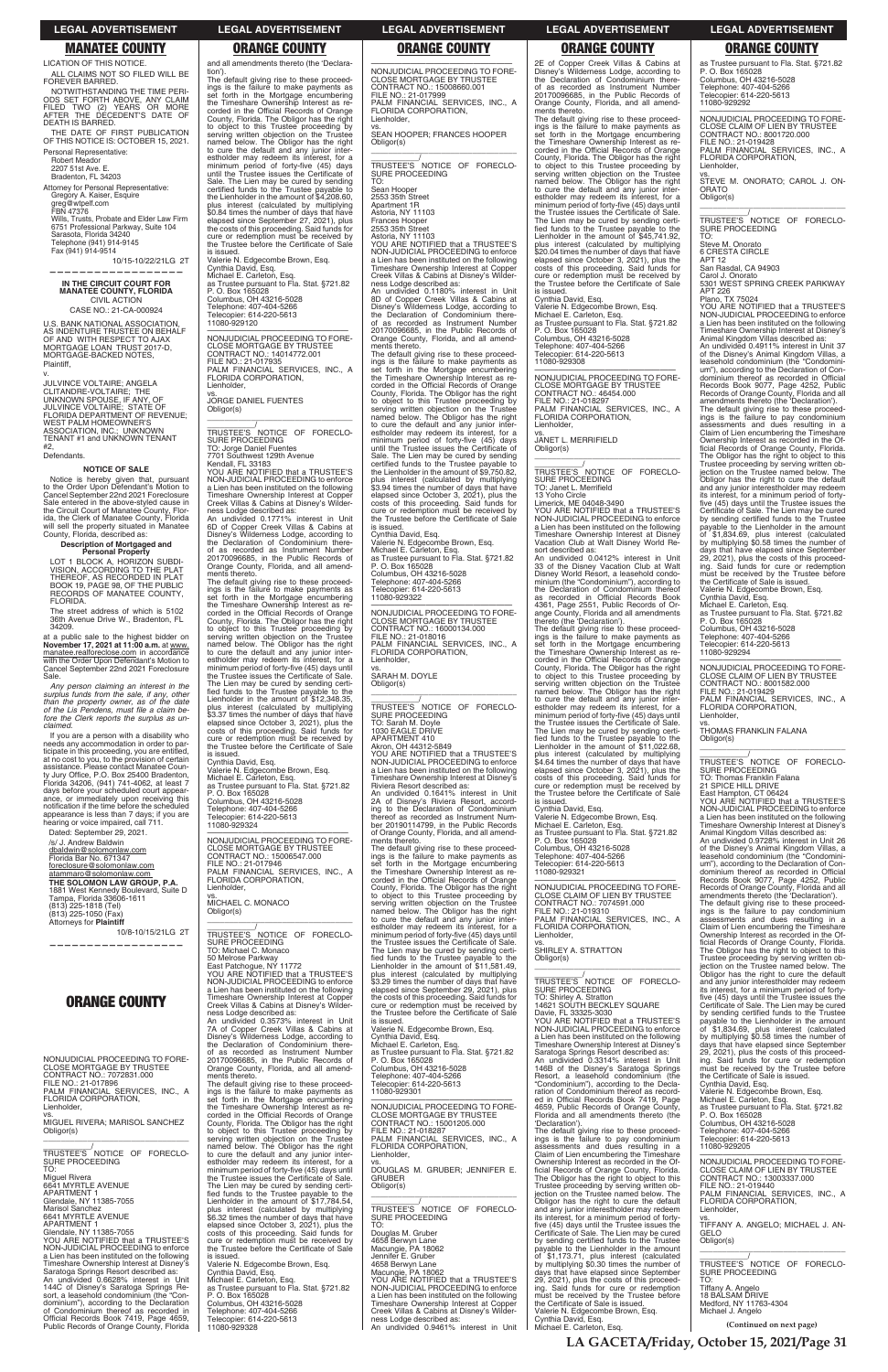LICATION OF THIS NOTICE. ALL CLAIMS NOT SO FILED WILL BE FOREVER BARRED.

NOTWITHSTANDING THE TIME PERI-ODS SET FORTH ABOVE, ANY CLAIM FILED TWO (2) YEARS OR MORE AFTER THE DECEDENT'S DATE OF DEATH IS BARRED.

THE DATE OF FIRST PUBLICATION OF THIS NOTICE IS: OCTOBER 15, 2021. Personal Representative:

Robert Meador 2207 51st Ave. E. Bradenton, FL 34203

Attorney for Personal Representative: Gregory A. Kaiser, Esquire<br>greg@wtpelf.com FBN 47376 Wills, Trusts, Probate and Elder Law Firm 6751 Professional Parkway, Suite 104 Sarasota, Florida 34240 Telephone (941) 914-9145 Fax (941) 914-9514

10/15-10/22/21LG 2T

**——————————————————**

**IN THE CIRCUIT COURT FOR MANATEE COUNTY, FLORIDA** CIVIL ACTION CASE NO.: 21-CA-000924

U.S. BANK NATIONAL ASSOCIATION, AS INDENTURE TRUSTEE ON BEHALF OF AND WITH RESPECT TO AJAX MORTGAGE LOAN TRUST 2017-D, MORTGAGE-BACKED NOTES, Plaintiff,

v. JULVINCE VOLTAIRE; ANGELA CLITANDRE-VOLTAIRE; THE UNKNOWN SPOUSE, IF ANY, OF JULVINCE VOLTAIRE; STATE OF FLORIDA DEPARTMENT OF REVENUE; WEST PALM HOMEOWNER'S<br>ASSOCIATION, INC.; UNKNOWN<br>TENANT #1 and UNKNOWN TENANT #2,

If you are a person with a disability who needs any accommodation in order to participate in this proceeding, you are entitled, at no cost to you, to the provision of certain<br>assistance. Please contact Manatee Coun-<br>ty Jury Office, P.O. Box 25400 Bradenton, Florida 34206, (941) 741-4062, at least 7 days before your scheduled court appearance, or immediately upon receiving this<br>notification if the time before the scheduled<br>appearance is less than 7 days; if you are<br>hearing or voice impaired, call 711.

Defendants.

## **NOTICE OF SALE**

Notice is hereby given that, pursuant to the Order Upon Defendant's Motion to Cancel September 22nd 2021 Foreclosure Sale entered in the above-styled cause in the Circuit Court of Manatee County, Flor-ida, the Clerk of Manatee County, Florida will sell the property situated in Manatee County, Florida, described as:

# **Description of Mortgaged and Personal Property**

LOT 1 BLOCK A, HORIZON SUBDI-VISION, ACCORDING TO THE PLAT THEREOF, AS RECORDED IN PLAT BOOK 19, PAGE 98, OF THE PUBLIC RECORDS OF MANATEE COUNTY, FLORIDA.

The street address of which is 5102 36th Avenue Drive W., Bradenton, FL 34209.

at a public sale to the highest bidder on **November 17, 2021 at 11:00 a.m.** at www. manatee.realforeclose.com in accordance with the Order Upon Defendant's Motion to Cancel September 22nd 2021 Foreclosure Sale.

*Any person claiming an interest in the*  surplus funds from the sale, if any, other<br>than the property owner, as of the date<br>of the Lis Pendens, must file a claim be*fore the Clerk reports the surplus as unclaimed.*

tion').<br>The default giving rise to these proceed-<br>ings is the failure to make payments as<br>set forth in the Mortgage encumbering<br>the Timeshare Ownership Interest as re-<br>corded in the Official Records of Orange County, Florida. The Obligor has the right to object to this Trustee proceeding by serving written objection on the Trustee named below. The Obligor has the right to cure the default and any junior inter-estholder may redeem its interest, for a minimum period of forty-five (45) days until the Trustee issues the Certificate of Sale. The Lien may be cured by sending certified funds to the Trustee payable to the Lienholder in the amount of \$4,208.60, plus interest (calculated by multiplying \$0.84 times the number of days that have elapsed since September 27, 2021), plus the costs of this proceeding. Said funds for cure or redemption must be received by the Trustee before the Certificate of Sale is issued.

Dated: September 29, 2021.

/s/ J. Andrew Baldwin dbaldwin@solomonlaw.com Florida Bar No. 671347 foreclosure@solomonlaw.com atammaro@solomonlaw.com

**THE SOLOMON LAW GROUP, P.A.** 1881 West Kennedy Boulevard, Suite D Tampa, Florida 33606-1611 (813) 225-1818 (Tel) (813) 225-1050 (Fax) Attorneys for **Plaintiff**

10/8-10/15/21LG 2T

**——————————————————**

and all amendments thereto (the 'Declara-

Valerie N. Edgecombe Brown, Esq. Cynthia David, Esq. Michael E. Carleton, Esq. as Trustee pursuant to Fla. Stat. §721.82 P. O. Box 165028 Columbus, OH 43216-5028 Telephone: 407-404-5266 Telecopier: 614-220-5613 11080-929120

—————————————————— NONJUDICIAL PROCEEDING TO FORE-CLOSE MORTGAGE BY TRUSTEE CONTRACT NO.: 14014772.001 FILE NO.: 21-017935 PALM FINANCIAL SERVICES, INC., A FLORIDA CORPORATION, Lienholder, vs. JORGE DANIEL FUENTES

Obligor(s)

\_\_\_\_\_\_\_\_\_\_\_\_\_\_\_\_\_\_\_\_\_\_\_\_\_\_\_\_\_\_\_\_\_ \_\_\_\_\_\_\_\_\_\_\_/ TRUSTEE'S NOTICE OF FORECLO-SURE PROCEEDING TO: Jorge Daniel Fuentes

7701 Southwest 129th Avenue Kendall, FL 33183

YOU ARE NOTIFIED that a TRUSTEE'S NON-JUDICIAL PROCEEDING to enforce a Lien has been instituted on the following Timeshare Ownership Interest at Copper Creek Villas & Cabins at Disney's Wilder-

ness Lodge described as: An undivided 0.1771% interest in Unit 6D of Copper Creek Villas & Cabins at Disney's Wilderness Lodge, according to the Declaration of Condominium thereof as recorded as Instrument Number 20170096685, in the Public Records of Orange County, Florida, and all amendments thereto.

The default giving rise to these proceedings is the failure to make payments as set forth in the Mortgage encumbering the Timeshare Ownership Interest as recorded in the Official Records of Orange County, Florida. The Obligor has the right to object to this Trustee proceeding by serving written objection on the Trustee named below. The Obligor has the right to cure the default and any junior interestholder may redeem its interest, for a minimum period of forty-five (45) days until the Trustee issues the Certificate of Sale. The Lien may be cured by sending certified funds to the Trustee payable to the Lienholder in the amount of \$12,348.35, plus interest (calculated by multiplying \$3.37 times the number of days that have elapsed since October 3, 2021), plus the costs of this proceeding. Said funds for cure or redemption must be received by the Trustee before the Certificate of Sale

is issued. Cynthia David, Esq. Valerie N. Edgecombe Brown, Esq. Michael E. Carleton, Esq. as Trustee pursuant to Fla. Stat. §721.82 P. O. Box 165028 Columbus, OH 43216-5028 Telephone: 407-404-5266 Telecopier: 614-220-5613 11080-929324

CLOSE MORTGAGE BY TRUSTEE CONTRACT NO.: 15006547.000 FILE NO.: 21-017946 PALM FINANCIAL SERVICES, INC., A FLORIDA CORPORATION, Lienholder, vs. MICHAEL C. MONACO

Obligor(s)

\_\_\_\_\_\_\_\_\_\_\_\_\_\_\_\_\_\_\_\_\_\_\_\_\_\_\_\_\_\_\_\_\_

\_\_\_\_\_\_\_\_\_\_\_/ TRUSTEE'S NOTICE OF FORECLO-SURE PROCEEDING TO: Michael C. Monaco 50 Melrose Parkway East Patchogue, NY 11772 YOU ARE NOTIFIED that a TRUSTEE'S NON-JUDICIAL PROCEEDING to enforce a Lien has been instituted on the following Timeshare Ownership Interest at Copper Creek Villas & Cabins at Disney's Wilder-ness Lodge described as:

TRUSTEE'S<br>SURE PROCEEDING<br>TO: Janet L. Merrifield 13 Yoho Circle Limerick, ME 04048-3490 YOU ARE NOTIFIED that a TRUSTEE'S NON-JUDICIAL PROCEEDING to enforce a Lien has been instituted on the following Timeshare Ownership Interest at Disney Vacation Club at Walt Disney World Resort described as: An undivided 0.0412% interest in Unit 33 of the Disney Vacation Club at Walt Disney World Resort, a leasehold condo-minium (the "Condominium"), according to the Declaration of Condominium thereof as recorded in Official Records Book 4361, Page 2551, Public Records of Orange County, Florida and all amendments thereto (the 'Declaration'). The default giving rise to these proceedings is the failure to make payments as set forth in the Mortgage encumbering the Timeshare Ownership Interest as recorded in the Official Records of Orange County, Florida. The Obligor has the right to object to this Trustee proceeding by serving written objection on the Trustee named below. The Obligor has the right to cure the default and any junior interestholder may redeem its interest, for a minimum period of forty-five (45) days until the Trustee issues the Certificate of Sale. The Lien may be cured by sending certi-fied funds to the Trustee payable to the Lienholder in the amount of \$11,022.68, plus interest (calculated by multiplying \$4.64 times the number of days that have elapsed since October 3, 2021), plus the costs of this proceeding. Said funds for cure or redemption must be received by the Trustee before the Certificate of Sale

—————————————————— NONJUDICIAL PROCEEDING TO FORE-CLOSE MORTGAGE BY TRUSTEE CONTRACT NO.: 15008660.001

FILE NO.: 21-017999 PALM FINANCIAL SERVICES, INC., A

Lienholder,

vs. SEAN HOOPER; FRANCES HOOPER

 $\overline{\phantom{a}}$  , and the set of the set of the set of the set of the set of the set of the set of the set of the set of the set of the set of the set of the set of the set of the set of the set of the set of the set of the s TRUSTEE'S NOTICE OF FORECLO-

Obligor(s)

SURE PROCEEDING

TO: Sean Hooper 2553 35th Street Apartment 1R Astoria, NY 11103 Frances Hooper 2553 35th Street Astoria, NY 11103

—————————————————— NONJUDICIAL PROCEEDING TO FORE-APARTMENT 410 Akron, OH 44312-5849 YOU ARE NOTIFIED that a TRUSTEE'S NON-JUDICIAL PROCEEDING to enforce a Lien has been instituted on the following Timeshare Ownership Interest at Disney's Riviera Resort described as: An undivided 0.1641% interest in Unit 2A of Disney's Riviera Resort, accord-ing to the Declaration of Condominium thereof as recorded as Instrument Number 20190114799, in the Public Records of Orange County, Florida, and all amend-ments thereto. The default giving rise to these proceed-ings is the failure to make payments as set forth in the Mortgage encumbering

YOU ARE NOTIFIED that a TRUSTEE'S NON-JUDICIAL PROCEEDING to enforce a Lien has been instituted on the following Timeshare Ownership Interest at Copper Creek Villas & Cabins at Disney's Wilderness Lodge described as: An undivided 0.1180% interest in Unit 8D of Copper Creek Villas & Cabins at

\_\_\_\_\_\_\_\_\_\_\_\_\_\_\_\_\_\_\_\_\_\_\_\_\_\_\_\_\_\_\_\_\_ \_\_\_\_\_\_\_\_\_\_\_\_\_/<br>TRUSTEE'S NOTICE OF FORECLO-SURE PROCEEDING

NON-JUDICIAL PROCEEDING to enforce a Lien has been instituted on the following Timeshare Ownership Interest at Disney's Animal Kingdom Villas described as: An undivided 0.4911% interest in Unit 37 of the Disney's Animal Kingdom Villas, a leasehold condominium (the "Condomini-um"), according to the Declaration of Condominium thereof as recorded in Official Records Book 9077, Page 4252, Public Records of Orange County, Florida and all amendments thereto (the 'Declaration'). The default giving rise to these proceed-ings is the failure to pay condominium assessments and dues resulting in a Claim of Lien encumbering the Timeshare Ownership Interest as recorded in the Official Records of Orange County, Florida. The Obligor has the right to object to this Trustee proceeding by serving written objection on the Trustee named below. The Obligor has the right to cure the default and any junior interestholder may redeem its interest, for a minimum period of fortyfive (45) days until the Trustee issues the Certificate of Sale. The Lien may be cured by sending certified funds to the Trustee<br>payable to the Lienholder in the amount<br>of \$1,834.69, plus interest (calculated<br>by multiplying \$0.58 times the number of<br>days that have elapsed since September<br>29, 2021), plus the

Disney's Wilderness Lodge, according to the Declaration of Condominium there-of as recorded as Instrument Number 20170096685, in the Public Records of

Orange County, Florida, and all amend-ments thereto. The default giving rise to these proceed-ings is the failure to make payments as set forth in the Mortgage encumbering the Timeshare Ownership Interest as recorded in the Official Records of Orange County, Florida. The Obligor has the right to object to this Trustee proceeding by serving written objection on the Trustee named below. The Obligor has the right

to cure the default and any junior inter-estholder may redeem its interest, for a minimum period of forty-five (45) days until the Trustee issues the Certificate of Sale. The Lien may be cured by sending certified funds to the Trustee payable to the Lienholder in the amount of \$9,750.82, plus interest (calculated by multiplying \$3.94 times the number of days that have elapsed since October 3, 2021), plus the costs of this proceeding. Said funds for cure or redemption must be received by the Trustee before the Certificate of Sale

is issued. Cynthia David, Esq.

Valerie N. Edgecombe Brown, Esq. Michael E. Carleton, Esq. as Trustee pursuant to Fla. Stat. §721.82

P. O. Box 165028 Columbus, OH 43216-5028 Telephone: 407-404-5266 Telecopier: 614-220-5613 11080-929322

FLORIDA CORPORATION,

—————————————————— NONJUDICIAL PROCEEDING TO FORE-CLOSE MORTGAGE BY TRUSTEE CONTRACT NO.: 16000134.000 FILE NO.: 21-018016 PALM FINANCIAL SERVICES, INC., A

 $\overline{\phantom{a}}$  , and the set of the set of the set of the set of the set of the set of the set of the set of the set of the set of the set of the set of the set of the set of the set of the set of the set of the set of the s \_\_\_\_\_\_\_\_\_\_\_/<br>TRUSTEE'S NOTICE OF FORECLO-<br>SURE PROCEEDING

FLORIDA CORPORATION,

Lienholder, vs. SARAH M. DOYLE Obligor(s)

TO: Sarah M. Doyle 1030 EAGLE DRIVE

the Timeshare Ownership Interest as recorded in the Official Records of Orange County, Florida. The Obligor has the right to object to this Trustee proceeding by serving written objection on the Trustee named below. The Obligor has the right

to cure the default and any junior inter-estholder may redeem its interest, for a minimum period of forty-five (45) days until the Trustee issues the Certificate of Sale. The Lien may be cured by sending certi-fied funds to the Trustee payable to the Lienholder in the amount of \$11,581.49. plus interest (calculated by multiplying \$3.29 times the number of days that have

elapsed since September 29, 2021), plus the costs of this proceeding. Said funds for cure or redemption must be received by

| <b>ORANGE COUNTY</b>                        | Timeshare Ownership Interest at Copper<br>Creek Villas & Cabins at Disney's Wilder-   | the costs of this proceeding. Said funds for<br>cure or redemption must be received by | TO: Shirley A. Stratton<br>14621 SOUTH BECKLEY SQUARE                                 | five (45) days until the Trustee issues the<br>Certificate of Sale. The Lien may be cured |
|---------------------------------------------|---------------------------------------------------------------------------------------|----------------------------------------------------------------------------------------|---------------------------------------------------------------------------------------|-------------------------------------------------------------------------------------------|
|                                             | ness Lodge described as:                                                              | the Trustee before the Certificate of Sale                                             | Davie, FL 33325-3030                                                                  | by sending certified funds to the Trustee                                                 |
|                                             | An undivided 0.3573% interest in Unit                                                 | is issued.                                                                             | YOU ARE NOTIFIED that a TRUSTEE'S                                                     | payable to the Lienholder in the amount                                                   |
|                                             | 7A of Copper Creek Villas & Cabins at                                                 | Valerie N. Edgecombe Brown, Esq.                                                       | NON-JUDICIAL PROCEEDING to enforce                                                    | of \$1,834.69, plus interest (calculated                                                  |
|                                             | Disney's Wilderness Lodge, according to                                               | Cynthia David, Esq.                                                                    | a Lien has been instituted on the following                                           | by multiplying \$0.58 times the number of                                                 |
|                                             | the Declaration of Condominium there-                                                 | Michael E. Carleton, Esg.                                                              | Timeshare Ownership Interest at Disney's                                              | days that have elapsed since September                                                    |
|                                             | of as recorded as Instrument Number                                                   | as Trustee pursuant to Fla. Stat. §721.82                                              | Saratoga Springs Resort described as:                                                 | 29, 2021), plus the costs of this proceed-                                                |
| NONJUDICIAL PROCEEDING TO FORE-             | 20170096685, in the Public Records of                                                 | P. O. Box 165028                                                                       | An undivided 0.3314% interest in Unit                                                 | ing. Said funds for cure or redemption                                                    |
| <b>CLOSE MORTGAGE BY TRUSTEE</b>            | Orange County, Florida, and all amend-                                                | Columbus, OH 43216-5028                                                                | 146B of the Disney's Saratoga Springs                                                 | must be received by the Trustee before                                                    |
| CONTRACT NO.: 7072831.000                   | ments thereto.                                                                        | Telephone: 407-404-5266                                                                | Resort, a leasehold condominium (the                                                  | the Certificate of Sale is issued.                                                        |
| FILE NO.: 21-017896                         | The default giving rise to these proceed-                                             | Telecopier: 614-220-5613                                                               | "Condominium"), according to the Decla-                                               | Cynthia David, Esq.                                                                       |
| PALM FINANCIAL SERVICES, INC., A            | ings is the failure to make payments as                                               | 11080-929301                                                                           | ration of Condominium thereof as record-                                              | Valerie N. Edgecombe Brown, Esq.                                                          |
| FLORIDA CORPORATION,                        | set forth in the Mortgage encumbering                                                 |                                                                                        | ed in Official Records Book 7419, Page                                                | Michael E. Carleton, Esq.                                                                 |
| Lienholder,                                 | the Timeshare Ownership Interest as re-                                               | NONJUDICIAL PROCEEDING TO FORE-                                                        | 4659, Public Records of Orange County,                                                | as Trustee pursuant to Fla. Stat. §721.82                                                 |
| VS.                                         | corded in the Official Records of Orange                                              | <b>CLOSE MORTGAGE BY TRUSTEE</b>                                                       | Florida and all amendments thereto (the                                               | P. O. Box 165028                                                                          |
| MIGUEL RIVERA; MARISOL SANCHEZ              | County, Florida. The Obligor has the right                                            | CONTRACT NO.: 15001205.000                                                             | 'Declaration').                                                                       | Columbus, OH 43216-5028                                                                   |
| Obligor(s)                                  | to object to this Trustee proceeding by                                               | FILE NO.: 21-018287                                                                    | The default giving rise to these proceed-                                             | Telephone: 407-404-5266                                                                   |
|                                             | serving written objection on the Trustee                                              | PALM FINANCIAL SERVICES, INC., A                                                       | ings is the failure to pay condominium                                                | Telecopier: 614-220-5613                                                                  |
|                                             | named below. The Obligor has the right                                                | FLORIDA CORPORATION.                                                                   | assessments and dues resulting in a                                                   | 11080-929205                                                                              |
| TRUSTEE'S NOTICE OF FORECLO-                | to cure the default and any junior inter-                                             | Lienholder,                                                                            | Claim of Lien encumbering the Timeshare                                               |                                                                                           |
| <b>SURE PROCEEDING</b>                      | estholder may redeem its interest, for a                                              | VS.                                                                                    | Ownership Interest as recorded in the Of-                                             | NONJUDICIAL PROCEEDING TO FORE-                                                           |
| TO:                                         | minimum period of forty-five (45) days until                                          | DOUGLAS M. GRUBER; JENNIFER E.                                                         | ficial Records of Orange County, Florida.                                             | CLOSE CLAIM OF LIEN BY TRUSTEE                                                            |
| <b>Miguel Rivera</b>                        | the Trustee issues the Certificate of Sale.                                           | <b>GRUBER</b>                                                                          | The Obligor has the right to object to this                                           | CONTRACT NO.: 13003337.000                                                                |
| 6641 MYRTLE AVENUE<br><b>APARTMENT 1</b>    | The Lien may be cured by sending certi-                                               | Obligor(s)                                                                             | Trustee proceeding by serving written ob-                                             | FILE NO.: 21-019440                                                                       |
| Glendale, NY 11385-7055                     | fied funds to the Trustee payable to the                                              |                                                                                        | jection on the Trustee named below. The                                               | PALM FINANCIAL SERVICES, INC., A                                                          |
| <b>Marisol Sanchez</b>                      | Lienholder in the amount of \$17,784.54,                                              | TRUSTEE'S NOTICE OF FORECLO-                                                           | Obligor has the right to cure the default<br>and any junior interestholder may redeem | FLORIDA CORPORATION,<br>Lienholder,                                                       |
| 6641 MYRTLE AVENUE                          | plus interest (calculated by multiplying<br>\$6.32 times the number of days that have | SURE PROCEEDING                                                                        | its interest, for a minimum period of forty-                                          | VS.                                                                                       |
| <b>APARTMENT 1</b>                          | elapsed since October 3, 2021), plus the                                              | TO:                                                                                    | five (45) days until the Trustee issues the                                           | TIFFANY A. ANGELO; MICHAEL J. AN-                                                         |
| Glendale, NY 11385-7055                     | costs of this proceeding. Said funds for                                              | Douglas M. Gruber                                                                      | Certificate of Sale. The Lien may be cured                                            | <b>GELO</b>                                                                               |
| YOU ARE NOTIFIED that a TRUSTEE'S           | cure or redemption must be received by                                                | 4658 Berwyn Lane                                                                       | by sending certified funds to the Trustee                                             | Obligor(s)                                                                                |
| NON-JUDICIAL PROCEEDING to enforce          | the Trustee before the Certificate of Sale                                            | Macungie, PA 18062                                                                     | payable to the Lienholder in the amount                                               |                                                                                           |
| a Lien has been instituted on the following | is issued.                                                                            | Jennifer E. Gruber                                                                     | of \$1,173.71, plus interest (calculated                                              |                                                                                           |
| Timeshare Ownership Interest at Disney's    | Valerie N. Edgecombe Brown, Esg.                                                      | 4658 Berwyn Lane                                                                       | by multiplying \$0.30 times the number of                                             | TRUSTEE'S NOTICE OF FORECLO-                                                              |
| Saratoga Springs Resort described as:       | Cynthia David, Esg.                                                                   | Macungie, PA 18062                                                                     | days that have elapsed since September                                                | <b>SURE PROCEEDING</b>                                                                    |
| An undivided 0.6628% interest in Unit       | Michael E. Carleton, Esg.                                                             | YOU ARE NOTIFIED that a TRUSTEE'S                                                      | 29, 2021), plus the costs of this proceed-                                            | TO:                                                                                       |
| 144C of Disney's Saratoga Springs Re-       | as Trustee pursuant to Fla. Stat. §721.82                                             | NON-JUDICIAL PROCEEDING to enforce                                                     | ing. Said funds for cure or redemption                                                | Tiffany A. Angelo                                                                         |
| sort, a leasehold condominium (the "Con-    | P. O. Box 165028                                                                      | a Lien has been instituted on the following                                            | must be received by the Trustee before                                                | 18 BALSAM DRIVE                                                                           |
| dominium"), according to the Declaration    | Columbus, OH 43216-5028                                                               | Timeshare Ownership Interest at Copper                                                 | the Certificate of Sale is issued.                                                    | Medford, NY 11763-4304                                                                    |
| of Condominium thereof as recorded in       | Telephone: 407-404-5266                                                               | Creek Villas & Cabins at Disney's Wilder-                                              | Valerie N. Edgecombe Brown, Esq.                                                      | Michael J. Angelo                                                                         |
| Official Records Book 7419, Page 4659,      | Telecopier: 614-220-5613                                                              | ness Lodge described as:                                                               | Cynthia David, Esq.                                                                   |                                                                                           |
| Public Records of Orange County, Florida    | 11080-929328                                                                          | An undivided 0.9461% interest in Unit                                                  | Michael E. Carleton, Esq.                                                             | (Continued on next page)                                                                  |

2E of Copper Creek Villas & Cabins at Disney's Wilderness Lodge, according to the Declaration of Condominium there-of as recorded as Instrument Number 20170096685, in the Public Records of Orange County, Florida, and all amend-ments thereto.

The default giving rise to these proceed-ings is the failure to make payments as set forth in the Mortgage encumbering the Timeshare Ownership Interest as recorded in the Official Records of Orange County, Florida. The Obligor has the right to object to this Trustee proceeding by serving written objection on the Trustee named below. The Obligor has the right to cure the default and any junior inter-estholder may redeem its interest, for a minimum period of forty-five (45) days until the Trustee issues the Certificate of Sale. The Lien may be cured by sending certi-fied funds to the Trustee payable to the Lienholder in the amount of \$45,741.92, plus interest (calculated by multiplying \$20.04 times the number of days that have elapsed since October 3, 2021), plus the costs of this proceeding. Said funds for cure or redemption must be received by the Trustee before the Certificate of Sale is issued.

Cynthia David, Esq.

Valerie N. Edgecombe Brown, Esq. Michael E. Carleton, Esq. as Trustee pursuant to Fla. Stat. §721.82 P. O. Box 165028 Columbus, OH 43216-5028 Telephone: 407-404-5266 Telecopier: 614-220-5613 11080-929308

—————————————————— NONJUDICIAL PROCEEDING TO FORE-CLOSE MORTGAGE BY TRUSTEE CONTRACT NO.: 46454.000 FILE NO.: 21-018297 PALM FINANCIAL SERVICES, INC., A FLORIDA CORPORATION, Lienholder,

 $\overline{\phantom{a}}$  , and the set of the set of the set of the set of the set of the set of the set of the set of the set of the set of the set of the set of the set of the set of the set of the set of the set of the set of the s

vs. JANET L. MERRIFIELD Obligor(s)

is issued. Cynthia David, Esq. Valerie N. Edgecombe Brown, Esq.

Michael E. Carleton, Esq. as Trustee pursuant to Fla. Stat. §721.82 P. O. Box 165028 Columbus, OH 43216-5028

Telephone: 407-404-5266 Telecopier: 614-220-5613 11080-929321

—————————————————— NONJUDICIAL PROCEEDING TO FORE-CLOSE CLAIM OF LIEN BY TRUSTEE CONTRACT NO.: 7074591.000 FILE NO.: 21-019310 PALM FINANCIAL SERVICES, INC., A FLORIDA CORPORATION, Lienholder,

vs. SHIRLEY A. STRATTON Obligor(s) \_\_\_\_\_\_\_\_\_\_\_\_\_\_\_\_\_\_\_\_\_\_\_\_\_\_\_\_\_\_\_\_\_

\_\_\_\_\_\_\_\_\_\_\_/ TRUSTEE'S NOTICE OF FORECLO-SURE PROCEEDING TO: Shirley A. Stratton 14621 SOUTH BECKLEY SQUARE

as Trustee pursuant to Fla. Stat. §721.82 P. O. Box 165028 Columbus, OH 43216-5028 Telephone: 407-404-5266 Telecopier: 614-220-5613 11080-929292

—————————————————— NONJUDICIAL PROCEEDING TO FORE-CLOSE CLAIM OF LIEN BY TRUSTEE CONTRACT NO.: 8001720.000 FILE NO.: 21-019428 PALM FINANCIAL SERVICES, INC., A FLORIDA CORPORATION, Lienholder,

vs. STEVE M. ONORATO; CAROL J. ON-ORATO Obligor(s)

TO: Steve M. Onorato 6 CRESTA CIRCLE

APT 12

San Rasdal, CA 94903

Carol J. Onorato 5301 WEST SPRING CREEK PARKWAY APT 226 Plano, TX 75024 YOU ARE NOTIFIED that a TRUSTEE'S

ing. Said funds for cure or redemption must be received by the Trustee before the Certificate of Sale is issued.

Valerie N. Edgecombe Brown, Esq. Cynthia David, Esq. Michael E. Carleton, Esq.

as Trustee pursuant to Fla. Stat. §721.82 P. O. Box 165028 Columbus, OH 43216-5028 Telephone: 407-404-5266

Telecopier: 614-220-5613

11080-929294 —————————————————— NONJUDICIAL PROCEEDING TO FORE-

CLOSE CLAIM OF LIEN BY TRUSTEE CONTRACT NO.: 8001582.000 FILE NO.: 21-019429 PALM FINANCIAL SERVICES, INC., A FLORIDA CORPORATION, Lienholder,

vs. THOMAS FRANKLIN FALANA Obligor(s) \_\_\_\_\_\_\_\_\_\_\_\_\_\_\_\_\_\_\_\_\_\_\_\_\_\_\_\_\_\_\_\_\_

\_\_\_\_\_\_\_\_\_\_\_/<br>TRUSTEE'S NOTICE OF FORECLO-<br>SURE PROCEEDING

TO: Thomas Franklin Falana 21 SPICE HILL DRIVE East Hampton, CT 06424 YOU ARE NOTIFIED that a TRUSTEE'S NON-JUDICIAL PROCEEDING to enforce a Lien has been instituted on the following Timeshare Ownership Interest at Disney's Animal Kingdom Villas described as: An undivided 0.9728% interest in Unit 26 of the Disney's Animal Kingdom Villas, a leasehold condominium (the "Condomini-um"), according to the Declaration of Condominium thereof as recorded in Official Records Book 9077, Page 4252, Public Records of Orange County, Florida and all amendments thereto (the 'Declaration'). The default giving rise to these proceed-ings is the failure to pay condominium assessments and dues resulting in a Claim of Lien encumbering the Timeshare Ownership Interest as recorded in the Official Records of Orange County, Florida. The Obligor has the right to object to this Trustee proceeding by serving written objection on the Trustee named below. The Obligor has the right to cure the default and any junior interestholder may redeem its interest, for a minimum period of fortyfive (45) days until the Trustee issues the Certificate of Sale. The Lien may be cured

**LA GACETA/Friday, October 15, 2021/Page 31**

# **LEGAL ADVERTISEMENT LEGAL ADVERTISEMENT LEGAL ADVERTISEMENT LEGAL ADVERTISEMENT LEGAL ADVERTISEMENT**

# **MANATEE COUNTY ORANGE COUNTY ORANGE COUNTY ORANGE COUNTY ORANGE COUNTY**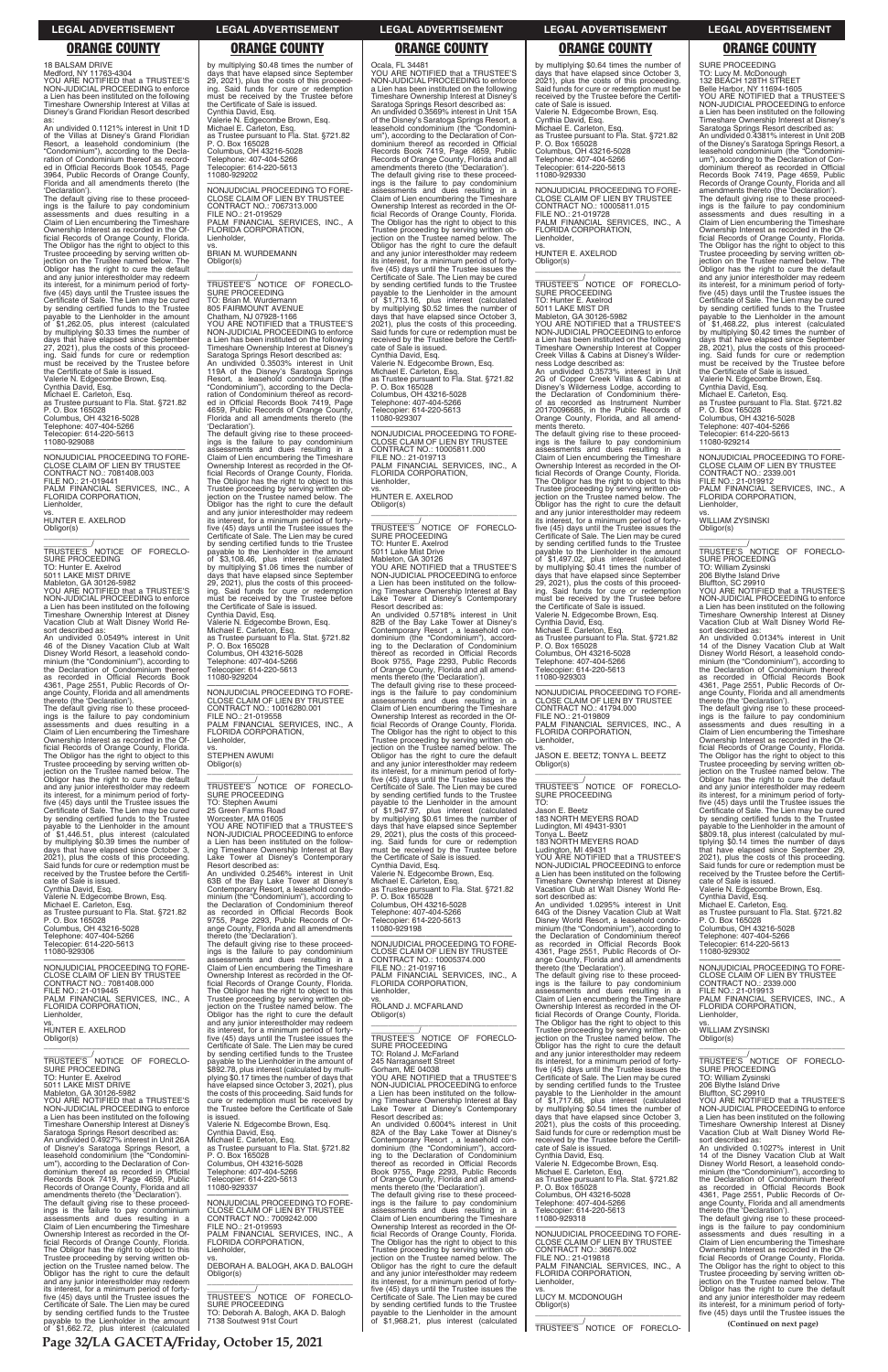**Page 32/LA GACETA/Friday, October 15, 2021**

18 BALSAM DRIVE Medford, NY 11763-4304

YOU ARE NOTIFIED that a TRUSTEE'S NON-JUDICIAL PROCEEDING to enforce a Lien has been instituted on the following Timeshare Ownership Interest at Villas at Disney's Grand Floridian Resort described as:

An undivided 0.1121% interest in Unit 1D of the Villas at Disney's Grand Floridian Resort, a leasehold condominium (the "Condominium"), according to the Declaration of Condominium thereof as recorded in Official Records Book 10545, Page 3964, Public Records of Orange County, Florida and all amendments thereto (the 'Declaration').

The default giving rise to these proceed-<br>ings is the failure to pay condominium<br>assessments and dues resulting in a<br>Claim of Lien encumbering the Timeshare Ownership Interest as recorded in the Official Records of Orange County, Florida. The Obligor has the right to object to this Trustee proceeding by serving written ob-jection on the Trustee named below. The Obligor has the right to cure the default and any junior interestholder may redeem its interest, for a minimum period of fortyfive (45) days until the Trustee issues the Certificate of Sale. The Lien may be cured by sending certified funds to the Trustee payable to the Lienholder in the amount of \$1,262.05, plus interest (calculated by multiplying \$0.33 times the number of days that have elapsed since September 27, 2021), plus the costs of this proceed-ing. Said funds for cure or redemption must be received by the Trustee before the Certificate of Sale is issued. Valerie N. Edgecombe Brown, Esq. Cynthia David, Esq. Michael E. Carleton, Esq. as Trustee pursuant to Fla. Stat. §721.82 P. O. Box 165028 Columbus, OH 43216-5028 Telephone: 407-404-5266 Telecopier: 614-220-5613 11080-929088

\_\_\_\_\_\_\_\_\_\_\_/<br>TRUSTEE'S NOTICE OF FORECLO-<br>SURE PROCEEDING TO: Hunter E. Axelrod 5011 LAKE MIST DRIVE

 $\overline{\phantom{a}}$  , and the set of the set of the set of the set of the set of the set of the set of the set of the set of the set of the set of the set of the set of the set of the set of the set of the set of the set of the s

ange County, Florida and all amendments<br>thereto (the 'Declaration').<br>The default giving rise to these proceed-<br>ings is the failure to pay condominium<br>assessments and dues resulting in a<br>Claim of Lien encumbering the Timesh ficial Records of Orange County, Florida. The Obligor has the right to object to this Trustee proceeding by serving written ob-jection on the Trustee named below. The Obligor has the right to cure the default and any junior interestholder may redeem its interest, for a minimum period of fortyfive (45) days until the Trustee issues the Certificate of Sale. The Lien may be cured by sending certified funds to the Trustee<br>payable to the Lienholder in the amount<br>of \$1,446.51, plus interest (calculated<br>by multiplying \$0.39 times the number of<br>days that have elapsed since October 3,<br>2021), plus the cos Said funds for cure or redemption must be received by the Trustee before the Certificate of Sale is issued.

—————————————————— NONJUDICIAL PROCEEDING TO FORE-CLOSE CLAIM OF LIEN BY TRUSTEE CONTRACT NO.: 7081408.003 FILE NO.: 21-019441 PALM FINANCIAL SERVICES, INC., A FLORIDA CORPORATION, Lienholder,

—————————————————— NONJUDICIAL PROCEEDING TO FORE-CLOSE CLAIM OF LIEN BY TRUSTEE CONTRACT NO.: 7081408.000  $FII F NO.21-019445$ PALM FINANCIAL SERVICES, INC., A FLORIDA CORPO

vs. HUNTER E. AXELROD Obligor(s)

Mableton, GA 30126-5982 YOU ARE NOTIFIED that a TRUSTEE'S NON-JUDICIAL PROCEEDING to enforce

a Lien has been instituted on the following Timeshare Ownership Interest at Disney Vacation Club at Walt Disney World Resort described as:

An undivided 0.0549% interest in Unit 46 of the Disney Vacation Club at Walt Disney World Resort, a leasehold condominium (the "Condominium"), according to the Declaration of Condominium thereof as recorded in Official Records Book 4361, Page 2551, Public Records of Or-

by multiplying \$0.48 times the number of days that have elapsed since September 29, 2021), plus the costs of this proceed-<br>ing. Said funds for cure or redemption<br>must be received by the Trustee before the Certificate of Sale is issued. Cynthia David, Esq. Valerie N. Edgecombe Brown, Esq. Michael E. Carleton, Esq. as Trustee pursuant to Fla. Stat. §721.82 P. O. Box 165028 Columbus, OH 43216-5028 Telephone: 407-404-5266 Telecopier: 614-220-5613 11080-929202

Cynthia David, Esq. Valerie N. Edgecombe Brown, Esq. Michael E. Carleton, Esq. as Trustee pursuant to Fla. Stat. §721.82 P. O. Box 165028 Columbus, OH 43216-5028 Telephone: 407-404-5266 Telecopier: 614-220-5613 11080-929306

Obligor(s)  $\overline{\phantom{a}}$  ,  $\overline{\phantom{a}}$  ,  $\overline{\phantom{a}}$  ,  $\overline{\phantom{a}}$  ,  $\overline{\phantom{a}}$  ,  $\overline{\phantom{a}}$  ,  $\overline{\phantom{a}}$  ,  $\overline{\phantom{a}}$  ,  $\overline{\phantom{a}}$  ,  $\overline{\phantom{a}}$  ,  $\overline{\phantom{a}}$  ,  $\overline{\phantom{a}}$  ,  $\overline{\phantom{a}}$  ,  $\overline{\phantom{a}}$  ,  $\overline{\phantom{a}}$  ,  $\overline{\phantom{a}}$ 

\_\_\_\_\_\_\_\_\_\_\_/<br>TRUSTEE'S NOTICE OF FORECLO-<br>SURE PROCEEDING TO: Stephen Awumi 25 Green Farms Road

—————————————————— NONJUDICIAL PROCEEDING TO FORE-CLOSE CLAIM OF LIEN BY TRUSTEE CONTRACT NO.: 7067313.000 FILE NO.: 21-019529 PALM FINANCIAL SERVICES, INC., A FLORIDA CORPORATION, Lienholder,

vs. BRIAN M. WURDEMANN Obligor(s) \_\_\_\_\_\_\_\_\_\_\_\_\_\_\_\_\_\_\_\_\_\_\_\_\_\_\_\_\_\_\_\_\_

\_\_\_\_\_\_\_\_\_\_\_/ TRUSTEE'S NOTICE OF FORECLO-SURE PROCEEDING TO: Brian M. Wurdemann

805 FAIRMOUNT AVENUE Chatham, NJ 07928-1166 YOU ARE NOTIFIED that a TRUSTEE'S NON-JUDICIAL PROCEEDING to enforce a Lien has been instituted on the following Timeshare Ownership Interest at Disney's Saratoga Springs Resort described as: An undivided 0.3503% interest in Unit 119A of the Disney's Saratoga Springs Resort, a leasehold condominium (the "Condominium"), according to the Decla-

> Resort described as:<br>An undivided 0.5718% interest in Unit An undivided 0.5718% interest in Unit 82B of the Bay Lake Tower at Disney's Contemporary Resort , a leasehold con-dominium (the "Condominium"), according to the Declaration of Condominium thereof as recorded in Official Records Book 9755, Page 2293, Public Records of Orange County, Florida and all amendments thereto (the 'Declaration').

ration of Condominium thereof as recorded in Official Records Book 7419, Page 4659, Public Records of Orange County, Florida and all amendments thereto (the 'Declaration'). The default giving rise to these proceed-ings is the failure to pay condominium assessments and dues resulting in a Claim of Lien encumbering the Timeshare Ownership Interest as recorded in the Of-ficial Records of Orange County, Florida. The Obligor has the right to object to this

> —————————————————— NONJUDICIAL PROCEEDING TO FORE-CLOSE CLAIM OF LIEN BY TRUSTEE CONTRACT NO.: 10005374.000 FILE NO.: 21-019716 PALM FINANCIAL SERVICES, INC., A FLORIDA CORPORATION, Lienholder,

Trustee proceeding by serving written ob-jection on the Trustee named below. The Obligor has the right to cure the default and any junior interestholder may redeem its interest, for a minimum period of forty-five (45) days until the Trustee issues the Certificate of Sale. The Lien may be cured by sending certified funds to the Trustee payable to the Lienholder in the amount of \$3,108.46, plus interest (calculated by multiplying \$1.06 times the number of days that have elapsed since September 29, 2021), plus the costs of this proceed-ing. Said funds for cure or redemption must be received by the Trustee before the Certificate of Sale is issued. Cynthia David, Esq. Valerie N. Edgecombe Brown, Esq.

Michael E. Carleton, Esq. as Trustee pursuant to Fla. Stat. §721.82 P. O. Box 165028 Columbus, OH 43216-5028 Telephone: 407-404-5266 Telecopier: 614-220-5613 11080-929204

—————————————————— NONJUDICIAL PROCEEDING TO FORE-CLOSE CLAIM OF LIEN BY TRUSTEE CONTRACT NO.: 10016280.001 FILE NO.: 21-019558 PALM FINANCIAL SERVICES, INC., A FLORIDA CORPORATION, Lienholder,

vs. STEPHEN AWUMI

\_\_\_\_\_\_\_\_\_\_\_\_\_\_\_\_\_\_\_\_\_\_\_\_\_\_\_\_\_\_\_\_\_ \_\_\_\_\_\_\_\_\_\_\_/<br>TRUSTEE'S NOTICE OF FORECLO-<br>SURE PROCEEDING TO: Hunter E. Axelrod 5011 LAKE MIST DR Mableton, GA 30126-5982 YOU ARE NOTIFIED that a TRUSTEE'S NON-JUDICIAL PROCEEDING to enforce a Lien has been instituted on the following Timeshare Ownership Interest at Copper Creek Villas & Cabins at Disney's Wilderness Lodge described as: An undivided 0.3573% interest in Unit 2G of Copper Creek Villas & Cabins at Disney's Wilderness Lodge, according to the Declaration of Condominium thereof as recorded as Instrument Number 20170096685, in the Public Records of Orange County, Florida, and all amend-ments thereto. The default giving rise to these proceed-ings is the failure to pay condominium assessments and dues resulting in a Claim of Lien encumbering the Timeshare Ownership Interest as recorded in the Of-ficial Records of Orange County, Florida. The Obligor has the right to object to this Trustee proceeding by serving written ob-jection on the Trustee named below. The Obligor has the right to cure the default and any junior interestholder may redeem its interest, for a minimum period of forty-five (45) days until the Trustee issues the Certificate of Sale. The Lien may be cured by sending certified funds to the Trustee payable to the Lienholder in the amount of \$1,497.02, plus interest (calculated by multiplying \$0.41 times the number of days that have elapsed since September 29, 2021), plus the costs of this proceed-ing. Said funds for cure or redemption must be received by the Trustee before the Certificate of Sale is issued. Valerie N. Edgecombe Brown, Esq.<br>Cynthia David, Esq.<br>Michael E. Carleton, Esq.<br>as Trustee pursuant to Fla. Stat. §721.82<br>P. O. Box 165028<br>Columbus, OH 43216-5028<br>Telephone: 407-404-5266<br>Telecopier: 614-220-5613<br>1080-929303

Worcester, MA 01605 YOU ARE NOTIFIED that a TRUSTEE'S NON-JUDICIAL PROCEEDING to enforce a Lien has been instituted on the following Timeshare Ownership Interest at Bay Lake Tower at Disney's Contemporary Resort described as:

An undivided 0.2546% interest in Unit 63B of the Bay Lake Tower at Disney's Contemporary Resort, a leasehold condo-minium (the "Condominium"), according to the Declaration of Condominium thereof as recorded in Official Records Book 9755, Page 2293, Public Records of Or-

ange County, Florida and all amendments<br>thereto (the 'Declaration').<br>The default giving rise to these proceed-<br>ings is the failure to pay condominium<br>assessments and dues resulting in a<br>Claim of Lien encumbering the Timesh Ownership Interest as recorded in the Official Records of Orange County, Florida. The Obligor has the right to object to this Trustee proceeding by serving written obtion on the Trustee named

\_\_\_\_\_\_\_\_\_\_\_/<br>TRUSTEE'S NOTICE OF FORECLO-<br>SURE PROCEEDING TO:

ange County, Florida and all amendments thereto (the 'Declaration'). The default giving rise to these proceed-ings is the failure to pay condominium assessments and dues resulting in a Claim of Lien encumbering the Timeshare  $\,$  Interest as recorded in the Of $\,$ 

Ocala, FL 34481 YOU ARE NOTIFIED that a TRUSTEE'S NON-JUDICIAL PROCEEDING to enforce a Lien has been instituted on the following Timeshare Ownership Interest at Disney's Saratoga Springs Resort described as: An undivided 0.3569% interest in Unit 15A of the Disney's Saratoga Springs Resort, a leasehold condominium (the "Condominium"), according to the Declaration of Con-dominium thereof as recorded in Official Records Book 7419, Page 4659, Public Records of Orange County, Florida and all amendments thereto (the 'Declaration'). The default giving rise to these proceed-ings is the failure to pay condominium assessments and dues resulting in a Claim of Lien encumbering the Timeshare Ownership Interest as recorded in the Official Records of Orange County, Florida. The Obligor has the right to object to this Trustee proceeding by serving written ob-jection on the Trustee named below. The Obligor has the right to cure the default and any junior interestholder may redeem its interest, for a minimum period of forty-five (45) days until the Trustee issues the Certificate of Sale. The Lien may be cured by sending certified funds to the Trustee payable to the Lienholder in the amount of \$1,713.16, plus interest (calculated by multiplying \$0.52 times the number of days that have elapsed since October 3, 2021), plus the costs of this proceeding. Said funds for cure or redemption must be received by the Trustee before the Certificate of Sale is issued.<br>Cynthia David, Esq.<br>Valerie N. Edgecombe Brown, Esq.<br>Michael E. Carleton, Esq.<br>Alichael E. Carleton, Esq.<br>25. Michael pursuant to Fla. Stat. §721.82<br>P. O. Box 165028<br>Columbus, OH 43216-5068<br>Telephon 11080-929307 —————————————————— NONJUDICIAL PROCEEDING TO FORE-CLOSE CLAIM OF LIEN BY TRUSTEE CONTRACT NO.: 10005811.000 FILE NO.: 21-019713 PALM FINANCIAL SERVICES, INC., A FLORIDA CORPORATION, Lienholder,

> ange County, Florida and all amendments<br>thereto (the 'Declaration').<br>The default giving rise to these proceed-<br>ings is the failure to pay condominium<br>assessments and dues resulting in a<br>Claim of Lien encumbering the Timesh Ownership Interest as recorded in the Official Records of Orange County, Florida. The Obligor has the right to object to this Trustee proceeding by serving written ob-jection on the Trustee named below. The Obligor has the right to cure the default and any junior interestholder may redeem its interest, for a minimum period of forty-five (45) days until the Trustee issues the Certificate of Sale. The Lien may be cured by sending certified funds to the Trustee payable to the Lienholder in the amount of \$809.18, plus interest (calculated by mul-tiplying \$0.14 times the number of days that have elapsed since September 29, 2021), plus the costs of this proceeding. Said funds for cure or redemption must be received by the Trustee before the Certifi-

vs. HUNTER E. AXELROD Obligor(s)

\_\_\_\_\_\_\_\_\_\_\_/<br>TRUSTEE'S NOTICE OF FORECLO-<br>SURE PROCEEDING TO: Hunter E. Axelrod 5011 Lake Mist Drive Mableton, GA 30126 YOU ARE NOTIFIED that a TRUSTEE'S NON-JUDICIAL PROCEEDING to enforce a Lien has been instituted on the following Timeshare Ownership Interest at Bay Lake Tower at Disney's Contemporary

 $\overline{\phantom{a}}$  , and the set of the set of the set of the set of the set of the set of the set of the set of the set of the set of the set of the set of the set of the set of the set of the set of the set of the set of the s

The default giving rise to these proceed-ings is the failure to pay condominium assessments and dues resulting in a Claim of Lien encumbering the Timeshare Ownership Interest as recorded in the Official Records of Orange County, Florida.<br>The Obligor has the right to object to this<br>Trustee proceeding by serving written ob-<br>jection on the Trustee named below. The<br>Obligor has the right to cure the default<br>and any juni its interest, for a minimum period of forty-five (45) days until the Trustee issues the Certificate of Sale. The Lien may be cured by sending certified funds to the Trustee<br>payable to the Lienholder in the amount<br>of \$1,947.97, plus interest (calculated<br>by multiplying \$0.61 times the number of<br>days that have elapsed since September<br>29, 2021), plus the Cynthia David, Esq. Valerie N. Edgecombe Brown, Esq. Michael E. Carleton, Esq. as Trustee pursuant to Fla. Stat. §721.82 P. O. Box 165028

Columbus, OH 43216-5028 Telephone: 407-404-5266 Telecopier: 614-220-5613 11080-929198

vs. ROLAND J. MCFARLAND

| Lienholder.                                  | Obligor has the right to cure the default     | Obligor(s)                                   | ficial Records of Orange County, Florida.    | Lienholder.                                  |
|----------------------------------------------|-----------------------------------------------|----------------------------------------------|----------------------------------------------|----------------------------------------------|
| VS.                                          | and any junior interestholder may redeem      |                                              | The Obligor has the right to object to this  | VS.                                          |
| HUNTER E. AXELROD                            | its interest, for a minimum period of forty-  |                                              | Trustee proceeding by serving written ob-    | <b>WILLIAM ZYSINSKI</b>                      |
| Obligor(s)                                   | five (45) days until the Trustee issues the   | TRUSTEE'S NOTICE OF FORECLO-                 | jection on the Trustee named below. The      | Obligor(s)                                   |
|                                              | Certificate of Sale. The Lien may be cured    | <b>SURE PROCEEDING</b>                       | Obligor has the right to cure the default    |                                              |
|                                              | by sending certified funds to the Trustee     | TO: Roland J. McFarland                      | and any junior interestholder may redeem     |                                              |
| TRUSTEE'S NOTICE OF FORECLO-                 |                                               |                                              |                                              | TRUSTEE'S NOTICE OF FORECLO-                 |
| <b>SURE PROCEEDING</b>                       | payable to the Lienholder in the amount of    | 245 Narragansett Street                      | its interest, for a minimum period of forty- | SURE PROCEEDING                              |
|                                              | \$892.78, plus interest (calculated by multi- | Gorham, ME 04038                             | five (45) days until the Trustee issues the  |                                              |
| TO: Hunter E. Axelrod                        | plying \$0.17 times the number of days that   | YOU ARE NOTIFIED that a TRUSTEE'S            | Certificate of Sale. The Lien may be cured   | TO: William Zysinski                         |
| 5011 LAKE MIST DRIVE                         | have elapsed since October 3, 2021), plus     | NON-JUDICIAL PROCEEDING to enforce           | by sending certified funds to the Trustee    | 206 Blythe Island Drive                      |
| Mableton, GA 30126-5982                      | the costs of this proceeding. Said funds for  | a Lien has been instituted on the follow-    | payable to the Lienholder in the amount      | Bluffton, SC 29910                           |
| YOU ARE NOTIFIED that a TRUSTEE'S            | cure or redemption must be received by        | ing Timeshare Ownership Interest at Bay      | of \$1,717.68, plus interest (calculated     | YOU ARE NOTIFIED that a TRUSTEE'S            |
| NON-JUDICIAL PROCEEDING to enforce           | the Trustee before the Certificate of Sale    | Lake Tower at Disney's Contemporary          | by multiplying \$0.54 times the number of    | NON-JUDICIAL PROCEEDING to enforce           |
| a Lien has been instituted on the following  | is issued.                                    | Resort described as:                         | days that have elapsed since October 3,      | a Lien has been instituted on the following  |
| Timeshare Ownership Interest at Disney's     | Valerie N. Edgecombe Brown, Esg.              | An undivided 0.6004% interest in Unit        | 2021), plus the costs of this proceeding.    | Timeshare Ownership Interest at Disney       |
| Saratoga Springs Resort described as:        | Cynthia David, Esq.                           | 82A of the Bay Lake Tower at Disney's        | Said funds for cure or redemption must be    | Vacation Club at Walt Disney World Re-       |
| An undivided 0.4927% interest in Unit 26A    | Michael E. Carleton, Esq.                     | Contemporary Resort, a leasehold con-        | received by the Trustee before the Certifi-  | sort described as:                           |
| of Disney's Saratoga Springs Resort, a       | as Trustee pursuant to Fla. Stat. §721.82     | dominium (the "Condominium"), accord-        | cate of Sale is issued.                      | An undivided 0.1027% interest in Unit        |
| leasehold condominium (the "Condomini-       | P. O. Box 165028                              | ing to the Declaration of Condominium        | Cynthia David, Esg.                          | 14 of the Disney Vacation Club at Walt       |
| um"), according to the Declaration of Con-   | Columbus, OH 43216-5028                       | thereof as recorded in Official Records      | Valerie N. Edgecombe Brown, Esg.             | Disney World Resort, a leasehold condo-      |
| dominium thereof as recorded in Official     | Telephone: 407-404-5266                       | Book 9755, Page 2293, Public Records         | Michael E. Carleton, Esg.                    | minium (the "Condominium"), according to     |
| Records Book 7419, Page 4659, Public         | Telecopier: 614-220-5613                      | of Orange County, Florida and all amend-     | as Trustee pursuant to Fla. Stat. §721.82    | the Declaration of Condominium thereof       |
| Records of Orange County, Florida and all    | 11080-929337                                  | ments thereto (the 'Declaration').           | P. O. Box 165028                             | as recorded in Official Records Book         |
| amendments thereto (the 'Declaration').      |                                               | The default giving rise to these proceed-    | Columbus, OH 43216-5028                      | 4361, Page 2551, Public Records of Or-       |
| The default giving rise to these proceed-    | NONJUDICIAL PROCEEDING TO FORE-               | ings is the failure to pay condominium       | Telephone: 407-404-5266                      | ange County, Florida and all amendments      |
| ings is the failure to pay condominium       | CLOSE CLAIM OF LIEN BY TRUSTEE                | assessments and dues resulting in a          | Telecopier: 614-220-5613                     | thereto (the 'Declaration').                 |
| assessments and dues resulting in a          | CONTRACT NO.: 7009242.000                     | Claim of Lien encumbering the Timeshare      | 11080-929318                                 | The default giving rise to these proceed-    |
| Claim of Lien encumbering the Timeshare      | FILE NO.: 21-019593                           |                                              |                                              |                                              |
|                                              | PALM FINANCIAL SERVICES, INC., A              | Ownership Interest as recorded in the Of-    | NONJUDICIAL PROCEEDING TO FORE-              | ings is the failure to pay condominium       |
| Ownership Interest as recorded in the Of-    |                                               | ficial Records of Orange County, Florida.    |                                              | assessments and dues resulting in a          |
| ficial Records of Orange County, Florida.    | FLORIDA CORPORATION,                          | The Obligor has the right to object to this  | CLOSE CLAIM OF LIEN BY TRUSTEE               | Claim of Lien encumbering the Timeshare      |
| The Obligor has the right to object to this  | Lienholder.                                   | Trustee proceeding by serving written ob-    | CONTRACT NO.: 36676.002                      | Ownership Interest as recorded in the Of-    |
| Trustee proceeding by serving written ob-    | VS.                                           | jection on the Trustee named below. The      | FILE NO.: 21-019818                          | ficial Records of Orange County, Florida.    |
| jection on the Trustee named below. The      | DEBORAH A. BALOGH, AKA D. BALOGH              | Obligor has the right to cure the default    | PALM FINANCIAL SERVICES. INC., A             | The Obligor has the right to object to this  |
| Obligor has the right to cure the default    | Obligor(s)                                    | and any junior interestholder may redeem     | FLORIDA CORPORATION,                         | Trustee proceeding by serving written ob-    |
| and any junior interestholder may redeem     |                                               | its interest, for a minimum period of forty- | Lienholder.                                  | jection on the Trustee named below. The      |
| its interest, for a minimum period of forty- |                                               | five (45) days until the Trustee issues the  | VS.                                          | Obligor has the right to cure the default    |
| five (45) days until the Trustee issues the  | TRUSTEE'S NOTICE OF FORECLO-                  | Certificate of Sale. The Lien may be cured   | LUCY M. MCDONOUGH                            | and any junior interestholder may redeem     |
| Certificate of Sale. The Lien may be cured   | <b>SURE PROCEEDING</b>                        | by sending certified funds to the Trustee    | Obligor(s)                                   | its interest, for a minimum period of forty- |
| by sending certified funds to the Trustee    | TO: Deborah A. Balogh, AKA D. Balogh          | payable to the Lienholder in the amount      |                                              | five (45) days until the Trustee issues the  |
| payable to the Lienholder in the amount      | 7138 Soutwest 91st Court                      | of \$1,968.21, plus interest (calculated     |                                              | (Continued on next page)                     |
| of \$1,662.72, plus interest (calculated     |                                               |                                              | TRUSTEE'S NOTICE OF FORECLO-                 |                                              |
|                                              |                                               |                                              |                                              |                                              |

by multiplying \$0.64 times the number of days that have elapsed since October 3, 2021), plus the costs of this proceeding. Said funds for cure or redemption must be received by the Trustee before the Certificate of Sale is issued. Valerie N. Edgecombe Brown, Esq. Cynthia David, Esq. Michael E. Carleton, Esq. as Trustee pursuant to Fla. Stat. §721.82 P. O. Box 165028 Columbus, OH 43216-5028 Telephone: 407-404-5266 Telecopier: 614-220-5613 11080-929330

—————————————————— NONJUDICIAL PROCEEDING TO FORE-CLOSE CLAIM OF LIEN BY TRUSTEE CONTRACT NO.: 10005811.015 FILE NO.: 21-019728 PALM FINANCIAL SERVICES, INC., A FLORIDA CORPORATION, Lienholder,

vs. HUNTER E. AXELROD Obligor(s)

NONJUDICIAL PROCEEDING TO FORE-CLOSE CLAIM OF LIEN BY TRUSTEE CONTRACT NO.: 41794.000 FILE NO.: 21-019809 PALM FINANCIAL SERVICES, INC., A FLORIDA CORPORATION, Lienholder,

vs. JASON E. BEETZ; TONYA L. BEETZ Obligor(s) \_\_\_\_\_\_\_\_\_\_\_\_\_\_\_\_\_\_\_\_\_\_\_\_\_\_\_\_\_\_\_\_\_

Jason E. Beetz 183 NORTH MEYERS ROAD Ludington, MI 49431-9301 Tonya L. Beetz 183 NORTH MEYERS ROAD Ludington, MI 49431 YOU ARE NOTIFIED that a TRUSTEE'S

NON-JUDICIAL PROCEEDING to enforce a Lien has been instituted on the following Timeshare Ownership Interest at Disney Vacation Club at Walt Disney World Resort described as: An undivided 1.0295% interest in Unit

64G of the Disney Vacation Club at Walt Disney World Resort, a leasehold condo-minium (the "Condominium"), according to the Declaration of Condominium thereof as recorded in Official Records Book 4361, Page 2551, Public Records of Or-

# **LEGAL ADVERTISEMENT LEGAL ADVERTISEMENT LEGAL ADVERTISEMENT LEGAL ADVERTISEMENT LEGAL ADVERTISEMENT**

# **ORANGE COUNTY ORANGE COUNTY ORANGE COUNTY ORANGE COUNTY ORANGE COUNTY**

SURE PROCEEDING

TO: Lucy M. McDonough 132 BEACH 128TH STREET Belle Harbor, NY 11694-1605 YOU ARE NOTIFIED that a TRUSTEE'S NON-JUDICIAL PROCEEDING to enforce a Lien has been instituted on the following Timeshare Ownership Interest at Disney's Saratoga Springs Resort described as: An undivided 0.4381% interest in Unit 20B of the Disney's Saratoga Springs Resort, a leasehold condominium (the "Condominium"), according to the Declaration of Con-dominium thereof as recorded in Official Records Book 7419, Page 4659, Public Records of Orange County, Florida and all amendments thereto (the 'Declaration'). The default giving rise to these proceed-ings is the failure to pay condominium assessments and dues resulting in a Claim of Lien encumbering the Timeshare Ownership Interest as recorded in the Of-ficial Records of Orange County, Florida. The Obligor has the right to object to this Trustee proceeding by serving written ob-jection on the Trustee named below. The Obligor has the right to cure the default and any junior interestholder may redeem its interest, for a minimum period of forty-five (45) days until the Trustee issues the Certificate of Sale. The Lien may be cured by sending certified funds to the Trustee payable to the Lienholder in the amount of \$1,468.22, plus interest (calculated by multiplying \$0.42 times the number of days that have elapsed since September 28, 2021), plus the costs of this proceed-ing. Said funds for cure or redemption must be received by the Trustee before the Certificate of Sale is issued. Valerie N. Edgecombe Brown, Esq. Cynthia David, Esq. Michael E. Carleton, Esq. as Trustee pursuant to Fla. Stat. §721.82 P. O. Box 165028 Columbus, OH 43216-5028 Telephone: 407-404-5266

Telecopier: 614-220-5613 11080-929214 —————————————————— NONJUDICIAL PROCEEDING TO FORE-CLOSE CLAIM OF LIEN BY TRUSTEE CONTRACT NO.: 2339.001

FILE NO.: 21-019912 PALM FINANCIAL SERVICES, INC., A FLORIDA CORPORATION, Lienholder,

vs. WILLIAM ZYSINSKI Obligor(s)

 $\overline{\phantom{a}}$  , and the set of the set of the set of the set of the set of the set of the set of the set of the set of the set of the set of the set of the set of the set of the set of the set of the set of the set of the s \_\_\_\_\_\_\_\_\_\_\_/<br>TRUSTEE'S NOTICE OF FORECLO-<br>SURE PROCEEDING

TO: William Zysinski 206 Blythe Island Drive

Bluffton, SC 29910 YOU ARE NOTIFIED that a TRUSTEE'S NON-JUDICIAL PROCEEDING to enforce a Lien has been instituted on the following Timeshare Ownership Interest at Disney Vacation Club at Walt Disney World Resort described as:

An undivided 0.0134% interest in Unit 14 of the Disney Vacation Club at Walt Disney World Resort, a leasehold condominium (the "Condominium"), according to the Declaration of Condominium thereof as recorded in Official Records Book 4361, Page 2551, Public Records of Or-

cate of Sale is issued. Valerie N. Edgecombe Brown, Esq. Cynthia David, Esq. Michael E. Carleton, Esq. as Trustee pursuant to Fla. Stat. §721.82 P. O. Box 165028

Columbus, OH 43216-5028 Telephone: 407-404-5266 Telecopier: 614-220-5613

11080-929302

—————————————————— NONJUDICIAL PROCEEDING TO FORE-CLOSE CLAIM OF LIEN BY TRUSTEE CONTRACT NO.: 2339.000 FILE NO.: 21-019913 PALM FINANCIAL SERVICES, INC., A FLORIDA CORPORATION,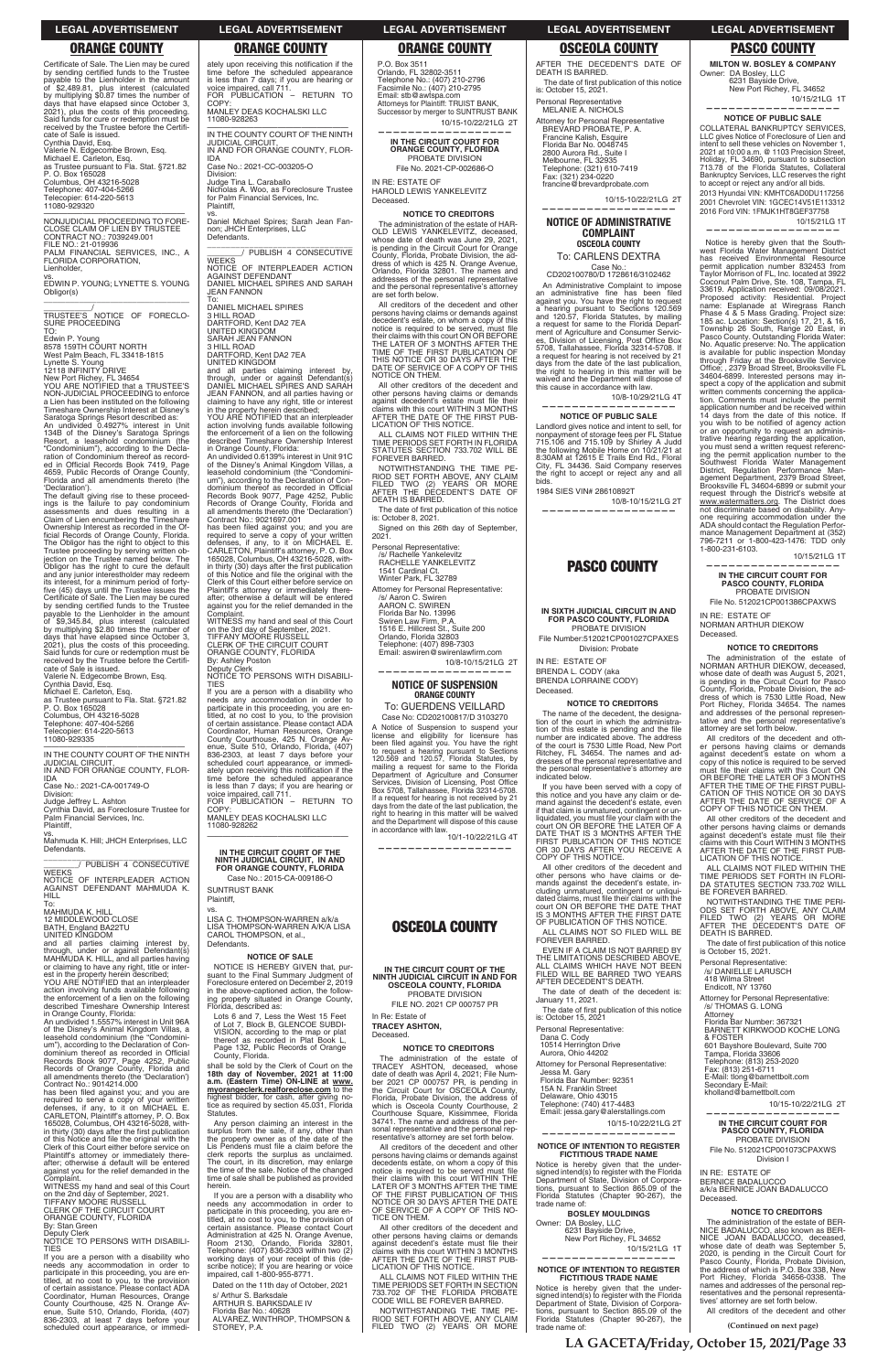**LA GACETA/Friday, October 15, 2021/Page 33**

**(Continued on next page)**

Certificate of Sale. The Lien may be cured by sending certified funds to the Trustee payable to the Lienholder in the amount of \$2,489.81, plus interest (calculated by multiplying \$0.87 times the number of days that have elapsed since October 3, 2021), plus the costs of this proceeding. Said funds for cure or redemption must be received by the Trustee before the Certificate of Sale is issued. Cynthia David, Esq. Valerie N. Edgecombe Brown, Esq. Michael E. Carleton, Esq. as Trustee pursuant to Fla. Stat. §721.82 P. O. Box 165028 Columbus, OH 43216-5028 Telephone: 407-404-5266 Telecopier: 614-220-5613 11080-929320

\_\_\_\_\_\_\_\_\_\_\_\_/<br>TRUSTEE'S NOTICE OF FORECLO-<br>SURE PROCEEDING TO:

—————————————————— NONJUDICIAL PROCEEDING TO FORE-CLOSE CLAIM OF LIEN BY TRUSTEE CONTRACT NO.: 7039249.001 FILE NO.: 21-019936 PALM FINANCIAL SERVICES, INC., A FLORIDA CORPORATION,

Lienholder,

vs. EDWIN P. YOUNG; LYNETTE S. YOUNG Obligor(s) \_\_\_\_\_\_\_\_\_\_\_\_\_\_\_\_\_\_\_\_\_\_\_\_\_\_\_\_\_\_\_\_\_

Edwin P. Young 8578 159TH COURT NORTH West Palm Beach, FL 33418-1815

Lynette S. Young 12118 INFINITY DRIVE

New Port Richey, FL 34654 YOU ARE NOTIFIED that a TRUSTEE'S NON-JUDICIAL PROCEEDING to enforce a Lien has been instituted on the following Timeshare Ownership Interest at Disney's Saratoga Springs Resort described as: An undivided 0.4927% interest in Unit 134B of the Disney's Saratoga Springs Resort, a leasehold condominium (the "Condominium"), according to the Decla-ration of Condominium thereof as record-ed in Official Records Book 7419, Page 4659, Public Records of Orange County, Florida and all amendments thereto (the 'Declaration').

\_\_\_\_\_\_\_\_\_\_\_\_\_\_\_\_\_\_\_\_\_\_\_\_\_\_\_\_\_\_\_ \_\_\_\_\_\_\_\_/ PUBLISH 4 CONSECUTIVE **WEEKS** 

action involving funds available following the enforcement of a lien on the following described Timeshare Ownership Interest

The default giving rise to these proceed-ings is the failure to pay condominium assessments and dues resulting in a Claim of Lien encumbering the Timeshare Ownership Interest as recorded in the Of-ficial Records of Orange County, Florida. The Obligor has the right to object to this Trustee proceeding by serving written ob-jection on the Trustee named below. The Obligor has the right to cure the default and any junior interestholder may redeem its interest, for a minimum period of fortyfive (45) days until the Trustee issues the Certificate of Sale. The Lien may be cured by sending certified funds to the Trustee payable to the Lienholder in the amount of \$9,345.84, plus interest (calculated by multiplying \$2.80 times the number of days that have elapsed since October 3, 2021), plus the costs of this proceeding. plus the costs of this proceeding. Said funds for cure or redemption must be received by the Trustee before the Certificate of Sale is issued. Valerie N. Edgecombe Brown, Esq. Cynthia David, Esq. Michael E. Carleton, Esq. as Trustee pursuant to Fla. Stat. §721.82 P. O. Box 165028

has been filed against you; and you are required to serve a copy of your written<br>defenses, if any, to it on MICHAEL E.<br>CARLETON, Plaintiff's attorney, P. O. Box<br>165028, Columbus, OH 43216-5028, within thirty (30) days after the first publication of this Notice and file the original with the Clerk of this Court either before service on Plaintiff's attorney or immediately thereafter; otherwise a default will be entered against you for the relief demanded in the Complaint.

# ately upon receiving this notification if the time before the scheduled appearance is less than 7 days; if you are hearing or voice impaired, call 711. FOR PUBLICATION – RETURN TO **COPY**

Columbus, OH 43216-5028 Telephone: 407-404-5266 Telecopier: 614-220-5613 11080-929335

\_\_\_\_\_\_\_\_\_\_\_\_\_\_\_\_\_\_\_\_\_\_\_\_\_\_\_\_\_\_\_ \_\_\_\_\_\_\_\_/ PUBLISH 4 CONSECUTIVE **WEEKS** 

—————————————————— IN THE COUNTY COURT OF THE NINTH JUDICIAL CIRCUIT, IN AND FOR ORANGE COUNTY, FLOR-

IDA Case No.: 2021-CA-001749-O

Division: Judge Jeffrey L. Ashton Cynthia David, as Foreclosure Trustee for Palm Financial Services, Inc. Plaintiff,

vs. Mahmuda K. Hill; JHCH Enterprises, LLC Defendants.

NOTICE OF INTERPLEADER ACTION AGAINST DEFENDANT MAHMUDA K. HILL

To: MAHMUDA K. HILL 12 MIDDLEWOOD CLOSE BATH, England BA22TU UNITED KINGDOM

and all parties claiming interest by, through, under or against Defendant(s) MAHMUDA K. HILL, and all parties having or claiming to have any right, title or inter-est in the property herein described; YOU ARE NOTIFIED that an interpleader

has been filed against you; and you are<br>required to serve a copy of your written<br>defenses, if any, to it on MICHAEL E.<br>CARLETON, Plaintiff's attorney, P. O. Box<br>165028, Columbus, OH 43216-5028, within thirty (30) days after the first publication of this Notice and file the original with the Clerk of this Court either before service on Plaintiff's attorney or immediately there-after; otherwise a default will be entered against you for the relief demanded in the

in Orange County, Florida:

An undivided 1.5557% interest in Unit 96A of the Disney's Animal Kingdom Villas, a leasehold condominium (the "Condominium"), according to the Declaration of Condominium thereof as recorded in Official Records Book 9077, Page 4252, Public Records of Orange County, Florida and all amendments thereto (the 'Declaration') Contract No.: 9014214.000

NOTICE IS HEREBY GIVEN that, pursuant to the Final Summary Judgment Foreclosure entered on December 2, 2019 in the above-captioned action, the follow-ing property situated in Orange County, described as:

shall be sold by the Clerk of Court on the 18th day of November, 2021 at 11:00<br>a.m. (Eastern Time) ON-LINE at <u>www.</u><br><u>myorangeclerk.realforeclose.com</u> to the highest bidder, for cash, after giving no-<br>tice as required by section 45.031, Florida<br>Statutes.

WITNESS my hand and seal of this Court on the 2nd day of September, 2021. TIFFANY MOORE RUSSELL CLERK OF THE CIRCUIT COURT ORANGE COUNTY, FLORIDA By: Stan Green Deputy Clerk NOTICE TO PERSONS WITH DISABILI-

TIES

If you are a person with a disability who needs any accommodation in order to participate in this proceeding, you are en-titled, at no cost to you, to the provision of certain assistance. Please contact ADA Coordinator, Human Resources, Orange County Courthouse, 425 N. Orange Av-enue, Suite 510, Orlando, Florida, (407) 836-2303, at least 7 days before your scheduled court appearance, or immedi-

s/ Arthur S. Barksdale<br>ARTHUR S. BARKSDALE IV<br>Florida Bar No.: 40628<br>ALVAREZ, WINTHROP, THOMPSON & STOREY, P.A.

MANLEY DEAS KOCHALSKI LLC 11080-928263 —————————————————— IN THE COUNTY COURT OF THE NINTH JUDICIAL CIRCUIT,

IN AND FOR ORANGE COUNTY, FLOR-IDA Case No.: 2021-CC-003205-O

Division: Judge Tina L. Caraballo Nicholas A. Woo, as Foreclosure Trustee for Palm Financial Services, Inc. Plaintiff,

vs. Daniel Michael Spires; Sarah Jean Fan-non; JHCH Enterprises, LLC Defendants.

> The date of first publication of this notice is: October 8, 2021.

NOTICE OF INTERPLEADER ACTION AGAINST DEFENDANT DANIEL MICHAEL SPIRES AND SARAH JEAN FANNON

To: DANIEL MICHAEL SPIRES 3 HILL ROAD DARTFORD, Kent DA2 7EA UNITED KINGDOM

SARAH JEAN FANNON 3 HILL ROAD

DARTFORD, Kent DA2 7EA

Telephone: (407) 898-7303 Email: aswiren@swirenlawfirm.com

UNITED KINGDOM and all parties claiming interest by, through, under or against Defendant(s) DANIEL MICHAEL SPIRES AND SARAH JEAN FANNON, and all parties having or claiming to have any right, title or interest in the property herein described; YOU ARE NOTIFIED that an interpleader

action involving funds available following the enforcement of a lien on the following described Timeshare Ownership Interest in Orange County, Florida:

> In Re: Estate of **TRACEY ASHTON,**  Deceased

An undivided 0.6139% interest in Unit 91C of the Disney's Animal Kingdom Villas, a leasehold condominium (the "Condominium"), according to the Declaration of Condominium thereof as recorded in Official Records Book 9077, Page 4252, Public Records of Orange County, Florida and all amendments thereto (the 'Declaration') Contract No.: 9021697.001

Complaint. WITNESS my hand and seal of this Court on the 3rd day of September, 2021. TIFFANY MOORE RUSSELL CLERK OF THE CIRCUIT COURT ORANGE COUNTY, FLORIDA By: Ashley Poston

Case No.: CD202100780/D 1728616/3102462

Deputy Clerk NOTICE TO PERSONS WITH DISABILI-TIES

An Administrative Complaint to impose<br>an administrative fine has been filed against you. You have the right to request a hearing pursuant to Sections 120.569 and 120.57, Florida Statutes, by mailing a request for same to the Florida Department of Agriculture and Consumer Servic-<br>es, Division of Licensing, Post Office Box<br>5708, Tallahassee, Florida 32314-5708. If a request for hearing is not received by 21 days from the date of the last publication, the right to hearing in this matter will be waived and the Department will dispose of this cause in accordance with law.

If you are a person with a disability who needs any accommodation in order to participate in this proceeding, you are en-titled, at no cost to you, to the provision of certain assistance. Please contact ADA Coordinator, Human Resources, Orange County Courthouse, 425 N. Orange Av-enue, Suite 510, Orlando, Florida, (407) 836-2303, at least 7 days before your scheduled court appearance, or immedi-ately upon receiving this notification if the time before the scheduled appearance is less than 7 days; if you are hearing or voice impaired, call 711. FOR PUBLICATION – RETURN TO COPY:

MANLEY DEAS KOCHALSKI LLC 11080-928262 ——————————————————

**IN THE CIRCUIT COURT OF THE NINTH JUDICIAL CIRCUIT, IN AND FOR ORANGE COUNTY, FLORIDA**

Case No.: 2015-CA-009186-O SUNTRUST BANK Plaintiff,

vs. LISA C. THOMPSON-WARREN a/k/a LISA THOMPSON-WARREN A/K/A LISA CAROL THOMPSON, et al., Defendants.

## **NOTICE OF SALE**

The date of first publication of this notice is: October 15, 2021

Lots 6 and 7, Less the West 15 Feet of Lot 7, Block B, GLENCOE SUBDI-VISION, according to the map or plat thereof as recorded in Plat Book L, Page 132, Public Records of Orange County, Florida.

Any person claiming an interest in the surplus from the sale, if any, other than<br>the property owner as of the date of the<br>Lis Pendens must file a claim before the clerk reports the surplus as unclaimed. The court, in its discretion, may enlarge the time of the sale. Notice of the changed time of sale shall be published as provided herein.

If you are a person with a disability who needs any accommodation in order to participate in this proceeding, you are en-titled, at no cost to you, to the provision of certain assistance. Please contact Court Administration at 425 N. Orange Avenue, Room 2130, Orlando, Florida 32801, Telephone: (407) 836-2303 within two (2) working days of your receipt of this (de-scribe notice); If you are hearing or voice impaired, call 1-800-955-8771.

Dated on the 11th day of October, 2021

P.O. Box 3511 Orlando, FL 32802-3511 Telephone No.: (407) 210-2796 Facsimile No.: (407) 210-2795 Email: stb@awtspa.com Attorneys for Plaintiff: TRUIST BANK, Successor by merger to SUNTRUST BANK 10/15-10/22/21LG 2T

**——————————————————**

**IN THE CIRCUIT COURT FOR ORANGE COUNTY, FLORIDA** PROBATE DIVISION File No. 2021-CP-002686-O

> request through the District's website at<br>www.watermatters.org. The District does<br>not discriminate based on disability. Anyone requiring accommodation under the ADA should contact the Regulation Performance Management Department at (352) 796-7211 or 1-800-423-1476: TDD only 1-800-231-6103.

IN RE: ESTATE OF HAROLD LEWIS YANKELEVITZ Deceased.

## **NOTICE TO CREDITORS**

The administration of the estate of HAR-OLD LEWIS YANKELEVITZ, deceased, whose date of death was June 29, 2021, is pending in the Circuit Court for Orange County, Florida, Probate Division, the ad-dress of which is 425 N. Orange Avenue, Orlando, Florida 32801. The names and addresses of the personal representative and the personal representative's attorney are set forth below.

> against decedent's estate must file their<br>claims with this Court WITHIN 3 MONTHS<br>AFTER THE DATE OF THE FIRST PUB-<br>LICATION OF THIS NOTICE. ALL CLAIMS NOT FILED WITHIN THE TIME PERIODS SET FORTH IN FLORI-DA STATUTES SECTION 733.702 WILL

All creditors of the decedent and other persons having claims or demands against decedent's estate, on whom a copy of this<br>notice is required to be served, must file<br>their claims with this court ON OR BEFORE<br>THE LATER OF 3 MONTHS AFTER THE<br>TIME OF THE FIRST PUBLICATION OF<br>THIS NOTICE OR 30 DAYS AFTER T NOTICE ON THEM.

All other creditors of the decedent and other persons having claims or demands<br>against decedent's estate must file their claims with this court WITHIN 3 MONTHS AFTER THE DATE OF THE FIRST PUB-LICATION OF THIS NOTICE.

ALL CLAIMS NOT FILED WITHIN THE TIME PERIODS SET FORTH IN FLORIDA STATUTES SECTION 733.702 WILL BE FOREVER BARRED.

NOTWITHSTANDING THE TIME PE-RIOD SET FORTH ABOVE, ANY CLAIM FILED TWO (2) YEARS OR MORE AFTER THE DECEDENT'S DATE OF DEATH IS BARRED.

Signed on this 26th day of September, 2021.

Personal Representative: /s/ Rachelle Yankelevitz RACHELLE YANKELEVITZ 1541 Cardinal Ct. Winter Park, FL 32789

Attorney for Personal Representative: /s/ Aaron C. Swiren AARON C. SWIREN Florida Bar No. 13996

Swiren Law Firm, P.A. 1516 E. Hillcrest St., Suite 200 Orlando, Florida 32803

10/8-10/15/21LG 2T **——————————————————**

# **NOTICE OF SUSPENSION ORANGE COUNTY**

To: GUERDENS VEILLARD Case No: CD202100817/D 3103270

A Notice of Suspension to suspend your license and eligibility for licensure has<br>been filed against you You have the right to request a hearing pursuant to Sections<br>120.569 and 120.57, Florida Statutes, by mailing a request for same to the Florida Department of Agriculture and Consumer<br>Services, Division of Licensing, Post Office Box 5708, Tallahassee, Florida 32314-5708. If a request for hearing is not received by 21<br>days from the date of the last publication, the<br>right to hearing in this matter will be waived and the Department will dispose of this cause<br>in accordance with law.<br>10/1-10/22/21LG 4T

**——————————————————**

# **OSCEOLA COUNTY**

**IN THE CIRCUIT COURT OF THE NINTH JUDICIAL CIRCUIT IN AND FOR OSCEOLA COUNTY, FLORIDA** PROBATE DIVISION FILE NO. 2021 CP 000757 PR

# **NOTICE TO CREDITORS**

The administration of the estate of TRACEY ASHTON, deceased, whose date of death was April 4, 2021; File Num-ber 2021 CP 000757 PR, is pending in the Circuit Court for OSCEOLA County, Florida, Probate Division, the address of which is Osceola County Courthouse, 2 Courthouse Square, Kissimmee, Florida 34741. The name and address of the per-sonal representative and the personal rep-resentative's attorney are set forth below.

All creditors of the decedent and other persons having claims or demands against<br>decedents estate, on whom a copy of this<br>notice is required to be served must file their claims with this court WITHIN THE LATER OF 3 MONTHS AFTER THE TIME OF THE FIRST PUBLICATION OF THIS NOTICE OR 30 DAYS AFTER THE DATE OF SERVICE OF A COPY OF THIS NO-TICE ON THEM.

All other creditors of the decedent and other persons having claims or demands<br>against decedent's estate must file their<br>claims with this court WITHIN 3 MONTHS AFTER THE DATE OF THE FIRST PUB-LICATION OF THIS NOTICE.

ALL CLAIMS NOT FILED WITHIN THE TIME PERIODS SET FORTH IN SECTION 733.702 OF THE FLORIDA PROBATE CODE WILL BE FOREVER BARRED.

NOTWITHSTANDING THE TIME PE-RIOD SET FORTH ABOVE, ANY CLAIM FILED TWO (2) YEARS OR MORE

AFTER THE DECEDENT'S DATE OF DEATH IS BARRED. The date of first publication of this notice is: October 15, 2021. Personal Representative

MELANIE A. NICHOLS Attorney for Personal Representative BREVARD PROBATE P. A. Francine Kalish, Esquire Florida Bar No. 0048745 2800 Aurora Rd., Suite I Melbourne, FL 32935 Telephone: (321) 610-7419 Fax: (321) 234-0220 francine@brevardprobate.com

 10/15-10/22/21LG 2T **——————————————————**

# **NOTICE OF ADMINISTRATIVE COMPLAINT OSCEOLA COUNTY** To: CARLENS DEXTRA

 10/8-10/29/21LG 4T **——————————————————**

**NOTICE OF PUBLIC SALE** 

Landlord gives notice and intent to sell, for nonpayment of storage fees per FL Statue 715.106 and 715.109 by Shirley A Judd the following Mobile Home on 10/21/21 at 8:30AM at 12615 E Trails End Rd., Floral City, FL 34436, Said Company reserves the right to accept or reject any and all bids.

1984 SIES VIN# 28610892T

10/8-10/15/21LG 2T **——————————————————**

# **PASCO COUNTY**

# **IN SIXTH JUDICIAL CIRCUIT IN AND FOR PASCO COUNTY, FLORIDA** PROBATE DIVISION

File Number:512021CP001027CPAXES Division: Probate

IN RE: ESTATE OF BRENDA L. CODY (aka BRENDA LORRAINE CODY) Deceased.

## **NOTICE TO CREDITORS**

The name of the decedent, the designation of the court in which the administra-<br>tion of this estate is pending and the file number are indicated above. The address of the court is 7530 Little Road, New Port Ritchey, FL 34654. The names and addresses of the personal representative and the personal representative's attorney are indicated below.

If you have been served with a copy of this notice and you have any claim or de-mand against the decedent's estate, even if that claim is unmatured, contingent or unliquidated, you must file your claim with the<br>court ON OR BEFORE THE LATER OF A<br>DATE THAT IS 3 MONTHS AFTER THE<br>FIRST PUBLICATION OF THIS NOTICE OR 30 DAYS AFTER YOU RECEIVE A COPY OF THIS NOTICE.

All other creditors of the decedent and other persons who have claims or demands against the decedent's estate, in-cluding unmatured, contingent or unliquidated claims, must file their claims with the<br>court ON OR BEFORE THE DATE THAT 3 MONTHS AFTER THE FIRST DATE OF PUBLICATION OF THIS NOTICE.

ALL CLAIMS NOT SO FILED WILL BE FOREVER BARRED.

EVEN IF A CLAIM IS NOT BARRED BY THE LIMITATIONS DESCRIBED ABOVE, ALL CLAIMS WHICH HAVE NOT BEEN FILED WILL BE BARRED TWO YEARS AFTER DECEDENT'S DEATH.

The date of death of the decedent is: January 11, 2021.

Personal Representative: Dana C. Cody 10514 Herrington Drive Aurora, Ohio 44202

Attorney for Personal Representative: Jessa M. Gary Florida Bar Number: 92351 15A N. Franklin Street Delaware, Ohio 43015 Telephone: (740) 417-4483 Email: jessa.gary@alerstallings.com

# 10/15-10/22/21LG 2T

# **—————————————————— NOTICE OF INTENTION TO REGISTER FICTITIOUS TRADE NAME**

Notice is hereby given that the under-signed intend(s) to register with the Florida Department of State, Division of Corporations, pursuant to Section 865.09 of the Statutes (Chapter 90-267), the trade name of:

# **BOSLEY MOULDINGS**

Owner: DA Bosley, LLC 6231 Bayside Drive, New Port Richey, FL 34652 10/15/21LG 1T

## **—————————————————— NOTICE OF INTENTION TO REGISTER FICTITIOUS TRADE NAME**

Notice is hereby given that the undersigned intend(s) to register with the Florida Department of State, Division of Corpora-tions, pursuant to Section 865.09 of the Florida Statutes (Chapter 90-267), the trade name of:

**MILTON W. BOSLEY & COMPANY**  Owner: DA Bosley, LLC 6231 Bayside Drive, New Port Richey, FL 34652

10/15/21LG 1T **——————————————————**

**NOTICE OF PUBLIC SALE**  COLLATERAL BANKRUPTCY SERVICES, LLC gives Notice of Foreclosure of Lien and intent to sell these vehicles on November 1,<br>2021 at 10:00 a.m. @ 1103 Precision Street, Holiday, FL 34690, pursuant to subsection 713.78 of the Florida Statutes, Collateral<br>Bankruptcy Services, LLC reserves the right to accept or reject any and/or all bids. 2013 Hyundai VIN: KMHTC6AD0DU117256 2001 Chevrolet VIN: 1GCEC14V51E113312 2016 Ford VIN: 1FMJK1HT8GEF37758

10/15/21LG 1T

**——————————————————**

Notice is hereby given that the South-west Florida Water Management District has received Environmental Resource permit application number 832453 from Taylor Morrison of FL, Inc. located at 3922

Coconut Palm Drive, Ste. 108, Tampa, FL<br>Coconut Palm Drive, Ste. 108, Tampa, FL<br>33619. Application received: 09/08/2021.

33619. Application received: 09/08/2021.<br>Proposed activity: Residential. Project<br>name: Esplanade at Wiregrass Ranch<br>Phase 4 & 5 Mass Grading. Project size:<br>185 ac. Location: Section(s) 17, 21, & 16,<br>Township 26 South, Rang

34604-6899. Interested persons may inspect a copy of the application and submit written comments concerning the applica-tion. Comments must include the permit application number and be received within 14 days from the date of this notice. If you wish to be notified of agency action or an opportunity to request an administrative hearing regarding the application, you must send a written request referencing the permit application number to the Southwest Florida Water Management District, Regulation Performance Man-agement Department, 2379 Broad Street, Brooksville FL 34604-6899 or submit your

10/15/21LG 1T

**—————————————————— IN THE CIRCUIT COURT FOR PASCO COUNTY, FLORIDA** PROBATE DIVISION File No. 512021CP001386CPAXWS

IN RE: ESTATE OF NORMAN ARTHUR DIEKOW

Deceased.

**NOTICE TO CREDITORS** The administration of the estate of NORMAN ARTHUR DIEKOW, deceased, whose date of death was August 5, 2021, is pending in the Circuit Court for Pasco County, Florida, Probate Division, the address of which is 7530 Little Road, New Port Richey, Florida 34654. The names and addresses of the personal representative and the personal representative's attorney are set forth below. All creditors of the decedent and oth-er persons having claims or demands against decedent's estate on whom a

copy of this notice is required to be served<br>must file their claims with this Court ON<br>OR BEFORE THE LATER OF 3 MONTHS<br>AFTER THE TIME OF THE FIRST PUBLI-<br>CATION OF THIS NOTICE OR 30 DAYS<br>AFTER THE DATE OF SERVICE OF THEM.<br>

All other creditors of the decedent and other persons having claims or demands

BE FOREVER BARRED.

NOTWITHSTANDING THE TIME PERI-ODS SET FORTH ABOVE, ANY CLAIM FILED TWO (2) YEARS OR MORE AFTER THE DECEDENT'S DATE OF

The date of first publication of this notice<br>is October 15, 2021.

DEATH IS BARRED.

Personal Representative: /s/ DANIELLE LARUSCH 418 Wilma Street Endicott, NY 13760

Attorney for Personal Representative:

/s/ THOMAS G. LONG

Attorney Florida Bar Number: 367321 BARNETT KIRKWOOD KOCHE LONG & FOSTER 601 Bayshore Boulevard, Suite 700 Tampa, Florida 33606 Telephone: (813) 253-2020 Fax: (813) 251-6711 E-Mail: tlong@barnettbolt.com Secondary E-Mail: kholland@barnettbolt.com

10/15-10/22/21LG 2T

**——————————————————**

**IN THE CIRCUIT COURT FOR PASCO COUNTY, FLORIDA** PROBATE DIVISION File No. 512021CP001073CPAXWS Division I

IN RE: ESTATE OF BERNICE BADALUCCO a/k/a BERNICE JOAN BADALUCCO Deceased.

# **NOTICE TO CREDITORS**

The administration of the estate of BER-NICE BADALUCCO, also known as BER-NICE JOAN BADALUCCO, deceased, whose date of death was September 5, 2020, is pending in the Circuit Court for<br>Pasco County, Florida, Probate Division,<br>the address of which is P.O. Box 338, New Port Richey, Florida 34656-0338. The names and addresses of the personal representatives and the personal representatives' attorney are set forth below.

All creditors of the decedent and other

# **LEGAL ADVERTISEMENT LEGAL ADVERTISEMENT LEGAL ADVERTISEMENT LEGAL ADVERTISEMENT LEGAL ADVERTISEMENT**

# **ORANGE COUNTY ORANGE COUNTY ORANGE COUNTY OSCEOLA COUNTY PASCO COUNTY**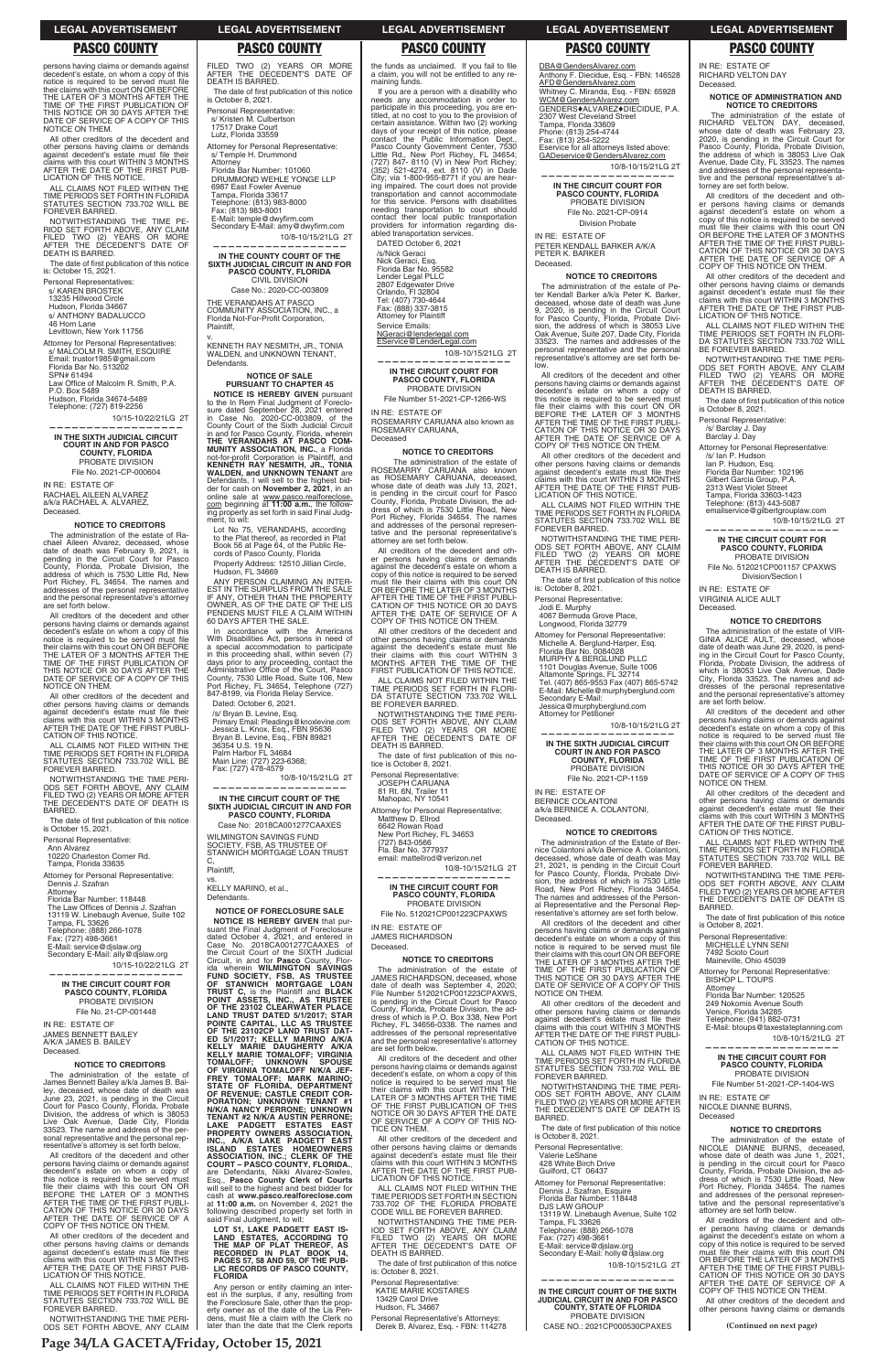**Page 34/LA GACETA/Friday, October 15, 2021**

**(Continued on next page)**

persons having claims or demands against decedent's estate, on whom a copy of this notice is required to be served must file their claims with this court ON OR BEFORE<br>THE LATER OF 3 MONTHS AFTER THE<br>TIME OF THE FIRST PUBLICATION OF<br>THIS NOTICE OR 30 DAYS AFTER THE<br>DATE OF SERVICE OF A COPY OF THIS NOTICE ON THEM.

The date of first publication of this notice is: October 15, 2021.

All other creditors of the decedent and other persons having claims or demands<br>against decedent's estate must file their claims with this court WITHIN 3 MONTHS AFTER THE DATE OF THE FIRST PUB-LICATION OF THIS NOTICE.

ALL CLAIMS NOT FILED WITHIN THE TIME PERIODS SET FORTH IN FLORIDA STATUTES SECTION 733.702 WILL BE FOREVER BARRED.

NOTWITHSTANDING THE TIME PE-RIOD SET FORTH ABOVE, ANY CLAIM FILED TWO (2) YEARS OR MORE AFTER THE DECEDENT'S DATE OF DEATH IS BARRED.

Personal Representatives: s/ KAREN BROSTEK

13235 Hillwood Circle Hudson, Florida 34667

s/ ANTHONY BADALUCCO

46 Horn Lane

Levittown, New York 11756

Attorney for Personal Representative s/ MALCOLM R. SMITH, ESQUIRE Email: trustor1985@gmail.com Florida Bar No. 513202 SPN# 61494 Law Office of Malcolm R. Smith, P.A.

P.O. Box 5489 Hudson, Florida 34674-5489 Telephone: (727) 819-2256

10/15-10/22/21LG 2T

**—————————————————— IN THE SIXTH JUDICIAL CIRCUIT COURT IN AND FOR PASCO COUNTY, FLORIDA** PROBATE DIVISION File No. 2021-CP-000604

Attorney Florida Bar Number: 118448 The Law Offices of Dennis J. Szafran<br>13119 W. Linebaugh Avenue, Suite 102 Tampa, FL 33626 Telephone: (888) 266-1078 Fax: (727) 498-3661 E-Mail: service@djslaw.org Secondary E-Mail: ally@djslaw.org

IN RE: ESTATE OF RACHAEL AILEEN ALVAREZ a/k/a RACHAEL A. ALVAREZ, Deceased.

# **NOTICE TO CREDITORS**

The administration of the estate of Rachael Aileen Alvarez, deceased, whose date of death was February 9, 2021, is<br>pending in the Circuit Court for Pasco<br>County, Florida, Probate Division, the<br>address of which is 7530 Little Rd, New<br>Port Richey, FL 34654. The names and<br>addresses of the personal re and the personal representative's attorney are set forth below.

All creditors of the decedent and other persons having claims or demands against decedent's estate on whom a copy of<br>this notice is required to be served must<br>file their claims with this court ON OR<br>BEFORE THE LATER OF 3 MONTHS AFTER THE TIME OF THE FIRST PUBLI-<br>CATION OF THIS NOTICE OR 30 DAYS<br>AFTER THE DATE OF SERVICE OF A<br>COPY OF THIS NOTICE ON THEM.

All creditors of the decedent and other persons having claims or demands against<br>decedent's estate on whom a copy of this<br>notice is required to be served must file<br>their claims with this court ON OR BEFORE THE LATER OF 3 MONTHS AFTER THE TIME OF THE FIRST PUBLICATION OF THIS NOTICE OR 30 DAYS AFTER THE DATE OF SERVICE OF A COPY OF THIS NOTICE ON THEM.

The date of first publication of this notice is October 8, 2021. Personal Representative:

Attorney for Personal Representative: s/ Temple H. Drummond

All other creditors of the decedent and other persons having claims or demands<br>against decedent's estate must file their<br>claims with this court WITHIN 3 MONTHS<br>AFTER THE DATE OF THE FIRST PUBLI-CATION OF THIS NOTICE.

Attorney Florida Bar Number: 101060 DRUMMOND WEHLE YONGE LLP 6987 East Fowler Avenue Tampa, Florida 33617 Telephone: (813) 983-8000 Fax: (813) 983-8001<br>E-Mail: temple@dwyfirm.com

Secondary E-Mail: amy@dwyfirm.com 10/8-10/15/21LG 2T

ALL CLAIMS NOT FILED WITHIN THE TIME PERIODS SET FORTH IN FLORIDA STATUTES SECTION 733.702 WILL BE FOREVER BARRED.

v. KENNETH RAY NESMITH, JR., TONIA WALDEN, and UNKNOWN TENANT, **Defendants** 

NOTWITHSTANDING THE TIME PERI-ODS SET FORTH ABOVE, ANY CLAIM FILED TWO (2) YEARS OR MORE AFTER THE DECEDENT'S DATE OF DEATH IS BARRED.

The date of first publication of this notice<br>is October 15, 2021.

Personal Representative: Ann Alvarez

10220 Charleston Corner Rd. Tampa, Florida 33635

Attorney for Personal Representative:

Dennis J. Szafran

Lot No 75, VERANDAHS, according<br>to the Plat thereof, as recorded in Plat<br>Book 56 at Page 64, of the Public Re-<br>cords of Pasco County, Florida Property Address: 12510 Jillian Circle, Hudson, FL 34669

 10/15-10/22/21LG 2T **——————————————————**

**IN THE CIRCUIT COURT FOR PASCO COUNTY, FLORIDA** PROBATE DIVISION

|  |  | File No. 21-CP-001448 |  |
|--|--|-----------------------|--|
|--|--|-----------------------|--|

## IN RE: ESTATE OF JAMES BENNETT BAILEY A/K/A JAMES B. BAILEY Deceased.

## **NOTICE TO CREDITORS**

The administration of the estate of James Bennett Bailey a/k/a James B. Bailey, deceased, whose date of death was June 23, 2021, is pending in the Circuit Court for Pasco County, Florida, Probate Division, the address of which is 38053 Live Oak Avenue, Dade City, Florida 33523. The name and address of the personal representative and the personal representative's attorney is set forth below.

All other creditors of the decedent and other persons having claims or demands against decedent's estate must file their claims with this court WITHIN 3 MONTHS AFTER THE DATE OF THE FIRST PUB-LICATION OF THIS NOTICE.

ALL CLAIMS NOT FILED WITHIN THE TIME PERIODS SET FORTH IN FLORIDA STATUTES SECTION 733.702 WILL BE FOREVER BARRED.

Any person or entity claiming an inter-<br>est in the surplus, if any, resulting from<br>the Foreclosure Sale, other than the prop-<br>erty owner as of the date of the Lis Pen-<br>dens, must file a claim with the Clerk no later than the date that the Clerk reports

NOTWITHSTANDING THE TIME PERI-ODS SET FORTH ABOVE, ANY CLAIM

the funds as unclaimed. If you fail to file<br>a claim, you will not be entitled to any remaining funds.

FILED TWO (2) YEARS OR MORE AFTER THE DECEDENT'S DATE OF DEATH IS BARRED.

s/ Kristen M. Culbertson 17517 Drake Court Lutz, Florida 33559

**—————————————————— IN THE COUNTY COURT OF THE SIXTH JUDICIAL CIRCUIT IN AND FOR PASCO COUNTY, FLORIDA** CIVIL DIVISION

Case No.: 2020-CC-003809 THE VERANDAHS AT PASCO COMMUNITY ASSOCIATION, INC., a Florida Not-For-Profit Corporation, Plaintiff,

## **NOTICE OF SALE PURSUANT TO CHAPTER 45**

**NOTICE IS HEREBY GIVEN** pursuant to the In Rem Final Judgment of Foreclo-sure dated September 28, 2021 entered in Case No. 2020-CC-003809, of the County Court of the Sixth Judicial Circuit in and for Pasco County, Florida, wherein **THE VERANDAHS AT PASCO COM-MUNITY ASSOCIATION, INC.,** a Florida<br>not-for-profit Corporation is Plaintiff, and<br>**KENNETH RAY NESMITH, JR., TONIA WALDEN, and UNKNOWN TENANT** are<br>Defendants, I will sell to the highest bid-<br>der for cash on **November 2, 2021**, in an online sale at www.pasco.realforeclose.<br>com beginning at **11:00 a.m.**, the following property as set forth in said Final Judg-ment, to wit:

ANY PERSON CLAIMING AN INTER-EST IN THE SURPLUS FROM THE SALE IF ANY, OTHER THAN THE PROPERTY OWNER, AS OF THE DATE OF THE LIS PENDENS MUST FILE A CLAIM WITHIN 60 DAYS AFTER THE SALE.

In accordance with the Americans With Disabilities Act, persons in need of a special accommodation to participate in this proceeding shall, within seven (7)<br>days prior to any proceeding, contact the<br>Administrative Office of the Court, Pasco County, 7530 Little Road, Suite 106, New Port Richey, FL 34654, Telephone (727) 847-8199, via Florida Relay Service.

Dated: October 6, 2021.

/s/ Bryan B. Levine, Esq. Primary Email: Pleadings@knoxlevine.com Jessica L. Knox, Esq., FBN 95636 Bryan B. Levine, Esq., FBN 89821 36354 U.S. 19 N. Palm Harbor FL 34684 Main Line: (727) 223-6368; Fax: (727) 478-4579

10/8-10/15/21LG 2T **——————————————————**

**IN THE CIRCUIT COURT OF THE SIXTH JUDICIAL CIRCUIT IN AND FOR PASCO COUNTY, FLORIDA**

Case No: 2018CA001277CAAXES WILMINGTON SAVINGS FUND SOCIETY, FSB, AS TRUSTEE OF STANWICH MORTGAGE LOAN TRUST C,

Plaintiff, vs.

All creditors of the decedent and other persons having claims or demands against persons naving cranity of contract on the accept of<br>decedent's estate on whom a copy of this notice is required to be served must<br>file their claims with this court ON OR<br>BEFORE THE LATER OF 3 MONTHS<br>AFTER THE TIME OF THE FIRST PUBLI-<br>CATION OF THIS NOTICE OR 30 DAYS<br>AFTER THE DATE OF SERVICE OF TAEM.

KELLY MARINO, et al., Defendants.

All other creditors of the decedent and other persons having claims or demands against decedent's estate must file their<br>claims with this court WITHIN 3 MONTHS<br>AFTER THE DATE OF THE FIRST PUB-<br>LICATION OF THIS NOTICE.

**NOTICE OF FORECLOSURE SALE NOTICE IS HEREBY GIVEN** that pursuant the Final Judgment of Foreclosure dated October 4, 2021, and entered in Case No. 2018CA001277CAAXES of the Circuit Court of the SIXTH Judicial<br>Circuit, in and for **Pasco County, Flor-**<br>Ida wherein **WILMINGTON SAVINGS**<br>FUND SOCIETY, FSB, AS TRUSTEE<br>OF STANWICH MORTGAGE LOAN<br>TRUST C, is the Plaintiff and **BLACK POINT ASSETS, INC., AS TRUSTEE OF THE 23102 CLEARWATER PLACE<br>LAND TRUST DATED 5/1/2017; STAR<br>POINTE CAPITAL, LLC AS TRUSTEE<br>OF THE 23102CP LAND TRUST DAT-<br>ED 5/1/2017; KELLY MARINO AVKA<br>KELLY MARIE TOMALOFF; VIRGINIA<br>TOMALOFF; UNKNOWN SPOUSE<br>OF VIRGINI FREY TOMALOFF; MARK MARINO; STATE OF FLORIDA, DEPARTMENT OF REVENUE; CASTLE CREDIT COR-PORATION; UNKNOWN TENANT #1 N/K/A NANCY PERRONE; UNKNOWN TENANT #2 N/K/A AUSTIN PERRONE; LAKE PADGETT ESTATES EAST PROPERTY OWNERS ASSOCIATION, INC., A/K/A LAKE PADGETT EAST ISLAND ESTATES HOMEOWNERS ASSOCIATION, INC.; CLERK OF THE COURT – PASCO COUNTY, FLORIDA.**, are Defendants, Nikki Alvarez-Sowles, Esq., **Pasco County Clerk of Courts** will sell to the highest and best bidder for cash at **www.pasco.realforeclose.com** at **11:00 a.m.** on November 4, 2021 the following described property set forth in said Final Judgment, to wit: **LOT 51, LAKE PADGETT EAST IS-LAND ESTATES, ACCORDING TO THE MAP OF PLAT THEREOF, AS RECORDED IN PLAT BOOK 14, PAGES 57, 58 AND 59, OF THE PUB-LIC RECORDS OF PASCO COUNTY, FLORIDA**

NOTWITHSTANDING THE TIME PERI-ODS SET FORTH ABOVE, ANY CLAIM FILED TWO (2) YEARS OR MORE AFTER THE DECEDENT'S DATE OF DEATH IS THE DECT

The date of first publication of this notice is October 8, 2021.

**NOTICE OF ADMINISTRATION AND NOTICE TO CREDITORS** The administration of the estate of<br>RICHARD VELTON DAY, deceased,<br>whose date of death was February 23,

2020, is pending in the Circuit Court for<br>Pasco County, Florida, Probate Division,<br>the address of which is 38053 Live Oak

Avenue, Dade City, FL 33523. The names<br>and addresses of the personal representa-<br>tive and the personal representative's at-

If you are a person with a disability who needs any accommodation in order to participate in this proceeding, you are entitled, at no cost to you to the provision of certain assistance. Within two (2) working days of your receipt of this notice, please contact the Public Information Dept. Pasco County Government Center, 7530<br>Little Rd., New Port Richey, FL 34654;<br>(727) 847- 8110 (V) in New Port Richey;<br>(352) 521-4274, ext. 8110 (V) in Dade<br>City; via 1-800-955-8771 if you are hearing impaired. The court does not provide transportation and cannot accommodate for this service. Persons with disabilities needing transportation to court should contact their local public transportation providers for information regarding disabled transportation services. DATED October 6, 2021

> NOTWITHSTANDING THE TIME PERI-ODS SET FORTH ABOVE, ANY CLAIM FILED TWO (2) YEARS OR MORE AFTER THE DECEDENT'S DATE OF<br>DEATH IS BARRED. The date of first publication of this notice

/s/ Ian P. Hudson<br>Ian P. Hudson, Esq. Florida Bar Number: 102196 Gilbert Garcia Group, P.A. 2313 West Violet Street Tampa, Florida 33603-1423 Telephone: (813) 443-5087 emailservice@gilbertgrouplaw.com

/s/Nick Geraci Nick Geraci, Esq. Florida Bar No. 95582

Lender Legal PLLC 2807 Edgewater Drive Orlando, Fl 32804 Tel: (407) 730-4644 Fax: (888) 337-3815 Attorney for Plaintiff

> All creditors of the decedent and other persons having claims or demands against decedent's estate on whom a copy of this notice is required to be served must file<br>their claims with this court ON OR BEFORE<br>THE LATER OF 3 MONTHS AFTER THE

Service Emails: NGeraci@lenderlegal.com EService@LenderLegal.com

10/8-10/15/21LG 2T **——————————————————**

## **IN THE CIRCUIT COURT FOR PASCO COUNTY, FLORIDA** PROBATE DIVISION

File Number 51-2021-CP-1266-WS

IN RE: ESTATE OF ROSEMARRY CARUANA also known as ROSEMARY CARUANA, Deceased

## **NOTICE TO CREDITORS**

 The administration of the estate of ROSEMARRY CARUANA also known as ROSEMARY CARUANA, deceased, whose date of death was July 13, 2021, is pending in the circuit court for Pasco County, Florida, Probate Division, the ad-dress of which is 7530 Little Road, New Port Richey, Florida 34654. The names and addresses of the personal representative and the personal representative's attorney are set forth below.

All creditors of the decedent and other persons having claims or demands against the decedent's estate on whom a copy of this notice is required to be served must file their claims with this court ON<br>OR BEFORE THE LATER OF 3 MONTHS AFTER THE TIME OF THE FIRST PUBLI-CATION OF THIS NOTICE OR 30 DAYS AFTER THE DATE OF SERVICE OF A COPY OF THIS NOTICE ON THEM.

All other creditors of the decedent and other persons having claims or demands<br>against the decedent's estate must file their claims with this court WITHIN 3 MONTHS AFTER THE TIME OF THE FIRST PUBLICATION OF THIS NOTICE. ALL CLAIMS NOT FILED WITHIN THE

TIME PERIODS SET FORTH IN FLORI-DA STATUTE SECTION 733.702 WILL BE FOREVER BARRED.

NOTWITHSTANDING THE TIME PERI-ODS SET FORTH ABOVE, ANY CLAIM FILED TWO (2) YEARS OR MORE AFTER THE DECEDENT'S DATE OF DEATH IS BARRED.

The date of first publication of this no-<br>tice is October 8, 2021.

Personal Representative:

JOSEPH CARUANA 81 Rt. 6N, Trailer 11

Mahopac, NY 10541

Attorney for Personal Representative: Matthew D. Ellrod 6642 Rowan Road New Port Richey, FL 34653

(727) 843-0566 Fla. Bar No. 377937 email: mattellrod@verizon.net

 10/8-10/15/21LG 2T **——————————————————**

# **IN THE CIRCUIT COURT FOR PASCO COUNTY, FLORIDA** PROBATE DIVISION

File No. 512021CP001223CPAXWS

IN RE: ESTATE OF JAMES RICHARDSON

Deceased.

# **NOTICE TO CREDITORS**

The administration of the estate of JAMES RICHARDSON, deceased, whose date of death was September 4, 2020; File Number 512021CP001223CPAXWS, is pending in the Circuit Court for Pasco County, Florida, Probate Division, the ad dress of which is P.O. Box 338, New Port Richey, FL 34656-0338. The names and addresses of the personal representative and the personal representative's attorney are set forth below. All creditors of the decedent and other persons having claims or demands against decedent's estate, on whom a copy of this notice is required to be served must file<br>their claims with this court WITHIN THE<br>LATER OF 3 MONTHS AFTER THE TIME OF THE FIRST PUBLICATION OF THIS NOTICE OR 30 DAYS AFTER THE DATE OF SERVICE OF A COPY OF THIS NO-TICE ON THEM.

All other creditors of the decedent and other persons having claims or demands<br>against decedent's estate must file their claims with this court WITHIN 3 MONTHS AFTER THE DATE OF THE FIRST PUB-LICATION OF THIS NOTICE.

ALL CLAIMS NOT FILED WITHIN THE TIME PERIODS SET FORTH IN SECTION 733.702 OF THE FLORIDA PROBATE CODE WILL BE FOREVER BARRED.

NOTWITHSTANDING THE TIME PER-IOD SET FORTH ABOVE, ANY CLAIM FILED TWO (2) YEARS OR MORE AFTER THE DECEDENT'S DATE OF DEATH IS BARRED.

The date of first publication of this notice<br>is: October 8, 2021.

Personal Representative: KATIE MARIE KOSTARES 13429 Carol Drive Hudson, FL 34667

Personal Representative's Attorneys: Derek B. Alvarez, Esq. - FBN: 114278 DBA@GendersAlvarez.com Anthony F. Diecidue, Esq. - FBN: 146528 AFD@GendersAlvarez.com Whitney C. Miranda, Esq. - FBN: 65928 WCM@GendersAlvarez.com GENDERS $*$ ALVAREZ $*$ DIECIDUE, P.A. 2307 West Cleveland Street Tampa, Florida 33609 Phone: (813) 254-4744 Fax: (813) 254-5222 Eservice for all attorneys listed above: GADeservice@GendersAlvarez,com

 10/8-10/15/21LG 2T **——————————————————**

**IN THE CIRCUIT COURT FOR PASCO COUNTY, FLORIDA** PROBATE DIVISION File No. 2021-CP-0914

Division Probate IN RE: ESTATE OF PETER KENDALL BARKER A/K/A PETER K. BARKER

Deceased.

## **NOTICE TO CREDITORS**

The administration of the estate of Peter Kendall Barker a/k/a Peter K. Barker, deceased, whose date of death was June 9, 2020, is pending in the Circuit Court for Pasco County, Florida, Probate Divi-sion, the address of which is 38053 Live Oak Avenue, Suite 207, Dade City, Florida 33523. The names and addresses of the personal representative and the personal representative's attorney are set forth below.

ALL CLAIMS NOT FILED WITHIN THE TIME PERIODS SET FORTH IN FLORIDA STATUTES SECTION 733.702 WILL BE FOREVER BARRED.

NOTWITHSTANDING THE TIME PERI-ODS SET FORTH ABOVE, ANY CLAIM FILED TWO (2) YEARS OR MORE AFTER THE DECEDENT'S DATE OF DEATH IS BARRED.

The date of first publication of this notice<br>is: October 8, 2021.

Personal Representative: Jodi E. Murphy 4067 Bermuda Grove Place,

Longwood, Florida 32779

Attorney for Personal Representative: Michelle A. Berglund-Harper, Esq. Florida Bar No. 0084028 MURPHY & BERGLUND PLLC 1101 Douglas Avenue, Suite 1006 Altamonte Springs, FL 32714 Tel. (407) 865-9553 Fax (407) 865-5742 E-Mail: Michelle@murphyberglund.com Secondary E-Mail: Jessica@murphyberglund.com

Attorney for Petitioner

10/8-10/15/21LG 2T

**—————————————————— IN THE SIXTH JUDICIAL CIRCUIT COURT IN AND FOR PASCO COUNTY, FLORIDA** PROBATE DIVISION File No. 2021-CP-1159

IN RE: ESTATE OF BERNICE COLANTONI a/k/a BERNICE A. COLANTONI,

Deceased.

**NOTICE TO CREDITORS** The administration of the Estate of Bernice Colantoni a/k/a Bernice A. Colantoni, deceased, whose date of death was May

21, 2021, is pending in the Circuit Court<br>for Pasco County, Florida, Probate Divi-<br>sion, the address of which is 7530 Little<br>Road, New Port Richey, Florida 34654.<br>The names and addresses of the Person-<br>al Representative an

resentative's attorney are set forth below. All creditors of the decedent and other persons having claims or demands against decedent's estate on whom a copy of this notice is required to be served must file their claims with this court ON OR BEFORE THE LATER OF 3 MONTHS AFTER THE TIME OF THE FIRST PUBLICATION OF THIS NOTICE OR 30 DAYS AFTER THE DATE OF SERVICE OF A COPY OF THIS

NOTICE ON THEM.

All other creditors of the decedent and

other persons having claims or demands against decedent's estate must file their<br>claims with this court WITHIN 3 MONTHS AFTER THE DATE OF THE FIRST PUBLI-CATION OF THIS NOTICE.

ALL CLAIMS NOT FILED WITHIN THE TIME PERIODS SET FORTH IN FLORIDA STATUTES SECTION 733.702 WILL BE FOREVER BARRED.

Personal Representative: Valerie LeShane 428 White Birch Drive Guilford, CT 06437

Attorney for Personal Representative: Dennis J. Szafran, Esquire Florida Bar Number: 118448 DJS LAW GROUP 13119 W. Linebaugh Avenue, Suite 102 Tampa, FL 33626 Telephone: (888) 266-1078 Fax: (727) 498-3661 E-Mail: service@djslaw.org Secondary E-Mail: holly@djslaw.org 10/8-10/15/21LG 2T

**——————————————————**

**IN THE CIRCUIT COURT OF THE SIXTH JUDICIAL CIRCUIT IN AND FOR PASCO COUNTY, STATE OF FLORIDA** PROBATE DIVISION CASE NO.: 2021CP000530CPAXES

IN RE: ESTATE OF RICHARD VELTON DAY

torney are set forth below.

**Deceased** 

All creditors of the decedent and other persons having claims or demands against decedent's estate on whom a copy of this notice is required to be served

must file their claims with this court ON<br>OR BEFORE THE LATER OF 3 MONTHS<br>AFTER THE TIME OF THE FIRST PUBLI-<br>CATION OF THIS NOTICE OR 30 DAYS<br>AFTER THE DATE OF SERVICE OF A

COPY OF THIS NOTICE ON THEM.<br>All other creditors of the decedent and All other creditors of the decedent and<br>
other persons having claims or demands<br>
against decedent's estate must file their<br>
claims with this court WITHIN 3 MONTHS<br>
AFTER THE DATE OF THE FIRST PUB-

LICATION OF THIS NOTICE.

BE FOREVER BARRED.

ALL CLAIMS NOT FILED WITHIN THE TIME PERIODS SET FORTH IN FLORI-DA STATUTES SECTION 733.702 WILL

is October 8, 2021. Personal Representative: /s/ Barclay J. Day Barclay J. Day

Attorney for Personal Representative:

10/8-10/15/21LG 2T

**—————————————————— IN THE CIRCUIT COURT FOR PASCO COUNTY, FLORIDA** PROBATE DIVISION File No. 512021CP001157 CPAXWS Division/Section I

IN RE: ESTATE OF VIRGINIA ALICE AULT

**NOTICE TO CREDITORS** The administration of the estate of VIR-GINIA ALICE AULT, deceased, whose date of death was June 29, 2020, is pending in the Circuit Court for Pasco County, Florida, Probate Division, the address of which is 38053 Live Oak Avenue, Dade

City, Florida 33523. The names and ad-dresses of the personal representative and the personal representative's attorney

are set forth below.

TIME OF THE FIRST PUBLICATION OF THIS NOTICE OR 30 DAYS AFTER THE DATE OF SERVICE OF A COPY OF THIS

NOTICE ON THEM.

All other creditors of the decedent and other persons having claims or demands<br>against decedent's estate must file their claims with this court WITHIN 3 MONTHS AFTER THE DATE OF THE FIRST PUBLI-CATION OF THIS NOTICE. ALL CLAIMS NOT FILED WITHIN THE TIME PERIODS SET FORTH IN FLORIDA STATUTES SECTION 733.702 WILL BE

FOREVER BARRED.

NOTWITHSTANDING THE TIME PERI-ODS SET FORTH ABOVE, ANY CLAIM FILED TWO (2) YEARS OR MORE AFTER THE DECEDENT'S DATE OF DEATH IS

The date of first publication of this notice<br>is October 8, 2021.

BARRED.

Deceased

Personal Representative: MICHELLE LYNN SENI 7492 Scioto Court Maineville, Ohio 45039 Attorney for Personal Representative:

BISHOP L. TOUPS Attorney Florida Bar Number: 120525 249 Nokomis Avenue South

Venice, Florida 34285 Telephone: (941) 882-0731 E-Mail: btoups@taxestateplanning.com

10/8-10/15/21LG 2T **——————————————————**

**IN THE CIRCUIT COURT FOR PASCO COUNTY, FLORIDA** PROBATE DIVISION File Number 51-2021-CP-1404-WS

IN RE: ESTATE OF NICOLE DIANNE BURNS, Deceased

# **NOTICE TO CREDITORS**

 The administration of the estate of NICOLE DIANNE BURNS, deceased, whose date of death was June 1, 2021, is pending in the circuit court for Pasco County, Florida, Probate Division, the address of which is 7530 Little Road, New Port Richey, Florida 34654. The names and addresses of the personal representative and the personal representative's attorney are set forth below.

All creditors of the decedent and other persons having claims or demands against the decedent's estate on whom a copy of this notice is required to be served must file their claims with this court ON<br>OR BEFORE THE LATER OF 3 MONTHS<br>AFTER THE TIME OF THE FIRST PUBLI-<br>CATION OF THIS NOTICE OR 30 DAYS AFTER THE DATE OF SERVICE OF A COPY OF THIS NOTICE ON THEM.

All other creditors of the decedent and other persons having claims or demands

# **LEGAL ADVERTISEMENT LEGAL ADVERTISEMENT LEGAL ADVERTISEMENT LEGAL ADVERTISEMENT LEGAL ADVERTISEMENT**

# **PASCO COUNTY PASCO COUNTY PASCO COUNTY PASCO COUNTY PASCO COUNTY**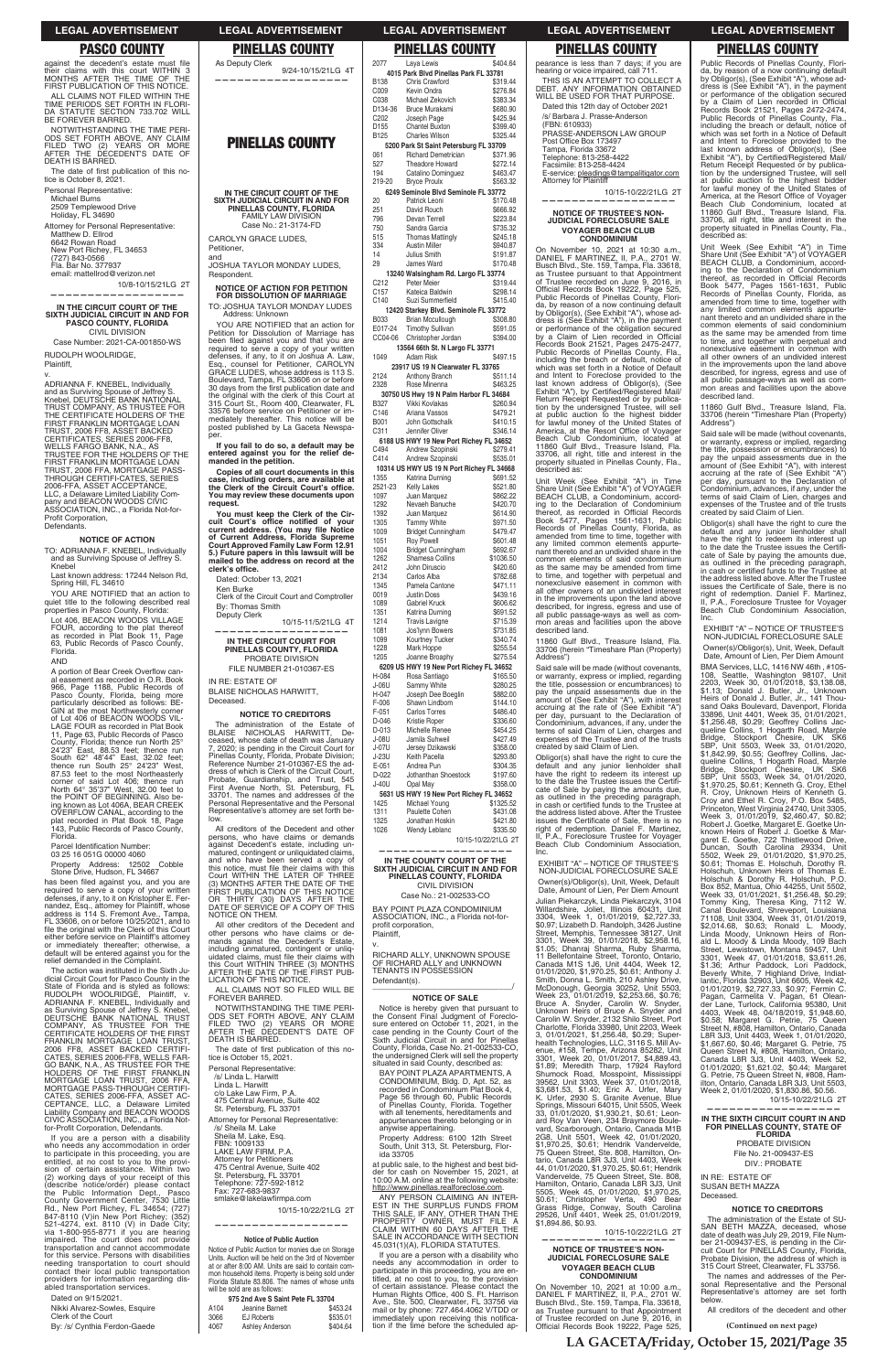**LA GACETA/Friday, October 15, 2021/Page 35**

Clerk of the Court

mail or by phone: 727.464.4062 V/TDD or<br>immediately upon receiving this notifica-<br>tion if the time before the scheduled apof Trustee recorded on June 9, 2016, in<br>Official Records Book 19222, Page 525,

By: /s/ Cynthia Ferdon-Gaede

3066 EJ Roberts

4067 Ashley Anderson \$404.64

| <b>PASCO COUNTY</b>                                                                         | <b>PINELLAS COUNTY</b>                                                                      | <b>PINELLAS COUNTY</b>                                                               |
|---------------------------------------------------------------------------------------------|---------------------------------------------------------------------------------------------|--------------------------------------------------------------------------------------|
| against the decedent's estate must file                                                     | As Deputy Clerk                                                                             | 2077<br>Laya Lewis<br>\$404.64                                                       |
| their claims with this court WITHIN 3<br>MONTHS AFTER THE TIME OF THE                       | 9/24-10/15/21LG 4T                                                                          | 4015 Park Blvd Pinellas Park FL 33781                                                |
| FIRST PUBLICATION OF THIS NOTICE.                                                           |                                                                                             | <b>B138</b><br>Chris Crawford<br>\$319.44                                            |
| ALL CLAIMS NOT FILED WITHIN THE                                                             |                                                                                             | C009<br>Kevin Ondra<br>\$276.84                                                      |
| TIME PERIODS SET FORTH IN FLORI-                                                            |                                                                                             | C038<br>\$383.34<br>Michael Zekovich<br>D134-36<br><b>Bruce Murakami</b><br>\$680.90 |
| DA STATUTE SECTION 733.702 WILL                                                             |                                                                                             | C <sub>202</sub><br>\$425.94<br>Joseph Page                                          |
| BE FOREVER BARRED.                                                                          |                                                                                             | D155<br>\$399.40<br><b>Chantel Buxton</b>                                            |
| NOTWITHSTANDING THE TIME PERI-<br>ODS SET FORTH ABOVE, ANY CLAIM                            |                                                                                             | B125<br>\$325.44<br><b>Charles Wilson</b>                                            |
| FILED TWO (2) YEARS OR MORE                                                                 | <b>PINELLAS COUNTY</b>                                                                      | 5200 Park St Saint Petersburg FL 33709                                               |
| AFTER THE DECEDENT'S DATE OF                                                                |                                                                                             | 061<br><b>Richard Demetrician</b><br>\$371.96                                        |
| DEATH IS BARRED.                                                                            |                                                                                             | 527<br>\$272.14<br>Theadore Howard                                                   |
| The date of first publication of this no-                                                   |                                                                                             | 194<br>Catalino Dominguez<br>\$463.47                                                |
| tice is October 8, 2021.                                                                    |                                                                                             | 219-20<br>\$563.32<br><b>Bryce Proulx</b>                                            |
| Personal Representative:                                                                    | IN THE CIRCUIT COURT OF THE                                                                 | 6249 Seminole Blvd Seminole FL 33772                                                 |
| Michael Burns<br>2509 Templewood Drive                                                      | SIXTH JUDICIAL CIRCUIT IN AND FOR                                                           | 20<br>Patrick Leoni<br>\$170.48                                                      |
| Holiday, FL 34690                                                                           | PINELLAS COUNTY, FLORIDA<br><b>FAMILY LAW DIVISION</b>                                      | 251<br>David Rouch<br>\$666.92                                                       |
| Attorney for Personal Representative:                                                       | Case No.: 21-3174-FD                                                                        | 796<br>Devan Terrell<br>\$223.84<br>750<br>\$735.32<br>Sandra Garcia                 |
| Matthew D. Ellrod                                                                           |                                                                                             | 515<br><b>Thomas Mattingly</b><br>\$245.18                                           |
| 6642 Rowan Road                                                                             | CAROLYN GRACE LUDES,<br>Petitioner,                                                         | 334<br>\$940.87<br>Austin Miller                                                     |
| New Port Richey, FL 34653                                                                   | and                                                                                         | 14<br>\$191.87<br>Julius Smith                                                       |
| (727) 843-0566<br>Fla. Bar No. 377937                                                       | JOSHUA TAYLOR MONDAY LUDES,                                                                 | 29<br>\$170.48<br>James Ward                                                         |
| email: mattellrod@verizon.net                                                               | Respondent.                                                                                 | 13240 Walsingham Rd. Largo FL 33774                                                  |
| 10/8-10/15/21LG 2T                                                                          |                                                                                             | C212<br>Peter Meier<br>\$319.44                                                      |
| ----------------                                                                            | <b>NOTICE OF ACTION FOR PETITION</b><br><b>FOR DISSOLUTION OF MARRIAGE</b>                  | C <sub>157</sub><br>\$298.14<br>Kateica Baldwin                                      |
| IN THE CIRCUIT COURT OF THE                                                                 | TO: JOSHUA TAYLOR MONDAY LUDES                                                              | C140<br>Suzi Summerfield<br>\$415.40                                                 |
| SIXTH JUDICIAL CIRCUIT IN AND FOR                                                           | Address: Unknown                                                                            | 12420 Starkey Blvd. Seminole FL 33772                                                |
| <b>PASCO COUNTY, FLORIDA</b>                                                                | YOU ARE NOTIFIED that an action for                                                         | B033<br><b>Brian Mccullough</b><br>\$308.80                                          |
| <b>CIVIL DIVISION</b>                                                                       | Petition for Dissolution of Marriage has                                                    | E017-24<br>\$591.05<br><b>Timothy Sullivan</b>                                       |
| Case Number: 2021-CA-001850-WS                                                              | been filed against you and that you are                                                     | \$394.00<br>CC04-06 Christopher Jordan                                               |
| RUDOLPH WOOLRIDGE,                                                                          | required to serve a copy of your written                                                    | 13564 66th St. N Largo FL 33771<br>1049<br><b>Adam Risk</b><br>\$497.15              |
| Plaintiff,                                                                                  | defenses, if any, to it on Joshua A. Law,<br>Esg., counsel for Petitioner, CAROLYN          |                                                                                      |
| v.                                                                                          | GRACE LUDES, whose address is 113 S.                                                        | 23917 US 19 N Clearwater FL 33765<br>2124<br>Anthony Branch<br>\$511.14              |
| ADRIANNA F. KNEBEL, Individually                                                            | Boulevard, Tampa, FL 33606 on or before                                                     | 2328<br>\$463.25<br>Rose Minenna                                                     |
| and as Surviving Spouse of Jeffrey S.                                                       | 30 days from the first publication date and<br>the original with the clerk of this Court at | 30750 US Hwy 19 N Palm Harbor FL 34684                                               |
| Knebel, DEUTSCHE BANK NATIONAL                                                              | 315 Court St., Room 400, Clearwater, FL                                                     | <b>B327</b><br>Vikki Kovlakas<br>\$260.94                                            |
| TRUST COMPANY, AS TRUSTEE FOR<br>THE CERTIFICATE HOLDERS OF THE                             | 33576 before service on Petitioner or im-                                                   | C146<br>Ariana Vassos<br>\$479.21                                                    |
| FIRST FRANKLIN MORTGAGE LOAN                                                                | mediately thereafter. This notice will be                                                   | B001<br>John Gottschalk<br>\$410.15                                                  |
| TRUST, 2006 FF8, ASSET BACKED                                                               | posted published by La Gaceta Newspa-<br>per.                                               | C311<br>Jennifer Oliver<br>\$346.14                                                  |
| CERTIFICATES, SERIES 2006-FF8,                                                              | If you fail to do so, a default may be                                                      | 6188 US HWY 19 New Port Richey FL 34652                                              |
| WELLS FARGO BANK, N.A., AS<br>TRUSTEE FOR THE HOLDERS OF THE                                | entered against you for the relief de-                                                      | C494<br>\$279.41<br>Andrew Szopinski                                                 |
| FIRST FRANKLIN MORTGAGE LOAN                                                                | manded in the petition.                                                                     | C414<br>Andrew Szopinski<br>\$535.01                                                 |
| TRUST, 2006 FFA, MORTGAGE PASS-                                                             | Copies of all court documents in this                                                       | 10314 US HWY US 19 N Port Richey FL 34668                                            |
| THROUGH CERTIFI-CATES, SERIES<br>2006-FFA, ASSET ACCEPTANCE,                                | case, including orders, are available at                                                    | 1355<br>Katrina Durning<br>\$691.52                                                  |
| LLC, a Delaware Limited Liability Com-                                                      | the Clerk of the Circuit Court's office.<br>You may review these documents upon             | 2521-23<br>\$521.80<br><b>Kelly Lakes</b><br>1097<br>Juan Marquez<br>\$862.22        |
| pany and BEACON WOODS CIVIC                                                                 | request.                                                                                    | 1292<br>\$420.70<br>Nevaeh Banuche                                                   |
| ASSOCIATION, INC., a Florida Not-for-                                                       | You must keep the Clerk of the Cir-                                                         | 1392<br>\$614.90<br>Juan Marquez                                                     |
| Profit Corporation,<br>Defendants.                                                          | cuit Court's office notified of your                                                        | 1305<br><b>Tammy White</b><br>\$971.50                                               |
|                                                                                             | current address. (You may file Notice                                                       | 1009<br>\$479.47<br><b>Bridget Cunningham</b>                                        |
| <b>NOTICE OF ACTION</b>                                                                     | of Current Address, Florida Supreme<br><b>Court Approved Family Law Form 12.91</b>          | 1051<br>Roy Powell<br>\$601.48                                                       |
| TO: ADRIANNA F. KNEBEL, Individually                                                        | 5.) Future papers in this lawsuit will be                                                   | 1004<br><b>Bridget Cunningham</b><br>\$692.67                                        |
| and as Surviving Spouse of Jeffrey S.<br>Knebel                                             | mailed to the address on record at the                                                      | Shamesa Collins<br>\$1036.50<br>1262<br>2412<br>John Diruscio<br>\$420.60            |
| Last known address: 17244 Nelson Rd,                                                        | clerk's office.                                                                             | 2134<br>\$782.68<br>Carlos Alba                                                      |
| Spring Hill, FL 34610                                                                       | Dated: October 13, 2021                                                                     | 1345<br>Pamela Cantone<br>\$471.11                                                   |
| YOU ARE NOTIFIED that an action to                                                          | Ken Burke<br>Clerk of the Circuit Court and Comptroller                                     | 0019<br><b>Justin Doss</b><br>\$439.16                                               |
| quiet title to the following described real                                                 | By: Thomas Smith                                                                            | 1089<br>Gabriel Kruck<br>\$606.62                                                    |
| properties in Pasco County, Florida:                                                        | Deputy Clerk                                                                                | 1351<br>\$691.52<br>Katrina Durning                                                  |
| Lot 406, BEACON WOODS VILLAGE                                                               | 10/15-11/5/21LG 4T                                                                          | 1214<br><b>Travis Lavigne</b><br>\$715.39                                            |
| FOUR, according to the plat thereof<br>as recorded in Plat Book 11, Page                    |                                                                                             | Jos'lynn Bowers<br>1081<br>\$731.85                                                  |
| 63, Public Records of Pasco County,                                                         | IN THE CIRCUIT COURT FOR                                                                    | 1099<br>Kourtney Tucker<br>\$340.74                                                  |
| Florida.                                                                                    | PINELLAS COUNTY, FLORIDA                                                                    | 1228<br>Mark Hoppe<br>\$255.54<br>\$275.54<br>1205<br>Joanne Broaphy                 |
| AND                                                                                         | PROBATE DIVISION                                                                            | 6209 US HWY 19 New Port Richey FL 34652                                              |
| A portion of Bear Creek Overflow can-                                                       | FILE NUMBER 21-010367-ES                                                                    | H-084<br>Rosa Santiago<br>\$165.50                                                   |
| al easement as recorded in O.R. Book<br>966, Page 1188, Public Records of                   | IN RE: ESTATE OF                                                                            | Sammy White<br>\$280.25<br>J-06U                                                     |
| Pasco County, Florida, being more                                                           | BLAISE NICHOLAS HARWITT,                                                                    | \$882.00<br>H-047<br>Joseph Dee Boeglin                                              |
| particularly described as follows: BE-                                                      | Deceased.                                                                                   | F-006<br>Shawn Lindbom<br>\$144.10                                                   |
| GIN at the most Northwesterly corner<br>of Lot 406 of BEACON WOODS VIL-                     | <b>NOTICE TO CREDITORS</b>                                                                  | $F-051$<br><b>Carlos Torres</b><br>\$486.40                                          |
| LAGE FOUR as recorded in Plat Book                                                          | The administration of the Estate of                                                         | D-046<br>Kristie Roper<br>\$336.60                                                   |
| 11, Page 63, Public Records of Pasco                                                        | BLAISE NICHOLAS HARWITT, De-                                                                | D-013<br>Michelle Renee<br>\$454.25<br><b>J-08U</b><br>Jamila Suhweil<br>\$427.49    |
| County, Florida; thence run North 25°                                                       | ceased, whose date of death was January<br>7, 2020; is pending in the Circuit Court for     | <b>J-07U</b><br>Jersey Dzikawski<br>\$358.00                                         |
| 24'23" East, 88.53 feet; thence run<br>South 62° 48'44" East, 32.02 feet;                   | Pinellas County, Florida, Probate Division;                                                 | J-23U<br>Keith Pacella<br>\$293.80                                                   |
| thence run South 25° 24'23" West,                                                           | Reference Number 21-010367-ES the ad-                                                       | $E - 051$<br>Andrea Pun<br>\$304.35                                                  |
| 87.53 feet to the most Northeasterly                                                        | dress of which is Clerk of the Circuit Court,                                               | D-022<br>Jothanthan Shoestock<br>\$197.60                                            |
| corner of said Lot 406; thence run<br>North 64° 35'37" West, 32.00 feet to                  | Probate, Guardianship, and Trust, 545<br>First Avenue North, St. Petersburg, FL             | J-40U<br>\$358.00<br>Opal May                                                        |
| the POINT OF BEGINNING. Also be-                                                            | 33701. The names and addresses of the                                                       | 5631 US HWY 19 New Port Richey FL 34652                                              |
| ing known as Lot 406A, BEAR CREEK                                                           | Personal Representative and the Personal                                                    | 1425<br>Michael Young<br>\$1325.52                                                   |
| OVERFLOW CANAL, according to the                                                            | Representative's attorney are set forth be-<br>low.                                         | Paulette Cohen<br>1311<br>\$431.08                                                   |
| plat recorded in Plat Book 18, Page<br>143, Public Records of Pasco County,                 | All creditors of the Decedent and other                                                     | 1325<br>Jonathan Hoskin<br>\$421.80<br>1026<br>\$335.50                              |
| Florida.                                                                                    | persons, who have claims or demands                                                         | Wendy Leblanc<br>10/15-10/22/21LG 2T                                                 |
| Parcel Identification Number:                                                               | against Decedent's estate, including un-                                                    |                                                                                      |
| 03 25 16 051G 00000 4060                                                                    | matured, contingent or unliquidated claims,                                                 |                                                                                      |
| Property Address: 12502 Cobble                                                              | and who have been served a copy of<br>this notice, must file their claims with this         | IN THE COUNTY COURT OF THE<br>SIXTH JUDICIAL CIRCUIT IN AND FOR                      |
| Stone Drive, Hudson, FL 34667                                                               | Court WITHIN THE LATER OF THREE                                                             | PINELLAS COUNTY, FLORIDA                                                             |
| has been filed against you, and you are<br>required to serve a copy of your written         | (3) MONTHS AFTER THE DATE OF THE                                                            | <b>CIVIL DIVISION</b>                                                                |
| defenses, if any, to it on Kristopher E. Fer-                                               | FIRST PUBLICATION OF THIS NOTICE<br>OR THIRTY (30) DAYS AFTER THE                           | Case No.: 21-002533-CO                                                               |
| nandez, Esq., attorney for Plaintiff, whose                                                 | DATE OF SERVICE OF A COPY OF THIS                                                           | BAY POINT PLAZA CONDOMINIUM                                                          |
| address is 114 S. Fremont Ave., Tampa,                                                      | NOTICE ON THEM.                                                                             | ASSOCIATION, INC., a Florida not-for-                                                |
| FL 33606, on or before 10/25/2021, and to<br>file the original with the Clerk of this Court | All other creditors of the Decedent and                                                     | profit corporation,                                                                  |
| either before service on Plaintiff's attorney                                               | other persons who have claims or de-<br>mands against the Decedent's Estate,                | Plaintiff,                                                                           |
| or immediately thereafter; otherwise, a                                                     | including unmatured, contingent or unlig-                                                   | v.                                                                                   |
| default will be entered against you for the<br>relief demanded in the Complaint.            | uidated claims, must file their claims with                                                 | RICHARD ALLY, UNKNOWN SPOUSE<br>OF RICHARD ALLY and UNKNOWN                          |
| The cotion was instituted in the Pixth Jul                                                  | this Court WITHIN THREE (3) MONTHS                                                          | TENIANTO IN DOCCECCION                                                               |

Obligor(s) shall have the right to cure the default and any junior lienholder shall have the right to redeem its interest up to the date the Trustee issues the Certificiate of Sale by paying the amounts due, as outlined in the preceding paragraph,<br>in cash or certified funds to the Trustee at the address listed above. After the Trustee<br>issues the Certificate of Sale, there is no<br>right of redemption. Daniel F. Martinez, P.A., Foreclosure Trustee for Voyager Beach Club Condominium Association, Inc.

has required to serve a copy of your written defenses, if any, to it on Kristopher E. Fer-\$731.85 \$340.74 \$255.54 \$275.54 **6209 US HWY 19 New Port Richey FL 34652** \$165.50 \$280.25 \$882.00  $$144.10$ \$486.40 \$336.60 \$454.25 \$427.49 \$358.00 \$293.80 \$304.35 Shoestock \$197.60 \$358.00 **5631 US HWY 19 New Port Richey FL 34652** \$1325.52 \$431.08 \$421.80 \$335.50 5-10/22/21LG 2T **—————————————————— IT OF THE IN AND FOR PLORIDA** CIVIL DIVISION 83-CO 11860 Gulf Blvd., Treasure Island, Fla. 33706 (herein "Timeshare Plan (Property) Said sale will be made (without covenants, or warranty, express or implied, regarding the title, possession or encumbrances) to pay the unpaid assessments due in the amount of (See Exhibit "A"), with interest<br>accruing at the rate of (See Exhibit "A")<br>per day, pursuant to the Declaration of Condominium, advances, if any, under the terms of said Claim of Lien, charges and expenses of the Trustee and of the trusts created by said Claim of Lien. default and any junior lienholder shall<br>have the right to redeem its interest up<br>to the date the Trustee issues the Certificate of Sale by paying the amounts due,<br>as outlined in the preceding paragraph,<br>in cash or certified funds to the Trustee at the address listed above. After the Trustee<br>issues the Certificate of Sale, there is no<br>right of redemption. Daniel F. Martinez, EXHIBIT "A" – NOTICE OF TRUSTEE'S NON-JUDICIAL FORECLOSURE SALE Owner(s)/Obligor(s), Unit, Week, Default Date, Amount of Lien, Per Diem Amount Julian Piekarczyk, Linda Piekarczyk, 3104 EXHIBIT "A" – NOTICE OF TRUSTEE'S NON-JUDICIAL FORECLOSURE SALE Owner(s)/Obligor(s), Unit, Week, Default Date, Amount of Lien, Per Diem Amount BMA Services, LLC, 1416 NW 46th , #105- 108, Seattle, Washington 98107, Unit 2203, Week 30, 01/01/2018, \$3,138.08, \$1.13; Donald J. Butler, Jr., Unknown Heirs of Donald J. Butler, Jr., 141 Thousand Oaks Boulevard, Davenport, Florida<br>
33896, Unit 4401, Week 35, 01/01/2021,<br>
31,256.48, \$0.29; Geoffrey Collins Jac-<br>
queline Collins, 1 Hogarth Road, Marple<br>
Bridge, Stockport Cheesire, UK SK6<br>
5BP, Unit 5503, Week 33 garet E. Goetke, 722 Thistlewood Drive,<br>Duncan, South Carolina 29334, Unit<br>5502, Week 29, 01/01/2020, \$1,970.25,<br>\$0.61; Thomas E. Holschuh, Dorothy R.<br>Holschuh, Unknown Heirs of Thomas E.<br>Holschuh & Dorothy R. Holschuh, P. Tommy King, Theresa King, 7112 W. Canal Boulevard, Shreveport, Louisiana 71108, Unit 3304, Week 31, 01/01/2019, \$2,014.68, \$0.63; Ronald L. Moody,<br>Linda Moody, Unknown Heirs of Ron-<br>Linda L. Moody, Unknown Heirs of Ron-<br>Street, Lewistown, Montana 59457, Unit<br>3301, Week 47, 01/01/2018, \$3,611.26,<br>\$1.36; Arthur Paddock, Lori Paddock,<br> \$0.58; Margaret G. Petrie, 75 Queen Street N, #808, Hamilton, Ontario, Canada L8R 3J3, Unit 4403, Week 1, 01/01/2020,<br>\$1,667.60, \$0.46; Margaret G. Petrie, 75<br>Queen Street N, #808, Hamilton, Ontario, Canada L8R 3J3, Unit 4403, Week 52, 01/01/2020; \$1,621.02, \$0.44; Margaret G. Petrie, 75 Queen Street N, #808, Ham-ilton, Ontario, Canada L8R 3J3, Unit 5503, Week 2, 01/01/2020, \$1,830.86, \$0.56. 10/15-10/22/21LG 2T **—————————————————— IN THE SIXTH CIRCUIT COURT IN AND FOR PINELLAS COUNTY, STATE OF FLORIDA** The administration of the Estate of SU-SAN BETH MAZZA, deceased, whose date of death was July 29, 2019, File Number 21-009437-ES, is pending in the Cir-cuit Court for PINELLAS County, Florida, Probate Division, the address of which is 315 Court Street, Clearwater, FL 33756. The names and addresses of the Personal Representative and the Personal Representative's attorney are set forth All creditors of the decedent and other

# pearance is less than 7 days; if you are hearing or voice impaired, call 711. THIS IS AN ATTEMPT TO COLLECT A DEBT. ANY INFORMATION OBTAINED WILL BE USED FOR THAT PURPOSE Dated this 12th day of October 2021 /s/ Barbara J. Prasse-Anderson (FBN: 610933) PRASSE-ANDERSON LAW GROUP Post Office Box 173497 Tampa, Florida 33672

Telephone: 813-258-4422<br>Facsimile: 813-258-4424 E-service: pleadings@tampalitigator.com<br>Attorney for Plaintiff

nandez, Esq., attorney for Plaintiff, whose address is 114 S. Fremont Ave., Tampa, FL 33606, on or before 10/25/2021, and to file either before service on Plaintiff's attorney or immediately thereafter; otherwise, a default will be entered against you for the relief demanded in the Complaint. The action was instituted in the Sixth Ju-dicial Circuit Court for Pasco County in the State of Florida and is styled as follows: RUDOLPH WOOLRIDGE, Plaintiff, v. ADRIANNA F. KNEBEL, Individually and as Surviving Spouse of Jeffrey S. Knebel, DEUTSCHE BANK NATIONAL TRUST COMPANY, AS TRUSTEE FOR THE CERTIFICATE HOLDERS OF THE FIRST FRANKLIN MORTGAGE LOAN TRUST,<br>2006 FF8, ASSET BACKED CERTIFI-<br>CATES, SERIES 2006-FF8, WELLS FAR-<br>GO BANK, N.A., AS TRUSTEE FOR THE<br>HOLDERS OF THE FIRST FRANKLIN<br>MORTGAGE PASS-THROUGH CERTIFI-<br>MORTGAGE PASS-THROUGH CERTIFI-CATES, SERIES 2006-FFA, ASSET AC-CEPTANCE, LLC, a Delaware Limited Liability Company and BEACON WOODS CIVIC ASSOCIATION, INC., a Florida Notfor-Profit Corporation, Defendants. If you are a person with a disability who needs any accommodation in order to participate in this proceeding, you are entitled, at no cost to you to the provi-sion of certain assistance. Within two (2) working days of your receipt of this (describe notice/order) please contact the Public Information Dept., Pasco County Government Center, 7530 Little<br>Rd., New Port Richey, FL 34654; (727)<br>847-8110 (V)in New Port Richey; (352)<br>521-4274, ext. 8110 (V) in Dade City;<br>via 1-800-955-8771 if you are hearing<br>impaired. The court does not pro transportation and cannot accommodate for this service. Persons with disabilities needing transportation to court should contact their local public transportation providers for information regarding disabled transportation services. Dated on 9/15/2021. Nikki Alvarez-Sowles, Esquire AFTER THE DATE OF THE FIRST PUB-LICATION OF THIS NOTICE. ALL CLAIMS NOT SO FILED WILL BE FOREVER BARRED. NOTWITHSTANDING THE TIME PERI-ODS SET FORTH ABOVE, ANY CLAIM FILED TWO (2) YEARS OR MORE AFTER THE DECEDENT'S DATE OF DEATH IS BARRED. The date of first publication of this notice is October 15, 2021. Personal Representative: /s/ Linda L. Harwitt Linda L. Harwitt c/o Lake Law Firm, P.A. 475 Central Avenue, Suite 402 St. Petersburg, FL 33701 Attorney for Personal Representative: /s/ Sheila M. Lake Sheila M. Lake, Esq. FBN: 1009133 LAKE LAW FIRM, P.A. Attorney for Petitioners 475 Central Avenue, Suite 402 St. Petersburg, FL 33701 Telephone: 727-592-1812 Fax: 727-683-9837 smlake@lakelawfirmpa.com 10/15-10/22/21LG 2T **—————————————————— Notice of Public Auction** Notice of Public Auction for monies due on Storage Units. Auction will be held on the 3rd of November at or after 8:00 AM. Units are said to contain common household items. Property is being sold under Florida Statute 83.806. The names of whose units will be sold are as follows: **975 2nd Ave S Saint Pete FL 33704** A104 Jeanine Barnett \$453.24<br>3066 EJ Roberts \$535.01 **BAY POINT** ida not-for-N SPOUSE IKNOWN TENANTS IN POSSESSION Defendant(s). **NOTICE OF SALE** Notice is hereby given that pursuant to the Consent Final Judgment of Foreclosure entered on October 11, 2021, in the case pending in the County Court of the Sixth Judicial Circuit in and for Pinellas County, Florida, Case No. 21-002533-CO, the undersigned Clerk will sell the property situated in said County, described as: BAY POINT PLAZA APARTMENTS, A CONDOMINIUM, Bldg. D, Apt. 52, as recorded in Condominium Plat Book 4, Page 56 through 60, Public Records of Pinellas County, Florida. Together with all tenements, hereditaments and appurtenances thereto belonging or in anywise appertaining. Property Address: 6100 12th Street South, Unit 313, St. Petersburg, Flor-ida 33705 at public sale, to the highest and best bidder for cash on November 15, 2021, at 10:00 A.M. online at the following website: http://www.pinellas.realforeclose.com. ANY PERSON CLAIMING AN INTER-EST IN THE SURPLUS FUNDS FROM THIS SALE, IF ANY, OTHER THAN THE PROPERTY OWNER, MUST FILE A CLAIM WITHIN 60 DAYS AFTER THE SALE IN ACCORDANCE WITH SECTION 45.031(1)(A), FLORIDA STATUTES. If you are a person with a disability who needs any accommodation in order to participate in this proceeding, you are en-titled, at no cost to you, to the provision of certain assistance. Please contact the<br>Human Rights Office, 400 S. Ft. Harrison<br>Ave., Ste. 500, Clearwater, FL 33756 via Willardshire, Joliet, Illinois 60431, Unit 3304, Week 1, 01/01/2019, \$2,727.33, \$0.97; Lizabeth D. Randolph, 3426 Justine Street, Memphis, Tennessee 38127, Unit 3301, Week 39, 01/01/2018, \$2,958.16, \$1.05; Dhanraj Sharma, Ruby Sharma, 11 Bellefontaine Street, Toronto, Ontario, Canada M1S 1J6, Unit 4404, Week 12, 01/01/2020, \$1,970.25, \$0.61; Anthony J. Smith, Donna L. Smith, 210 Ashley Drive, McDonough, Georgia 30252, Unit 5503, Week 23, 01/01/2019, \$2,253.66, \$0.76; Bruce A. Snyder, Carolin W. Snyder, Unknown Heirs of Bruce A. Snyder and Carolin W. Snyder, 2132 Shilo Street, Port Charlotte, Florida 33980, Unit 2203, Week 3, 01/01/2021, \$1,256.48, \$0.29; Superhealth Technologies, LLC, 3116 S. Mill Avenue, #158, Tempe, Arizona 85282, Unit 3301, Week 20, 01/01/2017, \$4,889.43, \$1.89; Meredith Tharp, 17924 Rayford Shumock Road, Mosspoint, Mississippi 39562, Unit 3303, Week 37, 01/01/2018, \$3,681.53, \$1.40; Eric A. Urfer, Mary K. Urfer, 2930 S. Granite Avenue, Blue Springs, Missouri 64015, Unit 5505, Week 33, 01/01/2020, \$1,930.21, \$0.61; Leonard Roy Van Veen, 234 Braymore Boulevard, Scarborough, Ontario, Canada M1B 2G8, Unit 5501, Week 42, 01/01/2020, \$1,970.25, \$0.61; Hendrik Vandervelde, 75 Queen Street, Ste. 808, Hamilton, Ontario, Canada L8R 3J3, Unit 4403, Week 44, 01/01/2020, \$1,970.25, \$0.61; Hendrik Vandervelde, 75 Queen Street, Ste. 808,<br>Hamilton, Ontario, Canada L8R 3J3, Unit<br>5505, Week 45, 01/01/2020, \$1,970.25,<br>\$0.61; Christopher Verta, 490 Bear<br>Grass Ridge, Conway, South Carolina<br>29526, Unit 4401, Week 25, 01/01/ 10/15-10/22/21LG 2T **—————————————————— NOTICE OF TRUSTEE'S NON-JUDICIAL FORECLOSURE SALE VOYAGER BEACH CLUB CONDOMINIUM** On November 10, 2021 at 10:00 a.m., DANIEL F MARTINEZ, II, P.A., 2701 W. Busch Blvd., Ste. 159, Tampa, Fla. 33618, as Trustee pursuant to that Appointment<br>of Trustee recorded on June 9, 2016, in PROBATE DIVISION File No. 21-009437-ES DIV.: PROBATE IN RE: ESTATE OF SUSAN BETH MAZZA Deceased. **NOTICE TO CREDITORS** below.

10/15-10/22/21LG 2T **——————————————————**

## **NOTICE OF TRUSTEE'S NON-JUDICIAL FORECLOSURE SALE VOYAGER BEACH CLUB CONDOMINIUM**

On November 10, 2021 at 10:30 a.m., DANIEL F MARTINEZ, II, P.A., 2701 W. Busch Blvd., Ste. 159, Tampa, Fla. 33618, as Trustee pursuant to that Appointment<br>of Trustee recorded on June 9, 2016, in<br>Official Records Book 19222, Page 525,<br>Public Records of Pinellas County, Florida, by reason of a now continuing default by Obligor(s), (See Exhibit "A"), whose ad-dress is (See Exhibit "A"), in the payment or performance of the obligation secured<br>by a Claim of Lien recorded in Official<br>Records Book 21521, Pages 2475-2477,<br>Public Records of Pinellas County, Fla., including the breach or default, notice of which was set forth in a Notice of Default and Intent to Foreclose provided to the<br>last known address of Obligor(s), (See<br>Exhibit "A"), by Certified/Registered Mail/<br>Return Receipt Requested or by publication by the undersigned Trustee, will sell<br>at public auction to the highest bidder<br>for lawful money of the United States of<br>America, at the Resort Office of Voyager<br>Beach Club Condominium, located at<br>11860 Gulf Blvd., Trea property situated in Pinellas County, Fla., described as:

Unit Week (See Exhibit "A") in Time Share Unit (See Exhibit "A") of VOYAGER BEACH CLUB, a Condominium, accord-ing to the Declaration of Condominium thereof, as recorded in Official Records<br>Book 5477, Pages 1561-1631, Public<br>Records of Pinellas County, Florida, as amended from time to time, together with any limited common elements appurte-nant thereto and an undivided share in the common elements of said condominium as the same may be amended from time to time, and together with perpetual and nonexclusive easement in common with all other owners of an undivided interest in the improvements upon the land above described, for ingress, egress and use of all public passage-ways as well as common areas and facilities upon the above described land.

Address")

Obligor(s) shall have the right to cure the II, P.A., Foreclosure Trustee for Voyager Beach Club Condominium Association, Inc.

Public Records of Pinellas County, Florida, by reason of a now continuing default<br>by Obligor(s), (See Exhibit "A"), whose ad-<br>dress is (See Exhibit "A"), in the payment<br>or performance of the obligation secured<br>by a Claim of Lien recorded in Official<br>Records Book including the breach or default, notice of<br>which was set forth in a Notice of Default<br>and Intent to Foreclose provided to the<br>last known address of Obligor(s), (See<br>Exhibit "A"), by Certified/Registered Mail/<br>Return Receip tion by the undersigned Trustee, will sell<br>at public auction to the highest bidder<br>for lawful money of the United States of<br>America, at the Resort Office of Voyager Beach Club Condominium, located at 11860 Gulf Blvd., Treasure Island, Fla. 33706, all right, title and interest in the property situated in Pinellas County, Fla., described as:

Unit Week (See Exhibit "A") in Time Share Unit (See Exhibit "A") of VOYAGER BEACH CLUB, a Condominium, according to the Declaration of Condominium thereof, as recorded in Official Records<br>Book 5477, Pages 1561-1631, Public<br>Records of Pinellas County, Florida, as<br>amended from time to time, together with<br>any limited common elements appurtenant thereto and an undivided share in the common elements of said condominium as the same may be amended from time to time, and together with perpetual and nonexclusive easement in common with all other owners of an undivided interest in the improvements upon the land above described, for ingress, egress and use of all public passage-ways as well as com-mon areas and facilities upon the above described land.

11860 Gulf Blvd., Treasure Island, Fla. 33706 (herein "Timeshare Plan (Property) Address")

Said sale will be made (without covenants, or warranty, express or implied, regarding the title, possession or encumbrances) to pay the unpaid assessments due in the amount of (See Exhibit "A"), with interest accruing at the rate of (See Exhibit "A") per day, pursuant to the Declaration of Condominium, advances, if any, under the terms of said Claim of Lien, charges and expenses of the Trustee and of the trusts created by said Claim of Lien.

# **LEGAL ADVERTISEMENT LEGAL ADVERTISEMENT LEGAL ADVERTISEMENT LEGAL ADVERTISEMENT LEGAL ADVERTISEMENT**

# **PASCO COUNTY PINELLAS COUNTY PINELLAS COUNTY PINELLAS COUNTY PINELLAS COUNTY**

**(Continued on next page)**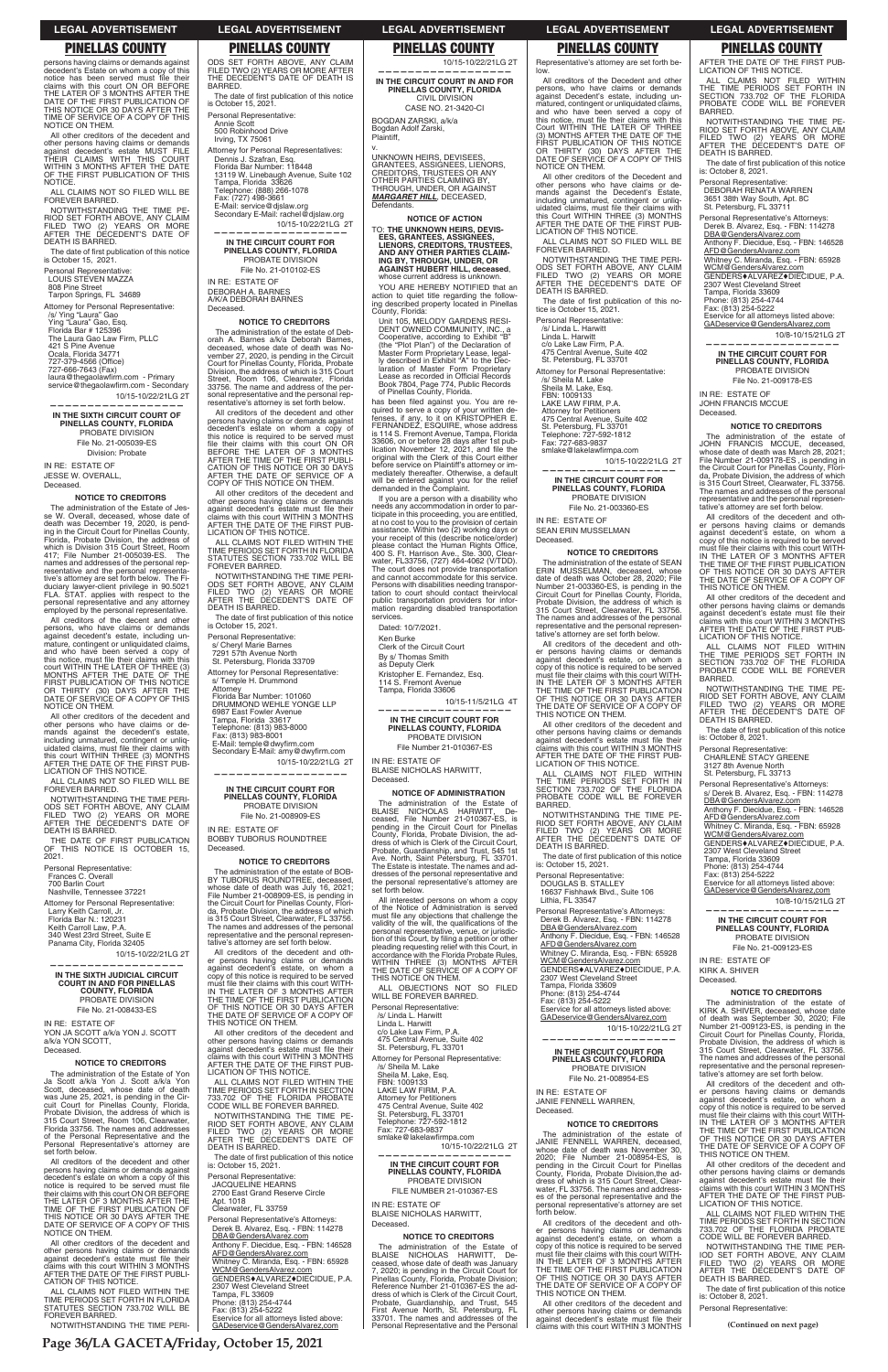**Page 36/LA GACETA/Friday, October 15, 2021**

**(Continued on next page)**

persons having claims or demands against decedent's Estate on whom a copy of this notice has been served must file their claims with this court ON OR BEFORE THE LATER OF 3 MONTHS AFTER THE DATE OF THE FIRST PUBLICATION OF THIS NOTICE OR 30 DAYS AFTER THE TIME OF SERVICE OF A COPY OF THIS NOTICE ON THEM.

The date of first publication of this notice is October 15, 2021.

All other creditors of the decedent and other persons having claims or demands against decedent's estate MUST FILE THEIR CLAIMS WITH THIS COURT WITHIN 3 MONTHS AFTER THE DATE THE FIRST PUBLICATION OF THIS NOTICE.

727-379-4566 (Office) 727-666-7643 (Fax)

laura@thegaolawfirm.com - Primary

ALL CLAIMS NOT SO FILED WILL BE FOREVER BARRED.

service@thegaolawfirm.com - Secondary 10/15-10/22/21LG 2T **——————————————————**

NOTWITHSTANDING THE TIME PE-RIOD SET FORTH ABOVE, ANY CLAIM FILED TWO (2) YEARS OR MORE AFTER THE DECEDENT'S DATE OF DEATH IS BARRED.

Personal Representative: LOUIS STEVEN MAZZA

808 Pine Street Tarpon Springs, FL 34689

Attorney for Personal Representative:

/s/ Ying "Laura" Gao Ying "Laura" Gao, Esq. Florida Bar # 125396 The Laura Gao Law Firm, PLLC 421 S Pine Avenue

Ocala, Florida 34771

**IN THE SIXTH CIRCUIT COURT OF PINELLAS COUNTY, FLORIDA** PROBATE DIVISION

> File No. 21-005039-ES Division: Probate

IN RE: ESTATE OF JESSE W. OVERALL, Deceased.

# **NOTICE TO CREDITORS**

The administration of the Estate of Jesse W. Overall, deceased, whose date of death was December 19, 2020, is pend-ing in the Circuit Court for Pinellas County, Florida, Probate Division, the address of which is Division 315 Court Street, Room 417; File Number 21-005039-ES. The names and addresses of the personal representative and the personal representative's attorney are set forth below. duciary lawyer-client privilege in 90.5021 FLA. STAT. applies with respect to the personal representative and any attorney employed by the personal representative.

The administration of the Estate of Yon Ja Scott a/k/a Yon J. Scott a/k/a Yon Scott, deceased, whose date of death was June 25, 2021, is pending in the Cir-cuit Court for Pinellas County, Florida, Probate Division, the address of which is 315 Court Street, Room 106, Clearwater, Florida 33756. The names and addresses of the Personal Representative and the Personal Representative's attorney are set forth below

All other creditors of the decedent and other persons having claims or demands against decedent's estate must file their<br>claims with this court WITHIN 3 MONTHS<br>AFTER THE DATE OF THE FIRST PUBLI-<br>CATION OF THIS NOTICE.

All creditors of the decent and other persons, who have claims or demands against decedent's estate, including unmature, contingent or unliquidated claims,<br>and who have been served a copy of<br>this notice, must file their claims with this<br>court WITHIN THE LATER OF THREE (3) MONTHS AFTER THE DATE OF THE FIRST PUBLICATION OF THIS NOTICE OR THIRTY (30) DAYS AFTER THE DATE OF SERVICE OF A COPY OF THIS NOTICE ON THEM.

All other creditors of the decedent and other persons who have claims or demands against the decedent's estate,<br>including unmatured, contingent or unliq-<br>uidated claims, must file their claims with this court WITHIN THREE (3) MONTHS AFTER THE DATE OF THE FIRST PUB-LICATION OF THIS NOTICE. IN RE: ESTATE OF DEBORAH A. BARNES<br>A/K/A DEBORAH BARNES

ALL CLAIMS NOT SO FILED WILL BE FOREVER BARRED.

NOTWITHSTANDING THE TIME PERI-ODS SET FORTH ABOVE, ANY CLAIM FILED TWO (2) YEARS OR MORE AFTER THE DECEDENT'S DATE OF DEATH IS BARRED.

THE DATE OF FIRST PUBLICATION OF THIS NOTICE IS OCTOBER 15, 2021.

Personal Representative:

Frances C. Overall 700 Barlin Court

Nashville, Tennessee 37221

Attorney for Personal Representative:

Larry Keith Carroll, Jr.

Florida Bar N.: 120231

Keith Carroll Law, P.A. 340 West 23rd Street, Suite E

Panama City, Florida 32405

10/15-10/22/21LG 2T

**—————————————————— IN THE SIXTH JUDICIAL CIRCUIT COURT IN AND FOR PINELLAS COUNTY, FLORIDA** PROBATE DIVISION

File No. 21-008433-ES

## IN RE: ESTATE OF YON JA SCOTT a/k/a YON J. SCOTT a/k/a YON SCOTT, Deceased.

# **NOTICE TO CREDITORS**

must file their claims with this court WITH-<br>IN THE LATER OF 3 MONTHS AFTER<br>THE TIME OF THE FIRST PUBLICATION<br>OF THIS NOTICE OR 30 DAYS AFTER THE DATE OF SERVICE OF A COPY OF THIS NOTICE ON THEM.

All creditors of the decedent and other persons having claims or demands against decedent's estate on whom a copy of this notice is required to be served must file<br>their claims with this court ON OR BEFORE<br>THE LATER OF 3 MONTHS AFTER THE<br>TIME OF THE FIRST PUBLICATION OF<br>THIS NOTICE OR 30 DAYS AFTER THE<br>DATE OF SERVICE OF A COPY OF THIS NOTICE ON THEM.

NOTWITHSTANDING THE TIME PE-RIOD SET FORTH ABOVE, ANY CLAIM<br>FILED TWO (2) YEARS OR MORE<br>AFTER THE DECEDENT'S DATE OF<br>DEATH IS BARRED.

The date of first publication of this notice<br>is: October 15, 2021.

ALL CLAIMS NOT FILED WITHIN THE TIME PERIODS SET FORTH IN FLORIDA STATUTES SECTION 733.702 WILL BE FOREVER BARRED.

NOTWITHSTANDING THE TIME PERI-

ODS SET FORTH ABOVE, ANY CLAIM FILED TWO (2) YEARS OR MORE AFTER THE DECEDENT'S DATE OF DEATH IS BARRED.

The date of first publication of this notice<br>is October 15, 2021.

Personal Representative: Annie Scott 500 Robinhood Drive

Irving, TX 75061 Attorney for Personal Representatives:

Dennis J. Szafran, Esq. Florida Bar Number: 118448 13119 W. Linebaugh Avenue, Suite 102 Tampa, Florida 33626 Telephone: (888) 266-1078 Fax: (727) 498-3661 E-Mail: service@djslaw.org Secondary E-Mail: rachel@djslaw.org

> laration of Master Form Proprietary<br>Lease as recorded in Official Records Book 7804, Page 774, Public Records of Pinellas County, Florida.

has been filed against you. You are re-<br>quired to serve a copy of your written de-<br>fenses, if any, to it on KRISTOPHER E.<br>FERNANDEZ, ESQUIRE, whose address<br>is 114 S. Fremont Avenue, Tampa, Florida

10/15-10/22/21LG 2T **—————————————————— IN THE CIRCUIT COURT FOR PINELLAS COUNTY, FLORIDA**

PROBATE DIVISION File No. 21-010102-ES

> If you are a person with a disability who needs any accommodation in order to par-ticipate in this proceeding, you are entitled, at no cost to you to the provision of certain assistance. Within two (2) working days or your receipt of this (describe notice/order) please contact the Human Rights Office,<br>400 S. Ft. Harrison Ave., Ste. 300, Clear-<br>water, FL33756, (727) 464-4062 (V/TDD).

Deceased.

**NOTICE TO CREDITORS** The administration of the estate of Deb-orah A. Barnes a/k/a Deborah Barnes, deceased, whose date of death was November 27, 2020, is pending in the Circuit Court for Pinellas County, Florida, Probate Division, the address of which is 315 Court Street, Room 106, Clearwater, Florida 33756. The name and address of the personal representative and the personal representative's attorney is set forth below. All creditors of the decedent and other persons having claims or demands against decedent's estate on whom a copy of

this notice is required to be served must<br>file their claims with this court ON OR<br>BEFORE THE LATER OF 3 MONTHS<br>AFTER THE TIME OF THE FIRST PUBLI-<br>CATION OF THIS NOTICE OR 30 DAYS<br>AFTER THE DATE OF SERVICE OF A

The date of first publication of this notice

The administration of the Estate of BLAISE NICHOLAS HARWITT, De-ceased, File Number 21-010367-ES, is pending in the Circuit Court for Pinellas County, Florida, Probate Division, the address of which is Clerk of the Circuit Court, Probate, Guardianship, and Trust, 545 1st Ave. North, Saint Petersburg, FL 33701. The Estate is intestate. The names and ad-dresses of the personal representative and the personal representative's attorney are set forth below. All interested persons on whom a copy of the Notice of Administration is served must file any objections that challenge the<br>validity of the will, the qualifications of the<br>personal representative, venue, or jurisdic-

tion of this Court, by filing a petition or other<br>pleading requesting relief with this Court, in<br>accordance with the Florida Probate Rules,<br>WITHIN THREE (3) MONTHS AFTER<br>THE DATECE ON THEM.<br>THIS NOTICE ON THEM.

COPY OF THIS NOTICE ON THEM. All other creditors of the decedent and other persons having claims or demands<br>against decedent's estate must file their claims with this court WITHIN 3 MONTHS AFTER THE DATE OF THE FIRST PUB-LICATION OF THIS NOTICE. ALL CLAIMS NOT FILED WITHIN THE TIME PERIODS SET FORTH IN FLORIDA STATUTES SECTION 733.702 WILL BE FOREVER BARRED. NOTWITHSTANDING THE TIME PERI-ODS SET FORTH ABOVE, ANY CLAIM FILED TWO (2) YEARS OR MORE AFTER THE DECEDENT'S DATE OF

DEATH IS BARRED.

is October 15, 2021. Personal Representative: s/ Cheryl Marie Barnes 7291 57th Avenue North St. Petersburg, Florida 33709 Attorney for Personal Representative: s/ Temple H. Drummond

Attorney Florida Bar Number: 101060 DRUMMOND WEHLE YONGE LLP

Fax: (813) 983-8001<br>E-Mail: temple@dwyfirm.com<br>Secondary E-Mail: amy@dwyfirm.com

6987 East Fowler Avenue Tampa, Florida 33617 Telephone: (813) 983-8000

10/15-10/22/21LG 2T

All other creditors of the Decedent and other persons who have claims or demands against the Decedent's Estate

including unmatured, contingent or unliq-<br>uidated claims, must file their claims with<br>this Court WITHIN THREE (3) MONTHS<br>AFTER THE DATE OF THE FIRST PUB-<br>LICATION OF THIS NOTICE.

**—————————————————— IN THE CIRCUIT COURT FOR PINELLAS COUNTY, FLORIDA** PROBATE DIVISION File No. 21-008909-ES

IN RE: ESTATE OF

BOBBY TUBORUS ROUNDTREE

Deceased.

**NOTICE TO CREDITORS** The administration of the estate of BOB-

BY TUBORUS ROUNDTREE, deceased,<br>whose date of death was July 16, 2021;<br>File Number 21-008909-ES, is pending in<br>the Circuit Court for Pinellas County, Flori-<br>da, Probate Division, the address of which

**NOTICE TO CREDITORS** The administration of the estate of SEAN ERIN MUSSELMAN, deceased, whose date of death was October 28, 2020; File Number 21-003360-ES, is pending in the Circuit Court for Pinellas County, Florida, Probate Division, the address of which is 315 Court Street, Clearwater, FL 33756. The names and addresses of the personal representative and the personal representative's attorney are set forth below. All creditors of the decedent and other persons having claims or demands against decedent's estate, on whom a copy of this notice is required to be served must file their claims with this court WITH-<br>IN THE LATER OF 3 MONTHS AFTER<br>THE TIME OF THE FIRST PUBLICATION

is 315 Court Street, Clearwater, FL 33756. The names and addresses of the personal representative and the personal representative's attorney are set forth below. All creditors of the decedent and other persons having claims or demands against decedent's estate, on whom a copy of this notice is required to be served

All other creditors of the decedent and other persons having claims or demands<br>against decedent's estate must file their claims with this court WITHIN 3 MONTHS AFTER THE DATE OF THE FIRST PUB-LICATION OF THIS NOTICE.

ALL CLAIMS NOT FILED WITHIN THE TIME PERIODS SET FORTH IN SECTION 733.702 OF THE FLORIDA PROBATE CODE WILL BE FOREVER BARRED.

Whitney C. Miranda, Esq. - FBN: 65928 WCM@GendersAlvarez.com GENDERS**+ALVAREZ+DIECIDUE, P.A.** 

rvice for all attorneys listed above: GADeservice@GendersAlvarez,com

Personal Representative: JACQUELINE HEARNS 2700 East Grand Reserve Circle Apt. 1018 Clearwater, FL 33759

> All creditors of the decedent and other persons having claims or demands against decedent's estate, on whom a copy of this notice is required to be served<br>must file their claims with this court WITH-<br>IN THE LATER OF 3 MONTHS AFTER THE TIME OF THE FIRST PUBLICATION<br>OF THIS NOTICE OR 30 DAYS AFTER<br>THE DATE OF SERVICE OF A COPY OF<br>THIS NOTICE ON THEM.

Personal Representative's Attorneys: Derek B. Alvarez, Esq. - FBN: 114278 DBA@GendersAlvarez.com Anthony F. Diecidue, Esq. - FBN: 146528 AFD@GendersAlvarez.com Whitney C. Miranda, Esq. - FBN: 65928<br><u>WCM@GendersAlvarez.com</u> GENDERS $*$ ALVAREZ $*$ DIECIDUE, P.A. 2307 West Cleveland Street Tampa, FL 33609 Phone: (813) 254-4744 Fax: (813) 254-5222 ervice for all attorneys listed above: GADeservice@GendersAlvarez,com

All other creditors of the decedent and other persons having claims or demands against decedent's estate must file their<br>claims with this court WITHIN 3 MONTHS

10/15-10/22/21LG 2T

**—————————————————— IN THE CIRCUIT COURT IN AND FOR PINELLAS COUNTY, FLORIDA** CIVIL DIVISION CASE NO. 21-3420-CI

BOGDAN ZARSKI, a/k/a Bogdan Adolf Zarski,

Plaintiff, v.

UNKNOWN HEIRS, DEVISEES, GRANTEES, ASSIGNEES, LIENORS, CREDITORS, TRUSTEES OR ANY

OTHER PARTIES CLAIMING BY,<br>THROUGH, UNDER, OR AGAINST<br>*MARGARET HILL*, DECEASED,

AFD@GendersAlvarez.com Whitney C. Miranda, Esq. - FBN: 65928 WCM@GendersAlvarez.com GENDERS $*$ ALVAREZ $*$ DIECIDUE, P.A.

Defendants.

ervice for all attorneys listed above: GADeservice@GendersAlvarez,com

**NOTICE OF ACTION** TO: **THE UNKNOWN HEIRS, DEVIS-EES, GRANTEES, ASSIGNEES, LIENORS, CREDITORS, TRUSTEES, AND ANY OTHER PARTIES CLAIM-ING BY, THROUGH, UNDER, OR AGAINST HUBERT HILL, deceased**, whose current address is unknown. YOU ARE HEREBY NOTIFIED that an action to quiet title regarding the ing described property located in Pinellas

County, Florida:

Unit 105, MELODY GARDENS RESI-DENT OWNED COMMUNITY, INC., a Cooperative, according to Exhibit "B" (the "Plot Plan") of the Declaration of Master Form Proprietary Lease, legal-ly described in Exhibit "A" to the Dec-

33606, on or before 28 days after 1st publication November 12, 2021, and file the<br>original with the Clerk of this Court either before service on Plaintiff's attorney or immediately thereafter. Otherwise, a default will be entered against you for the relief

demanded in the Complaint.

The administration of the estate of<br>KIRK A SHIVER deceased whose date KIRK A. SHIVER, deceased, whose date of death was September 30, 2020; File Number 21-009123-ES, is pending in the Circuit Court for Pinellas County, Florida, Probate Division, the address of which is<br>Probate Division, the address of which is 315 Court Street, Clearwater, FL 33756. The names and addresses of the personal representative and the personal representative's attorney are set forth below.

The court does not provide transportation and cannot accommodate for this service. Persons with disabilities needing transportation to court should contact theirvlocal public transportation providers for infor-mation regarding disabled transportation

services.

Dated: 10/7/2021. Ken Burke

> The date of first publication of this notice is: October 8, 2021.

Clerk of the Circuit Court By s/ Thomas Smith as Deputy Clerk

Kristopher E. Fernandez, Esq. 114 S. Fremont Avenue Tampa, Florida 33606

10/15-11/5/21LG 4T

**—————————————————— IN THE CIRCUIT COURT FOR PINELLAS COUNTY, FLORIDA** PROBATE DIVISION File Number 21-010367-ES

IN RE: ESTATE OF

BLAISE NICHOLAS HARWITT,

Deceased.

**NOTICE OF ADMINISTRATION**

ALL OBJECTIONS NOT SO FILED

WILL BE FOREVER BARRED. Personal Representative:

/s/ Linda L. Harwitt Linda L. Harwitt c/o Lake Law Firm, P.A. 475 Central Avenue, Suite 402 St. Petersburg, FL 33701

Attorney for Personal Representative: /s/ Sheila M. Lake Sheila M. Lake, Esq. FBN: 1009133 LAKE LAW FIRM, P.A. Attorney for Petitioners 475 Central Avenue, Suite 402 St. Petersburg, FL 33701<br>Telephone: 727-592-1812<br>Fax: 727-683-9837<br>smlake@lakelawfirmpa.com 10/15-10/22/21LG 2T

**——————————————————**

**IN THE CIRCUIT COURT FOR PINELLAS COUNTY, FLORIDA** PROBATE DIVISION FILE NUMBER 21-010367-ES

IN RE: ESTATE OF BLAISE NICHOLAS HARWITT, Deceased.

# **NOTICE TO CREDITORS**

The administration of the Estate of BLAISE NICHOLAS HARWITT, Deceased, whose date of death was January 7, 2020; is pending in the Circuit Court for Pinellas County, Florida, Probate Division; Reference Number 21-010367-ES the ad-dress of which is Clerk of the Circuit Court, Probate, Guardianship, and Trust, 545 First Avenue North, St. Petersburg, FL 33701. The names and addresses of the Personal Representative and the Personal

Representative's attorney are set forth be-

low.

All creditors of the Decedent and other persons, who have claims or demands against Decedent's estate, including un-matured, contingent or unliquidated claims, and who have been served a copy of

NOTICE ON THEM.

ALL CLAIMS NOT SO FILED WILL BE

FOREVER BARRED.

NOTWITHSTANDING THE TIME PERI-ODS SET FORTH ABOVE, ANY CLAIM FILED TWO (2) YEARS OR MORE AFTER THE DECEDENT'S DATE OF

The date of first publication of this no-<br>tice is October 15, 2021.

DEATH IS BARRED.

Personal Representative: /s/ Linda L. Harwitt Linda L. Harwitt c/o Lake Law Firm, P.A. 475 Central Avenue, Suite 402 St. Petersburg, FL 33701 Attorney for Personal Representative:

/s/ Sheila M. Lake Sheila M. Lake, Esq. FBN: 1009133 LAKE LAW FIRM, P.A.

Attorney for Petitioners 475 Central Avenue, Suite 402 St. Petersburg, FL 33701 Telephone: 727-592-1812 Fax: 727-683-9837 UONCMG"NCMGNCYſTORCEQO

10/15-10/22/21LG 2T

**—————————————————— IN THE CIRCUIT COURT FOR PINELLAS COUNTY, FLORIDA** PROBATE DIVISION File No. 21-003360-ES

IN RE: ESTATE OF SEAN ERIN MUSSELMAN

Deceased.

OF THIS NOTICE OR 30 DAYS AFTER THE DATE OF SERVICE OF A COPY OF THIS NOTICE ON THEM. All other creditors of the decedent and other persons having claims or demands against decedent's estate must file their<br>claims with this court WITHIN 3 MONTHS AFTER THE DATE OF THE FIRST PUB-LICATION OF THIS NOTICE. ALL CLAIMS NOT FILED WITHIN THE TIME PERIODS SET FORTH IN SECTION 733.702 OF THE FLORIDA PROBATE CODE WILL BE FOREVER

BARRED.

NOTWITHSTANDING THE TIME PE-RIOD SET FORTH ABOVE, ANY CLAIM FILED TWO (2) YEARS OR MORE AFTER THE DECEDENT'S DATE OF

The date of first publication of this notice<br>is: October 15, 2021.

DEATH IS BARRED.

Personal Representative: DOUGLAS B. STALLEY 16637 Fishhawk Blvd., Suite 106

Lithia, FL 33547

Personal Representative's Attorneys: Derek B. Alvarez, Esq. - FBN: 114278 DBA@GendersAlvarez.com

Anthony F. Diecidue, Esq. - FBN: 146528

AFD@GendersAlvarez.com

2307 West Cleveland Street Tampa, Florida 33609 Phone: (813) 254-4744 Fax: (813) 254-5222

10/15-10/22/21LG 2T

**——————————————————**

# **IN THE CIRCUIT COURT FOR PINELLAS COUNTY, FLORIDA** PROBATE DIVISION File No. 21-008954-ES

IN RE: ESTATE OF JANIE FENNELL WARREN, Deceased.

# **NOTICE TO CREDITORS**

The administration of the estate of JANIE FENNELL WARREN, deceased, whose date of death was November 30, 2020; File Number 21-008954-ES, is pending in the Circuit Court for Pinellas County, Florida, Probate Division,the address of which is 315 Court Street, Clearwater, FL 33756. The names and address-es of the personal representative and the personal representative's attorney are set forth below. AFTER THE DATE OF THE FIRST PUB-LICATION OF THIS NOTICE.

ALL CLAIMS NOT FILED WITHIN<br>THE TIME PERIODS SET FORTH IN<br>SECTION 733.702 OF THE FLORIDA<br>PROBATE CODE WILL BE FOREVER

BARRED.

NOTWITHSTANDING THE TIME PE-RIOD SET FORTH ABOVE, ANY CLAIM FILED TWO (2) YEARS OR MORE AFTER THE DECEDENT'S DATE OF

The date of first publication of this notice<br>is: October 8, 2021.

DEATH IS BARRED.

Personal Representative:

DEBORAH RENATA WARREN 3651 38th Way South, Apt. 8C St. Petersburg, FL 33711 Personal Representative's Attorneys: Derek B. Alvarez, Esq. - FBN: 114278 DBA@GendersAlvarez.com

Anthony F. Diecidue, Esq. - FBN: 146528

2307 West Cleveland Street Tampa, Florida 33609 Phone: (813) 254-4744 Fax: (813) 254-5222

10/8-10/15/21LG 2T

**—————————————————— IN THE CIRCUIT COURT FOR PINELLAS COUNTY, FLORIDA** PROBATE DIVISION File No. 21-009178-ES

IN RE: ESTATE OF JOHN FRANCIS MCCUE

Deceased.

this notice, must file their claims with this<br>Court WITHIN THE LATER OF THREE<br>(3) MONTHS AFTER THE DATE OF THE<br>FIRST PUBLICATION OF THIS NOTICE<br>OR THIRTY (30) DAYS AFTER THE<br>DATE OF SERVICE OF A COPY OF THIS

**NOTICE TO CREDITORS** The administration of the estate of JOHN FRANCIS MCCUE, deceased, whose date of death was March 28, 2021; File Number 21-009178-ES , is pending in the Circuit Court for Pinellas County, Florida, Probate Division, the address of which is 315 Court Street, Clearwater, FL 33756. The names and addresses of the personal representative and the personal representative's attorney are set forth below. All creditors of the decedent and other persons having claims or demands against decedent's estate, on whom a copy of this notice is required to be served must file their claims with this court WITH-<br>IN THE LATER OF 3 MONTHS AFTER THE TIME OF THE FIRST PUBLICATION OF THIS NOTICE OR 30 DAYS AFTER THE DATE OF SERVICE OF A COPY OF

THIS NOTICE ON THEM.

All other creditors of the decedent and other persons having claims or demands against decedent's estate must file their claims with this court WITHIN 3 MONTHS AFTER THE DATE OF THE FIRST PUB-LICATION OF THIS NOTICE. ALL CLAIMS NOT FILED WITHIN THE TIME PERIODS SET FORTH IN SECTION 733.702 OF THE FLORIDA PROBATE CODE WILL BE FOREVER

BARRED.

NOTWITHSTANDING THE TIME PE-RIOD SET FORTH ABOVE, ANY CLAIM FILED TWO (2) YEARS OR MORE AFTER THE DECEDENT'S DATE OF DEATH IS BARRED.

The date of first publication of this notice

is: October 8, 2021. Personal Representative: CHARLENE STACY GREENE 3127 8th Avenue North St. Petersburg, FL 33713 Personal Representative's Attorneys: s/ Derek B. Alvarez, Esq. - FBN: 114278

DBA@GendersAlvarez.com

Anthony F. Diecidue, Esq. - FBN: 146528

Whitney C. Miranda, Esq. - FBN: 65928<br><u>WCM@GendersAlvarez.com</u> GENDERS♦ALVAREZ♦DIECIDUE, P.A.<br>2307 West Cleveland Street

AFD@GendersAlvarez.com

Tampa, Florida 33609 Phone: (813) 254-4744 Fax: (813) 254-5222

Eservice for all attorneys listed above: GADeservice@GendersAlvarez,com

10/8-10/15/21LG 2T

**—————————————————— IN THE CIRCUIT COURT FOR PINELLAS COUNTY, FLORIDA** PROBATE DIVISION File No. 21-009123-ES

IN RE: ESTATE OF KIRK A. SHIVER Deceased.

**NOTICE TO CREDITORS**

All creditors of the decedent and other persons having claims or demands against decedent's estate, on whom a copy of this notice is required to be served must file their claims with this court WITH-<br>IN THE LATER OF 3 MONTHS AFTER<br>THE TIME OF THE FIRST PUBLICATION<br>OF THIS NOTICE OR 30 DAYS AFTER<br>THE DATE OF SERVICE OF A COPY OF THIS NOTICE ON THEM.

All other creditors of the decedent and other persons having claims or demands<br>against decedent's estate must file their claims with this court WITHIN 3 MONTHS AFTER THE DATE OF THE FIRST PUB-LICATION OF THIS NOTICE.

ALL CLAIMS NOT FILED WITHIN THE TIME PERIODS SET FORTH IN SECTION 733.702 OF THE FLORIDA PROBATE CODE WILL BE FOREVER BARRED.

NOTWITHSTANDING THE TIME PER-IOD SET FORTH ABOVE, ANY CLAIM FILED TWO (2) YEARS OR MORE AFTER THE DECEDENT'S DATE OF DEATH IS BARRED.

Personal Representative:

# **LEGAL ADVERTISEMENT LEGAL ADVERTISEMENT LEGAL ADVERTISEMENT LEGAL ADVERTISEMENT LEGAL ADVERTISEMENT**

# **PINELLAS COUNTY PINELLAS COUNTY PINELLAS COUNTY PINELLAS COUNTY PINELLAS COUNTY**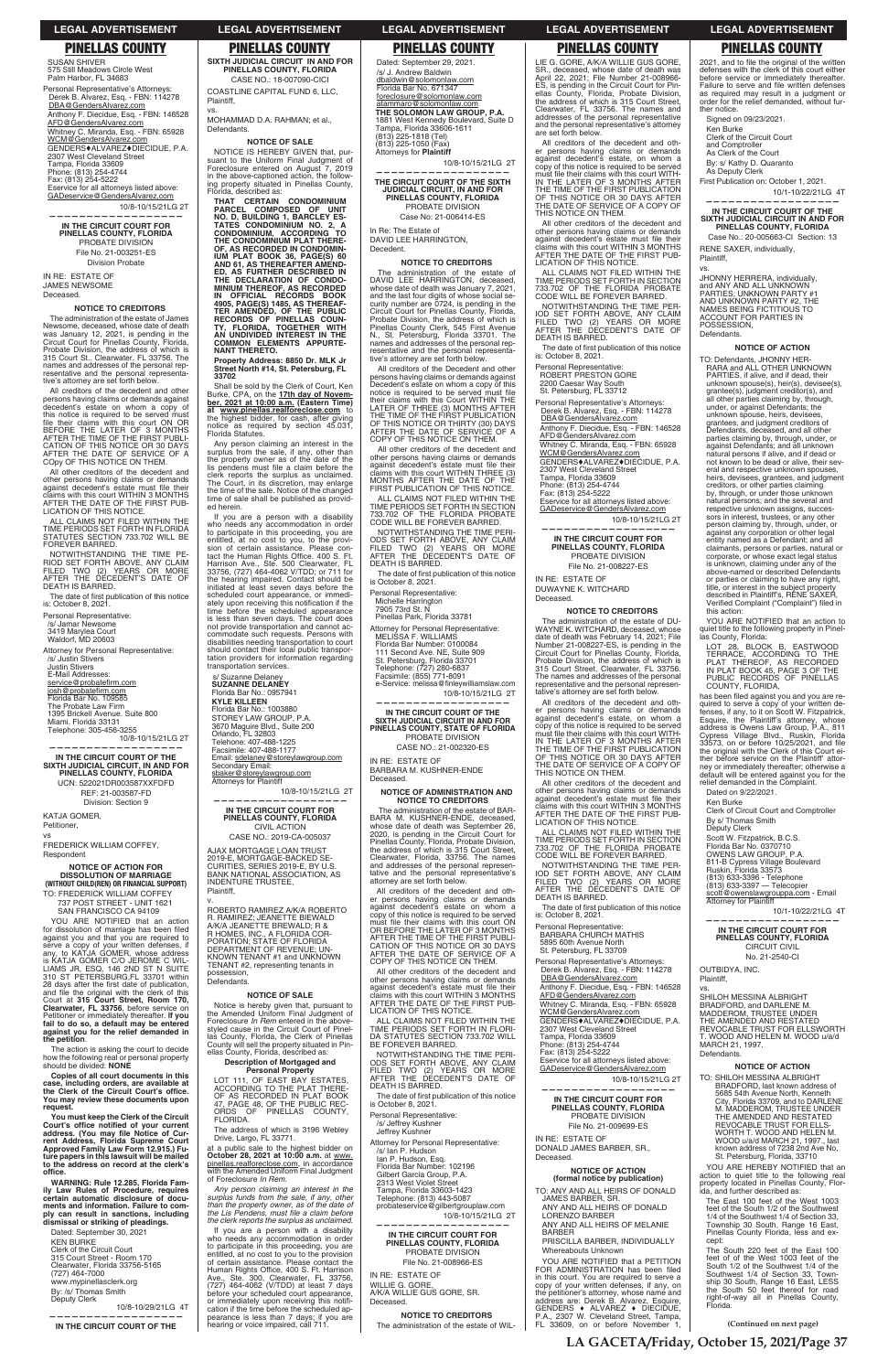**LA GACETA/Friday, October 15, 2021/Page 37**

**(Continued on next page)**

# **LEGAL ADVERTISEMENT LEGAL ADVERTISEMENT LEGAL ADVERTISEMENT LEGAL ADVERTISEMENT LEGAL ADVERTISEMENT**

SUSAN SHIVER 575 Still Meadows Circle West Palm Harbor, FL 34683

Personal Representative's Attorneys: Derek B. Alvarez, Esq. - FBN: 114278 DBA@GendersAlvarez.com Anthony F. Diecidue, Esq. - FBN: 146528 AFD@GendersAlvarez.com Whitney C. Miranda, Esq. - FBN: 65928 <u>WCM@GendersAlvarez.com</u><br>GENDERS♦ALVAREZ♦DIECIDUE, P.A. 2307 West Cleveland Street Tampa, Florida 33609 Phone: (813) 254-4744 Fax: (813) 254-5222 Eservice for all attorneys listed above:

GADeservice@GendersAlvarez,com 10/8-10/15/21LG 2T

**—————————————————— IN THE CIRCUIT COURT FOR PINELLAS COUNTY, FLORIDA** PROBATE DIVISION File No. 21-003251-ES Division Probate

IN RE: ESTATE OF JAMES NEWSOME

Deceased.

## **NOTICE TO CREDITORS**

The date of first publication of this notice is: October 8, 2021.

The administration of the estate of James Newsome, deceased, whose date of death was January 12, 2021, is pending in the Circuit Court for Pinellas County, Florida, Probate Division, the address of which is 315 Court St.. Clearwater. FL 33756. The names and addresses of the personal representative and the personal representative's attorney are set forth below.

service@probatefirm.com <u>josh@probatefirm.com</u><br>Florida Bar No. 109585 The Probate Law Firm 1395 Brickell Avenue. Suite 800 Miami. Florida 33131 Telephone: 305-456-3255 10/8-10/15/21LG 2T

All creditors of the decedent and other persons having claims or demands against decedent's estate on whom a copy of this notice is required to be served must file their claims with this court ON OR<br>BEFORE THE LATER OF 3 MONTHS<br>AFTER THE TIME OF THE FIRST PUBLI-<br>CATION OF THIS NOTICE OR 30 DAYS AFTER THE DATE OF SERVICE OF A COpy OF THIS NOTICE ON THEM.

All other creditors of the decedent and other persons having claims or demands against decedent's estate must file their claims with this court WITHIN 3 MONTHS AFTER THE DATE OF THE FIRST PUB-LICATION OF THIS NOTICE.

**You must keep the Clerk of the Circuit**  Court's office notified of your current<br>address. (You may file Notice of Cur**rent Address, Florida Supreme Court Approved Family Law Form 12.915.) Fu-ture papers in this lawsuit will be mailed to the address on record at the clerk's**  office.

ALL CLAIMS NOT FILED WITHIN THE TIME PERIODS SET FORTH IN FLORIDA STATUTES SECTION 733.702 WILL BE FOREVER BARRED.

NOTWITHSTANDING THE TIME PE-RIOD SET FORTH ABOVE, ANY CLAIM FILED TWO (2) YEARS OR MORE AFTER THE DECEDENT'S DATE OF DEATH IS BARRED.

Personal Representative: /s/ Jamar Newsome 3419 Marylea Court Waldorf, MD 20603

Attorney for Personal Representative: /s/ Justin Stivers Justin Stivers E-Mail Addresses:

# **PINELLAS COUNTY PINELLAS COUNTY PINELLAS COUNTY PINELLAS COUNTY PINELLAS COUNTY SIXTH JUDICIAL CIRCUIT IN AND FOR PINELLAS COUNTY, FLORIDA**

**—————————————————— IN THE CIRCUIT COURT OF THE SIXTH JUDICIAL CIRCUIT, IN AND FOR PINELLAS COUNTY, FLORIDA** UCN: 522021DR003587XXFDFD REF: 21-003587-FD Division: Section 9

KATJA GOMER, Petitioner,

vs FREDERICK WILLIAM COFFEY, Respondent

THAT CERTAIN CONDOMINIUM<br>PARCEL COMPOSED OF UNIT<br>NO. D, BUILDING 1, BARCLEY ES-<br>TATES CONDOMINIUM NO. 2, A<br>CONDOMINIUM PLAT THERE-<br>THE CONDOMINIUM PLAT THERE-**OF, AS RECORDED IN CONDOMIN-IUM PLAT BOOK 36, PAGE(S) 60 AND 61, AS THEREAFTER AMEND-ED, AS FURTHER DESCRIBED IN**  THE DECLARATION OF CONDO-<br>MINIUM THEREOF, AS RECORDED<br>IN OFFICIAL RECORDS BOOK<br>4905, PAGE(S) 1485, AS THEREAF-<br>TER AMENDED, OF THE PUBLIC<br>RECORDS OF PINELLAS COUN-<br>TY, FLORIDA, TOGETHER WITH<br>AN UNDIVIDED INTEREST IN THE **COMMON ELEMENTS APPURTE-NANT THERETO. Property Address: 8850 Dr. MLK Jr** 

Shall be sold by the Clerk of Court, Ken Burke, CPA, on the **17th day of Novem-ber, 2021 at 10:00 a.m. (Eastern Time) at www.pinellas.realforeclose.com** to the highest bidder, for cash, after giving<br>notice as required by section 45.031,<br>Florida Statutes.

**NOTICE OF ACTION FOR DISSOLUTION OF MARRIAGE (WITHOUT CHILD(REN) OR FINANCIAL SUPPORT)** TO: FREDERICK WILLIAM COFFEY 737 POST STREET - UNIT 1621 SAN FRANCISCO CA 94109

YOU ARE NOTIFIED that an action for dissolution of marriage has been filed against you and that you are required to serve a copy of your written defenses, if any, to KATJA GOMER, whose address is KATJA GOMER C/O JEROME C WIL-LIAMS JR, ESQ, 146 2ND ST N SUITE 310 ST PETERSBURG,FL 33701 within 28 days after the first date of publication,<br>and file the original with the clerk of this<br>Court at **315 Court Street, Room 170,** 

**Clearwater, FL 33756**, before service on Petitioner or immediately thereafter. **lf you fail to do so, a default may be entered against you for the relief demanded in the petition**.

Florida Bar No.: 0957941 **KYLE KILLEEN** Florida Bar No.: 1003880 STOREY LAW GROUP, P.A. 3670 Maguire Blvd., Suite 200 Orlando, FL 32803 Telehone: 407-488-1225 Facsimile: 407-488-1177 Email: <u>sdelaney@storeylawgroup.com</u><br>Secondary Email: sbaker@storeylawgroup.com **Attorneys for Plaintiff** 

The action is asking the court to decide how the following real or personal property should be divided: **NONE**

**Copies of all court documents in this case, including orders, are available at the Clerk of the Circuit Court's office.**<br>You may review these documents upon **request.**

the Amended Uniform Final Judgment of Foreclosure *In Rem* entered in the above-<br>styled cause in the Circuit Court of Pinellas County, Florida, the Clerk of Pinellas<br>County will sell the property situated in Pin-<br>ellas County, Florida, described as:

LOT 111, OF EAST BAY ESTATES,<br>ACCORDING TO THE PLAT THERE-<br>OF AS RECORDED IN PLAT BOOK 47, PAGE 48, OF THE PUBLIC REC-ORDS OF PINELLAS COUNTY, FLORIDA.

**WARNING: Rule 12.285, Florida Family Law Rules of Procedure, requires certain automatic disclosure of documents and information. Failure to comply can result in sanctions, including dismissal or striking of pleadings.**

*Any person claiming an interest in the surplus funds from the sale, if any, other*  than the property owner, as of the date of<br>the Lis Pendens, must file a claim before<br>the clerk reports the surplus as unclaimed.

Dated: September 30, 2021

KEN BURKE Clerk of the Circuit Court 315 Court Street - Room 170 Clearwater, Florida 33756-5165 (727) 464-7000

www.mypinellasclerk.org By: /s/ Thomas Smith Deputy Clerk

10/8-10/29/21LG 4T

**—————————————————— IN THE CIRCUIT COURT OF THE** 

CASE NO.: 18-007090-CICI COASTLINE CAPITAL FUND 6, LLC,

Plaintiff, vs. MOHAMMAD D.A. RAHMAN: et al. Defendants.

## **NOTICE OF SALE**

NOTICE IS HEREBY GIVEN that, pursuant to the Uniform Final Judgment of Foreclosure entered on August 7, 2019 in the above-captioned action, the following property situated in Pinellas County, Florida, described as:

> All creditors of the Decedent and other persons having claims or demands against Decedent's estate on whom a copy of this<br>notice is required to be served must file<br>their claims with this Court WITHIN THE<br>LATER OF THREE (3) MONTHS AFTER<br>THE TIME OF THE FIRST PUBLICATION<br>AFTER THE DATE OF SERVICE OF A<br>CO

> All other creditors of the decedent and other persons having claims or demands against decedent's estate must file their<br>claims with this court WITHIN THREE (3)<br>MONTHS AFTER THE DATE OF THE<br>FIRST PUBLICATION OF THIS NOTICE.

**Street North #14, St. Petersburg, FL 33702**

> The date of first publication of this notice is October 8, 2021.

e-Service: melissa@finlevwilliamslaw.com 10/8-10/15/21LG 2T

Any person claiming an interest in the surplus from the sale, if any, other than<br>the property owner as of the date of the<br>lis pendens must file a claim before the clerk reports the surplus as unclaimed. The Court, in its discretion, may enlarge the time of the sale. Notice of the changed time of sale shall be published as provided herein.

> All other creditors of the decedent and other persons having claims or demands<br>against decedent's estate must file their<br>claims with this court WITHIN 3 MONTHS<br>AFTER THE DATE OF THE FIRST PUB-<br>LICATION OF THIS NOTICE.

ALL CLAIMS NOT FILED WITHIN THE TIME PERIODS SET FORTH IN FLORI-DA STATUTES SECTION 733.702 WILL BE FOREVER BARRED.

The date of first publication of this notice is October 8, 2021.

If you are a person with a disability who needs any accommodation in order to participate in this proceeding, you are entitled, at no cost to you, to the provi-sion of certain assistance. Please contact the Human Rights Office. 400 S. Ft. Harrison Ave., Ste. 500 Clearwater, FL 33756, (727) 464-4062 V/TDD; or 711 for the hearing impaired. Contact should be initiated at least seven days before the scheduled court appearance, or immediately upon receiving this notification if the<br>time before the scheduled appearance<br>is less than seven days. The court does not provide transportation and cannot accommodate such requests. Persons with disabilities needing transportation to court should contact their local public transportation providers for information regarding transportation services.

s/ Suzanne Delaney **SUZANNE DELANEY** All other creditors of the decedent and other persons having claims or demands against decedent's estate must file their claims with this court WITHIN 3 MONTHS AFTER THE DATE OF THE FIRST PUB-LICATION OF THIS NOTICE.

10/8-10/15/21LG 2T **—————————————————— IN THE CIRCUIT COURT FOR PINELLAS COUNTY, FLORIDA** CIVIL ACTION

CASE NO.: 2019-CA-005037 AJAX MORTGAGE LOAN TRUST

2019-E, MORTGAGE-BACKED SE-CURITIES, SERIES 2019-E, BY U.S. BANK NATIONAL ASSOCIATION, AS INDENTURE TRUSTEE, Plaintiff,

v. ROBERTO RAMIREZ A/K/A ROBERTO R. RAMIREZ; JEANETTE BIEWALD<br>A/K/A JEANETTE BREWALD; R &<br>R HOMES, INC., A FLORIDA COR-<br>PORATION; STATE OF FLORIDA<br>PEPARTMENT OF REVENUE; UN-KNOWN TENANT #1 and UNKNOWN TENANT #2, representing tenants in possession, Defendants.

**NOTICE OF SALE**

Notice is hereby given that, pursuant to

**Description of Mortgaged and Personal Property**

The address of which is 3196 Webley Drive, Largo, FL 33771.

The date of first publication of this notice is: October 8, 2021.

at a public sale to the highest bidder on **October 28, 2021 at 10:00 a.m.** at www. pinellas.realforeclose.com, in accordance with the Amended Uniform Final Judgment of Fore closure *In Rem*.

Personal Representative's Attorneys: Derek B. Alvarez, Esq. - FBN: 114278<br><u>DBA@GendersAlvarez.com</u>

Anthony F. Diecidue, Esq. - FBN: 146528 AFD@GendersAlvarez.com Whitney C. Miranda, Esq. - FBN: 65928<br><u>WCM@GendersAlvarez.com</u> GENDERS♦ALVAREZ♦DIECIDUE, P.A.<br>2307 West Cleveland Street Tampa, Florida 33609 Phone: (813) 254-4744 Fax: (813) 254-5222 Eservice for all attorneys listed above: GADeservice@GendersAlvarez,com 10/8-10/15/21LG 2T **—————————————————— IN THE CIRCUIT COURT FOR PINELLAS COUNTY, FLORIDA** PROBATE DIVISION File No. 21-009699-ES IN RE: ESTATE OF DONALD JAMES BARBER, SR., Deceased. **NOTICE OF ACTION (formal notice by publication)** TO: ANY AND ALL HEIRS OF DONALD JAMES BARBER, SR. ANY AND ALL HEIRS OF DONALD LORENZO BARBER ANY AND ALL HEIRS OF MELANIE BARBER PRISCILLA BARBER, INDIVIDUALLY Whereabouts Unknown YOU ARE NOTIFIED that a PETITION FOR ADMINISTRATION has been filed<br>in this court. You are required to serve a<br>copy of your written defenses, if any, on the petitioner's attorney, whose name and address are: Derek B. Alvarez, Esquire, GENDERS  $\bullet$  DIEClDUE, P.A., 2307 W. Cleveland Street, Tampa, FL 33609, on or before November 1, vs. SHILOH MESSINA ALBRIGHT **Defendants** cept: right-of-<br>Florida.

If you are a person with a disability who needs any accommodation in order to participate in this proceeding, you are entitled, at no cost to you to the provision of certain assistance. Please contact the Human Rights Office, 400 S. Ft. Harrison<br>Ave., Ste. 300, Clearwater, FL 33756,<br>(727) 464-4062 (V/TDD) at least 7 days before your scheduled court appearance,<br>or immediately upon receiving this notification if the time before the scheduled appearance is less than 7 days; if you are hearing or voice impaired, call 711.

2021, and to file the original of the written<br>defenses with the clerk of this court either<br>before service or immediately thereafter. Failure to serve and file written defenses<br>as required may result in a judgment or<br>order for the relief demanded, without further notice.

Dated: September 29, 2021. /s/ J. Andrew Baldwin

dbaldwin@solomonlaw.com Florida Bar No. 671347 foreclosure@solomonlaw.com atammaro@solomonlaw.com **THE SOLOMON LAW GROUP, P.A.**

1881 West Kennedy Boulevard, Suite D Tampa, Florida 33606-1611 (813) 225-1818 (Tel) (813) 225-1050 (Fax) Attorneys for **Plaintiff**

10/8-10/15/21LG 2T **——————————————————**

**THE CIRCUIT COURT OF THE SIXTH JUDICIAL CIRCUIT, IN AND FOR PINELLAS COUNTY, FLORIDA** PROBATE DIVISION

Case No: 21-006414-ES In Re: The Estate of

DAVID LEE HARRINGTON, Decedent.

# **NOTICE TO CREDITORS**

respective unknown assigns, succes-sors in interest, trustees, or any other person claiming by, through, under, or against any corporation or other legal entity named as a Defendant; and all claimants, persons or parties, natural or corporate, or whose exact legal status is unknown, claiming under any of the above-named or described Defendants or parties or claiming to have any right, title, or interest in the subject property described in Plaintiff's, RENE SAXER, Verified Complaint ("Complaint") filed in

The administration of the estate of DAVID LEE HARRINGTON, deceased, whose date of death was January 7, 2021, and the last four digits of whose social se-curity number are 0724, is pending in the Circuit Court for Pinellas County, Florida, Probate Division, the address of which is Pinellas County Clerk, 545 First Avenue N., St. Petersburg, Florida 33701. The names and addresses of the personal representative and the personal representa-tive's attorney are set forth below.

> YOU ARE NOTIFIED that an action to quiet title to the following property in Pinel-

LOT 28, BLOCK B, EASTWOOD TERRACE, ACCORDING TO THE<br>PLAT THEREOF, AS RECORDED<br>IN PLAT BOOK 45, PAGE 3 OF THE<br>PUBLIC RECORDS OF PINELLAS

has been filed against you and you are re-

quired to serve a copy of your written de-<br>fenses, if any, to it on Scott W. Fitzpatrick,<br>Esquire, the Plaintiff's attorney, whose<br>address is Owens Law Group, P.A., 811<br>Cypress Village Blvd., Ruskin, Florida<br>33373, on or b

Scott W. Fitzpatrick, B.C.S. Florida Bar No. 0370710 OWENS LAW GROUP, P.A. 811-B Cypress Village Boulevard Ruskin, Florida 33573 (813) 633-3396 - Telephone (813) 633-3397 — Telecopier scott@owenslawgrouppa.com - Email

ALL CLAIMS NOT FILED WITHIN THE TIME PERIODS SET FORTH IN SECTION 733.702 OF THE FLORIDA PROBATE CODE WILL BE FOREVER BARRED.

> YOU ARE HEREBY NOTIFIED that an action to quiet title to the following real property located in Pinellas County, Flor-ida, and further described as:

NOTWITHSTANDING THE TIME PERI-ODS SET FORTH ABOVE, ANY CLAIM FILED TWO (2) YEARS OR MORE AFTER THE DECEDENT'S DATE OF DEATH IS BARRED.

Personal Representative: Michelle Harrington 7905 73rd St. N Pinellas Park, Florida 33781 Attorney for Personal Representative: MELISSA F. WILLIAMS

Florida Bar Number: 0100084 111 Second Ave. NE, Suite 909 St. Petersburg, Florida 33701 Telephone: (727) 280-6837 Facsimile: (855) 771-8091

**—————————————————— IN THE CIRCUIT COURT OF THE SIXTH JUDICIAL CIRCUIT IN AND FOR PINELLAS COUNTY, STATE OF FLORIDA** PROBATE DIVISION

CASE NO.: 21-002320-ES

IN RE: ESTATE OF BARBARA M. KUSHNER-ENDE Deceased.

## **NOTICE OF ADMINISTRATION AND NOTICE TO CREDITORS**

 The administration of the estate of BAR-BARA M. KUSHNER-ENDE, deceased, whose date of death was September 26, 2020, is pending in the Circuit Court for Pinellas County, Florida, Probate Division, the address of which is 315 Court Street, Clearwater, Florida, 33756. The names and addresses of the personal representative and the personal representative's attorney are set forth below.

All creditors of the decedent and other persons having claims or demands against decedent's estate on whom a copy of this notice is required to be served must file their claims with this court ON<br>OR BEFORE THE LATER OF 3 MONTHS AFTER THE TIME OF THE FIRST PUBLI-CATION OF THIS NOTICE OR 30 DAYS AFTER THE DATE OF SERVICE OF A COPY OF THIS NOTICE ON THEM.

NOTWITHSTANDING THE TIME PERI-ODS SET FORTH ABOVE, ANY CLAIM FILED TWO (2) YEARS OR MORE AFTER THE DECEDENT'S DATE OF DEATH IS BARRED.

Personal Representative: /s/ Jeffrey Kushner Jeffrey Kushner

Attorney for Personal Representative: /s/ Ian P. Hudson Ian P. Hudson, Esq. Florida Bar Number: 102196 Gilbert Garcia Group, P.A. 2313 West Violet Street Tampa, Florida 33603-1423 Telephone: (813) 443-5087 probateservice@gilbertgrouplaw.com 10/8-10/15/21LG 2T

**——————————————————**

**IN THE CIRCUIT COURT FOR PINELLAS COUNTY, FLORIDA** PROBATE DIVISION File No. 21-008966-ES

IN RE: ESTATE OF WILLIE G. GORE, A/K/A WILLIE GUS GORE, SR. Deceased.

**NOTICE TO CREDITORS** The administration of the estate of WIL- LIE G. GORE, A/K/A WILLIE GUS GORE, SR., deceased, whose date of death was April 22, 2021; File Number 21-008966- ES, is pending in the Circuit Court for Pin-ellas County, Florida, Probate Division, the address of which is 315 Court Street, Clearwater, FL 33756. The names and addresses of the personal representative and the personal representative's attorney are set forth below.

All creditors of the decedent and other persons having claims or demands against decedent's estate, on whom a copy of this notice is required to be served<br>must file their claims with this court WITH-<br>IN THE LATER OF 3 MONTHS AFTER THE TIME OF THE FIRST PUBLICATION OF THIS NOTICE OR 30 DAYS AFTER THE DATE OF SERVICE OF A COPY OF THIS NOTICE ON THEM.

ALL CLAIMS NOT FILED WITHIN THE TIME PERIODS SET FORTH IN SECTION 733.702 OF THE FLORIDA PROBATE CODE WILL BE FOREVER BARRED.

NOTWITHSTANDING THE TIME PER-IOD SET FORTH ABOVE, ANY CLAIM FILED TWO (2) YEARS OR MORE AFTER THE DECEDENT'S DATE OF DEATH IS BARRED.

The date of first publication of this notice<br>is: October 8, 2021.

Personal Representative: ROBERT PRESTON GORE 2200 Caesar Way South St. Petersburg, FL 33712

Personal Representative's Attorneys: Derek B. Alvarez, Esq. - FBN: 114278 DBA@GendersAlvarez.com Anthony F. Diecidue, Esq. - FBN: 146528 AFD@GendersAlvarez.com Whitney C. Miranda, Esq. - FBN: 65928 <u>WCM@GendersAlvarez.com</u><br>GENDERS♦ALVAREZ♦DIECIDUE, P.A. 2307 West Cleveland Street Tampa, Florida 33609 Phone: (813) 254-4744 Fax: (813) 254-5222 Eservice for all attorneys listed above: GADeservice@GendersAlvarez,com 10/8-10/15/21LG 2T

**—————————————————— IN THE CIRCUIT COURT FOR PINELLAS COUNTY, FLORIDA** PROBATE DIVISION File No. 21-008227-ES

IN RE: ESTATE OF DUWAYNE K. WITCHARD Deceased.

# **NOTICE TO CREDITORS**

The administration of the estate of DU-WAYNE K. WITCHARD, deceased, whose date of death was February 14, 2021; File Number 21-008227-ES, is pending in the Circuit Court for Pinellas County, Florida, Probate Division, the address of which is 315 Court Street, Clearwater, FL 33756. The names and addresses of the personal representative and the personal represen-tative's attorney are set forth below.

All creditors of the decedent and other persons having claims or demands against decedent's estate, on whom a<br>copy of this notice is required to be served<br>must file their claims with this court WITHmust file their claims with this court WITH-<br>IN THE LATER OF 3 MONTHS AFTER<br>THE TIME OF THE FIRST PUBLICATION<br>OF THIS NOTICE OR 30 DAYS AFTER THE DATE OF SERVICE OF A COPY OF THIS NOTICE ON THEM.

All other creditors of the decedent and other persons having claims or demands against decedent's estate must file their<br>claims with this court WITHIN 3 MONTHS<br>AFTER THE DATE OF THE FIRST PUB-LICATION OF THIS NOTICE.

ALL CLAIMS NOT FILED WITHIN THE TIME PERIODS SET FORTH IN SECTION 733.702 OF THE FLORIDA PROBATE CODE WILL BE FOREVER BARRED.

NOTWITHSTANDING THE TIME PER-IOD SET FORTH ABOVE, ANY CLAIM FILED TWO (2) YEARS OR MORE AFTER THE DECEDENT'S DATE OF DEATH IS BARRED.

Personal Representative: BARBARA CHURCH MATHIS 5895 60th Avenue North St. Petersburg, FL 33709

Signed on 09/23/2021.

Ken Burke Clerk of the Circuit Court and Comptroller

As Clerk of the Court

By: s/ Kathy D. Quaranto As Deputy Clerk

First Publication on: October 1, 2021. 10/1-10/22/21LG 4T

**—————————————————— IN THE CIRCUIT COURT OF THE SIXTH JUDICIAL CIRCUIT IN AND FOR PINELLAS COUNTY, FLORIDA**

Case No.: 20-005663-CI Section: 13 RENE SAXER, individually,

Plaintiff, vs.

JHONNY HERRERA, individually, and ANY AND ALL UNKNOWN PARTIES; UNKNOWN PARTY #1 AND UNKNOWN PARTY #2, THE NAMES BEING FICTITIOUS TO ACCOUNT FOR PARTIES IN **POSSESSION** Defendants.

**NOTICE OF ACTION** TO: Defendants, JHONNY HER-RARA and ALL OTHER UNKNOWN PARTIES, if alive, and if dead, their unknown spouse(s), heir(s), devisee(s), grantee(s), judgment creditor(s), and all other parties claiming by, through, under, or against Defendants; the unknown spouse, heirs, devisees, grantees, and judgment creditors of Defendants, deceased, and all other parties claiming by, through, under, or against Defendants; and all unknown natural persons if alive, and if dead or not known to be dead or alive, their several and respective unknown spouses, heirs, devisees, grantees, and judgment creditors, or other parties claiming by, through, or under those unknown natural persons; and the several and

this action:

las County, Florida:

COUNTY, FLORIDA,

ther before service on the Plaintiff' attor-ney or immediately thereafter; otherwise a default will be entered against you for the relief demanded in the Complaint.

Dated on 9/22/2021. Ken Burke

Clerk of Circuit Court and Comptroller

By s/ Thomas Smith Deputy Clerk

Attorney for Plaintiff

10/1-10/22/21LG 4T

**—————————————————— IN THE CIRCUIT COURT FOR PINELLAS COUNTY, FLORIDA** CIRCUIT CIVIL No. 21-2540-CI

OUTBIDYA, INC. Plaintiff,

BRADFORD, and DARLENE M. MADDEROM, TRUSTEE UNDER THE AMENDED AND RESTATED REVOCABLE TRUST FOR ELLSWORTH T. WOOD AND HELEN M. WOOD u/a/d MARCH 21, 1997.

## **NOTICE OF ACTION**

TO: SHILOH MESSINA ALBRIGHT BRADFORD, last known address of 5685 54th Avenue North, Kenneth City, Florida 33709, and to DARLENE M. MADDEROM, TRUSTEE UNDER THE AMENDED AND RESTATED REVOCABLE TRUST FOR ELLS-WORTH T. WOOD AND HELEN M. WOOD u/a/d MARCH 21, 1997., last known address of 7238 2nd Ave No, St. Petersburg, Florida, 33710

The East 100 feet of the West 1003 feet of the South 1/2 of the Southwest 1/4 of the Southwest 1/4 of Section 33, Township 30 South, Range 16 East, Pinellas County Florida, less and ex-

The South 220 feet of the East 100 feet of of the West 1003 feet of the South 1/2 of the Southwest 1/4 of the Southwest 1/4 of Section 33, Town-ship 30 South, Range 16 East, LESS the South 50 feet thereof for road right-of-way all in Pinellas County,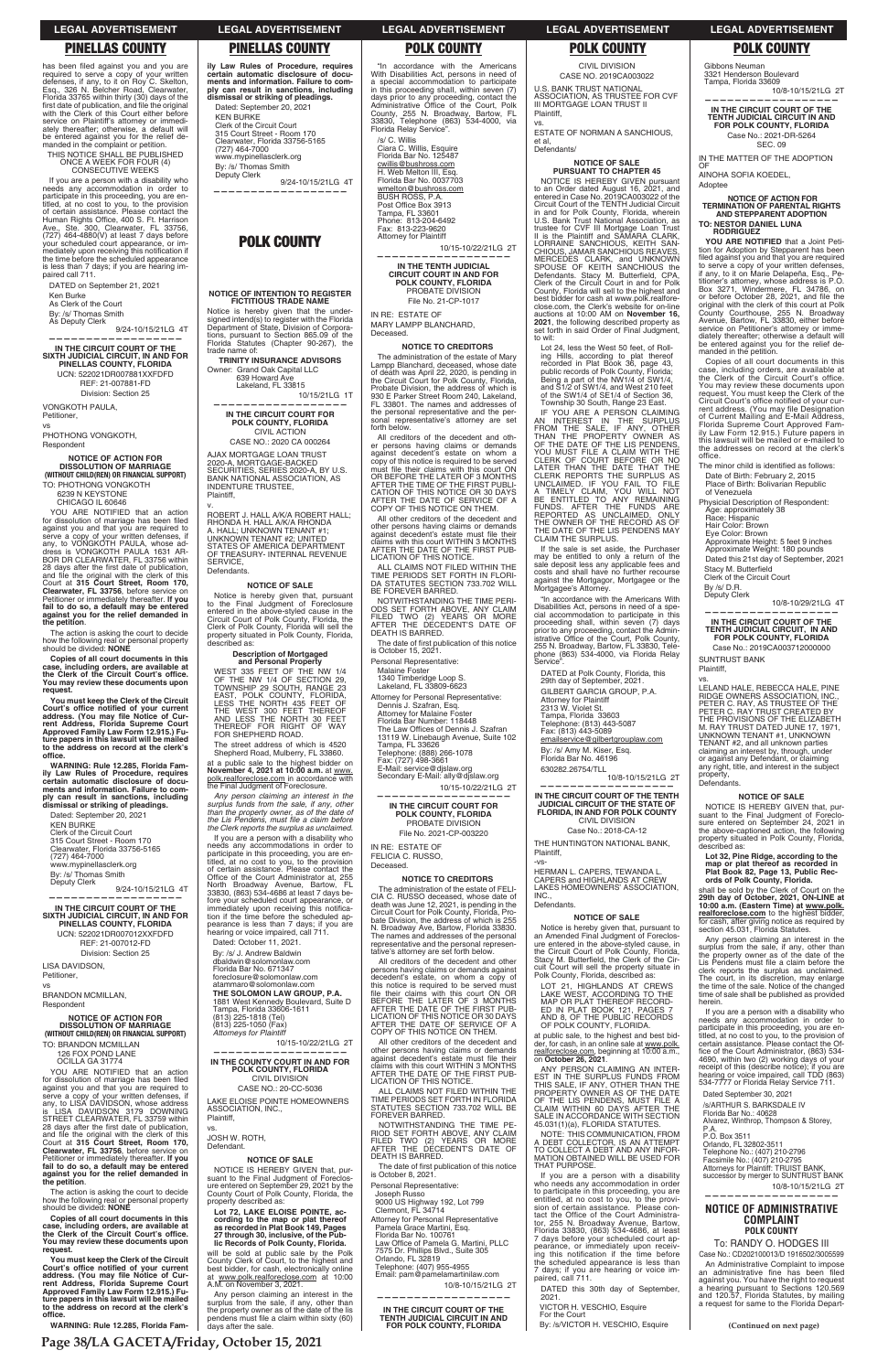has been filed against you and you are required to serve a copy of your written<br>defenses, if any, to it on Roy C. Skelton,<br>Esq., 326 N. Belcher Road, Clearwater,<br>Florida 33765 within thirty (30) days of the<br>first date of publication, and file the original with the Clerk of this Court either before service on Plaintiff's attorney or immediately thereafter; otherwise, a default will be entered against you for the relief demanded in the complaint or petition.

THIS NOTICE SHALL BE PUBLISHED ONCE A WEEK FOR FOUR (4) CONSECUTIVE WEEKS

If you are a person with a disability who needs any accommodation in order to<br>participate in this proceeding, you are en-<br>titled, at no cost to you, to the provision<br>of certain assistance. Please contact the<br>Human Rights Office, 400 S. Ft. Harrison<br>Ave., Ste. 300, your scheduled court appearance, or immediately upon receiving this notification if<br>the time before the scheduled appearance is less than 7 days; if you are hearing impaired call 711.

YOU ARE NOTIFIED that an action for dissolution of marriage has been filed<br>against you and that you are required to serve a copy of your written defenses, if<br>any, to VONGKOTH PAULA, whose ad-<br>dress is VONGKOTH PAULA 1631 AR-<br>BOR DR CLEARWATER, FL 33756 within 28 days after the first date of publication,<br>and file the original with the clerk of this<br>Court at **315 Court Street, Room 170, Clearwater, FL 33756**, before service on Petitioner or immediately thereafter. **lf you fail to do so, a default may be entered against you for the relief demanded in the petition**.

DATED on September 21, 2021 Ken Burke As Clerk of the Court By: /s/ Thomas Smith

As Deputy Clerk 9/24-10/15/21LG 4T **——————————————————**

**IN THE CIRCUIT COURT OF THE SIXTH JUDICIAL CIRCUIT, IN AND FOR PINELLAS COUNTY, FLORIDA** UCN: 522021DR007881XXFDFD REF: 21-007881-FD Division: Section 25

VONGKOTH PAULA, Petitioner, vs

PHOTHONG VONGKOTH, Respondent

**NOTICE OF ACTION FOR DISSOLUTION OF MARRIAGE (WITHOUT CHILD(REN) OR FINANCIAL SUPPORT)** TO: PHOTHONG VONGKOTH 6239 N KEYSTONE

CHICAGO IL 60646

The action is asking the court to decide how the following real or personal property should be divided: **NONE**

**Copies of all court documents in this case, including orders, are available at the Clerk of the Circuit Court's office.**<br>You may review these documents upon **request.**

**You must keep the Clerk of the Circuit**  Court's office notified of your current<br>address. (You may file Notice of Cur**rent Address, Florida Supreme Court Approved Family Law Form 12.915.) Fu-ture papers in this lawsuit will be mailed to the address on record at the clerk's QHſEG**

**WARNING: Rule 12.285, Florida Family Law Rules of Procedure, requires certain automatic disclosure of documents and information. Failure to com-ply can result in sanctions, including dismissal or striking of pleadings.**

v. ROBERT J. HALL A/K/A ROBERT HALL; RHONDA H. HALL A/K/A RHONDA A. HALL; UNKNOWN TENANT #1; UNKNOWN TENANT #2; UNITED STATES OF AMERICA DEPARTMENT OF TREASURY- INTERNAL REVENUE SERVICE, **Defendants** 

Dated: September 20, 2021 KEN BURKE Clerk of the Circuit Court 315 Court Street - Room 170 Clearwater, Florida 33756-5165 (727) 464-7000 www.mypinellasclerk.org

By: /s/ Thomas Smith<br>Deputy Clerk 9/24-10/15/21LG 4T

**—————————————————— IN THE CIRCUIT COURT OF THE SIXTH JUDICIAL CIRCUIT, IN AND FOR PINELLAS COUNTY, FLORIDA** UCN: 522021DR007012XXFDFD REF: 21-007012-FD

at a public sale to the highest bidder on **November 4, 2021 at 10:00 a.m.** at www. polk.realforeclose.com in accordance with<br>the Final Judgment of Foreclosure.

Division: Section 25 LISA DAVIDSON, Petitioner, vs

BRANDON MCMILLAN, Respondent

TO:

for c<br>agai<br>serv

how<br>shou<br>**C** 

case<br>the<br>You

*Any person claiming an interest in the surplus funds from the sale, if any, other*  than the property owner, as of the date of<br>the Lis Pendens, must file a claim before<br>the Clerk reports the surplus as unclaimed.

"In accordance with the Americans<br>With Disabilities Act, persons in need of<br>a special accommodation to participate<br>in this proceeding shall, within seven (7)<br>days prior to any proceeding, contact the<br>Administrative Office County, 255 N. Broadway, Bartow, FL 33830, Telephone (863) 534-4000, via Florida Relay Service".

**ily Law Rules of Procedure, requires certain automatic disclosure of documents and information. Failure to comply can result in sanctions, including dismissal or striking of pleadings.**

Dated: September 20, 2021 KEN BURKE Clerk of the Circuit Court 315 Court Street - Room 170 Clearwater, Florida 33756-5165 (727) 464-7000 www.mypinellasclerk.org

By: /s/ Thomas Smith Deputy Clerk

9/24-10/15/21LG 4T **——————————————————**

# **POLK COUNTY**

## **NOTICE OF INTENTION TO REGISTER FICTITIOUS TRADE NAME**

Notice is hereby given that the under-signed intend(s) to register with the Florida Department of State, Division of Corpora-tions, pursuant to Section 865.09 of the Florida Statutes (Chapter 90-267), the trade name of:

> ALL CLAIMS NOT FILED WITHIN THE TIME PERIODS SET FORTH IN FLORI-DA STATUTES SECTION 733.702 WILL BE FOREVER BARRED.

**TRINITY INSURANCE ADVISORS**  Owner: Grand Oak Capital LLC 639 Howard Ave

> The date of first publication of this notice is October 15, 2021.

 Lakeland, FL 33815 10/15/21LG 1T **——————————————————**

**IN THE CIRCUIT COURT FOR POLK COUNTY, FLORIDA** CIVIL ACTION

CASE NO.: 2020 CA 000264 AJAX MORTGAGE LOAN TRUST

2020-A, MORTGAGE-BACKED SECURITIES, SERIES 2020-A, BY U.S. BANK NATIONAL ASSOCIATION, AS INDENTURE TRUSTEE, Plaintiff,

> All creditors of the decedent and other persons having claims or demands against decedent's estate, on whom a copy of this notice is required to be served must file their claims with this court ON OR<br>BEFORE THE LATER OF 3 MONTHS<br>AFTER THE DATE OF THE FIRST PUB-

# **NOTICE OF SALE**

Notice is hereby given that, pursuant to the Final Judgment of Foreclosure entered in the above-styled cause in the Circuit Court of Polk County, Florida, the Clerk of Polk County, Florida will sell the property situ ated in Polk County, Florida, described as:

# **Description of Mortgaged and Personal Property**

WEST 335 FEET OF THE NW 1/4 OF THE NW 1/4 OF SECTION 29, TOWNSHIP 29 SOUTH, RANGE 23 EAST, POLK COUNTY, FLORIDA, LESS THE NORTH 435 FEET OF THE WEST 300 FEET THEREOF AND LESS THE NORTH 30 FEET THEREOF FOR RIGHT OF WAY FOR SHEPHERD ROAD.

The street address of which is 4520 Shepherd Road, Mulberry, FL 33860.

If you are a person with a disability who needs any accommodations in order to participate in this proceeding, you are en-titled, at no cost to you, to the provision of certain assistance. Please contact the<br>Office of the Court Administrator at, 255<br>North Broadway Avenue, Bartow, FL 33830, (863) 534-4686 at least 7 days before your scheduled court appearance, or immediately upon receiving this notification if the time before the scheduled ap-pearance is less than 7 days; if you are hearing or voice impaired, call 711. Dated: October 11, 2021.

IF YOU ARE A PERSON CLAIMING<br>AN INTEREST IN THE SURPLUS<br>FROM THE SALE, IF ANY, OTHER<br>THAN THE PROPERTY OWNER AS<br>OF THE DATE OF THE LIS PENDENS, YOU MUST FILE A CLAIM WITH THE CLERK OF COURT BEFORE OR NO LATER THAN THE DATE THAT THE CLERK REPORTS THE SURPLUS AS<br>UNCLAIMED. IF YOU FAIL TO FILE<br>A TIMELY CLAIM, YOU WILL NOT<br>BE ENTITLED TO ANY REMAINING<br>FUNDS. AFTER THE FUNDS ARE<br>REPORTED AS UNCLAIMED, ONLY THE OWNER OF THE RECORD AS OF THE DATE OF THE LIS PENDENS MAY CLAIM THE SURPLUS.

By: /s/ J. Andrew Baldwin dbaldwin@solomonlaw.com Florida Bar No. 671347 foreclosure@solomonlaw.com atammaro@solomonlaw.com **THE SOLOMON LAW GROUP, P.A.** 1881 West Kennedy Boulevard, Suite D Tampa, Florida 33606-1611

HERMAN L. CAPERS, TEWANDA L. CAPERS and HIGHLANDS AT CREW LAKES HOME OWNERS' ASSOCIATION, INC. **Defendants** 

Notice is hereby given that, pursuant to<br>an Amended Final Judgment of Foreclos-<br>ure entered in the above-styled cause, in<br>the Circuit Court of Polk County, Florida,<br>Stacy M. Butterfield, the Clerk of the Circuit Court will sell the property situate in Polk County, Florida, described as:

**YOU ARE NOTIFIED** that a Joint Petition for Adoption by Stepparent has been<br>filed against you and that you are required<br>to serve a copy of your written defenses, if any, to it on Marie Delapeña, Esq., Petitioner's attorney, whose address is P.O.<br>Box 3271, Windermere, FL 34786, on<br>or before October 28, 2021, and file the

/s/ C. Willis Ciara C. Willis, Esquire Florida Bar No. 125487 cwillis@bushross.com H. Web Melton III, Esq. Florida Bar No. 0037703 wmelton@bushross.com BUSH ROSS, P.A. Post Office Box 3913 Tampa, FL 33601 Phone: 813-204-6492 Fax: 813-223-9620 Attorney for Plaintiff

10/15-10/22/21LG 2T **——————————————————**

**IN THE TENTH JUDICIAL CIRCUIT COURT IN AND FOR POLK COUNTY, FLORIDA** PROBATE DIVISION

File No. 21-CP-1017

IN RE: ESTATE OF MARY LAMPP BLANCHARD, Deceased.

# **NOTICE TO CREDITORS**

Copies of all court documents in this case, including orders, are available at the Clerk of the Circuit Court's office. You may review these documents upon request. You must keep the Clerk of the Circuit Court's office notified of your current address. (You may file Designation<br>of Current Mailing and E-Mail Address, Florida Supreme Court Approved Fam-ily Law Form 12.915.) Future papers in this lawsuit will be mailed or e-mailed to the addresses on record at the clerk's

The minor child is identified as follows: Date of Birth: February 2, 2015 Place of Birth: Bolivarian Republic

The administration of the estate of Mary Lampp Blanchard, deceased, whose date of death was April 22, 2020, is pending in the Circuit Court for Polk County, Florida, Probate Division, the address of which is 930 E Parker Street Room 240, Lakeland, FL 33801. The names and addresses of the personal representative and the per-sonal representative's attorney are set forth below.

> Stacy M. Butterfield Clerk of the Circuit Court

By /s/ D.R. Deputy Clerk

All creditors of the decedent and other persons having claims or demands against decedent's estate on whom a copy of this notice is required to be served must file their claims with this court ON<br>OR BEFORE THE LATER OF 3 MONTHS<br>AFTER THE TIME OF THE FIRST PUBLI-CATION OF THIS NOTICE OR 30 DAYS AFTER THE DATE OF SERVICE OF A COPY OF THIS NOTICE ON THEM.

All other creditors of the decedent and other persons having claims or demands<br>against decedent's estate must file their<br>claims with this court WITHIN 3 MONTHS AFTER THE DATE OF THE FIRST PUB-LICATION OF THIS NOTICE.

NOTWITHSTANDING THE TIME PERI-ODS SET FORTH ABOVE, ANY CLAIM FILED TWO (2) YEARS OR MORE AFTER THE DECEDENT'S DATE OF DEATH IS BARRED.

Personal Representative:

Malaine Foster

1340 Timberidge Loop S. Lakeland, FL 33809-6623

Attorney for Personal Representative: Dennis J. Szafran, Esq. Attorney for Malaine Foster

Florida Bar Number: 118448<br>The Law Offices of Dennis J. Szafran<br>13119 W. Linebaugh Avenue, Suite 102

Tampa, FL 33626 Telephone: (888) 266-1078 Fax: (727) 498-3661

E-Mail: service@djslaw.org Secondary E-Mail: ally@djslaw.org

 10/15-10/22/21LG 2T **——————————————————**

# **IN THE CIRCUIT COURT FOR POLK COUNTY, FLORIDA** PROBATE DIVISION File No. 2021-CP-003220

IN RE: ESTATE OF FELICIA C. RUSSO, Deceased.

**NOTICE TO CREDITORS** The administration of the estate of FELI-CIA C. RUSSO deceased, whose date of death was June 12, 2021, is pending in the Circuit Court for Polk County, Florida, Pro-bate Division, the address of which is 255 N. Broadway Ave, Bartow, Florida 33830. The names and addresses of the personal representative and the personal representative's attorney are set forth below.

| <b>NOTICE OF ACTION FOR</b><br><b>DISSOLUTION OF MARRIAGE</b><br>(WITHOUT CHILD(REN) OR FINANCIAL SUPPORT)<br>TO: BRANDON MCMILLAN<br>126 FOX POND LANE<br>OCILLA GA 31774<br>YOU ARE NOTIFIED that an action<br>for dissolution of marriage has been filed<br>against you and that you are required to<br>serve a copy of your written defenses, if<br>any, to LISA DAVIDSON, whose address<br>is LISA DAVIDSON 3179 DOWNING<br>STREET CLEARWATER. FL 33759 within<br>28 days after the first date of publication,<br>and file the original with the clerk of this<br>Court at 315 Court Street, Room 170,<br>Clearwater, FL 33756, before service on<br>Petitioner or immediately thereafter. If you<br>fail to do so, a default may be entered<br>against you for the relief demanded in<br>the petition.<br>The action is asking the court to decide<br>how the following real or personal property<br>should be divided: NONE<br>Copies of all court documents in this<br>case, including orders, are available at<br>the Clerk of the Circuit Court's office.<br>You may review these documents upon<br>request.<br>You must keep the Clerk of the Circuit<br>Court's office notified of your current<br>address. (You may file Notice of Cur-<br>rent Address, Florida Supreme Court<br>Approved Family Law Form 12.915.) Fu-<br>ture papers in this lawsuit will be mailed<br>to the address on record at the clerk's<br>office.<br>WARNING: Rule 12.285, Florida Fam-<br>Page 38/LA GACETA/Friday, October 15, 2021 | Tamba. Fionda 33606-T6TT<br>(813) 225-1818 (Tel)<br>(813) 225-1050 (Fax)<br>Attorneys for Plaintiff<br>10/15-10/22/21LG 2T<br>IN THE COUNTY COURT IN AND FOR<br>POLK COUNTY, FLORIDA<br><b>CIVIL DIVISION</b><br>CASE NO.: 20-CC-5036<br>LAKE ELOISE POINTE HOMEOWNERS<br>ASSOCIATION, INC.,<br>Plaintiff.<br>VS.<br>JOSH W. ROTH.<br>Defendant.<br><b>NOTICE OF SALE</b><br>NOTICE IS HEREBY GIVEN that, pur-<br>suant to the Final Judgment of Foreclos-<br>ure entered on September 29, 2021 by the<br>County Court of Polk County, Florida, the<br>property described as:<br>Lot 72. LAKE ELOISE POINTE. ac-<br>cording to the map or plat thereof<br>as recorded in Plat Book 149, Pages<br>27 through 30, inclusive, of the Pub-<br>lic Records of Polk County, Florida.<br>will be sold at public sale by the Polk<br>County Clerk of Court, to the highest and<br>best bidder, for cash, electronically online<br>at www.polk.realforeclose.com at 10:00<br>A.M. on November 3, 2021.<br>Any person claiming an interest in the<br>surplus from the sale, if any, other than<br>the property owner as of the date of the lis<br>pendens must file a claim within sixty (60)<br>days after the sale. | AFTER THE DATE OF THE FIRST FUB-<br>LICATION OF THIS NOTICE OR 30 DAYS<br>AFTER THE DATE OF SERVICE OF A<br>COPY OF THIS NOTICE ON THEM.<br>All other creditors of the decedent and<br>other persons having claims or demands<br>against decedent's estate must file their<br>claims with this court WITHIN 3 MONTHS<br>AFTER THE DATE OF THE FIRST PUB-<br>LICATION OF THIS NOTICE.<br>ALL CLAIMS NOT FILED WITHIN THE<br>TIME PERIODS SET FORTH IN FLORIDA<br>STATUTES SECTION 733.702 WILL BE<br>FOREVER BARRED.<br>NOTWITHSTANDING THE TIME PE-<br>RIOD SET FORTH ABOVE. ANY CLAIM<br>FILED TWO (2) YEARS OR MORE<br>AFTER THE DECEDENT'S DATE OF<br><b>DEATH IS BARRED.</b><br>The date of first publication of this notice<br>is October 8, 2021.<br>Personal Representative:<br>Joseph Russo<br>9000 US Highway 192, Lot 799<br>Clermont. FL 34714<br>Attorney for Personal Representative<br>Pamela Grace Martini, Esg.<br>Florida Bar No. 100761<br>Law Office of Pamela G. Martini, PLLC<br>7575 Dr. Phillips Blvd., Suite 305<br>Orlando. FL 32819<br>Telephone: (407) 955-4955<br>Email: pam@pamelamartinilaw.com<br>10/8-10/15/21LG 2T<br>IN THE CIRCUIT COURT OF THE<br><b>TENTH JUDICIAL CIRCUIT IN AND</b><br>FOR POLK COUNTY, FLORIDA | ED IN PLAT BOOK 121, PAGES<br>AND 8. OF THE PUBLIC RECORDS<br>OF POLK COUNTY, FLORIDA.<br>at public sale, to the highest and best bid-<br>der, for cash, in an online sale at www.polk.<br>realforeclose.com, beginning at 10:00 a.m.,<br>on October 26, 2021.<br>ANY PERSON CLAIMING AN INTER-<br>EST IN THE SURPLUS FUNDS FROM<br>THIS SALE. IF ANY, OTHER THAN THE<br>PROPERTY OWNER AS OF THE DATE<br>OF THE LIS PENDENS. MUST FILE A<br>CLAIM WITHIN 60 DAYS AFTER THE<br>SALE IN ACCORDANCE WITH SECTION<br>45.031(1)(a), FLORIDA STATUTES.<br>NOTE: THIS COMMUNICATION, FROM<br>A DEBT COLLECTOR. IS AN ATTEMPT<br>TO COLLECT A DEBT AND ANY INFOR-<br>MATION OBTAINED WILL BE USED FOR<br>THAT PURPOSE.<br>If you are a person with a disability<br>who needs any accommodation in order<br>to participate in this proceeding, you are<br>entitled, at no cost to you, to the provi-<br>sion of certain assistance. Please con-<br>tact the Office of the Court Administra-<br>tor, 255 N. Broadway Avenue, Bartow,<br>Florida 33830, (863) 534-4686, at least<br>7 days before your scheduled court ap-<br>pearance, or immediately upon receiv-<br>ing this notification if the time before<br>the scheduled appearance is less than<br>7 days; if you are hearing or voice im-<br>paired. call 711.<br>DATED this 30th day of September.<br>2021.<br>VICTOR H. VESCHIO, Esquire<br>For the Court<br>By: /s/VICTOR H. VESCHIO, Esquire | If you are a person with a disability who<br>needs any accommodation in order to<br>participate in this proceeding, you are en-<br>titled, at no cost to you, to the provision of<br>certain assistance. Please contact the Of-<br>fice of the Court Administrator, (863) 534-<br>4690, within two (2) working days of your<br>receipt of this (describe notice); if you are<br>hearing or voice impaired, call TDD (863)<br>534-7777 or Florida Relay Service 711.<br>Dated September 30, 2021<br>/s/ARTHUR S. BARKSDALE IV<br>Florida Bar No.: 40628<br>Alvarez, Winthrop, Thompson & Storey,<br>P.A.<br>P.O. Box 3511<br>Orlando, FL 32802-3511<br>Telephone No.: (407) 210-2796<br>Facsimile No.: (407) 210-2795<br>Attorneys for Plaintiff: TRUIST BANK,<br>successor by merger to SUNTRUST BANK<br>10/8-10/15/21LG 2T<br><b>NOTICE OF ADMINISTRATIVE</b><br>COMPLAINT<br><b>POLK COUNTY</b><br>To: RANDY O. HODGES III<br>Case No.: CD202100013/D 1916502/3005599<br>An Administrative Complaint to impose<br>an administrative fine has been filed<br>against you. You have the right to request<br>a hearing pursuant to Sections 120.569<br>and 120.57, Florida Statutes, by mailing<br>a request for same to the Florida Depart-<br>(Continued on next page) |
|------------------------------------------------------------------------------------------------------------------------------------------------------------------------------------------------------------------------------------------------------------------------------------------------------------------------------------------------------------------------------------------------------------------------------------------------------------------------------------------------------------------------------------------------------------------------------------------------------------------------------------------------------------------------------------------------------------------------------------------------------------------------------------------------------------------------------------------------------------------------------------------------------------------------------------------------------------------------------------------------------------------------------------------------------------------------------------------------------------------------------------------------------------------------------------------------------------------------------------------------------------------------------------------------------------------------------------------------------------------------------------------------------------------------------------------------------------------------------------------------------------------------------|-------------------------------------------------------------------------------------------------------------------------------------------------------------------------------------------------------------------------------------------------------------------------------------------------------------------------------------------------------------------------------------------------------------------------------------------------------------------------------------------------------------------------------------------------------------------------------------------------------------------------------------------------------------------------------------------------------------------------------------------------------------------------------------------------------------------------------------------------------------------------------------------------------------------------------------------------------------------------------------------------------------------------------------------------------------------------------------------------------------------------------------------------------------------------------------------------------------|--------------------------------------------------------------------------------------------------------------------------------------------------------------------------------------------------------------------------------------------------------------------------------------------------------------------------------------------------------------------------------------------------------------------------------------------------------------------------------------------------------------------------------------------------------------------------------------------------------------------------------------------------------------------------------------------------------------------------------------------------------------------------------------------------------------------------------------------------------------------------------------------------------------------------------------------------------------------------------------------------------------------------------------------------------------------------------------------------------------------------------------------------------------------------------------------------------------------------------------------------------|--------------------------------------------------------------------------------------------------------------------------------------------------------------------------------------------------------------------------------------------------------------------------------------------------------------------------------------------------------------------------------------------------------------------------------------------------------------------------------------------------------------------------------------------------------------------------------------------------------------------------------------------------------------------------------------------------------------------------------------------------------------------------------------------------------------------------------------------------------------------------------------------------------------------------------------------------------------------------------------------------------------------------------------------------------------------------------------------------------------------------------------------------------------------------------------------------------------------------------------------------------------------------------------------------------------------------------------------------------------------------------------------------------------------------------------------------|------------------------------------------------------------------------------------------------------------------------------------------------------------------------------------------------------------------------------------------------------------------------------------------------------------------------------------------------------------------------------------------------------------------------------------------------------------------------------------------------------------------------------------------------------------------------------------------------------------------------------------------------------------------------------------------------------------------------------------------------------------------------------------------------------------------------------------------------------------------------------------------------------------------------------------------------------------------------------------------------------------------------------------------------------------------------------------------------------------------------------------------------------------------------------------------------------------------------------------------------------------------------|
|                                                                                                                                                                                                                                                                                                                                                                                                                                                                                                                                                                                                                                                                                                                                                                                                                                                                                                                                                                                                                                                                                                                                                                                                                                                                                                                                                                                                                                                                                                                              |                                                                                                                                                                                                                                                                                                                                                                                                                                                                                                                                                                                                                                                                                                                                                                                                                                                                                                                                                                                                                                                                                                                                                                                                             |                                                                                                                                                                                                                                                                                                                                                                                                                                                                                                                                                                                                                                                                                                                                                                                                                                                                                                                                                                                                                                                                                                                                                                                                                                                        |                                                                                                                                                                                                                                                                                                                                                                                                                                                                                                                                                                                                                                                                                                                                                                                                                                                                                                                                                                                                                                                                                                                                                                                                                                                                                                                                                                                                                                                  |                                                                                                                                                                                                                                                                                                                                                                                                                                                                                                                                                                                                                                                                                                                                                                                                                                                                                                                                                                                                                                                                                                                                                                                                                                                                        |

CIVIL DIVISION CASE NO. 2019CA003022

U.S. BANK TRUST NATIONAL ASSOCIATION, AS TRUSTEE FOR CVF III MORTGAGE LOAN TRUST II Plaintiff,

vs.

ESTATE OF NORMAN A SANCHIOUS, et al, Defendants/

## **NOTICE OF SALE PURSUANT TO CHAPTER 45**

NOTICE IS HEREBY GIVEN pursuant to an Order dated August 16, 2021, and entered in Case No. 2019CA003022 of the Circuit Court of the TENTH Judicial Circuit in and for Polk County, Florida, wherein U.S. Bank Trust National Association, as trustee for CVF III Mortgage Loan Trust II is the Plaintiff and SAMARA CLARK, LORRAINE SANCHIOUS, KEITH SAN-<br>CHIOUS, JAMAR SANCHIOUS REAVES,<br>MERCEDES CLARK, and UNKNOWN<br>SPOUSE OF KEITH SANCHIOUS the<br>Defendants. Stacy M. Butterfield, CPA,<br>Clerk of the Circuit Court in and for Polk County, Florida will sell to the highest and best bidder for cash at www.polk.realfore-close.com, the Clerk's website for on-line auctions at 10:00 AM on **November 16, 2021**, the following described property as set forth in said Order of Final Judgment, to wit:

Lot 24, less the West 50 feet, of Rolling Hills, according to plat thereof recorded in Plat Book 36, page 43, public records of Polk County, Florida; Being a part of the NW1/4 of SW1/4, and S1/2 of SW1/4, and West 210 feet of the SW1/4 of SE1/4 of Section 36, Township 30 South, Range 23 East.

If the sale is set aside, the Purchaser may be entitled to only a return of the sale deposit less any applicable fees and costs and shall have no further recourse against the Mortgagor, Mortgagee or the Mortgagee's Attorney.

"In accordance with the Americans With Disabilities Act, persons in need of a spe-cial accommodation to participate in this proceeding shall, within seven (7) days prior to any proceeding, contact the Admin-<br>istrative Office of the Court, Polk County,<br>255 N. Broadway, Bartow, FL 33830, Telephone (863) 534-4000, via Florida Relay Service".

DATED at Polk County, Florida, this 29th day of September, 2021. GILBERT GARCIA GROUP, P.A. Attorney for Plaintiff 2313 W. Violet St. Tampa, Florida 33603 Telephone: (813) 443-5087 Fax: (813) 443-5089 emailservice@gilbertgrouplaw.com By: /s/ Amy M. Kiser, Esq.<br>Florida Bar No. 46196 Florida Bar No. 46196

630282.26754/TLL 10/8-10/15/21LG 2T **——————————————————**

# **IN THE CIRCUIT COURT OF THE TENTH JUDICIAL CIRCUIT OF THE STATE OF FLORIDA, IN AND FOR POLK COUNTY** CIVIL DIVISION

Case No.: 2018-CA-12 THE HUNTINGTON NATIONAL BANK,

Plaintiff,

-vs-

# **NOTICE OF SALE**

LOT 21, HIGHLANDS AT CREWS LAKE WEST, ACCORDING TO THE MAP OR PLAT THEREOF RECORD-ED IN PLAT BOOK 121, PAGES 7

Gibbons Neuman 3321 Henderson Boulevard

Tampa, Florida 33609 10/8-10/15/21LG 2T **——————————————————**

**IN THE CIRCUIT COURT OF THE TENTH JUDICIAL CIRCUIT IN AND FOR POLK COUNTY, FLORIDA** Case No.: 2021-DR-5264 SEC. 09

IN THE MATTER OF THE ADOPTION OF

AINOHA SOFIA KOEDEL, Adoptee

**NOTICE OF ACTION FOR TERMINATION OF PARENTAL RIGHTS AND STEPPARENT ADOPTION**

**TO: NESTOR DANIEL LUNA RODRIGUEZ**

original with the clerk of this court at Polk County Courthouse, 255 N. Broadway Avenue, Bartow, FL 33830, either before service on Petitioner's attorney or imme-diately thereafter; otherwise a default will be entered against you for the relief de-

manded in the petition.

office.

of Venezuela

Physicial Description of Respondent: Age: approximately 38 Race: Hispanic Hair Color: Brown

Eye Color: Brown Approximate Height: 5 feet 9 inches Approximate Weight: 180 pounds Dated this 21st day of September, 2021

10/8-10/29/21LG 4T

**—————————————————— IN THE CIRCUIT COURT OF THE TENTH JUDICIAL CIRCUIT, IN AND FOR POLK COUNTY, FLORIDA** Case No.: 2019CA003712000000

LELAND HALE, REBECCA HALE, PINE<br>RIDGE OWNERS ASSOCIATION, INC.,<br>PETER C. RAY, AS TRUSTEE OF THE<br>PETER C. RAY TRUST CREATED BY

SUNTRUST BANK Plaintiff, vs.

THE PROVISIONS OF THE ELIZABETH M. RAY TRUST DATED JUNE 17, 1971, UNKNOWN TENANT #1, UNKNOWN TENANT #2, and all unknown parties claiming an interest by, through, under or against any Defendant, or claiming any right, title, and interest in the subject

property, Defendants.

**NOTICE OF SALE** NOTICE IS HEREBY GIVEN that, pursuant to the Final Judgment of Foreclo-sure entered on September 24, 2021 in the above-captioned action, the following property situated in Polk County, Florida,

described as:

**Lot 32, Pine Ridge, according to the map or plat thereof as recorded in Plat Book 82, Page 13, Public Records of Polk County, Florida.**

shall be sold by the Clerk of Court on the<br>29th day of October, 2021, ON-LINE at<br>10:00 a.m. (Eastern Time) at <u>www.polk.</u><br>realforeclose.com to the highest bidder,<br>for cash, after giving notice as required by<br>section 45.031

Any person claiming an interest in the surplus from the sale, if any, other than the property owner as of the date of the Lis Pendens must file a claim before the clerk reports the surplus as unclaimed. The court, in its discretion, may enlarge the time of the sale. Notice of the changed time of sale shall be published as provided

herein.

# **LEGAL ADVERTISEMENT LEGAL ADVERTISEMENT LEGAL ADVERTISEMENT LEGAL ADVERTISEMENT LEGAL ADVERTISEMENT**

# **PINELLAS COUNTY PINELLAS COUNTY POLK COUNTY POLK COUNTY POLK COUNTY**